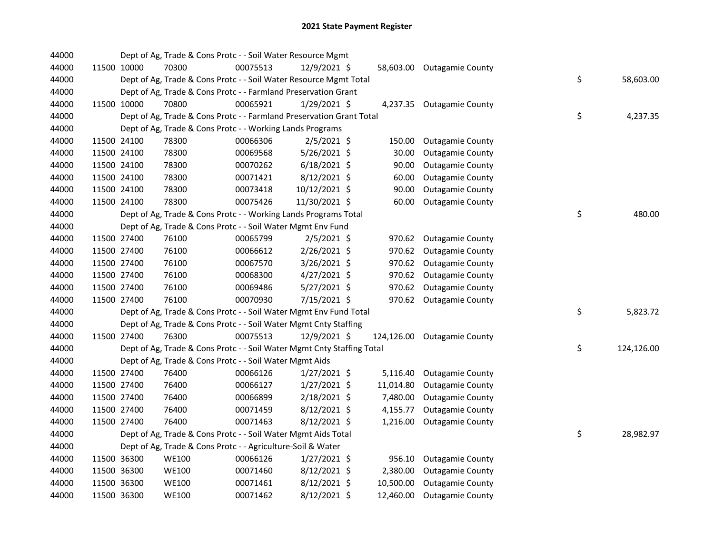| 44000 |             | Dept of Ag, Trade & Cons Protc - - Soil Water Resource Mgmt            |          |                |           |                             |    |            |
|-------|-------------|------------------------------------------------------------------------|----------|----------------|-----------|-----------------------------|----|------------|
| 44000 | 11500 10000 | 70300                                                                  | 00075513 | 12/9/2021 \$   |           | 58,603.00 Outagamie County  |    |            |
| 44000 |             | Dept of Ag, Trade & Cons Protc - - Soil Water Resource Mgmt Total      |          |                |           |                             | \$ | 58,603.00  |
| 44000 |             | Dept of Ag, Trade & Cons Protc - - Farmland Preservation Grant         |          |                |           |                             |    |            |
| 44000 | 11500 10000 | 70800                                                                  | 00065921 | 1/29/2021 \$   |           | 4,237.35 Outagamie County   |    |            |
| 44000 |             | Dept of Ag, Trade & Cons Protc - - Farmland Preservation Grant Total   |          |                |           |                             | \$ | 4,237.35   |
| 44000 |             | Dept of Ag, Trade & Cons Protc - - Working Lands Programs              |          |                |           |                             |    |            |
| 44000 | 11500 24100 | 78300                                                                  | 00066306 | $2/5/2021$ \$  | 150.00    | <b>Outagamie County</b>     |    |            |
| 44000 | 11500 24100 | 78300                                                                  | 00069568 | 5/26/2021 \$   | 30.00     | <b>Outagamie County</b>     |    |            |
| 44000 | 11500 24100 | 78300                                                                  | 00070262 | $6/18/2021$ \$ | 90.00     | <b>Outagamie County</b>     |    |            |
| 44000 | 11500 24100 | 78300                                                                  | 00071421 | $8/12/2021$ \$ | 60.00     | <b>Outagamie County</b>     |    |            |
| 44000 | 11500 24100 | 78300                                                                  | 00073418 | 10/12/2021 \$  | 90.00     | <b>Outagamie County</b>     |    |            |
| 44000 | 11500 24100 | 78300                                                                  | 00075426 | 11/30/2021 \$  | 60.00     | <b>Outagamie County</b>     |    |            |
| 44000 |             | Dept of Ag, Trade & Cons Protc - - Working Lands Programs Total        |          |                |           |                             | \$ | 480.00     |
| 44000 |             | Dept of Ag, Trade & Cons Protc - - Soil Water Mgmt Env Fund            |          |                |           |                             |    |            |
| 44000 | 11500 27400 | 76100                                                                  | 00065799 | $2/5/2021$ \$  | 970.62    | <b>Outagamie County</b>     |    |            |
| 44000 | 11500 27400 | 76100                                                                  | 00066612 | 2/26/2021 \$   | 970.62    | <b>Outagamie County</b>     |    |            |
| 44000 | 11500 27400 | 76100                                                                  | 00067570 | $3/26/2021$ \$ | 970.62    | <b>Outagamie County</b>     |    |            |
| 44000 | 11500 27400 | 76100                                                                  | 00068300 | $4/27/2021$ \$ | 970.62    | <b>Outagamie County</b>     |    |            |
| 44000 | 11500 27400 | 76100                                                                  | 00069486 | 5/27/2021 \$   | 970.62    | <b>Outagamie County</b>     |    |            |
| 44000 | 11500 27400 | 76100                                                                  | 00070930 | 7/15/2021 \$   |           | 970.62 Outagamie County     |    |            |
| 44000 |             | Dept of Ag, Trade & Cons Protc - - Soil Water Mgmt Env Fund Total      |          |                |           |                             | \$ | 5,823.72   |
| 44000 |             | Dept of Ag, Trade & Cons Protc - - Soil Water Mgmt Cnty Staffing       |          |                |           |                             |    |            |
| 44000 | 11500 27400 | 76300                                                                  | 00075513 | 12/9/2021 \$   |           | 124,126.00 Outagamie County |    |            |
| 44000 |             | Dept of Ag, Trade & Cons Protc - - Soil Water Mgmt Cnty Staffing Total |          |                |           |                             | \$ | 124,126.00 |
| 44000 |             | Dept of Ag, Trade & Cons Protc - - Soil Water Mgmt Aids                |          |                |           |                             |    |            |
| 44000 | 11500 27400 | 76400                                                                  | 00066126 | $1/27/2021$ \$ | 5,116.40  | <b>Outagamie County</b>     |    |            |
| 44000 | 11500 27400 | 76400                                                                  | 00066127 | $1/27/2021$ \$ | 11,014.80 | <b>Outagamie County</b>     |    |            |
| 44000 | 11500 27400 | 76400                                                                  | 00066899 | 2/18/2021 \$   | 7,480.00  | <b>Outagamie County</b>     |    |            |
| 44000 | 11500 27400 | 76400                                                                  | 00071459 | $8/12/2021$ \$ | 4,155.77  | <b>Outagamie County</b>     |    |            |
| 44000 | 11500 27400 | 76400                                                                  | 00071463 | 8/12/2021 \$   | 1,216.00  | <b>Outagamie County</b>     |    |            |
| 44000 |             | Dept of Ag, Trade & Cons Protc - - Soil Water Mgmt Aids Total          |          |                |           |                             | \$ | 28,982.97  |
| 44000 |             | Dept of Ag, Trade & Cons Protc - - Agriculture-Soil & Water            |          |                |           |                             |    |            |
| 44000 | 11500 36300 | <b>WE100</b>                                                           | 00066126 | $1/27/2021$ \$ | 956.10    | <b>Outagamie County</b>     |    |            |
| 44000 | 11500 36300 | WE100                                                                  | 00071460 | $8/12/2021$ \$ | 2,380.00  | <b>Outagamie County</b>     |    |            |
| 44000 | 11500 36300 | <b>WE100</b>                                                           | 00071461 | 8/12/2021 \$   | 10,500.00 | <b>Outagamie County</b>     |    |            |
| 44000 | 11500 36300 | <b>WE100</b>                                                           | 00071462 | 8/12/2021 \$   | 12,460.00 | <b>Outagamie County</b>     |    |            |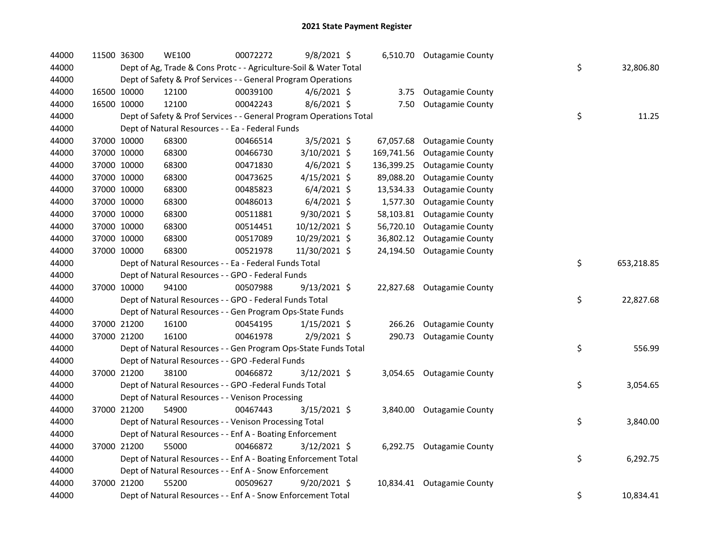| 44000 | 11500 36300 | <b>WE100</b>                                                        | 00072272 | 9/8/2021 \$    |            | 6,510.70 Outagamie County  |    |            |
|-------|-------------|---------------------------------------------------------------------|----------|----------------|------------|----------------------------|----|------------|
| 44000 |             | Dept of Ag, Trade & Cons Protc - - Agriculture-Soil & Water Total   |          |                |            |                            | \$ | 32,806.80  |
| 44000 |             | Dept of Safety & Prof Services - - General Program Operations       |          |                |            |                            |    |            |
| 44000 | 16500 10000 | 12100                                                               | 00039100 | $4/6/2021$ \$  | 3.75       | <b>Outagamie County</b>    |    |            |
| 44000 | 16500 10000 | 12100                                                               | 00042243 | 8/6/2021 \$    | 7.50       | <b>Outagamie County</b>    |    |            |
| 44000 |             | Dept of Safety & Prof Services - - General Program Operations Total |          |                |            |                            | \$ | 11.25      |
| 44000 |             | Dept of Natural Resources - - Ea - Federal Funds                    |          |                |            |                            |    |            |
| 44000 | 37000 10000 | 68300                                                               | 00466514 | $3/5/2021$ \$  | 67,057.68  | <b>Outagamie County</b>    |    |            |
| 44000 | 37000 10000 | 68300                                                               | 00466730 | 3/10/2021 \$   | 169,741.56 | <b>Outagamie County</b>    |    |            |
| 44000 | 37000 10000 | 68300                                                               | 00471830 | $4/6/2021$ \$  | 136,399.25 | <b>Outagamie County</b>    |    |            |
| 44000 | 37000 10000 | 68300                                                               | 00473625 | $4/15/2021$ \$ | 89,088.20  | <b>Outagamie County</b>    |    |            |
| 44000 | 37000 10000 | 68300                                                               | 00485823 | $6/4/2021$ \$  | 13,534.33  | <b>Outagamie County</b>    |    |            |
| 44000 | 37000 10000 | 68300                                                               | 00486013 | $6/4/2021$ \$  | 1,577.30   | <b>Outagamie County</b>    |    |            |
| 44000 | 37000 10000 | 68300                                                               | 00511881 | 9/30/2021 \$   | 58,103.81  | <b>Outagamie County</b>    |    |            |
| 44000 | 37000 10000 | 68300                                                               | 00514451 | 10/12/2021 \$  | 56,720.10  | <b>Outagamie County</b>    |    |            |
| 44000 | 37000 10000 | 68300                                                               | 00517089 | 10/29/2021 \$  | 36,802.12  | <b>Outagamie County</b>    |    |            |
| 44000 | 37000 10000 | 68300                                                               | 00521978 | 11/30/2021 \$  | 24,194.50  | <b>Outagamie County</b>    |    |            |
| 44000 |             | Dept of Natural Resources - - Ea - Federal Funds Total              |          |                |            |                            | \$ | 653,218.85 |
| 44000 |             | Dept of Natural Resources - - GPO - Federal Funds                   |          |                |            |                            |    |            |
| 44000 | 37000 10000 | 94100                                                               | 00507988 | $9/13/2021$ \$ |            | 22,827.68 Outagamie County |    |            |
| 44000 |             | Dept of Natural Resources - - GPO - Federal Funds Total             |          |                |            |                            | \$ | 22,827.68  |
| 44000 |             | Dept of Natural Resources - - Gen Program Ops-State Funds           |          |                |            |                            |    |            |
| 44000 | 37000 21200 | 16100                                                               | 00454195 | $1/15/2021$ \$ | 266.26     | <b>Outagamie County</b>    |    |            |
| 44000 | 37000 21200 | 16100                                                               | 00461978 | 2/9/2021 \$    | 290.73     | <b>Outagamie County</b>    |    |            |
| 44000 |             | Dept of Natural Resources - - Gen Program Ops-State Funds Total     |          |                |            |                            | \$ | 556.99     |
| 44000 |             | Dept of Natural Resources - - GPO -Federal Funds                    |          |                |            |                            |    |            |
| 44000 | 37000 21200 | 38100                                                               | 00466872 | 3/12/2021 \$   |            | 3,054.65 Outagamie County  |    |            |
| 44000 |             | Dept of Natural Resources - - GPO -Federal Funds Total              |          |                |            |                            | \$ | 3,054.65   |
| 44000 |             | Dept of Natural Resources - - Venison Processing                    |          |                |            |                            |    |            |
| 44000 | 37000 21200 | 54900                                                               | 00467443 | $3/15/2021$ \$ |            | 3,840.00 Outagamie County  |    |            |
| 44000 |             | Dept of Natural Resources - - Venison Processing Total              |          |                |            |                            | \$ | 3,840.00   |
| 44000 |             | Dept of Natural Resources - - Enf A - Boating Enforcement           |          |                |            |                            |    |            |
| 44000 | 37000 21200 | 55000                                                               | 00466872 | 3/12/2021 \$   |            | 6,292.75 Outagamie County  |    |            |
| 44000 |             | Dept of Natural Resources - - Enf A - Boating Enforcement Total     |          |                |            |                            | \$ | 6,292.75   |
| 44000 |             | Dept of Natural Resources - - Enf A - Snow Enforcement              |          |                |            |                            |    |            |
| 44000 | 37000 21200 | 55200                                                               | 00509627 | $9/20/2021$ \$ |            | 10,834.41 Outagamie County |    |            |
| 44000 |             | Dept of Natural Resources - - Enf A - Snow Enforcement Total        |          |                |            |                            | \$ | 10,834.41  |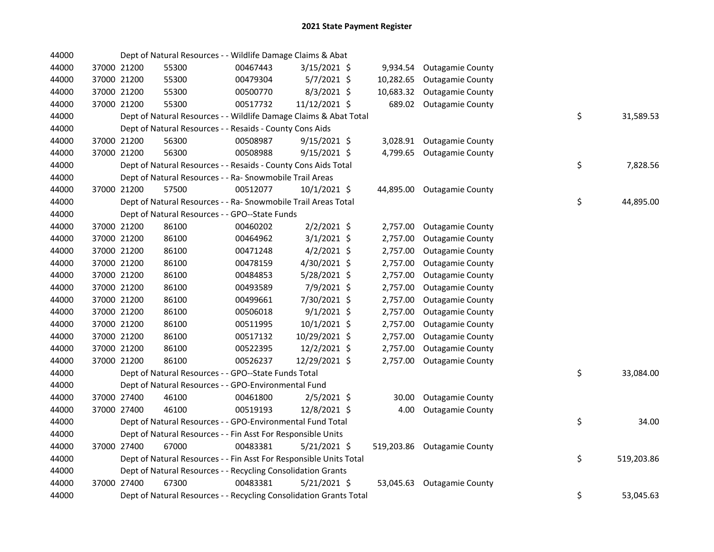| 44000 |             | Dept of Natural Resources - - Wildlife Damage Claims & Abat        |          |                |          |                             |    |            |
|-------|-------------|--------------------------------------------------------------------|----------|----------------|----------|-----------------------------|----|------------|
| 44000 | 37000 21200 | 55300                                                              | 00467443 | 3/15/2021 \$   |          | 9,934.54 Outagamie County   |    |            |
| 44000 | 37000 21200 | 55300                                                              | 00479304 | $5/7/2021$ \$  |          | 10,282.65 Outagamie County  |    |            |
| 44000 | 37000 21200 | 55300                                                              | 00500770 | $8/3/2021$ \$  |          | 10,683.32 Outagamie County  |    |            |
| 44000 | 37000 21200 | 55300                                                              | 00517732 | 11/12/2021 \$  |          | 689.02 Outagamie County     |    |            |
| 44000 |             | Dept of Natural Resources - - Wildlife Damage Claims & Abat Total  |          |                |          |                             | \$ | 31,589.53  |
| 44000 |             | Dept of Natural Resources - - Resaids - County Cons Aids           |          |                |          |                             |    |            |
| 44000 | 37000 21200 | 56300                                                              | 00508987 | $9/15/2021$ \$ |          | 3,028.91 Outagamie County   |    |            |
| 44000 | 37000 21200 | 56300                                                              | 00508988 | $9/15/2021$ \$ |          | 4,799.65 Outagamie County   |    |            |
| 44000 |             | Dept of Natural Resources - - Resaids - County Cons Aids Total     |          |                |          |                             | \$ | 7,828.56   |
| 44000 |             | Dept of Natural Resources - - Ra- Snowmobile Trail Areas           |          |                |          |                             |    |            |
| 44000 | 37000 21200 | 57500                                                              | 00512077 | $10/1/2021$ \$ |          | 44,895.00 Outagamie County  |    |            |
| 44000 |             | Dept of Natural Resources - - Ra- Snowmobile Trail Areas Total     |          |                |          |                             | \$ | 44,895.00  |
| 44000 |             | Dept of Natural Resources - - GPO--State Funds                     |          |                |          |                             |    |            |
| 44000 | 37000 21200 | 86100                                                              | 00460202 | $2/2/2021$ \$  |          | 2,757.00 Outagamie County   |    |            |
| 44000 | 37000 21200 | 86100                                                              | 00464962 | $3/1/2021$ \$  | 2,757.00 | <b>Outagamie County</b>     |    |            |
| 44000 | 37000 21200 | 86100                                                              | 00471248 | $4/2/2021$ \$  | 2,757.00 | <b>Outagamie County</b>     |    |            |
| 44000 | 37000 21200 | 86100                                                              | 00478159 | 4/30/2021 \$   | 2,757.00 | <b>Outagamie County</b>     |    |            |
| 44000 | 37000 21200 | 86100                                                              | 00484853 | 5/28/2021 \$   | 2,757.00 | <b>Outagamie County</b>     |    |            |
| 44000 | 37000 21200 | 86100                                                              | 00493589 | 7/9/2021 \$    | 2,757.00 | <b>Outagamie County</b>     |    |            |
| 44000 | 37000 21200 | 86100                                                              | 00499661 | 7/30/2021 \$   | 2,757.00 | <b>Outagamie County</b>     |    |            |
| 44000 | 37000 21200 | 86100                                                              | 00506018 | $9/1/2021$ \$  | 2,757.00 | <b>Outagamie County</b>     |    |            |
| 44000 | 37000 21200 | 86100                                                              | 00511995 | $10/1/2021$ \$ | 2,757.00 | <b>Outagamie County</b>     |    |            |
| 44000 | 37000 21200 | 86100                                                              | 00517132 | 10/29/2021 \$  | 2,757.00 | <b>Outagamie County</b>     |    |            |
| 44000 | 37000 21200 | 86100                                                              | 00522395 | 12/2/2021 \$   | 2,757.00 | <b>Outagamie County</b>     |    |            |
| 44000 | 37000 21200 | 86100                                                              | 00526237 | 12/29/2021 \$  | 2,757.00 | <b>Outagamie County</b>     |    |            |
| 44000 |             | Dept of Natural Resources - - GPO--State Funds Total               |          |                |          |                             | \$ | 33,084.00  |
| 44000 |             | Dept of Natural Resources - - GPO-Environmental Fund               |          |                |          |                             |    |            |
| 44000 | 37000 27400 | 46100                                                              | 00461800 | $2/5/2021$ \$  | 30.00    | <b>Outagamie County</b>     |    |            |
| 44000 | 37000 27400 | 46100                                                              | 00519193 | 12/8/2021 \$   | 4.00     | <b>Outagamie County</b>     |    |            |
| 44000 |             | Dept of Natural Resources - - GPO-Environmental Fund Total         |          |                |          |                             | \$ | 34.00      |
| 44000 |             | Dept of Natural Resources - - Fin Asst For Responsible Units       |          |                |          |                             |    |            |
| 44000 | 37000 27400 | 67000                                                              | 00483381 | $5/21/2021$ \$ |          | 519,203.86 Outagamie County |    |            |
| 44000 |             | Dept of Natural Resources - - Fin Asst For Responsible Units Total |          |                |          |                             | \$ | 519,203.86 |
| 44000 |             | Dept of Natural Resources - - Recycling Consolidation Grants       |          |                |          |                             |    |            |
| 44000 | 37000 27400 | 67300                                                              | 00483381 | 5/21/2021 \$   |          | 53,045.63 Outagamie County  |    |            |
| 44000 |             | Dept of Natural Resources - - Recycling Consolidation Grants Total |          |                |          |                             | \$ | 53,045.63  |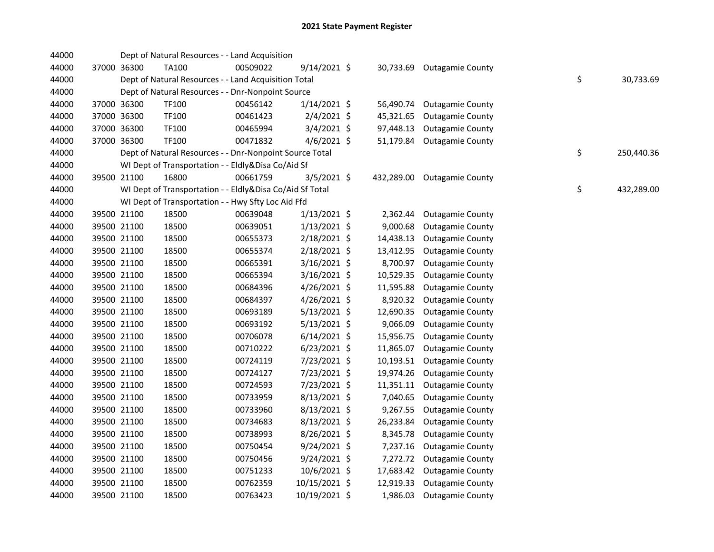| 44000 |             | Dept of Natural Resources - - Land Acquisition           |          |                |            |                         |    |            |
|-------|-------------|----------------------------------------------------------|----------|----------------|------------|-------------------------|----|------------|
| 44000 | 37000 36300 | TA100                                                    | 00509022 | $9/14/2021$ \$ | 30,733.69  | <b>Outagamie County</b> |    |            |
| 44000 |             | Dept of Natural Resources - - Land Acquisition Total     |          |                |            |                         | \$ | 30,733.69  |
| 44000 |             | Dept of Natural Resources - - Dnr-Nonpoint Source        |          |                |            |                         |    |            |
| 44000 | 37000 36300 | TF100                                                    | 00456142 | $1/14/2021$ \$ | 56,490.74  | <b>Outagamie County</b> |    |            |
| 44000 | 37000 36300 | TF100                                                    | 00461423 | $2/4/2021$ \$  | 45,321.65  | <b>Outagamie County</b> |    |            |
| 44000 | 37000 36300 | TF100                                                    | 00465994 | $3/4/2021$ \$  | 97,448.13  | <b>Outagamie County</b> |    |            |
| 44000 | 37000 36300 | <b>TF100</b>                                             | 00471832 | $4/6/2021$ \$  | 51,179.84  | <b>Outagamie County</b> |    |            |
| 44000 |             | Dept of Natural Resources - - Dnr-Nonpoint Source Total  |          |                |            |                         | \$ | 250,440.36 |
| 44000 |             | WI Dept of Transportation - - Eldly&Disa Co/Aid Sf       |          |                |            |                         |    |            |
| 44000 | 39500 21100 | 16800                                                    | 00661759 | $3/5/2021$ \$  | 432,289.00 | <b>Outagamie County</b> |    |            |
| 44000 |             | WI Dept of Transportation - - Eldly&Disa Co/Aid Sf Total |          |                |            |                         | \$ | 432,289.00 |
| 44000 |             | WI Dept of Transportation - - Hwy Sfty Loc Aid Ffd       |          |                |            |                         |    |            |
| 44000 | 39500 21100 | 18500                                                    | 00639048 | $1/13/2021$ \$ | 2,362.44   | <b>Outagamie County</b> |    |            |
| 44000 | 39500 21100 | 18500                                                    | 00639051 | $1/13/2021$ \$ | 9,000.68   | <b>Outagamie County</b> |    |            |
| 44000 | 39500 21100 | 18500                                                    | 00655373 | 2/18/2021 \$   | 14,438.13  | <b>Outagamie County</b> |    |            |
| 44000 | 39500 21100 | 18500                                                    | 00655374 | 2/18/2021 \$   | 13,412.95  | <b>Outagamie County</b> |    |            |
| 44000 | 39500 21100 | 18500                                                    | 00665391 | 3/16/2021 \$   | 8,700.97   | <b>Outagamie County</b> |    |            |
| 44000 | 39500 21100 | 18500                                                    | 00665394 | $3/16/2021$ \$ | 10,529.35  | <b>Outagamie County</b> |    |            |
| 44000 | 39500 21100 | 18500                                                    | 00684396 | 4/26/2021 \$   | 11,595.88  | <b>Outagamie County</b> |    |            |
| 44000 | 39500 21100 | 18500                                                    | 00684397 | 4/26/2021 \$   | 8,920.32   | <b>Outagamie County</b> |    |            |
| 44000 | 39500 21100 | 18500                                                    | 00693189 | $5/13/2021$ \$ | 12,690.35  | <b>Outagamie County</b> |    |            |
| 44000 | 39500 21100 | 18500                                                    | 00693192 | $5/13/2021$ \$ | 9,066.09   | <b>Outagamie County</b> |    |            |
| 44000 | 39500 21100 | 18500                                                    | 00706078 | $6/14/2021$ \$ | 15,956.75  | <b>Outagamie County</b> |    |            |
| 44000 | 39500 21100 | 18500                                                    | 00710222 | $6/23/2021$ \$ | 11,865.07  | <b>Outagamie County</b> |    |            |
| 44000 | 39500 21100 | 18500                                                    | 00724119 | 7/23/2021 \$   | 10,193.51  | <b>Outagamie County</b> |    |            |
| 44000 | 39500 21100 | 18500                                                    | 00724127 | 7/23/2021 \$   | 19,974.26  | <b>Outagamie County</b> |    |            |
| 44000 | 39500 21100 | 18500                                                    | 00724593 | 7/23/2021 \$   | 11,351.11  | <b>Outagamie County</b> |    |            |
| 44000 | 39500 21100 | 18500                                                    | 00733959 | $8/13/2021$ \$ | 7,040.65   | <b>Outagamie County</b> |    |            |
| 44000 | 39500 21100 | 18500                                                    | 00733960 | $8/13/2021$ \$ | 9,267.55   | <b>Outagamie County</b> |    |            |
| 44000 | 39500 21100 | 18500                                                    | 00734683 | $8/13/2021$ \$ | 26,233.84  | <b>Outagamie County</b> |    |            |
| 44000 | 39500 21100 | 18500                                                    | 00738993 | 8/26/2021 \$   | 8,345.78   | <b>Outagamie County</b> |    |            |
| 44000 | 39500 21100 | 18500                                                    | 00750454 | 9/24/2021 \$   | 7,237.16   | <b>Outagamie County</b> |    |            |
| 44000 | 39500 21100 | 18500                                                    | 00750456 | 9/24/2021 \$   | 7,272.72   | <b>Outagamie County</b> |    |            |
| 44000 | 39500 21100 | 18500                                                    | 00751233 | 10/6/2021 \$   | 17,683.42  | <b>Outagamie County</b> |    |            |
| 44000 | 39500 21100 | 18500                                                    | 00762359 | 10/15/2021 \$  | 12,919.33  | <b>Outagamie County</b> |    |            |
| 44000 | 39500 21100 | 18500                                                    | 00763423 | 10/19/2021 \$  | 1,986.03   | <b>Outagamie County</b> |    |            |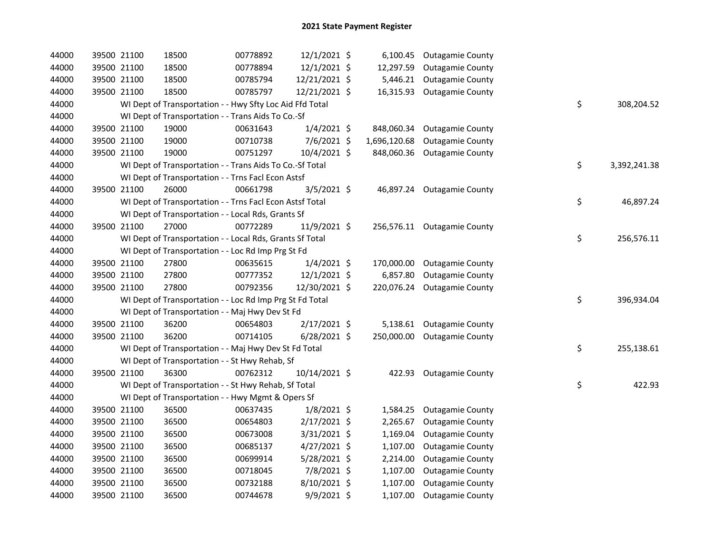| 44000 | 39500 21100 | 18500                                                    | 00778892 | 12/1/2021 \$   | 6,100.45     | <b>Outagamie County</b>     |    |              |
|-------|-------------|----------------------------------------------------------|----------|----------------|--------------|-----------------------------|----|--------------|
| 44000 | 39500 21100 | 18500                                                    | 00778894 | $12/1/2021$ \$ | 12,297.59    | <b>Outagamie County</b>     |    |              |
| 44000 | 39500 21100 | 18500                                                    | 00785794 | 12/21/2021 \$  | 5,446.21     | <b>Outagamie County</b>     |    |              |
| 44000 | 39500 21100 | 18500                                                    | 00785797 | 12/21/2021 \$  | 16,315.93    | <b>Outagamie County</b>     |    |              |
| 44000 |             | WI Dept of Transportation - - Hwy Sfty Loc Aid Ffd Total |          |                |              |                             | \$ | 308,204.52   |
| 44000 |             | WI Dept of Transportation - - Trans Aids To Co.-Sf       |          |                |              |                             |    |              |
| 44000 | 39500 21100 | 19000                                                    | 00631643 | $1/4/2021$ \$  | 848,060.34   | <b>Outagamie County</b>     |    |              |
| 44000 | 39500 21100 | 19000                                                    | 00710738 | 7/6/2021 \$    | 1,696,120.68 | <b>Outagamie County</b>     |    |              |
| 44000 | 39500 21100 | 19000                                                    | 00751297 | 10/4/2021 \$   | 848,060.36   | <b>Outagamie County</b>     |    |              |
| 44000 |             | WI Dept of Transportation - - Trans Aids To Co.-Sf Total |          |                |              |                             | \$ | 3,392,241.38 |
| 44000 |             | WI Dept of Transportation - - Trns Facl Econ Astsf       |          |                |              |                             |    |              |
| 44000 | 39500 21100 | 26000                                                    | 00661798 | $3/5/2021$ \$  |              | 46,897.24 Outagamie County  |    |              |
| 44000 |             | WI Dept of Transportation - - Trns Facl Econ Astsf Total |          |                |              |                             | \$ | 46,897.24    |
| 44000 |             | WI Dept of Transportation - - Local Rds, Grants Sf       |          |                |              |                             |    |              |
| 44000 | 39500 21100 | 27000                                                    | 00772289 | 11/9/2021 \$   |              | 256,576.11 Outagamie County |    |              |
| 44000 |             | WI Dept of Transportation - - Local Rds, Grants Sf Total |          |                |              |                             | \$ | 256,576.11   |
| 44000 |             | WI Dept of Transportation - - Loc Rd Imp Prg St Fd       |          |                |              |                             |    |              |
| 44000 | 39500 21100 | 27800                                                    | 00635615 | $1/4/2021$ \$  | 170,000.00   | <b>Outagamie County</b>     |    |              |
| 44000 | 39500 21100 | 27800                                                    | 00777352 | $12/1/2021$ \$ | 6,857.80     | <b>Outagamie County</b>     |    |              |
| 44000 | 39500 21100 | 27800                                                    | 00792356 | 12/30/2021 \$  | 220,076.24   | <b>Outagamie County</b>     |    |              |
| 44000 |             | WI Dept of Transportation - - Loc Rd Imp Prg St Fd Total |          |                |              |                             | \$ | 396,934.04   |
| 44000 |             | WI Dept of Transportation - - Maj Hwy Dev St Fd          |          |                |              |                             |    |              |
| 44000 | 39500 21100 | 36200                                                    | 00654803 | $2/17/2021$ \$ | 5,138.61     | <b>Outagamie County</b>     |    |              |
| 44000 | 39500 21100 | 36200                                                    | 00714105 | $6/28/2021$ \$ | 250,000.00   | <b>Outagamie County</b>     |    |              |
| 44000 |             | WI Dept of Transportation - - Maj Hwy Dev St Fd Total    |          |                |              |                             | \$ | 255,138.61   |
| 44000 |             | WI Dept of Transportation - - St Hwy Rehab, Sf           |          |                |              |                             |    |              |
| 44000 | 39500 21100 | 36300                                                    | 00762312 | 10/14/2021 \$  |              | 422.93 Outagamie County     |    |              |
| 44000 |             | WI Dept of Transportation - - St Hwy Rehab, Sf Total     |          |                |              |                             | \$ | 422.93       |
| 44000 |             | WI Dept of Transportation - - Hwy Mgmt & Opers Sf        |          |                |              |                             |    |              |
| 44000 | 39500 21100 | 36500                                                    | 00637435 | $1/8/2021$ \$  | 1,584.25     | <b>Outagamie County</b>     |    |              |
| 44000 | 39500 21100 | 36500                                                    | 00654803 | $2/17/2021$ \$ | 2,265.67     | <b>Outagamie County</b>     |    |              |
| 44000 | 39500 21100 | 36500                                                    | 00673008 | $3/31/2021$ \$ | 1,169.04     | <b>Outagamie County</b>     |    |              |
| 44000 | 39500 21100 | 36500                                                    | 00685137 | $4/27/2021$ \$ | 1,107.00     | <b>Outagamie County</b>     |    |              |
| 44000 | 39500 21100 | 36500                                                    | 00699914 | 5/28/2021 \$   | 2,214.00     | <b>Outagamie County</b>     |    |              |
| 44000 | 39500 21100 | 36500                                                    | 00718045 | 7/8/2021 \$    | 1,107.00     | <b>Outagamie County</b>     |    |              |
| 44000 | 39500 21100 | 36500                                                    | 00732188 | 8/10/2021 \$   | 1,107.00     | <b>Outagamie County</b>     |    |              |
| 44000 | 39500 21100 | 36500                                                    | 00744678 | $9/9/2021$ \$  | 1,107.00     | <b>Outagamie County</b>     |    |              |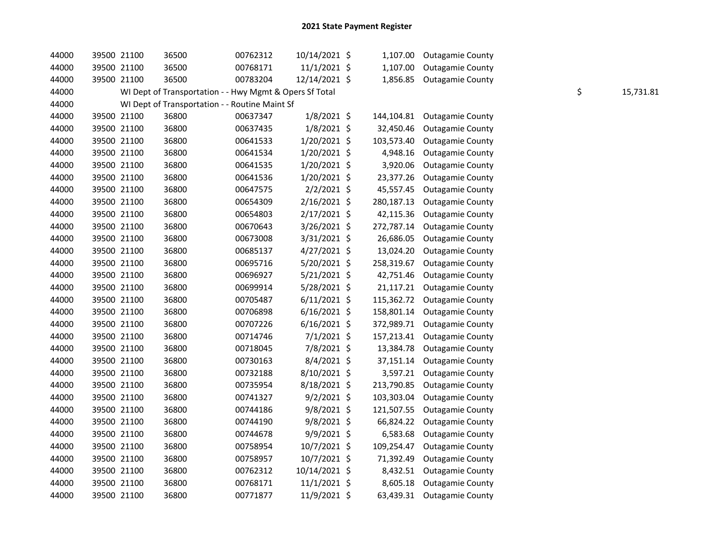| 44000 | 39500 21100 | 36500                                                   | 00762312 | 10/14/2021 \$  | 1,107.00   | <b>Outagamie County</b>    |    |           |
|-------|-------------|---------------------------------------------------------|----------|----------------|------------|----------------------------|----|-----------|
| 44000 | 39500 21100 | 36500                                                   | 00768171 | $11/1/2021$ \$ | 1,107.00   | <b>Outagamie County</b>    |    |           |
| 44000 | 39500 21100 | 36500                                                   | 00783204 | 12/14/2021 \$  | 1,856.85   | <b>Outagamie County</b>    |    |           |
| 44000 |             | WI Dept of Transportation - - Hwy Mgmt & Opers Sf Total |          |                |            |                            | \$ | 15,731.81 |
| 44000 |             | WI Dept of Transportation - - Routine Maint Sf          |          |                |            |                            |    |           |
| 44000 | 39500 21100 | 36800                                                   | 00637347 | $1/8/2021$ \$  | 144,104.81 | <b>Outagamie County</b>    |    |           |
| 44000 | 39500 21100 | 36800                                                   | 00637435 | $1/8/2021$ \$  | 32,450.46  | <b>Outagamie County</b>    |    |           |
| 44000 | 39500 21100 | 36800                                                   | 00641533 | $1/20/2021$ \$ | 103,573.40 | <b>Outagamie County</b>    |    |           |
| 44000 | 39500 21100 | 36800                                                   | 00641534 | 1/20/2021 \$   | 4,948.16   | <b>Outagamie County</b>    |    |           |
| 44000 | 39500 21100 | 36800                                                   | 00641535 | $1/20/2021$ \$ | 3,920.06   | <b>Outagamie County</b>    |    |           |
| 44000 | 39500 21100 | 36800                                                   | 00641536 | $1/20/2021$ \$ | 23,377.26  | <b>Outagamie County</b>    |    |           |
| 44000 | 39500 21100 | 36800                                                   | 00647575 | $2/2/2021$ \$  | 45,557.45  | <b>Outagamie County</b>    |    |           |
| 44000 | 39500 21100 | 36800                                                   | 00654309 | $2/16/2021$ \$ | 280,187.13 | <b>Outagamie County</b>    |    |           |
| 44000 | 39500 21100 | 36800                                                   | 00654803 | $2/17/2021$ \$ | 42,115.36  | <b>Outagamie County</b>    |    |           |
| 44000 | 39500 21100 | 36800                                                   | 00670643 | 3/26/2021 \$   | 272,787.14 | <b>Outagamie County</b>    |    |           |
| 44000 | 39500 21100 | 36800                                                   | 00673008 | 3/31/2021 \$   | 26,686.05  | <b>Outagamie County</b>    |    |           |
| 44000 | 39500 21100 | 36800                                                   | 00685137 | $4/27/2021$ \$ | 13,024.20  | <b>Outagamie County</b>    |    |           |
| 44000 | 39500 21100 | 36800                                                   | 00695716 | 5/20/2021 \$   | 258,319.67 | <b>Outagamie County</b>    |    |           |
| 44000 | 39500 21100 | 36800                                                   | 00696927 | $5/21/2021$ \$ | 42,751.46  | <b>Outagamie County</b>    |    |           |
| 44000 | 39500 21100 | 36800                                                   | 00699914 | 5/28/2021 \$   | 21,117.21  | <b>Outagamie County</b>    |    |           |
| 44000 | 39500 21100 | 36800                                                   | 00705487 | $6/11/2021$ \$ | 115,362.72 | <b>Outagamie County</b>    |    |           |
| 44000 | 39500 21100 | 36800                                                   | 00706898 | $6/16/2021$ \$ | 158,801.14 | <b>Outagamie County</b>    |    |           |
| 44000 | 39500 21100 | 36800                                                   | 00707226 | $6/16/2021$ \$ | 372,989.71 | <b>Outagamie County</b>    |    |           |
| 44000 | 39500 21100 | 36800                                                   | 00714746 | $7/1/2021$ \$  | 157,213.41 | <b>Outagamie County</b>    |    |           |
| 44000 | 39500 21100 | 36800                                                   | 00718045 | 7/8/2021 \$    | 13,384.78  | <b>Outagamie County</b>    |    |           |
| 44000 | 39500 21100 | 36800                                                   | 00730163 | 8/4/2021 \$    | 37,151.14  | <b>Outagamie County</b>    |    |           |
| 44000 | 39500 21100 | 36800                                                   | 00732188 | 8/10/2021 \$   | 3,597.21   | <b>Outagamie County</b>    |    |           |
| 44000 | 39500 21100 | 36800                                                   | 00735954 | 8/18/2021 \$   | 213,790.85 | <b>Outagamie County</b>    |    |           |
| 44000 | 39500 21100 | 36800                                                   | 00741327 | $9/2/2021$ \$  | 103,303.04 | <b>Outagamie County</b>    |    |           |
| 44000 | 39500 21100 | 36800                                                   | 00744186 | $9/8/2021$ \$  | 121,507.55 | <b>Outagamie County</b>    |    |           |
| 44000 | 39500 21100 | 36800                                                   | 00744190 | 9/8/2021 \$    | 66,824.22  | <b>Outagamie County</b>    |    |           |
| 44000 | 39500 21100 | 36800                                                   | 00744678 | 9/9/2021 \$    | 6,583.68   | <b>Outagamie County</b>    |    |           |
| 44000 | 39500 21100 | 36800                                                   | 00758954 | 10/7/2021 \$   | 109,254.47 | <b>Outagamie County</b>    |    |           |
| 44000 | 39500 21100 | 36800                                                   | 00758957 | 10/7/2021 \$   | 71,392.49  | <b>Outagamie County</b>    |    |           |
| 44000 | 39500 21100 | 36800                                                   | 00762312 | 10/14/2021 \$  | 8,432.51   | <b>Outagamie County</b>    |    |           |
| 44000 | 39500 21100 | 36800                                                   | 00768171 | $11/1/2021$ \$ | 8,605.18   | <b>Outagamie County</b>    |    |           |
| 44000 | 39500 21100 | 36800                                                   | 00771877 | 11/9/2021 \$   |            | 63,439.31 Outagamie County |    |           |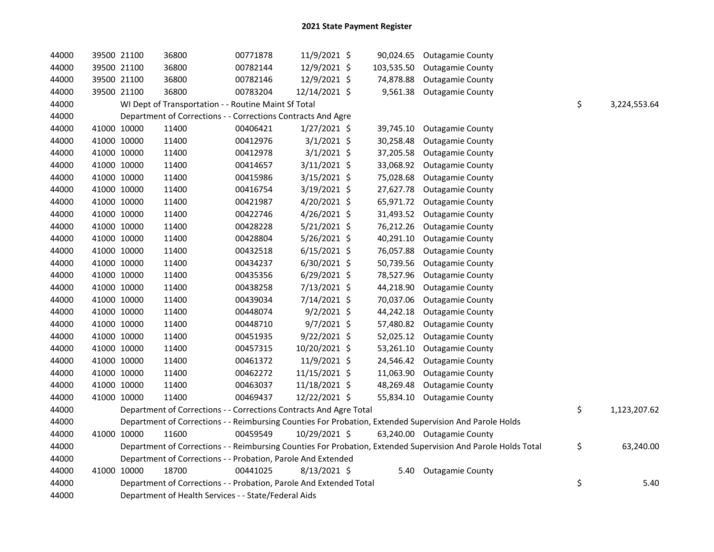| 44000 | 39500 21100 | 36800                                                              | 00771878 | 11/9/2021 \$   |           | 90,024.65 Outagamie County                                                                                    |                    |
|-------|-------------|--------------------------------------------------------------------|----------|----------------|-----------|---------------------------------------------------------------------------------------------------------------|--------------------|
| 44000 | 39500 21100 | 36800                                                              | 00782144 | 12/9/2021 \$   |           | 103,535.50 Outagamie County                                                                                   |                    |
| 44000 | 39500 21100 | 36800                                                              | 00782146 | 12/9/2021 \$   | 74,878.88 | <b>Outagamie County</b>                                                                                       |                    |
| 44000 | 39500 21100 | 36800                                                              | 00783204 | 12/14/2021 \$  |           | 9,561.38 Outagamie County                                                                                     |                    |
| 44000 |             | WI Dept of Transportation - - Routine Maint Sf Total               |          |                |           |                                                                                                               | \$<br>3,224,553.64 |
| 44000 |             | Department of Corrections - - Corrections Contracts And Agre       |          |                |           |                                                                                                               |                    |
| 44000 | 41000 10000 | 11400                                                              | 00406421 | $1/27/2021$ \$ | 39,745.10 | <b>Outagamie County</b>                                                                                       |                    |
| 44000 | 41000 10000 | 11400                                                              | 00412976 | $3/1/2021$ \$  | 30,258.48 | <b>Outagamie County</b>                                                                                       |                    |
| 44000 | 41000 10000 | 11400                                                              | 00412978 | $3/1/2021$ \$  | 37,205.58 | <b>Outagamie County</b>                                                                                       |                    |
| 44000 | 41000 10000 | 11400                                                              | 00414657 | 3/11/2021 \$   | 33,068.92 | <b>Outagamie County</b>                                                                                       |                    |
| 44000 | 41000 10000 | 11400                                                              | 00415986 | $3/15/2021$ \$ | 75,028.68 | <b>Outagamie County</b>                                                                                       |                    |
| 44000 | 41000 10000 | 11400                                                              | 00416754 | 3/19/2021 \$   | 27,627.78 | <b>Outagamie County</b>                                                                                       |                    |
| 44000 | 41000 10000 | 11400                                                              | 00421987 | 4/20/2021 \$   | 65,971.72 | <b>Outagamie County</b>                                                                                       |                    |
| 44000 | 41000 10000 | 11400                                                              | 00422746 | $4/26/2021$ \$ | 31,493.52 | <b>Outagamie County</b>                                                                                       |                    |
| 44000 | 41000 10000 | 11400                                                              | 00428228 | 5/21/2021 \$   | 76,212.26 | <b>Outagamie County</b>                                                                                       |                    |
| 44000 | 41000 10000 | 11400                                                              | 00428804 | 5/26/2021 \$   | 40,291.10 | <b>Outagamie County</b>                                                                                       |                    |
| 44000 | 41000 10000 | 11400                                                              | 00432518 | $6/15/2021$ \$ | 76,057.88 | <b>Outagamie County</b>                                                                                       |                    |
| 44000 | 41000 10000 | 11400                                                              | 00434237 | $6/30/2021$ \$ | 50,739.56 | <b>Outagamie County</b>                                                                                       |                    |
| 44000 | 41000 10000 | 11400                                                              | 00435356 | $6/29/2021$ \$ | 78,527.96 | <b>Outagamie County</b>                                                                                       |                    |
| 44000 | 41000 10000 | 11400                                                              | 00438258 | 7/13/2021 \$   | 44,218.90 | <b>Outagamie County</b>                                                                                       |                    |
| 44000 | 41000 10000 | 11400                                                              | 00439034 | 7/14/2021 \$   | 70,037.06 | <b>Outagamie County</b>                                                                                       |                    |
| 44000 | 41000 10000 | 11400                                                              | 00448074 | $9/2/2021$ \$  | 44,242.18 | <b>Outagamie County</b>                                                                                       |                    |
| 44000 | 41000 10000 | 11400                                                              | 00448710 | 9/7/2021 \$    | 57,480.82 | <b>Outagamie County</b>                                                                                       |                    |
| 44000 | 41000 10000 | 11400                                                              | 00451935 | $9/22/2021$ \$ | 52,025.12 | <b>Outagamie County</b>                                                                                       |                    |
| 44000 | 41000 10000 | 11400                                                              | 00457315 | 10/20/2021 \$  | 53,261.10 | <b>Outagamie County</b>                                                                                       |                    |
| 44000 | 41000 10000 | 11400                                                              | 00461372 | 11/9/2021 \$   | 24,546.42 | <b>Outagamie County</b>                                                                                       |                    |
| 44000 | 41000 10000 | 11400                                                              | 00462272 | 11/15/2021 \$  | 11,063.90 | <b>Outagamie County</b>                                                                                       |                    |
| 44000 | 41000 10000 | 11400                                                              | 00463037 | 11/18/2021 \$  | 48,269.48 | <b>Outagamie County</b>                                                                                       |                    |
| 44000 | 41000 10000 | 11400                                                              | 00469437 | 12/22/2021 \$  |           | 55,834.10 Outagamie County                                                                                    |                    |
| 44000 |             | Department of Corrections - - Corrections Contracts And Agre Total |          |                |           |                                                                                                               | \$<br>1,123,207.62 |
| 44000 |             |                                                                    |          |                |           | Department of Corrections - - Reimbursing Counties For Probation, Extended Supervision And Parole Holds       |                    |
| 44000 | 41000 10000 | 11600                                                              | 00459549 | 10/29/2021 \$  |           | 63,240.00 Outagamie County                                                                                    |                    |
| 44000 |             |                                                                    |          |                |           | Department of Corrections - - Reimbursing Counties For Probation, Extended Supervision And Parole Holds Total | \$<br>63,240.00    |
| 44000 |             | Department of Corrections - - Probation, Parole And Extended       |          |                |           |                                                                                                               |                    |
| 44000 | 41000 10000 | 18700                                                              | 00441025 | 8/13/2021 \$   | 5.40      | <b>Outagamie County</b>                                                                                       |                    |
| 44000 |             | Department of Corrections - - Probation, Parole And Extended Total |          |                |           |                                                                                                               | \$<br>5.40         |
| 44000 |             | Department of Health Services - - State/Federal Aids               |          |                |           |                                                                                                               |                    |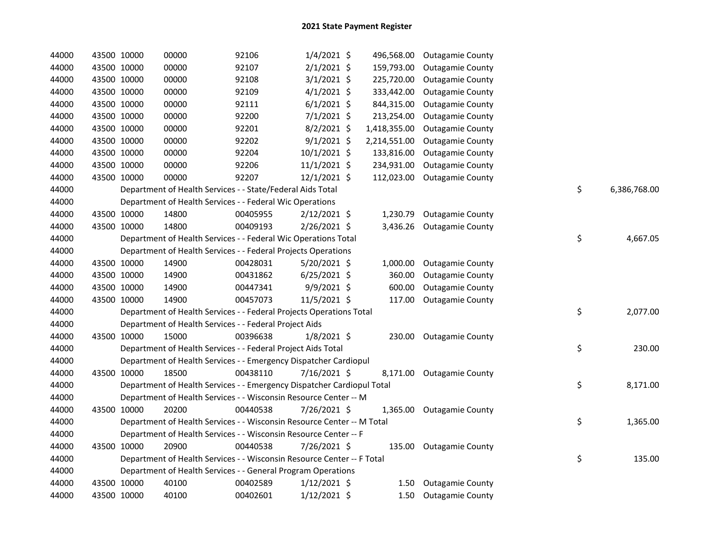| 44000 |             | 43500 10000 | 00000                                                                  | 92106    | $1/4/2021$ \$  |              | 496,568.00 Outagamie County |                    |  |
|-------|-------------|-------------|------------------------------------------------------------------------|----------|----------------|--------------|-----------------------------|--------------------|--|
| 44000 |             | 43500 10000 | 00000                                                                  | 92107    | $2/1/2021$ \$  | 159,793.00   | <b>Outagamie County</b>     |                    |  |
| 44000 |             | 43500 10000 | 00000                                                                  | 92108    | $3/1/2021$ \$  | 225,720.00   | <b>Outagamie County</b>     |                    |  |
| 44000 |             | 43500 10000 | 00000                                                                  | 92109    | $4/1/2021$ \$  | 333,442.00   | <b>Outagamie County</b>     |                    |  |
| 44000 |             | 43500 10000 | 00000                                                                  | 92111    | $6/1/2021$ \$  | 844,315.00   | <b>Outagamie County</b>     |                    |  |
| 44000 |             | 43500 10000 | 00000                                                                  | 92200    | $7/1/2021$ \$  | 213,254.00   | <b>Outagamie County</b>     |                    |  |
| 44000 |             | 43500 10000 | 00000                                                                  | 92201    | $8/2/2021$ \$  | 1,418,355.00 | <b>Outagamie County</b>     |                    |  |
| 44000 |             | 43500 10000 | 00000                                                                  | 92202    | $9/1/2021$ \$  | 2,214,551.00 | <b>Outagamie County</b>     |                    |  |
| 44000 |             | 43500 10000 | 00000                                                                  | 92204    | 10/1/2021 \$   | 133,816.00   | <b>Outagamie County</b>     |                    |  |
| 44000 |             | 43500 10000 | 00000                                                                  | 92206    | $11/1/2021$ \$ | 234,931.00   | <b>Outagamie County</b>     |                    |  |
| 44000 |             | 43500 10000 | 00000                                                                  | 92207    | $12/1/2021$ \$ |              | 112,023.00 Outagamie County |                    |  |
| 44000 |             |             | Department of Health Services - - State/Federal Aids Total             |          |                |              |                             | \$<br>6,386,768.00 |  |
| 44000 |             |             | Department of Health Services - - Federal Wic Operations               |          |                |              |                             |                    |  |
| 44000 |             | 43500 10000 | 14800                                                                  | 00405955 | $2/12/2021$ \$ |              | 1,230.79 Outagamie County   |                    |  |
| 44000 |             | 43500 10000 | 14800                                                                  | 00409193 | $2/26/2021$ \$ |              | 3,436.26 Outagamie County   |                    |  |
| 44000 |             |             | Department of Health Services - - Federal Wic Operations Total         |          |                |              |                             | \$<br>4,667.05     |  |
| 44000 |             |             | Department of Health Services - - Federal Projects Operations          |          |                |              |                             |                    |  |
| 44000 |             | 43500 10000 | 14900                                                                  | 00428031 | $5/20/2021$ \$ |              | 1,000.00 Outagamie County   |                    |  |
| 44000 |             | 43500 10000 | 14900                                                                  | 00431862 | $6/25/2021$ \$ | 360.00       | <b>Outagamie County</b>     |                    |  |
| 44000 |             | 43500 10000 | 14900                                                                  | 00447341 | 9/9/2021 \$    | 600.00       | <b>Outagamie County</b>     |                    |  |
| 44000 |             | 43500 10000 | 14900                                                                  | 00457073 | 11/5/2021 \$   |              | 117.00 Outagamie County     |                    |  |
| 44000 |             |             | Department of Health Services - - Federal Projects Operations Total    |          |                |              |                             | \$<br>2,077.00     |  |
| 44000 |             |             | Department of Health Services - - Federal Project Aids                 |          |                |              |                             |                    |  |
| 44000 |             | 43500 10000 | 15000                                                                  | 00396638 | 1/8/2021 \$    |              | 230.00 Outagamie County     |                    |  |
| 44000 |             |             | Department of Health Services - - Federal Project Aids Total           |          |                |              |                             | \$<br>230.00       |  |
| 44000 |             |             | Department of Health Services - - Emergency Dispatcher Cardiopul       |          |                |              |                             |                    |  |
| 44000 |             | 43500 10000 | 18500                                                                  | 00438110 | 7/16/2021 \$   |              | 8,171.00 Outagamie County   |                    |  |
| 44000 |             |             | Department of Health Services - - Emergency Dispatcher Cardiopul Total |          |                |              |                             | \$<br>8,171.00     |  |
| 44000 |             |             | Department of Health Services - - Wisconsin Resource Center -- M       |          |                |              |                             |                    |  |
| 44000 |             | 43500 10000 | 20200                                                                  | 00440538 | 7/26/2021 \$   |              | 1,365.00 Outagamie County   |                    |  |
| 44000 |             |             | Department of Health Services - - Wisconsin Resource Center -- M Total |          |                |              |                             | \$<br>1,365.00     |  |
| 44000 |             |             | Department of Health Services - - Wisconsin Resource Center -- F       |          |                |              |                             |                    |  |
| 44000 |             | 43500 10000 | 20900                                                                  | 00440538 | 7/26/2021 \$   |              | 135.00 Outagamie County     |                    |  |
| 44000 |             |             | Department of Health Services - - Wisconsin Resource Center -- F Total |          |                |              |                             | \$<br>135.00       |  |
| 44000 |             |             | Department of Health Services - - General Program Operations           |          |                |              |                             |                    |  |
| 44000 |             | 43500 10000 | 40100                                                                  | 00402589 | $1/12/2021$ \$ |              | 1.50 Outagamie County       |                    |  |
| 44000 | 43500 10000 |             | 40100                                                                  | 00402601 | $1/12/2021$ \$ |              | 1.50 Outagamie County       |                    |  |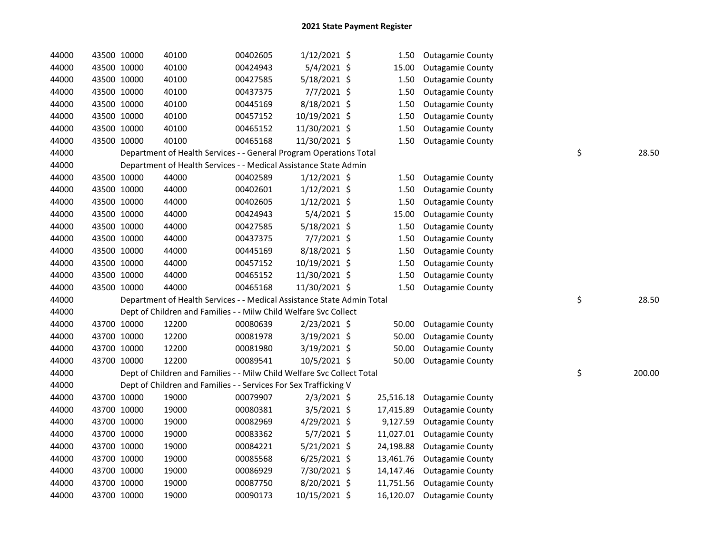| 44000 |             | 43500 10000 | 40100                                                                  | 00402605 | $1/12/2021$ \$ | 1.50      | <b>Outagamie County</b> |              |
|-------|-------------|-------------|------------------------------------------------------------------------|----------|----------------|-----------|-------------------------|--------------|
| 44000 | 43500 10000 |             | 40100                                                                  | 00424943 | 5/4/2021 \$    | 15.00     | <b>Outagamie County</b> |              |
| 44000 | 43500 10000 |             | 40100                                                                  | 00427585 | 5/18/2021 \$   | 1.50      | <b>Outagamie County</b> |              |
| 44000 | 43500 10000 |             | 40100                                                                  | 00437375 | 7/7/2021 \$    | 1.50      | <b>Outagamie County</b> |              |
| 44000 | 43500 10000 |             | 40100                                                                  | 00445169 | 8/18/2021 \$   | 1.50      | <b>Outagamie County</b> |              |
| 44000 | 43500 10000 |             | 40100                                                                  | 00457152 | 10/19/2021 \$  | 1.50      | <b>Outagamie County</b> |              |
| 44000 | 43500 10000 |             | 40100                                                                  | 00465152 | 11/30/2021 \$  | 1.50      | <b>Outagamie County</b> |              |
| 44000 | 43500 10000 |             | 40100                                                                  | 00465168 | 11/30/2021 \$  | 1.50      | <b>Outagamie County</b> |              |
| 44000 |             |             | Department of Health Services - - General Program Operations Total     |          |                |           |                         | \$<br>28.50  |
| 44000 |             |             | Department of Health Services - - Medical Assistance State Admin       |          |                |           |                         |              |
| 44000 | 43500 10000 |             | 44000                                                                  | 00402589 | $1/12/2021$ \$ | 1.50      | <b>Outagamie County</b> |              |
| 44000 | 43500 10000 |             | 44000                                                                  | 00402601 | $1/12/2021$ \$ | 1.50      | <b>Outagamie County</b> |              |
| 44000 | 43500 10000 |             | 44000                                                                  | 00402605 | $1/12/2021$ \$ | 1.50      | <b>Outagamie County</b> |              |
| 44000 | 43500 10000 |             | 44000                                                                  | 00424943 | $5/4/2021$ \$  | 15.00     | <b>Outagamie County</b> |              |
| 44000 | 43500 10000 |             | 44000                                                                  | 00427585 | 5/18/2021 \$   | 1.50      | <b>Outagamie County</b> |              |
| 44000 | 43500 10000 |             | 44000                                                                  | 00437375 | $7/7/2021$ \$  | 1.50      | <b>Outagamie County</b> |              |
| 44000 | 43500 10000 |             | 44000                                                                  | 00445169 | 8/18/2021 \$   | 1.50      | <b>Outagamie County</b> |              |
| 44000 | 43500 10000 |             | 44000                                                                  | 00457152 | 10/19/2021 \$  | 1.50      | <b>Outagamie County</b> |              |
| 44000 | 43500 10000 |             | 44000                                                                  | 00465152 | 11/30/2021 \$  | 1.50      | <b>Outagamie County</b> |              |
|       |             |             |                                                                        |          |                |           |                         |              |
| 44000 | 43500 10000 |             | 44000                                                                  | 00465168 | 11/30/2021 \$  | 1.50      | <b>Outagamie County</b> |              |
| 44000 |             |             | Department of Health Services - - Medical Assistance State Admin Total |          |                |           |                         | \$<br>28.50  |
| 44000 |             |             | Dept of Children and Families - - Milw Child Welfare Svc Collect       |          |                |           |                         |              |
| 44000 |             | 43700 10000 | 12200                                                                  | 00080639 | 2/23/2021 \$   | 50.00     | <b>Outagamie County</b> |              |
| 44000 |             | 43700 10000 | 12200                                                                  | 00081978 | 3/19/2021 \$   | 50.00     | <b>Outagamie County</b> |              |
| 44000 | 43700 10000 |             | 12200                                                                  | 00081980 | 3/19/2021 \$   | 50.00     | <b>Outagamie County</b> |              |
| 44000 | 43700 10000 |             | 12200                                                                  | 00089541 | 10/5/2021 \$   | 50.00     | <b>Outagamie County</b> |              |
| 44000 |             |             | Dept of Children and Families - - Milw Child Welfare Svc Collect Total |          |                |           |                         | \$<br>200.00 |
| 44000 |             |             | Dept of Children and Families - - Services For Sex Trafficking V       |          |                |           |                         |              |
| 44000 |             | 43700 10000 | 19000                                                                  | 00079907 | $2/3/2021$ \$  | 25,516.18 | <b>Outagamie County</b> |              |
| 44000 |             | 43700 10000 | 19000                                                                  | 00080381 | $3/5/2021$ \$  | 17,415.89 | <b>Outagamie County</b> |              |
| 44000 | 43700 10000 |             | 19000                                                                  | 00082969 | $4/29/2021$ \$ | 9,127.59  | <b>Outagamie County</b> |              |
| 44000 | 43700 10000 |             | 19000                                                                  | 00083362 | $5/7/2021$ \$  | 11,027.01 | <b>Outagamie County</b> |              |
| 44000 | 43700 10000 |             | 19000                                                                  | 00084221 | 5/21/2021 \$   | 24,198.88 | <b>Outagamie County</b> |              |
| 44000 | 43700 10000 |             | 19000                                                                  | 00085568 | $6/25/2021$ \$ | 13,461.76 | <b>Outagamie County</b> |              |
| 44000 | 43700 10000 |             | 19000                                                                  | 00086929 | 7/30/2021 \$   | 14,147.46 | <b>Outagamie County</b> |              |
| 44000 | 43700 10000 |             | 19000                                                                  | 00087750 | 8/20/2021 \$   | 11,751.56 | <b>Outagamie County</b> |              |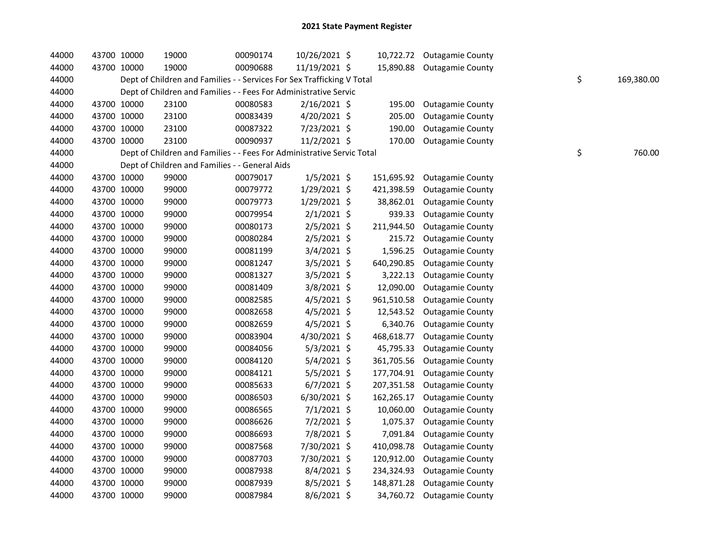| 44000 | 43700 10000 | 19000                                                                  | 00090174 | 10/26/2021 \$  |            | 10,722.72 Outagamie County |    |            |
|-------|-------------|------------------------------------------------------------------------|----------|----------------|------------|----------------------------|----|------------|
| 44000 | 43700 10000 | 19000                                                                  | 00090688 | 11/19/2021 \$  |            | 15,890.88 Outagamie County |    |            |
| 44000 |             | Dept of Children and Families - - Services For Sex Trafficking V Total |          |                |            |                            | \$ | 169,380.00 |
| 44000 |             | Dept of Children and Families - - Fees For Administrative Servic       |          |                |            |                            |    |            |
| 44000 | 43700 10000 | 23100                                                                  | 00080583 | $2/16/2021$ \$ | 195.00     | <b>Outagamie County</b>    |    |            |
| 44000 | 43700 10000 | 23100                                                                  | 00083439 | 4/20/2021 \$   | 205.00     | <b>Outagamie County</b>    |    |            |
| 44000 | 43700 10000 | 23100                                                                  | 00087322 | 7/23/2021 \$   | 190.00     | <b>Outagamie County</b>    |    |            |
| 44000 | 43700 10000 | 23100                                                                  | 00090937 | 11/2/2021 \$   | 170.00     | <b>Outagamie County</b>    |    |            |
| 44000 |             | Dept of Children and Families - - Fees For Administrative Servic Total |          |                |            |                            | \$ | 760.00     |
| 44000 |             | Dept of Children and Families - - General Aids                         |          |                |            |                            |    |            |
| 44000 | 43700 10000 | 99000                                                                  | 00079017 | $1/5/2021$ \$  | 151,695.92 | <b>Outagamie County</b>    |    |            |
| 44000 | 43700 10000 | 99000                                                                  | 00079772 | 1/29/2021 \$   | 421,398.59 | <b>Outagamie County</b>    |    |            |
| 44000 | 43700 10000 | 99000                                                                  | 00079773 | 1/29/2021 \$   | 38,862.01  | <b>Outagamie County</b>    |    |            |
| 44000 | 43700 10000 | 99000                                                                  | 00079954 | $2/1/2021$ \$  | 939.33     | <b>Outagamie County</b>    |    |            |
| 44000 | 43700 10000 | 99000                                                                  | 00080173 | $2/5/2021$ \$  | 211,944.50 | <b>Outagamie County</b>    |    |            |
| 44000 | 43700 10000 | 99000                                                                  | 00080284 | $2/5/2021$ \$  | 215.72     | <b>Outagamie County</b>    |    |            |
| 44000 | 43700 10000 | 99000                                                                  | 00081199 | $3/4/2021$ \$  | 1,596.25   | <b>Outagamie County</b>    |    |            |
| 44000 | 43700 10000 | 99000                                                                  | 00081247 | $3/5/2021$ \$  | 640,290.85 | <b>Outagamie County</b>    |    |            |
| 44000 | 43700 10000 | 99000                                                                  | 00081327 | $3/5/2021$ \$  | 3,222.13   | <b>Outagamie County</b>    |    |            |
| 44000 | 43700 10000 | 99000                                                                  | 00081409 | 3/8/2021 \$    | 12,090.00  | <b>Outagamie County</b>    |    |            |
| 44000 | 43700 10000 | 99000                                                                  | 00082585 | $4/5/2021$ \$  | 961,510.58 | <b>Outagamie County</b>    |    |            |
| 44000 | 43700 10000 | 99000                                                                  | 00082658 | $4/5/2021$ \$  | 12,543.52  | <b>Outagamie County</b>    |    |            |
| 44000 | 43700 10000 | 99000                                                                  | 00082659 | 4/5/2021 \$    | 6,340.76   | <b>Outagamie County</b>    |    |            |
| 44000 | 43700 10000 | 99000                                                                  | 00083904 | 4/30/2021 \$   | 468,618.77 | <b>Outagamie County</b>    |    |            |
| 44000 | 43700 10000 | 99000                                                                  | 00084056 | $5/3/2021$ \$  | 45,795.33  | <b>Outagamie County</b>    |    |            |
| 44000 | 43700 10000 | 99000                                                                  | 00084120 | $5/4/2021$ \$  | 361,705.56 | <b>Outagamie County</b>    |    |            |
| 44000 | 43700 10000 | 99000                                                                  | 00084121 | 5/5/2021 \$    | 177,704.91 | <b>Outagamie County</b>    |    |            |
| 44000 | 43700 10000 | 99000                                                                  | 00085633 | $6/7/2021$ \$  | 207,351.58 | <b>Outagamie County</b>    |    |            |
| 44000 | 43700 10000 | 99000                                                                  | 00086503 | 6/30/2021 \$   | 162,265.17 | <b>Outagamie County</b>    |    |            |
| 44000 | 43700 10000 | 99000                                                                  | 00086565 | $7/1/2021$ \$  | 10,060.00  | <b>Outagamie County</b>    |    |            |
| 44000 | 43700 10000 | 99000                                                                  | 00086626 | 7/2/2021 \$    | 1,075.37   | <b>Outagamie County</b>    |    |            |
| 44000 | 43700 10000 | 99000                                                                  | 00086693 | 7/8/2021 \$    | 7,091.84   | <b>Outagamie County</b>    |    |            |
| 44000 | 43700 10000 | 99000                                                                  | 00087568 | 7/30/2021 \$   | 410,098.78 | <b>Outagamie County</b>    |    |            |
| 44000 | 43700 10000 | 99000                                                                  | 00087703 | 7/30/2021 \$   | 120,912.00 | <b>Outagamie County</b>    |    |            |
| 44000 | 43700 10000 | 99000                                                                  | 00087938 | 8/4/2021 \$    | 234,324.93 | <b>Outagamie County</b>    |    |            |
| 44000 | 43700 10000 | 99000                                                                  | 00087939 | $8/5/2021$ \$  | 148,871.28 | <b>Outagamie County</b>    |    |            |
| 44000 | 43700 10000 | 99000                                                                  | 00087984 | 8/6/2021 \$    |            | 34,760.72 Outagamie County |    |            |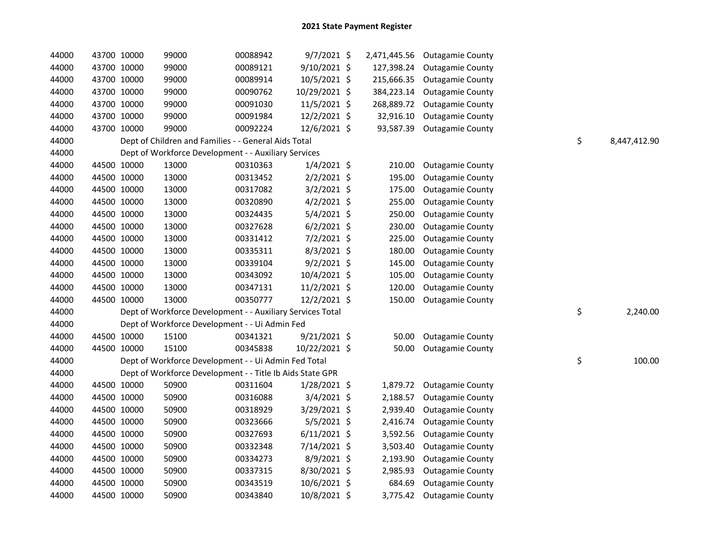| 44000 |             | 43700 10000 | 99000                                                      | 00088942 | $9/7/2021$ \$  |            | 2,471,445.56 Outagamie County |                    |
|-------|-------------|-------------|------------------------------------------------------------|----------|----------------|------------|-------------------------------|--------------------|
| 44000 |             | 43700 10000 | 99000                                                      | 00089121 | 9/10/2021 \$   | 127,398.24 | <b>Outagamie County</b>       |                    |
| 44000 |             | 43700 10000 | 99000                                                      | 00089914 | 10/5/2021 \$   | 215,666.35 | <b>Outagamie County</b>       |                    |
| 44000 |             | 43700 10000 | 99000                                                      | 00090762 | 10/29/2021 \$  | 384,223.14 | <b>Outagamie County</b>       |                    |
| 44000 |             | 43700 10000 | 99000                                                      | 00091030 | 11/5/2021 \$   | 268,889.72 | <b>Outagamie County</b>       |                    |
| 44000 |             | 43700 10000 | 99000                                                      | 00091984 | 12/2/2021 \$   | 32,916.10  | <b>Outagamie County</b>       |                    |
| 44000 | 43700 10000 |             | 99000                                                      | 00092224 | 12/6/2021 \$   | 93,587.39  | <b>Outagamie County</b>       |                    |
| 44000 |             |             | Dept of Children and Families - - General Aids Total       |          |                |            |                               | \$<br>8,447,412.90 |
| 44000 |             |             | Dept of Workforce Development - - Auxiliary Services       |          |                |            |                               |                    |
| 44000 |             | 44500 10000 | 13000                                                      | 00310363 | $1/4/2021$ \$  | 210.00     | <b>Outagamie County</b>       |                    |
| 44000 |             | 44500 10000 | 13000                                                      | 00313452 | $2/2/2021$ \$  | 195.00     | <b>Outagamie County</b>       |                    |
| 44000 |             | 44500 10000 | 13000                                                      | 00317082 | $3/2/2021$ \$  | 175.00     | <b>Outagamie County</b>       |                    |
| 44000 |             | 44500 10000 | 13000                                                      | 00320890 | $4/2/2021$ \$  | 255.00     | <b>Outagamie County</b>       |                    |
| 44000 |             | 44500 10000 | 13000                                                      | 00324435 | $5/4/2021$ \$  | 250.00     | <b>Outagamie County</b>       |                    |
| 44000 |             | 44500 10000 | 13000                                                      | 00327628 | $6/2/2021$ \$  | 230.00     | <b>Outagamie County</b>       |                    |
| 44000 |             | 44500 10000 | 13000                                                      | 00331412 | 7/2/2021 \$    | 225.00     | <b>Outagamie County</b>       |                    |
| 44000 |             | 44500 10000 | 13000                                                      | 00335311 | $8/3/2021$ \$  | 180.00     | <b>Outagamie County</b>       |                    |
| 44000 |             | 44500 10000 | 13000                                                      | 00339104 | $9/2/2021$ \$  | 145.00     | <b>Outagamie County</b>       |                    |
| 44000 |             | 44500 10000 | 13000                                                      | 00343092 | 10/4/2021 \$   | 105.00     | <b>Outagamie County</b>       |                    |
| 44000 |             | 44500 10000 | 13000                                                      | 00347131 | 11/2/2021 \$   | 120.00     | <b>Outagamie County</b>       |                    |
| 44000 |             | 44500 10000 | 13000                                                      | 00350777 | 12/2/2021 \$   | 150.00     | <b>Outagamie County</b>       |                    |
| 44000 |             |             | Dept of Workforce Development - - Auxiliary Services Total |          |                |            |                               | \$<br>2,240.00     |
| 44000 |             |             | Dept of Workforce Development - - Ui Admin Fed             |          |                |            |                               |                    |
| 44000 |             | 44500 10000 | 15100                                                      | 00341321 | $9/21/2021$ \$ | 50.00      | <b>Outagamie County</b>       |                    |
| 44000 |             | 44500 10000 | 15100                                                      | 00345838 | 10/22/2021 \$  | 50.00      | <b>Outagamie County</b>       |                    |
| 44000 |             |             | Dept of Workforce Development - - Ui Admin Fed Total       |          |                |            |                               | \$<br>100.00       |
| 44000 |             |             | Dept of Workforce Development - - Title Ib Aids State GPR  |          |                |            |                               |                    |
| 44000 |             | 44500 10000 | 50900                                                      | 00311604 | $1/28/2021$ \$ | 1,879.72   | <b>Outagamie County</b>       |                    |
| 44000 |             | 44500 10000 | 50900                                                      | 00316088 | 3/4/2021 \$    | 2,188.57   | <b>Outagamie County</b>       |                    |
| 44000 |             | 44500 10000 | 50900                                                      | 00318929 | $3/29/2021$ \$ | 2,939.40   | <b>Outagamie County</b>       |                    |
| 44000 |             | 44500 10000 | 50900                                                      | 00323666 | 5/5/2021 \$    | 2,416.74   | <b>Outagamie County</b>       |                    |
| 44000 |             | 44500 10000 | 50900                                                      | 00327693 | $6/11/2021$ \$ | 3,592.56   | <b>Outagamie County</b>       |                    |
| 44000 |             | 44500 10000 | 50900                                                      | 00332348 | 7/14/2021 \$   | 3,503.40   | <b>Outagamie County</b>       |                    |
| 44000 |             | 44500 10000 | 50900                                                      | 00334273 | $8/9/2021$ \$  | 2,193.90   | <b>Outagamie County</b>       |                    |
| 44000 |             | 44500 10000 | 50900                                                      | 00337315 | 8/30/2021 \$   | 2,985.93   | <b>Outagamie County</b>       |                    |
| 44000 |             | 44500 10000 | 50900                                                      | 00343519 | $10/6/2021$ \$ | 684.69     | <b>Outagamie County</b>       |                    |
| 44000 |             | 44500 10000 | 50900                                                      | 00343840 | 10/8/2021 \$   |            | 3,775.42 Outagamie County     |                    |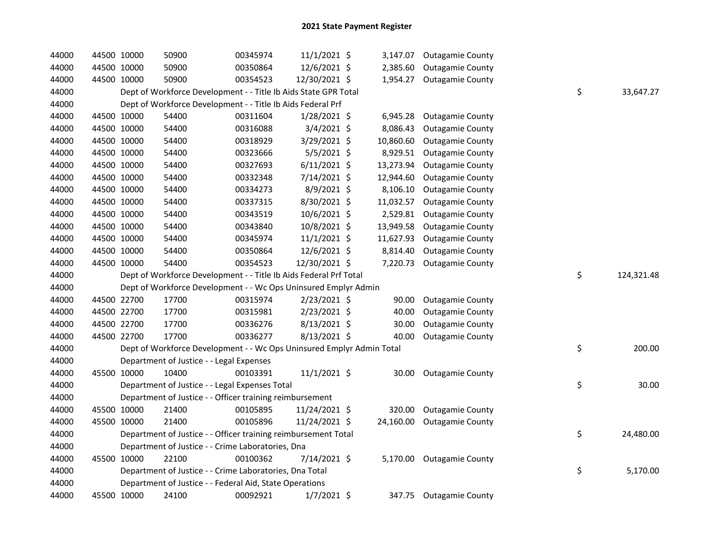| 44000 | 44500 10000 | 50900                                                                 | 00345974 | $11/1/2021$ \$ |           | 3,147.07 Outagamie County  |    |            |
|-------|-------------|-----------------------------------------------------------------------|----------|----------------|-----------|----------------------------|----|------------|
| 44000 | 44500 10000 | 50900                                                                 | 00350864 | 12/6/2021 \$   | 2,385.60  | <b>Outagamie County</b>    |    |            |
| 44000 | 44500 10000 | 50900                                                                 | 00354523 | 12/30/2021 \$  | 1,954.27  | <b>Outagamie County</b>    |    |            |
| 44000 |             | Dept of Workforce Development - - Title Ib Aids State GPR Total       |          |                |           |                            | \$ | 33,647.27  |
| 44000 |             | Dept of Workforce Development - - Title Ib Aids Federal Prf           |          |                |           |                            |    |            |
| 44000 | 44500 10000 | 54400                                                                 | 00311604 | 1/28/2021 \$   | 6,945.28  | <b>Outagamie County</b>    |    |            |
| 44000 | 44500 10000 | 54400                                                                 | 00316088 | 3/4/2021 \$    | 8,086.43  | <b>Outagamie County</b>    |    |            |
| 44000 | 44500 10000 | 54400                                                                 | 00318929 | 3/29/2021 \$   | 10,860.60 | <b>Outagamie County</b>    |    |            |
| 44000 | 44500 10000 | 54400                                                                 | 00323666 | 5/5/2021 \$    | 8,929.51  | <b>Outagamie County</b>    |    |            |
| 44000 | 44500 10000 | 54400                                                                 | 00327693 | $6/11/2021$ \$ | 13,273.94 | <b>Outagamie County</b>    |    |            |
| 44000 | 44500 10000 | 54400                                                                 | 00332348 | 7/14/2021 \$   | 12,944.60 | <b>Outagamie County</b>    |    |            |
| 44000 | 44500 10000 | 54400                                                                 | 00334273 | 8/9/2021 \$    | 8,106.10  | <b>Outagamie County</b>    |    |            |
| 44000 | 44500 10000 | 54400                                                                 | 00337315 | 8/30/2021 \$   | 11,032.57 | <b>Outagamie County</b>    |    |            |
| 44000 | 44500 10000 | 54400                                                                 | 00343519 | 10/6/2021 \$   | 2,529.81  | <b>Outagamie County</b>    |    |            |
| 44000 | 44500 10000 | 54400                                                                 | 00343840 | 10/8/2021 \$   | 13,949.58 | <b>Outagamie County</b>    |    |            |
| 44000 | 44500 10000 | 54400                                                                 | 00345974 | $11/1/2021$ \$ | 11,627.93 | <b>Outagamie County</b>    |    |            |
| 44000 | 44500 10000 | 54400                                                                 | 00350864 | 12/6/2021 \$   | 8,814.40  | <b>Outagamie County</b>    |    |            |
| 44000 | 44500 10000 | 54400                                                                 | 00354523 | 12/30/2021 \$  | 7,220.73  | <b>Outagamie County</b>    |    |            |
| 44000 |             | Dept of Workforce Development - - Title Ib Aids Federal Prf Total     |          |                |           |                            | \$ | 124,321.48 |
| 44000 |             | Dept of Workforce Development - - Wc Ops Uninsured Emplyr Admin       |          |                |           |                            |    |            |
| 44000 | 44500 22700 | 17700                                                                 | 00315974 | $2/23/2021$ \$ | 90.00     | <b>Outagamie County</b>    |    |            |
| 44000 | 44500 22700 | 17700                                                                 | 00315981 | 2/23/2021 \$   | 40.00     | <b>Outagamie County</b>    |    |            |
| 44000 | 44500 22700 | 17700                                                                 | 00336276 | $8/13/2021$ \$ | 30.00     | <b>Outagamie County</b>    |    |            |
| 44000 | 44500 22700 | 17700                                                                 | 00336277 | 8/13/2021 \$   | 40.00     | <b>Outagamie County</b>    |    |            |
| 44000 |             | Dept of Workforce Development - - Wc Ops Uninsured Emplyr Admin Total |          |                |           |                            | \$ | 200.00     |
| 44000 |             | Department of Justice - - Legal Expenses                              |          |                |           |                            |    |            |
| 44000 | 45500 10000 | 10400                                                                 | 00103391 | 11/1/2021 \$   | 30.00     | <b>Outagamie County</b>    |    |            |
| 44000 |             | Department of Justice - - Legal Expenses Total                        |          |                |           |                            | \$ | 30.00      |
| 44000 |             | Department of Justice - - Officer training reimbursement              |          |                |           |                            |    |            |
| 44000 | 45500 10000 | 21400                                                                 | 00105895 | 11/24/2021 \$  | 320.00    | <b>Outagamie County</b>    |    |            |
| 44000 | 45500 10000 | 21400                                                                 | 00105896 | 11/24/2021 \$  |           | 24,160.00 Outagamie County |    |            |
| 44000 |             | Department of Justice - - Officer training reimbursement Total        |          |                |           |                            | \$ | 24,480.00  |
| 44000 |             | Department of Justice - - Crime Laboratories, Dna                     |          |                |           |                            |    |            |
| 44000 | 45500 10000 | 22100                                                                 | 00100362 | 7/14/2021 \$   |           | 5,170.00 Outagamie County  |    |            |
| 44000 |             | Department of Justice - - Crime Laboratories, Dna Total               |          |                |           |                            | \$ | 5,170.00   |
| 44000 |             | Department of Justice - - Federal Aid, State Operations               |          |                |           |                            |    |            |
|       |             |                                                                       |          |                |           |                            |    |            |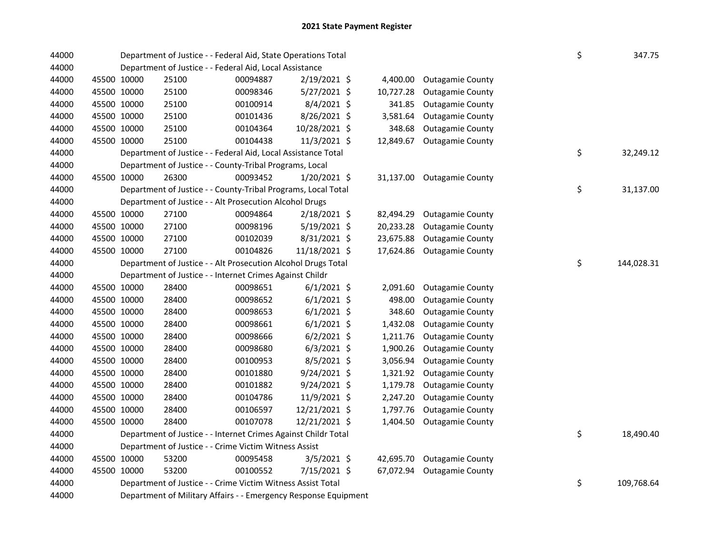| 44000 |             |             | Department of Justice - - Federal Aid, State Operations Total   |          |                |           |                         | \$ | 347.75     |
|-------|-------------|-------------|-----------------------------------------------------------------|----------|----------------|-----------|-------------------------|----|------------|
| 44000 |             |             | Department of Justice - - Federal Aid, Local Assistance         |          |                |           |                         |    |            |
| 44000 |             | 45500 10000 | 25100                                                           | 00094887 | 2/19/2021 \$   | 4,400.00  | <b>Outagamie County</b> |    |            |
| 44000 |             | 45500 10000 | 25100                                                           | 00098346 | 5/27/2021 \$   | 10,727.28 | <b>Outagamie County</b> |    |            |
| 44000 |             | 45500 10000 | 25100                                                           | 00100914 | 8/4/2021 \$    | 341.85    | <b>Outagamie County</b> |    |            |
| 44000 |             | 45500 10000 | 25100                                                           | 00101436 | 8/26/2021 \$   | 3,581.64  | <b>Outagamie County</b> |    |            |
| 44000 |             | 45500 10000 | 25100                                                           | 00104364 | 10/28/2021 \$  | 348.68    | <b>Outagamie County</b> |    |            |
| 44000 |             | 45500 10000 | 25100                                                           | 00104438 | 11/3/2021 \$   | 12,849.67 | <b>Outagamie County</b> |    |            |
| 44000 |             |             | Department of Justice - - Federal Aid, Local Assistance Total   |          |                |           |                         | \$ | 32,249.12  |
| 44000 |             |             | Department of Justice - - County-Tribal Programs, Local         |          |                |           |                         |    |            |
| 44000 |             | 45500 10000 | 26300                                                           | 00093452 | 1/20/2021 \$   | 31,137.00 | <b>Outagamie County</b> |    |            |
| 44000 |             |             | Department of Justice - - County-Tribal Programs, Local Total   |          |                |           |                         | \$ | 31,137.00  |
| 44000 |             |             | Department of Justice - - Alt Prosecution Alcohol Drugs         |          |                |           |                         |    |            |
| 44000 |             | 45500 10000 | 27100                                                           | 00094864 | 2/18/2021 \$   | 82,494.29 | <b>Outagamie County</b> |    |            |
| 44000 |             | 45500 10000 | 27100                                                           | 00098196 | $5/19/2021$ \$ | 20,233.28 | <b>Outagamie County</b> |    |            |
| 44000 |             | 45500 10000 | 27100                                                           | 00102039 | $8/31/2021$ \$ | 23,675.88 | <b>Outagamie County</b> |    |            |
| 44000 |             | 45500 10000 | 27100                                                           | 00104826 | 11/18/2021 \$  | 17,624.86 | <b>Outagamie County</b> |    |            |
| 44000 |             |             | Department of Justice - - Alt Prosecution Alcohol Drugs Total   |          |                |           |                         | \$ | 144,028.31 |
| 44000 |             |             | Department of Justice - - Internet Crimes Against Childr        |          |                |           |                         |    |            |
| 44000 |             | 45500 10000 | 28400                                                           | 00098651 | $6/1/2021$ \$  | 2,091.60  | <b>Outagamie County</b> |    |            |
| 44000 | 45500 10000 |             | 28400                                                           | 00098652 | $6/1/2021$ \$  | 498.00    | <b>Outagamie County</b> |    |            |
| 44000 | 45500 10000 |             | 28400                                                           | 00098653 | $6/1/2021$ \$  | 348.60    | <b>Outagamie County</b> |    |            |
| 44000 | 45500 10000 |             | 28400                                                           | 00098661 | $6/1/2021$ \$  | 1,432.08  | <b>Outagamie County</b> |    |            |
| 44000 | 45500 10000 |             | 28400                                                           | 00098666 | $6/2/2021$ \$  | 1,211.76  | <b>Outagamie County</b> |    |            |
| 44000 |             | 45500 10000 | 28400                                                           | 00098680 | $6/3/2021$ \$  | 1,900.26  | <b>Outagamie County</b> |    |            |
| 44000 | 45500 10000 |             | 28400                                                           | 00100953 | 8/5/2021 \$    | 3,056.94  | <b>Outagamie County</b> |    |            |
| 44000 | 45500 10000 |             | 28400                                                           | 00101880 | $9/24/2021$ \$ | 1,321.92  | <b>Outagamie County</b> |    |            |
| 44000 |             | 45500 10000 | 28400                                                           | 00101882 | 9/24/2021 \$   | 1,179.78  | <b>Outagamie County</b> |    |            |
| 44000 |             | 45500 10000 | 28400                                                           | 00104786 | 11/9/2021 \$   | 2,247.20  | <b>Outagamie County</b> |    |            |
| 44000 |             | 45500 10000 | 28400                                                           | 00106597 | 12/21/2021 \$  | 1,797.76  | <b>Outagamie County</b> |    |            |
| 44000 |             | 45500 10000 | 28400                                                           | 00107078 | 12/21/2021 \$  | 1,404.50  | <b>Outagamie County</b> |    |            |
| 44000 |             |             | Department of Justice - - Internet Crimes Against Childr Total  |          |                |           |                         | \$ | 18,490.40  |
| 44000 |             |             | Department of Justice - - Crime Victim Witness Assist           |          |                |           |                         |    |            |
| 44000 |             | 45500 10000 | 53200                                                           | 00095458 | 3/5/2021 \$    | 42,695.70 | <b>Outagamie County</b> |    |            |
| 44000 |             | 45500 10000 | 53200                                                           | 00100552 | 7/15/2021 \$   | 67,072.94 | <b>Outagamie County</b> |    |            |
| 44000 |             |             | Department of Justice - - Crime Victim Witness Assist Total     |          |                |           |                         | \$ | 109,768.64 |
| 44000 |             |             | Department of Military Affairs - - Emergency Response Equipment |          |                |           |                         |    |            |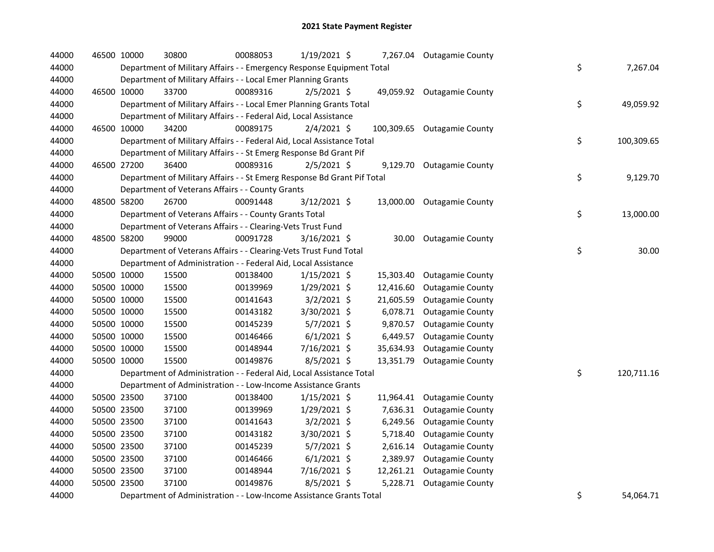| 44000 |             | 46500 10000 | 30800                                                                   | 00088053 | 1/19/2021 \$   |           | 7,267.04 Outagamie County   |    |            |
|-------|-------------|-------------|-------------------------------------------------------------------------|----------|----------------|-----------|-----------------------------|----|------------|
| 44000 |             |             | Department of Military Affairs - - Emergency Response Equipment Total   |          |                |           |                             | \$ | 7,267.04   |
| 44000 |             |             | Department of Military Affairs - - Local Emer Planning Grants           |          |                |           |                             |    |            |
| 44000 |             | 46500 10000 | 33700                                                                   | 00089316 | $2/5/2021$ \$  |           | 49,059.92 Outagamie County  |    |            |
| 44000 |             |             | Department of Military Affairs - - Local Emer Planning Grants Total     |          |                |           |                             | \$ | 49,059.92  |
| 44000 |             |             | Department of Military Affairs - - Federal Aid, Local Assistance        |          |                |           |                             |    |            |
| 44000 |             | 46500 10000 | 34200                                                                   | 00089175 | $2/4/2021$ \$  |           | 100,309.65 Outagamie County |    |            |
| 44000 |             |             | Department of Military Affairs - - Federal Aid, Local Assistance Total  |          |                |           |                             | \$ | 100,309.65 |
| 44000 |             |             | Department of Military Affairs - - St Emerg Response Bd Grant Pif       |          |                |           |                             |    |            |
| 44000 |             | 46500 27200 | 36400                                                                   | 00089316 | $2/5/2021$ \$  |           | 9,129.70 Outagamie County   |    |            |
| 44000 |             |             | Department of Military Affairs - - St Emerg Response Bd Grant Pif Total |          |                |           |                             | \$ | 9,129.70   |
| 44000 |             |             | Department of Veterans Affairs - - County Grants                        |          |                |           |                             |    |            |
| 44000 |             | 48500 58200 | 26700                                                                   | 00091448 | 3/12/2021 \$   |           | 13,000.00 Outagamie County  |    |            |
| 44000 |             |             | Department of Veterans Affairs - - County Grants Total                  |          |                |           |                             | \$ | 13,000.00  |
| 44000 |             |             | Department of Veterans Affairs - - Clearing-Vets Trust Fund             |          |                |           |                             |    |            |
| 44000 | 48500 58200 |             | 99000                                                                   | 00091728 | 3/16/2021 \$   | 30.00     | Outagamie County            |    |            |
| 44000 |             |             | Department of Veterans Affairs - - Clearing-Vets Trust Fund Total       |          |                |           |                             | \$ | 30.00      |
| 44000 |             |             | Department of Administration - - Federal Aid, Local Assistance          |          |                |           |                             |    |            |
| 44000 |             | 50500 10000 | 15500                                                                   | 00138400 | $1/15/2021$ \$ | 15,303.40 | <b>Outagamie County</b>     |    |            |
| 44000 |             | 50500 10000 | 15500                                                                   | 00139969 | 1/29/2021 \$   | 12,416.60 | <b>Outagamie County</b>     |    |            |
| 44000 |             | 50500 10000 | 15500                                                                   | 00141643 | $3/2/2021$ \$  | 21,605.59 | <b>Outagamie County</b>     |    |            |
| 44000 |             | 50500 10000 | 15500                                                                   | 00143182 | 3/30/2021 \$   | 6,078.71  | <b>Outagamie County</b>     |    |            |
| 44000 |             | 50500 10000 | 15500                                                                   | 00145239 | 5/7/2021 \$    | 9,870.57  | <b>Outagamie County</b>     |    |            |
| 44000 |             | 50500 10000 | 15500                                                                   | 00146466 | $6/1/2021$ \$  | 6,449.57  | <b>Outagamie County</b>     |    |            |
| 44000 |             | 50500 10000 | 15500                                                                   | 00148944 | 7/16/2021 \$   | 35,634.93 | <b>Outagamie County</b>     |    |            |
| 44000 |             | 50500 10000 | 15500                                                                   | 00149876 | 8/5/2021 \$    |           | 13,351.79 Outagamie County  |    |            |
| 44000 |             |             | Department of Administration - - Federal Aid, Local Assistance Total    |          |                |           |                             | \$ | 120,711.16 |
| 44000 |             |             | Department of Administration - - Low-Income Assistance Grants           |          |                |           |                             |    |            |
| 44000 |             | 50500 23500 | 37100                                                                   | 00138400 | $1/15/2021$ \$ |           | 11,964.41 Outagamie County  |    |            |
| 44000 |             | 50500 23500 | 37100                                                                   | 00139969 | 1/29/2021 \$   | 7,636.31  | <b>Outagamie County</b>     |    |            |
| 44000 |             | 50500 23500 | 37100                                                                   | 00141643 | $3/2/2021$ \$  | 6,249.56  | <b>Outagamie County</b>     |    |            |
| 44000 |             | 50500 23500 | 37100                                                                   | 00143182 | 3/30/2021 \$   | 5,718.40  | <b>Outagamie County</b>     |    |            |
| 44000 |             | 50500 23500 | 37100                                                                   | 00145239 | $5/7/2021$ \$  | 2,616.14  | <b>Outagamie County</b>     |    |            |
| 44000 |             | 50500 23500 | 37100                                                                   | 00146466 | $6/1/2021$ \$  |           | 2,389.97 Outagamie County   |    |            |
| 44000 |             | 50500 23500 | 37100                                                                   | 00148944 | 7/16/2021 \$   |           | 12,261.21 Outagamie County  |    |            |
| 44000 | 50500 23500 |             | 37100                                                                   | 00149876 | 8/5/2021 \$    |           | 5,228.71 Outagamie County   |    |            |
| 44000 |             |             | Department of Administration - - Low-Income Assistance Grants Total     |          |                |           |                             | \$ | 54,064.71  |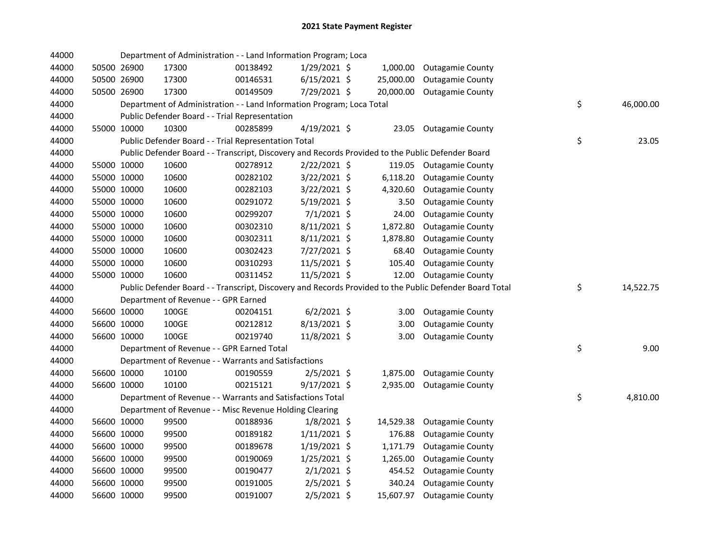| 44000 |             | Department of Administration - - Land Information Program; Loca                                   |          |                |           |                                                                                                         |                 |
|-------|-------------|---------------------------------------------------------------------------------------------------|----------|----------------|-----------|---------------------------------------------------------------------------------------------------------|-----------------|
| 44000 | 50500 26900 | 17300                                                                                             | 00138492 | $1/29/2021$ \$ | 1,000.00  | <b>Outagamie County</b>                                                                                 |                 |
| 44000 | 50500 26900 | 17300                                                                                             | 00146531 | $6/15/2021$ \$ | 25,000.00 | <b>Outagamie County</b>                                                                                 |                 |
| 44000 | 50500 26900 | 17300                                                                                             | 00149509 | 7/29/2021 \$   | 20,000.00 | <b>Outagamie County</b>                                                                                 |                 |
| 44000 |             | Department of Administration - - Land Information Program; Loca Total                             |          |                |           |                                                                                                         | \$<br>46,000.00 |
| 44000 |             | Public Defender Board - - Trial Representation                                                    |          |                |           |                                                                                                         |                 |
| 44000 | 55000 10000 | 10300                                                                                             | 00285899 | $4/19/2021$ \$ | 23.05     | <b>Outagamie County</b>                                                                                 |                 |
| 44000 |             | Public Defender Board - - Trial Representation Total                                              |          |                |           |                                                                                                         | \$<br>23.05     |
| 44000 |             | Public Defender Board - - Transcript, Discovery and Records Provided to the Public Defender Board |          |                |           |                                                                                                         |                 |
| 44000 | 55000 10000 | 10600                                                                                             | 00278912 | 2/22/2021 \$   |           | 119.05 Outagamie County                                                                                 |                 |
| 44000 | 55000 10000 | 10600                                                                                             | 00282102 | $3/22/2021$ \$ | 6,118.20  | <b>Outagamie County</b>                                                                                 |                 |
| 44000 | 55000 10000 | 10600                                                                                             | 00282103 | $3/22/2021$ \$ | 4,320.60  | <b>Outagamie County</b>                                                                                 |                 |
| 44000 | 55000 10000 | 10600                                                                                             | 00291072 | $5/19/2021$ \$ | 3.50      | <b>Outagamie County</b>                                                                                 |                 |
| 44000 | 55000 10000 | 10600                                                                                             | 00299207 | $7/1/2021$ \$  | 24.00     | <b>Outagamie County</b>                                                                                 |                 |
| 44000 | 55000 10000 | 10600                                                                                             | 00302310 | 8/11/2021 \$   | 1,872.80  | <b>Outagamie County</b>                                                                                 |                 |
| 44000 | 55000 10000 | 10600                                                                                             | 00302311 | 8/11/2021 \$   | 1,878.80  | <b>Outagamie County</b>                                                                                 |                 |
| 44000 | 55000 10000 | 10600                                                                                             | 00302423 | 7/27/2021 \$   | 68.40     | <b>Outagamie County</b>                                                                                 |                 |
| 44000 | 55000 10000 | 10600                                                                                             | 00310293 | 11/5/2021 \$   | 105.40    | <b>Outagamie County</b>                                                                                 |                 |
| 44000 | 55000 10000 | 10600                                                                                             | 00311452 | 11/5/2021 \$   | 12.00     | <b>Outagamie County</b>                                                                                 |                 |
| 44000 |             |                                                                                                   |          |                |           | Public Defender Board - - Transcript, Discovery and Records Provided to the Public Defender Board Total | \$<br>14,522.75 |
| 44000 |             | Department of Revenue - - GPR Earned                                                              |          |                |           |                                                                                                         |                 |
| 44000 | 56600 10000 | 100GE                                                                                             | 00204151 | $6/2/2021$ \$  | 3.00      | <b>Outagamie County</b>                                                                                 |                 |
| 44000 | 56600 10000 | 100GE                                                                                             | 00212812 | 8/13/2021 \$   | 3.00      | <b>Outagamie County</b>                                                                                 |                 |
| 44000 | 56600 10000 | 100GE                                                                                             | 00219740 | 11/8/2021 \$   | 3.00      | <b>Outagamie County</b>                                                                                 |                 |
| 44000 |             | Department of Revenue - - GPR Earned Total                                                        |          |                |           |                                                                                                         | \$<br>9.00      |
| 44000 |             | Department of Revenue - - Warrants and Satisfactions                                              |          |                |           |                                                                                                         |                 |
| 44000 | 56600 10000 | 10100                                                                                             | 00190559 | $2/5/2021$ \$  |           | 1,875.00 Outagamie County                                                                               |                 |
| 44000 | 56600 10000 | 10100                                                                                             | 00215121 | $9/17/2021$ \$ | 2,935.00  | <b>Outagamie County</b>                                                                                 |                 |
| 44000 |             | Department of Revenue - - Warrants and Satisfactions Total                                        |          |                |           |                                                                                                         | \$<br>4,810.00  |
| 44000 |             | Department of Revenue - - Misc Revenue Holding Clearing                                           |          |                |           |                                                                                                         |                 |
| 44000 | 56600 10000 | 99500                                                                                             | 00188936 | $1/8/2021$ \$  | 14,529.38 | <b>Outagamie County</b>                                                                                 |                 |
| 44000 | 56600 10000 | 99500                                                                                             | 00189182 | $1/11/2021$ \$ | 176.88    | <b>Outagamie County</b>                                                                                 |                 |
| 44000 | 56600 10000 | 99500                                                                                             | 00189678 | $1/19/2021$ \$ | 1,171.79  | <b>Outagamie County</b>                                                                                 |                 |
| 44000 | 56600 10000 | 99500                                                                                             | 00190069 | $1/25/2021$ \$ | 1,265.00  | <b>Outagamie County</b>                                                                                 |                 |
| 44000 | 56600 10000 | 99500                                                                                             | 00190477 | $2/1/2021$ \$  | 454.52    | <b>Outagamie County</b>                                                                                 |                 |
| 44000 | 56600 10000 | 99500                                                                                             | 00191005 | $2/5/2021$ \$  | 340.24    | <b>Outagamie County</b>                                                                                 |                 |
| 44000 | 56600 10000 | 99500                                                                                             | 00191007 | $2/5/2021$ \$  |           | 15,607.97 Outagamie County                                                                              |                 |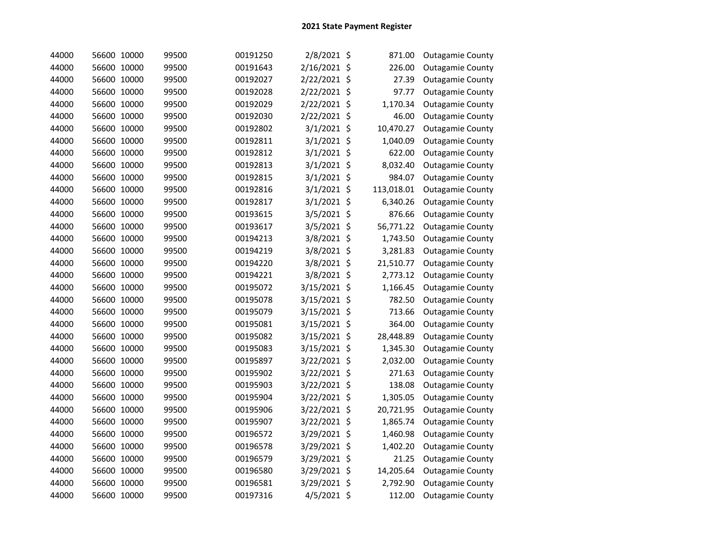| 44000 | 56600 10000 | 99500 | 00191250 | 2/8/2021 \$   | 871.00     | <b>Outagamie County</b> |
|-------|-------------|-------|----------|---------------|------------|-------------------------|
| 44000 | 56600 10000 | 99500 | 00191643 | 2/16/2021 \$  | 226.00     | <b>Outagamie County</b> |
| 44000 | 56600 10000 | 99500 | 00192027 | 2/22/2021 \$  | 27.39      | <b>Outagamie County</b> |
| 44000 | 56600 10000 | 99500 | 00192028 | 2/22/2021 \$  | 97.77      | <b>Outagamie County</b> |
| 44000 | 56600 10000 | 99500 | 00192029 | 2/22/2021 \$  | 1,170.34   | <b>Outagamie County</b> |
| 44000 | 56600 10000 | 99500 | 00192030 | 2/22/2021 \$  | 46.00      | <b>Outagamie County</b> |
| 44000 | 56600 10000 | 99500 | 00192802 | 3/1/2021 \$   | 10,470.27  | <b>Outagamie County</b> |
| 44000 | 56600 10000 | 99500 | 00192811 | 3/1/2021 \$   | 1,040.09   | <b>Outagamie County</b> |
| 44000 | 56600 10000 | 99500 | 00192812 | 3/1/2021 \$   | 622.00     | <b>Outagamie County</b> |
| 44000 | 56600 10000 | 99500 | 00192813 | $3/1/2021$ \$ | 8,032.40   | <b>Outagamie County</b> |
| 44000 | 56600 10000 | 99500 | 00192815 | $3/1/2021$ \$ | 984.07     | <b>Outagamie County</b> |
| 44000 | 56600 10000 | 99500 | 00192816 | $3/1/2021$ \$ | 113,018.01 | <b>Outagamie County</b> |
| 44000 | 56600 10000 | 99500 | 00192817 | $3/1/2021$ \$ | 6,340.26   | <b>Outagamie County</b> |
| 44000 | 56600 10000 | 99500 | 00193615 | 3/5/2021 \$   | 876.66     | <b>Outagamie County</b> |
| 44000 | 56600 10000 | 99500 | 00193617 | 3/5/2021 \$   | 56,771.22  | <b>Outagamie County</b> |
| 44000 | 56600 10000 | 99500 | 00194213 | 3/8/2021 \$   | 1,743.50   | <b>Outagamie County</b> |
| 44000 | 56600 10000 | 99500 | 00194219 | 3/8/2021 \$   | 3,281.83   | <b>Outagamie County</b> |
| 44000 | 56600 10000 | 99500 | 00194220 | 3/8/2021 \$   | 21,510.77  | <b>Outagamie County</b> |
| 44000 | 56600 10000 | 99500 | 00194221 | 3/8/2021 \$   | 2,773.12   | <b>Outagamie County</b> |
| 44000 | 56600 10000 | 99500 | 00195072 | 3/15/2021 \$  | 1,166.45   | <b>Outagamie County</b> |
| 44000 | 56600 10000 | 99500 | 00195078 | 3/15/2021 \$  | 782.50     | <b>Outagamie County</b> |
| 44000 | 56600 10000 | 99500 | 00195079 | 3/15/2021 \$  | 713.66     | <b>Outagamie County</b> |
| 44000 | 56600 10000 | 99500 | 00195081 | 3/15/2021 \$  | 364.00     | <b>Outagamie County</b> |
| 44000 | 56600 10000 | 99500 | 00195082 | 3/15/2021 \$  | 28,448.89  | <b>Outagamie County</b> |
| 44000 | 56600 10000 | 99500 | 00195083 | 3/15/2021 \$  | 1,345.30   | <b>Outagamie County</b> |
| 44000 | 56600 10000 | 99500 | 00195897 | 3/22/2021 \$  | 2,032.00   | <b>Outagamie County</b> |
| 44000 | 56600 10000 | 99500 | 00195902 | 3/22/2021 \$  | 271.63     | <b>Outagamie County</b> |
| 44000 | 56600 10000 | 99500 | 00195903 | 3/22/2021 \$  | 138.08     | <b>Outagamie County</b> |
| 44000 | 56600 10000 | 99500 | 00195904 | 3/22/2021 \$  | 1,305.05   | <b>Outagamie County</b> |
| 44000 | 56600 10000 | 99500 | 00195906 | 3/22/2021 \$  | 20,721.95  | <b>Outagamie County</b> |
| 44000 | 56600 10000 | 99500 | 00195907 | 3/22/2021 \$  | 1,865.74   | <b>Outagamie County</b> |
| 44000 | 56600 10000 | 99500 | 00196572 | 3/29/2021 \$  | 1,460.98   | <b>Outagamie County</b> |
| 44000 | 56600 10000 | 99500 | 00196578 | 3/29/2021 \$  | 1,402.20   | <b>Outagamie County</b> |
| 44000 | 56600 10000 | 99500 | 00196579 | 3/29/2021 \$  | 21.25      | <b>Outagamie County</b> |
| 44000 | 56600 10000 | 99500 | 00196580 | 3/29/2021 \$  | 14,205.64  | <b>Outagamie County</b> |
| 44000 | 56600 10000 | 99500 | 00196581 | 3/29/2021 \$  | 2,792.90   | <b>Outagamie County</b> |
| 44000 | 56600 10000 | 99500 | 00197316 | 4/5/2021 \$   | 112.00     | <b>Outagamie County</b> |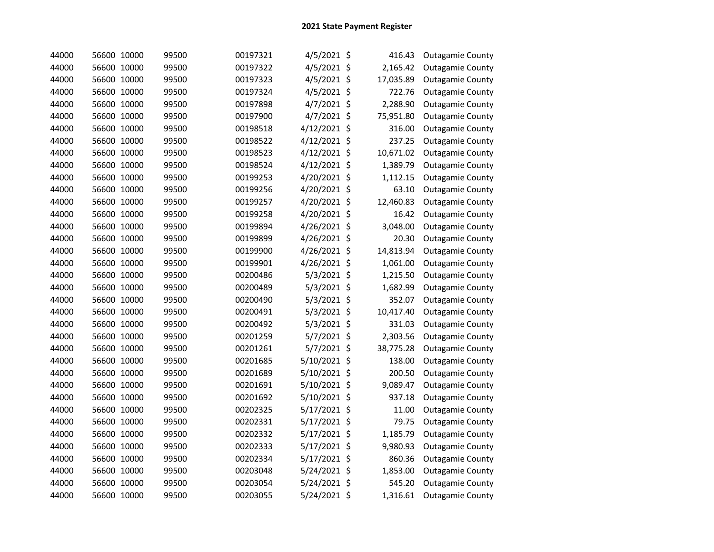| 44000 | 56600 10000 | 99500 | 00197321 | 4/5/2021 \$  | 416.43    | <b>Outagamie County</b> |
|-------|-------------|-------|----------|--------------|-----------|-------------------------|
| 44000 | 56600 10000 | 99500 | 00197322 | 4/5/2021 \$  | 2,165.42  | <b>Outagamie County</b> |
| 44000 | 56600 10000 | 99500 | 00197323 | 4/5/2021 \$  | 17,035.89 | <b>Outagamie County</b> |
| 44000 | 56600 10000 | 99500 | 00197324 | 4/5/2021 \$  | 722.76    | <b>Outagamie County</b> |
| 44000 | 56600 10000 | 99500 | 00197898 | 4/7/2021 \$  | 2,288.90  | <b>Outagamie County</b> |
| 44000 | 56600 10000 | 99500 | 00197900 | 4/7/2021 \$  | 75,951.80 | <b>Outagamie County</b> |
| 44000 | 56600 10000 | 99500 | 00198518 | 4/12/2021 \$ | 316.00    | <b>Outagamie County</b> |
| 44000 | 56600 10000 | 99500 | 00198522 | 4/12/2021 \$ | 237.25    | <b>Outagamie County</b> |
| 44000 | 56600 10000 | 99500 | 00198523 | 4/12/2021 \$ | 10,671.02 | <b>Outagamie County</b> |
| 44000 | 56600 10000 | 99500 | 00198524 | 4/12/2021 \$ | 1,389.79  | <b>Outagamie County</b> |
| 44000 | 56600 10000 | 99500 | 00199253 | 4/20/2021 \$ | 1,112.15  | <b>Outagamie County</b> |
| 44000 | 56600 10000 | 99500 | 00199256 | 4/20/2021 \$ | 63.10     | <b>Outagamie County</b> |
| 44000 | 56600 10000 | 99500 | 00199257 | 4/20/2021 \$ | 12,460.83 | <b>Outagamie County</b> |
| 44000 | 56600 10000 | 99500 | 00199258 | 4/20/2021 \$ | 16.42     | <b>Outagamie County</b> |
| 44000 | 56600 10000 | 99500 | 00199894 | 4/26/2021 \$ | 3,048.00  | <b>Outagamie County</b> |
| 44000 | 56600 10000 | 99500 | 00199899 | 4/26/2021 \$ | 20.30     | <b>Outagamie County</b> |
| 44000 | 56600 10000 | 99500 | 00199900 | 4/26/2021 \$ | 14,813.94 | <b>Outagamie County</b> |
| 44000 | 56600 10000 | 99500 | 00199901 | 4/26/2021 \$ | 1,061.00  | <b>Outagamie County</b> |
| 44000 | 56600 10000 | 99500 | 00200486 | 5/3/2021 \$  | 1,215.50  | <b>Outagamie County</b> |
| 44000 | 56600 10000 | 99500 | 00200489 | 5/3/2021 \$  | 1,682.99  | <b>Outagamie County</b> |
| 44000 | 56600 10000 | 99500 | 00200490 | 5/3/2021 \$  | 352.07    | <b>Outagamie County</b> |
| 44000 | 56600 10000 | 99500 | 00200491 | 5/3/2021 \$  | 10,417.40 | <b>Outagamie County</b> |
| 44000 | 56600 10000 | 99500 | 00200492 | 5/3/2021 \$  | 331.03    | <b>Outagamie County</b> |
| 44000 | 56600 10000 | 99500 | 00201259 | 5/7/2021 \$  | 2,303.56  | <b>Outagamie County</b> |
| 44000 | 56600 10000 | 99500 | 00201261 | 5/7/2021 \$  | 38,775.28 | <b>Outagamie County</b> |
| 44000 | 56600 10000 | 99500 | 00201685 | 5/10/2021 \$ | 138.00    | <b>Outagamie County</b> |
| 44000 | 56600 10000 | 99500 | 00201689 | 5/10/2021 \$ | 200.50    | <b>Outagamie County</b> |
| 44000 | 56600 10000 | 99500 | 00201691 | 5/10/2021 \$ | 9,089.47  | <b>Outagamie County</b> |
| 44000 | 56600 10000 | 99500 | 00201692 | 5/10/2021 \$ | 937.18    | <b>Outagamie County</b> |
| 44000 | 56600 10000 | 99500 | 00202325 | 5/17/2021 \$ | 11.00     | <b>Outagamie County</b> |
| 44000 | 56600 10000 | 99500 | 00202331 | 5/17/2021 \$ | 79.75     | <b>Outagamie County</b> |
| 44000 | 56600 10000 | 99500 | 00202332 | 5/17/2021 \$ | 1,185.79  | <b>Outagamie County</b> |
| 44000 | 56600 10000 | 99500 | 00202333 | 5/17/2021 \$ | 9,980.93  | <b>Outagamie County</b> |
| 44000 | 56600 10000 | 99500 | 00202334 | 5/17/2021 \$ | 860.36    | <b>Outagamie County</b> |
| 44000 | 56600 10000 | 99500 | 00203048 | 5/24/2021 \$ | 1,853.00  | <b>Outagamie County</b> |
| 44000 | 56600 10000 | 99500 | 00203054 | 5/24/2021 \$ | 545.20    | <b>Outagamie County</b> |
| 44000 | 56600 10000 | 99500 | 00203055 | 5/24/2021 \$ | 1,316.61  | <b>Outagamie County</b> |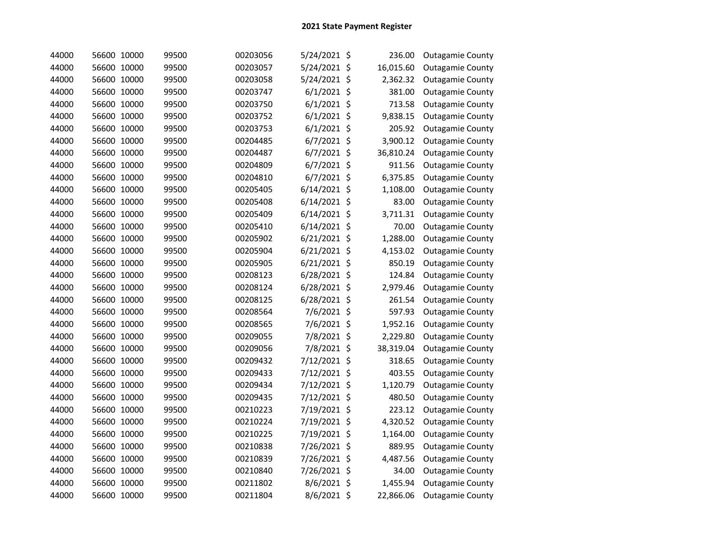| 44000 | 56600 10000 | 99500 | 00203056 | 5/24/2021 \$   | 236.00    | <b>Outagamie County</b> |
|-------|-------------|-------|----------|----------------|-----------|-------------------------|
| 44000 | 56600 10000 | 99500 | 00203057 | 5/24/2021 \$   | 16,015.60 | <b>Outagamie County</b> |
| 44000 | 56600 10000 | 99500 | 00203058 | 5/24/2021 \$   | 2,362.32  | <b>Outagamie County</b> |
| 44000 | 56600 10000 | 99500 | 00203747 | $6/1/2021$ \$  | 381.00    | <b>Outagamie County</b> |
| 44000 | 56600 10000 | 99500 | 00203750 | $6/1/2021$ \$  | 713.58    | <b>Outagamie County</b> |
| 44000 | 56600 10000 | 99500 | 00203752 | $6/1/2021$ \$  | 9,838.15  | <b>Outagamie County</b> |
| 44000 | 56600 10000 | 99500 | 00203753 | $6/1/2021$ \$  | 205.92    | <b>Outagamie County</b> |
| 44000 | 56600 10000 | 99500 | 00204485 | $6/7/2021$ \$  | 3,900.12  | <b>Outagamie County</b> |
| 44000 | 56600 10000 | 99500 | 00204487 | 6/7/2021 \$    | 36,810.24 | <b>Outagamie County</b> |
| 44000 | 56600 10000 | 99500 | 00204809 | 6/7/2021 \$    | 911.56    | <b>Outagamie County</b> |
| 44000 | 56600 10000 | 99500 | 00204810 | 6/7/2021 \$    | 6,375.85  | <b>Outagamie County</b> |
| 44000 | 56600 10000 | 99500 | 00205405 | 6/14/2021 \$   | 1,108.00  | <b>Outagamie County</b> |
| 44000 | 56600 10000 | 99500 | 00205408 | 6/14/2021 \$   | 83.00     | <b>Outagamie County</b> |
| 44000 | 56600 10000 | 99500 | 00205409 | 6/14/2021 \$   | 3,711.31  | <b>Outagamie County</b> |
| 44000 | 56600 10000 | 99500 | 00205410 | $6/14/2021$ \$ | 70.00     | <b>Outagamie County</b> |
| 44000 | 56600 10000 | 99500 | 00205902 | 6/21/2021 \$   | 1,288.00  | <b>Outagamie County</b> |
| 44000 | 56600 10000 | 99500 | 00205904 | 6/21/2021 \$   | 4,153.02  | <b>Outagamie County</b> |
| 44000 | 56600 10000 | 99500 | 00205905 | 6/21/2021 \$   | 850.19    | <b>Outagamie County</b> |
| 44000 | 56600 10000 | 99500 | 00208123 | 6/28/2021 \$   | 124.84    | <b>Outagamie County</b> |
| 44000 | 56600 10000 | 99500 | 00208124 | 6/28/2021 \$   | 2,979.46  | <b>Outagamie County</b> |
| 44000 | 56600 10000 | 99500 | 00208125 | 6/28/2021 \$   | 261.54    | <b>Outagamie County</b> |
| 44000 | 56600 10000 | 99500 | 00208564 | 7/6/2021 \$    | 597.93    | <b>Outagamie County</b> |
| 44000 | 56600 10000 | 99500 | 00208565 | 7/6/2021 \$    | 1,952.16  | <b>Outagamie County</b> |
| 44000 | 56600 10000 | 99500 | 00209055 | 7/8/2021 \$    | 2,229.80  | <b>Outagamie County</b> |
| 44000 | 56600 10000 | 99500 | 00209056 | 7/8/2021 \$    | 38,319.04 | <b>Outagamie County</b> |
| 44000 | 56600 10000 | 99500 | 00209432 | 7/12/2021 \$   | 318.65    | <b>Outagamie County</b> |
| 44000 | 56600 10000 | 99500 | 00209433 | 7/12/2021 \$   | 403.55    | <b>Outagamie County</b> |
| 44000 | 56600 10000 | 99500 | 00209434 | 7/12/2021 \$   | 1,120.79  | <b>Outagamie County</b> |
| 44000 | 56600 10000 | 99500 | 00209435 | 7/12/2021 \$   | 480.50    | <b>Outagamie County</b> |
| 44000 | 56600 10000 | 99500 | 00210223 | 7/19/2021 \$   | 223.12    | <b>Outagamie County</b> |
| 44000 | 56600 10000 | 99500 | 00210224 | 7/19/2021 \$   | 4,320.52  | <b>Outagamie County</b> |
| 44000 | 56600 10000 | 99500 | 00210225 | 7/19/2021 \$   | 1,164.00  | <b>Outagamie County</b> |
| 44000 | 56600 10000 | 99500 | 00210838 | 7/26/2021 \$   | 889.95    | <b>Outagamie County</b> |
| 44000 | 56600 10000 | 99500 | 00210839 | 7/26/2021 \$   | 4,487.56  | <b>Outagamie County</b> |
| 44000 | 56600 10000 | 99500 | 00210840 | 7/26/2021 \$   | 34.00     | <b>Outagamie County</b> |
| 44000 | 56600 10000 | 99500 | 00211802 | 8/6/2021 \$    | 1,455.94  | <b>Outagamie County</b> |
| 44000 | 56600 10000 | 99500 | 00211804 | 8/6/2021 \$    | 22,866.06 | <b>Outagamie County</b> |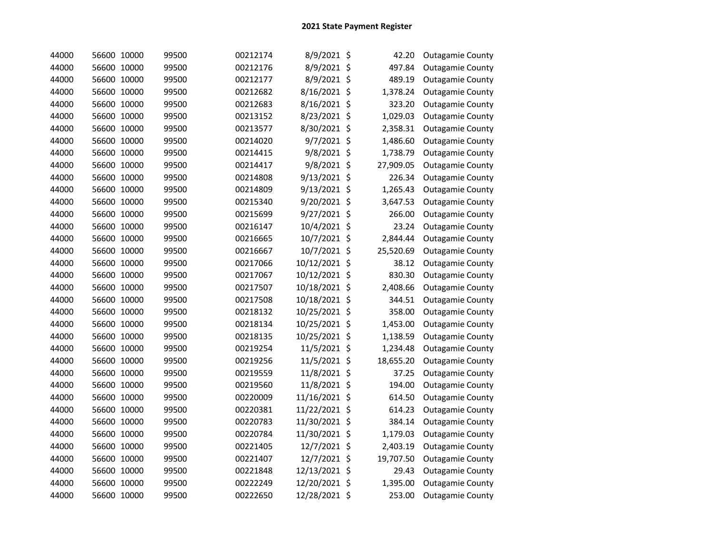| 44000 | 56600 10000 | 99500 | 00212174 | 8/9/2021 \$   | 42.20     | <b>Outagamie County</b> |
|-------|-------------|-------|----------|---------------|-----------|-------------------------|
| 44000 | 56600 10000 | 99500 | 00212176 | 8/9/2021 \$   | 497.84    | <b>Outagamie County</b> |
| 44000 | 56600 10000 | 99500 | 00212177 | 8/9/2021 \$   | 489.19    | <b>Outagamie County</b> |
| 44000 | 56600 10000 | 99500 | 00212682 | 8/16/2021 \$  | 1,378.24  | <b>Outagamie County</b> |
| 44000 | 56600 10000 | 99500 | 00212683 | 8/16/2021 \$  | 323.20    | <b>Outagamie County</b> |
| 44000 | 56600 10000 | 99500 | 00213152 | 8/23/2021 \$  | 1,029.03  | <b>Outagamie County</b> |
| 44000 | 56600 10000 | 99500 | 00213577 | 8/30/2021 \$  | 2,358.31  | <b>Outagamie County</b> |
| 44000 | 56600 10000 | 99500 | 00214020 | 9/7/2021 \$   | 1,486.60  | <b>Outagamie County</b> |
| 44000 | 56600 10000 | 99500 | 00214415 | 9/8/2021 \$   | 1,738.79  | <b>Outagamie County</b> |
| 44000 | 56600 10000 | 99500 | 00214417 | 9/8/2021 \$   | 27,909.05 | <b>Outagamie County</b> |
| 44000 | 56600 10000 | 99500 | 00214808 | 9/13/2021 \$  | 226.34    | <b>Outagamie County</b> |
| 44000 | 56600 10000 | 99500 | 00214809 | 9/13/2021 \$  | 1,265.43  | <b>Outagamie County</b> |
| 44000 | 56600 10000 | 99500 | 00215340 | 9/20/2021 \$  | 3,647.53  | <b>Outagamie County</b> |
| 44000 | 56600 10000 | 99500 | 00215699 | 9/27/2021 \$  | 266.00    | <b>Outagamie County</b> |
| 44000 | 56600 10000 | 99500 | 00216147 | 10/4/2021 \$  | 23.24     | <b>Outagamie County</b> |
| 44000 | 56600 10000 | 99500 | 00216665 | 10/7/2021 \$  | 2,844.44  | <b>Outagamie County</b> |
| 44000 | 56600 10000 | 99500 | 00216667 | 10/7/2021 \$  | 25,520.69 | <b>Outagamie County</b> |
| 44000 | 56600 10000 | 99500 | 00217066 | 10/12/2021 \$ | 38.12     | <b>Outagamie County</b> |
| 44000 | 56600 10000 | 99500 | 00217067 | 10/12/2021 \$ | 830.30    | <b>Outagamie County</b> |
| 44000 | 56600 10000 | 99500 | 00217507 | 10/18/2021 \$ | 2,408.66  | <b>Outagamie County</b> |
| 44000 | 56600 10000 | 99500 | 00217508 | 10/18/2021 \$ | 344.51    | <b>Outagamie County</b> |
| 44000 | 56600 10000 | 99500 | 00218132 | 10/25/2021 \$ | 358.00    | <b>Outagamie County</b> |
| 44000 | 56600 10000 | 99500 | 00218134 | 10/25/2021 \$ | 1,453.00  | <b>Outagamie County</b> |
| 44000 | 56600 10000 | 99500 | 00218135 | 10/25/2021 \$ | 1,138.59  | <b>Outagamie County</b> |
| 44000 | 56600 10000 | 99500 | 00219254 | 11/5/2021 \$  | 1,234.48  | <b>Outagamie County</b> |
| 44000 | 56600 10000 | 99500 | 00219256 | 11/5/2021 \$  | 18,655.20 | <b>Outagamie County</b> |
| 44000 | 56600 10000 | 99500 | 00219559 | 11/8/2021 \$  | 37.25     | <b>Outagamie County</b> |
| 44000 | 56600 10000 | 99500 | 00219560 | 11/8/2021 \$  | 194.00    | <b>Outagamie County</b> |
| 44000 | 56600 10000 | 99500 | 00220009 | 11/16/2021 \$ | 614.50    | <b>Outagamie County</b> |
| 44000 | 56600 10000 | 99500 | 00220381 | 11/22/2021 \$ | 614.23    | <b>Outagamie County</b> |
| 44000 | 56600 10000 | 99500 | 00220783 | 11/30/2021 \$ | 384.14    | <b>Outagamie County</b> |
| 44000 | 56600 10000 | 99500 | 00220784 | 11/30/2021 \$ | 1,179.03  | <b>Outagamie County</b> |
| 44000 | 56600 10000 | 99500 | 00221405 | 12/7/2021 \$  | 2,403.19  | <b>Outagamie County</b> |
| 44000 | 56600 10000 | 99500 | 00221407 | 12/7/2021 \$  | 19,707.50 | <b>Outagamie County</b> |
| 44000 | 56600 10000 | 99500 | 00221848 | 12/13/2021 \$ | 29.43     | <b>Outagamie County</b> |
| 44000 | 56600 10000 | 99500 | 00222249 | 12/20/2021 \$ | 1,395.00  | <b>Outagamie County</b> |
| 44000 | 56600 10000 | 99500 | 00222650 | 12/28/2021 \$ | 253.00    | <b>Outagamie County</b> |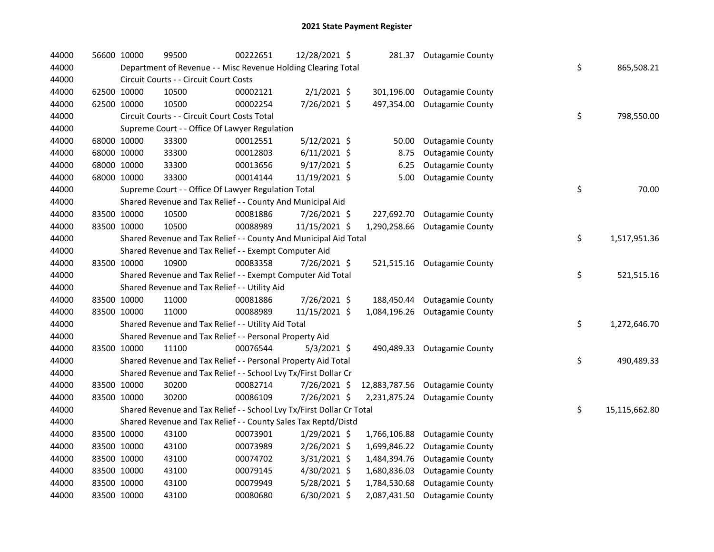| 44000 | 56600 10000 | 99500                                                                 | 00222651 | 12/28/2021 \$  |              | 281.37 Outagamie County        |    |               |
|-------|-------------|-----------------------------------------------------------------------|----------|----------------|--------------|--------------------------------|----|---------------|
| 44000 |             | Department of Revenue - - Misc Revenue Holding Clearing Total         |          |                |              |                                | \$ | 865,508.21    |
| 44000 |             | Circuit Courts - - Circuit Court Costs                                |          |                |              |                                |    |               |
| 44000 | 62500 10000 | 10500                                                                 | 00002121 | $2/1/2021$ \$  | 301,196.00   | <b>Outagamie County</b>        |    |               |
| 44000 | 62500 10000 | 10500                                                                 | 00002254 | 7/26/2021 \$   |              | 497,354.00 Outagamie County    |    |               |
| 44000 |             | Circuit Courts - - Circuit Court Costs Total                          |          |                |              |                                | \$ | 798,550.00    |
| 44000 |             | Supreme Court - - Office Of Lawyer Regulation                         |          |                |              |                                |    |               |
| 44000 | 68000 10000 | 33300                                                                 | 00012551 | 5/12/2021 \$   | 50.00        | <b>Outagamie County</b>        |    |               |
| 44000 | 68000 10000 | 33300                                                                 | 00012803 | $6/11/2021$ \$ | 8.75         | <b>Outagamie County</b>        |    |               |
| 44000 | 68000 10000 | 33300                                                                 | 00013656 | $9/17/2021$ \$ | 6.25         | <b>Outagamie County</b>        |    |               |
| 44000 | 68000 10000 | 33300                                                                 | 00014144 | 11/19/2021 \$  | 5.00         | <b>Outagamie County</b>        |    |               |
| 44000 |             | Supreme Court - - Office Of Lawyer Regulation Total                   |          |                |              |                                | \$ | 70.00         |
| 44000 |             | Shared Revenue and Tax Relief - - County And Municipal Aid            |          |                |              |                                |    |               |
| 44000 | 83500 10000 | 10500                                                                 | 00081886 | 7/26/2021 \$   | 227,692.70   | <b>Outagamie County</b>        |    |               |
| 44000 | 83500 10000 | 10500                                                                 | 00088989 | 11/15/2021 \$  | 1,290,258.66 | <b>Outagamie County</b>        |    |               |
| 44000 |             | Shared Revenue and Tax Relief - - County And Municipal Aid Total      |          |                |              |                                | \$ | 1,517,951.36  |
| 44000 |             | Shared Revenue and Tax Relief - - Exempt Computer Aid                 |          |                |              |                                |    |               |
| 44000 | 83500 10000 | 10900                                                                 | 00083358 | 7/26/2021 \$   |              | 521,515.16 Outagamie County    |    |               |
| 44000 |             | Shared Revenue and Tax Relief - - Exempt Computer Aid Total           |          |                |              |                                | \$ | 521,515.16    |
| 44000 |             | Shared Revenue and Tax Relief - - Utility Aid                         |          |                |              |                                |    |               |
| 44000 | 83500 10000 | 11000                                                                 | 00081886 | 7/26/2021 \$   | 188,450.44   | <b>Outagamie County</b>        |    |               |
| 44000 | 83500 10000 | 11000                                                                 | 00088989 | 11/15/2021 \$  | 1,084,196.26 | <b>Outagamie County</b>        |    |               |
| 44000 |             | Shared Revenue and Tax Relief - - Utility Aid Total                   |          |                |              |                                | \$ | 1,272,646.70  |
| 44000 |             | Shared Revenue and Tax Relief - - Personal Property Aid               |          |                |              |                                |    |               |
| 44000 | 83500 10000 | 11100                                                                 | 00076544 | 5/3/2021 \$    |              | 490,489.33 Outagamie County    |    |               |
| 44000 |             | Shared Revenue and Tax Relief - - Personal Property Aid Total         |          |                |              |                                | \$ | 490,489.33    |
| 44000 |             | Shared Revenue and Tax Relief - - School Lvy Tx/First Dollar Cr       |          |                |              |                                |    |               |
| 44000 | 83500 10000 | 30200                                                                 | 00082714 | 7/26/2021 \$   |              | 12,883,787.56 Outagamie County |    |               |
| 44000 | 83500 10000 | 30200                                                                 | 00086109 | 7/26/2021 \$   |              | 2,231,875.24 Outagamie County  |    |               |
| 44000 |             | Shared Revenue and Tax Relief - - School Lvy Tx/First Dollar Cr Total |          |                |              |                                | \$ | 15,115,662.80 |
| 44000 |             | Shared Revenue and Tax Relief - - County Sales Tax Reptd/Distd        |          |                |              |                                |    |               |
| 44000 | 83500 10000 | 43100                                                                 | 00073901 | $1/29/2021$ \$ | 1,766,106.88 | <b>Outagamie County</b>        |    |               |
| 44000 | 83500 10000 | 43100                                                                 | 00073989 | 2/26/2021 \$   | 1,699,846.22 | <b>Outagamie County</b>        |    |               |
| 44000 | 83500 10000 | 43100                                                                 | 00074702 | 3/31/2021 \$   | 1,484,394.76 | <b>Outagamie County</b>        |    |               |
| 44000 | 83500 10000 | 43100                                                                 | 00079145 | 4/30/2021 \$   | 1,680,836.03 | <b>Outagamie County</b>        |    |               |
| 44000 | 83500 10000 | 43100                                                                 | 00079949 | 5/28/2021 \$   | 1,784,530.68 | <b>Outagamie County</b>        |    |               |
| 44000 | 83500 10000 | 43100                                                                 | 00080680 | 6/30/2021 \$   | 2,087,431.50 | <b>Outagamie County</b>        |    |               |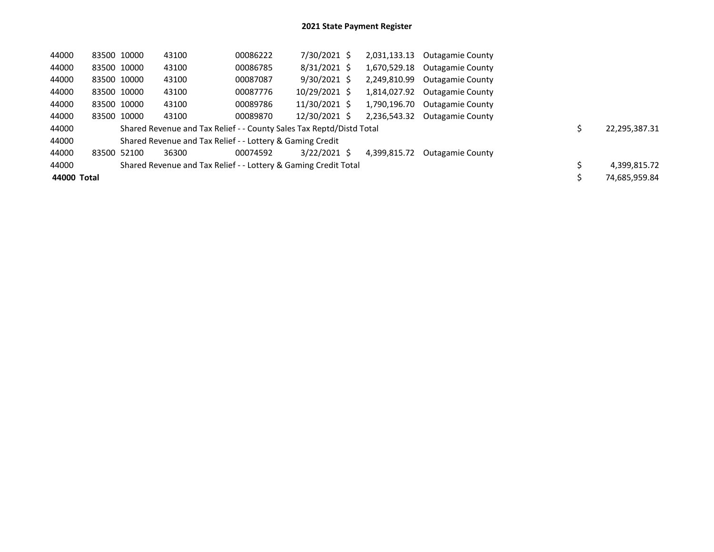| 44000       | 83500 10000 | 43100                                                                | 00086222 | 7/30/2021 \$   | 2,031,133.13 | <b>Outagamie County</b> |               |
|-------------|-------------|----------------------------------------------------------------------|----------|----------------|--------------|-------------------------|---------------|
| 44000       | 83500 10000 | 43100                                                                | 00086785 | $8/31/2021$ \$ | 1,670,529.18 | Outagamie County        |               |
| 44000       | 83500 10000 | 43100                                                                | 00087087 | $9/30/2021$ \$ | 2,249,810.99 | <b>Outagamie County</b> |               |
| 44000       | 83500 10000 | 43100                                                                | 00087776 | 10/29/2021 \$  | 1,814,027.92 | <b>Outagamie County</b> |               |
| 44000       | 83500 10000 | 43100                                                                | 00089786 | 11/30/2021 \$  | 1,790,196.70 | <b>Outagamie County</b> |               |
| 44000       | 83500 10000 | 43100                                                                | 00089870 | 12/30/2021 \$  | 2,236,543.32 | <b>Outagamie County</b> |               |
| 44000       |             | Shared Revenue and Tax Relief - - County Sales Tax Reptd/Distd Total |          |                |              |                         | 22,295,387.31 |
| 44000       |             | Shared Revenue and Tax Relief - - Lottery & Gaming Credit            |          |                |              |                         |               |
| 44000       | 83500 52100 | 36300                                                                | 00074592 | $3/22/2021$ \$ | 4,399,815.72 | <b>Outagamie County</b> |               |
| 44000       |             | Shared Revenue and Tax Relief - - Lottery & Gaming Credit Total      |          |                |              |                         | 4,399,815.72  |
| 44000 Total |             |                                                                      |          |                |              |                         | 74,685,959.84 |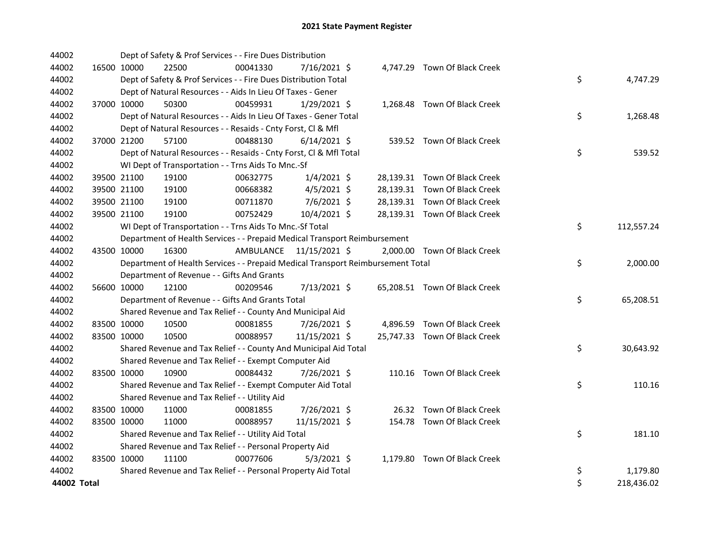| 44002       | Dept of Safety & Prof Services - - Fire Dues Distribution                       |          |                         |                               |                  |
|-------------|---------------------------------------------------------------------------------|----------|-------------------------|-------------------------------|------------------|
| 44002       | 16500 10000<br>22500                                                            | 00041330 | 7/16/2021 \$            | 4,747.29 Town Of Black Creek  |                  |
| 44002       | Dept of Safety & Prof Services - - Fire Dues Distribution Total                 |          |                         |                               | \$<br>4,747.29   |
| 44002       | Dept of Natural Resources - - Aids In Lieu Of Taxes - Gener                     |          |                         |                               |                  |
| 44002       | 37000 10000<br>50300                                                            | 00459931 | $1/29/2021$ \$          | 1,268.48 Town Of Black Creek  |                  |
| 44002       | Dept of Natural Resources - - Aids In Lieu Of Taxes - Gener Total               |          |                         |                               | \$<br>1,268.48   |
| 44002       | Dept of Natural Resources - - Resaids - Cnty Forst, Cl & Mfl                    |          |                         |                               |                  |
| 44002       | 37000 21200<br>57100                                                            | 00488130 | $6/14/2021$ \$          | 539.52 Town Of Black Creek    |                  |
| 44002       | Dept of Natural Resources - - Resaids - Cnty Forst, Cl & Mfl Total              |          |                         |                               | \$<br>539.52     |
| 44002       | WI Dept of Transportation - - Trns Aids To Mnc.-Sf                              |          |                         |                               |                  |
| 44002       | 39500 21100<br>19100                                                            | 00632775 | $1/4/2021$ \$           | 28,139.31 Town Of Black Creek |                  |
| 44002       | 39500 21100<br>19100                                                            | 00668382 | $4/5/2021$ \$           | 28,139.31 Town Of Black Creek |                  |
| 44002       | 39500 21100<br>19100                                                            | 00711870 | $7/6/2021$ \$           | 28,139.31 Town Of Black Creek |                  |
| 44002       | 39500 21100<br>19100                                                            | 00752429 | 10/4/2021 \$            | 28,139.31 Town Of Black Creek |                  |
| 44002       | WI Dept of Transportation - - Trns Aids To Mnc.-Sf Total                        |          |                         |                               | \$<br>112,557.24 |
| 44002       | Department of Health Services - - Prepaid Medical Transport Reimbursement       |          |                         |                               |                  |
| 44002       | 43500 10000<br>16300                                                            |          | AMBULANCE 11/15/2021 \$ | 2,000.00 Town Of Black Creek  |                  |
| 44002       | Department of Health Services - - Prepaid Medical Transport Reimbursement Total |          |                         |                               | \$<br>2,000.00   |
| 44002       | Department of Revenue - - Gifts And Grants                                      |          |                         |                               |                  |
| 44002       | 56600 10000<br>12100                                                            | 00209546 | 7/13/2021 \$            | 65,208.51 Town Of Black Creek |                  |
| 44002       | Department of Revenue - - Gifts And Grants Total                                |          |                         |                               | \$<br>65,208.51  |
| 44002       | Shared Revenue and Tax Relief - - County And Municipal Aid                      |          |                         |                               |                  |
| 44002       | 83500 10000<br>10500                                                            | 00081855 | 7/26/2021 \$            | 4,896.59 Town Of Black Creek  |                  |
| 44002       | 83500 10000<br>10500                                                            | 00088957 | 11/15/2021 \$           | 25,747.33 Town Of Black Creek |                  |
| 44002       | Shared Revenue and Tax Relief - - County And Municipal Aid Total                |          |                         |                               | \$<br>30,643.92  |
| 44002       | Shared Revenue and Tax Relief - - Exempt Computer Aid                           |          |                         |                               |                  |
| 44002       | 83500 10000<br>10900                                                            | 00084432 | 7/26/2021 \$            | 110.16 Town Of Black Creek    |                  |
| 44002       | Shared Revenue and Tax Relief - - Exempt Computer Aid Total                     |          |                         |                               | \$<br>110.16     |
| 44002       | Shared Revenue and Tax Relief - - Utility Aid                                   |          |                         |                               |                  |
| 44002       | 11000<br>83500 10000                                                            | 00081855 | 7/26/2021 \$            | 26.32 Town Of Black Creek     |                  |
| 44002       | 83500 10000<br>11000                                                            | 00088957 | 11/15/2021 \$           | 154.78 Town Of Black Creek    |                  |
| 44002       | Shared Revenue and Tax Relief - - Utility Aid Total                             |          |                         |                               | \$<br>181.10     |
| 44002       | Shared Revenue and Tax Relief - - Personal Property Aid                         |          |                         |                               |                  |
| 44002       | 83500 10000<br>11100                                                            | 00077606 | $5/3/2021$ \$           | 1,179.80 Town Of Black Creek  |                  |
| 44002       | Shared Revenue and Tax Relief - - Personal Property Aid Total                   |          |                         |                               | \$<br>1,179.80   |
| 44002 Total |                                                                                 |          |                         |                               | \$<br>218,436.02 |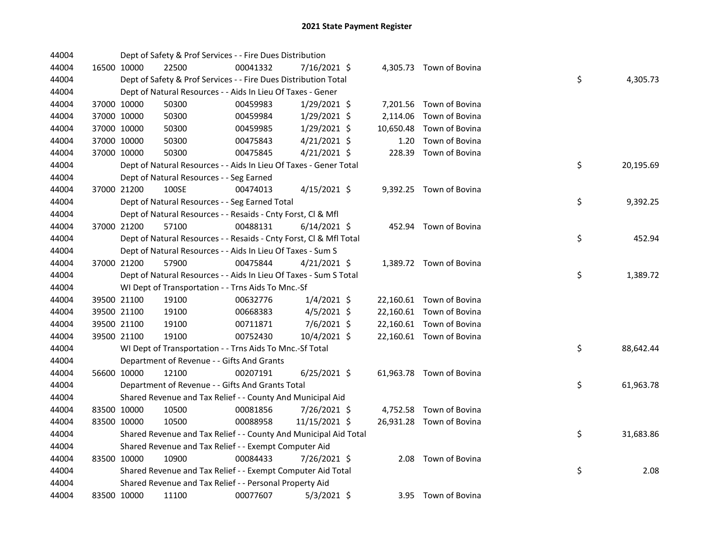| 44004 |             | Dept of Safety & Prof Services - - Fire Dues Distribution          |          |                |           |                          |    |           |
|-------|-------------|--------------------------------------------------------------------|----------|----------------|-----------|--------------------------|----|-----------|
| 44004 | 16500 10000 | 22500                                                              | 00041332 | 7/16/2021 \$   |           | 4,305.73 Town of Bovina  |    |           |
| 44004 |             | Dept of Safety & Prof Services - - Fire Dues Distribution Total    |          |                |           |                          | \$ | 4,305.73  |
| 44004 |             | Dept of Natural Resources - - Aids In Lieu Of Taxes - Gener        |          |                |           |                          |    |           |
| 44004 | 37000 10000 | 50300                                                              | 00459983 | 1/29/2021 \$   |           | 7,201.56 Town of Bovina  |    |           |
| 44004 | 37000 10000 | 50300                                                              | 00459984 | $1/29/2021$ \$ | 2,114.06  | Town of Bovina           |    |           |
| 44004 | 37000 10000 | 50300                                                              | 00459985 | 1/29/2021 \$   | 10,650.48 | Town of Bovina           |    |           |
| 44004 | 37000 10000 | 50300                                                              | 00475843 | $4/21/2021$ \$ | 1.20      | Town of Bovina           |    |           |
| 44004 | 37000 10000 | 50300                                                              | 00475845 | $4/21/2021$ \$ | 228.39    | Town of Bovina           |    |           |
| 44004 |             | Dept of Natural Resources - - Aids In Lieu Of Taxes - Gener Total  |          |                |           |                          | \$ | 20,195.69 |
| 44004 |             | Dept of Natural Resources - - Seg Earned                           |          |                |           |                          |    |           |
| 44004 | 37000 21200 | 100SE                                                              | 00474013 | $4/15/2021$ \$ |           | 9,392.25 Town of Bovina  |    |           |
| 44004 |             | Dept of Natural Resources - - Seg Earned Total                     |          |                |           |                          | \$ | 9,392.25  |
| 44004 |             | Dept of Natural Resources - - Resaids - Cnty Forst, Cl & Mfl       |          |                |           |                          |    |           |
| 44004 | 37000 21200 | 57100                                                              | 00488131 | $6/14/2021$ \$ |           | 452.94 Town of Bovina    |    |           |
| 44004 |             | Dept of Natural Resources - - Resaids - Cnty Forst, Cl & Mfl Total |          |                |           |                          | \$ | 452.94    |
| 44004 |             | Dept of Natural Resources - - Aids In Lieu Of Taxes - Sum S        |          |                |           |                          |    |           |
| 44004 | 37000 21200 | 57900                                                              | 00475844 | $4/21/2021$ \$ |           | 1,389.72 Town of Bovina  |    |           |
| 44004 |             | Dept of Natural Resources - - Aids In Lieu Of Taxes - Sum S Total  |          |                |           |                          | \$ | 1,389.72  |
| 44004 |             | WI Dept of Transportation - - Trns Aids To Mnc.-Sf                 |          |                |           |                          |    |           |
| 44004 | 39500 21100 | 19100                                                              | 00632776 | $1/4/2021$ \$  |           | 22,160.61 Town of Bovina |    |           |
| 44004 | 39500 21100 | 19100                                                              | 00668383 | $4/5/2021$ \$  |           | 22,160.61 Town of Bovina |    |           |
| 44004 | 39500 21100 | 19100                                                              | 00711871 | 7/6/2021 \$    |           | 22,160.61 Town of Bovina |    |           |
| 44004 | 39500 21100 | 19100                                                              | 00752430 | 10/4/2021 \$   |           | 22,160.61 Town of Bovina |    |           |
| 44004 |             | WI Dept of Transportation - - Trns Aids To Mnc.-Sf Total           |          |                |           |                          | \$ | 88,642.44 |
| 44004 |             | Department of Revenue - - Gifts And Grants                         |          |                |           |                          |    |           |
| 44004 | 56600 10000 | 12100                                                              | 00207191 | 6/25/2021 \$   |           | 61,963.78 Town of Bovina |    |           |
| 44004 |             | Department of Revenue - - Gifts And Grants Total                   |          |                |           |                          | \$ | 61,963.78 |
| 44004 |             | Shared Revenue and Tax Relief - - County And Municipal Aid         |          |                |           |                          |    |           |
| 44004 | 83500 10000 | 10500                                                              | 00081856 | 7/26/2021 \$   |           | 4,752.58 Town of Bovina  |    |           |
| 44004 | 83500 10000 | 10500                                                              | 00088958 | 11/15/2021 \$  |           | 26,931.28 Town of Bovina |    |           |
| 44004 |             | Shared Revenue and Tax Relief - - County And Municipal Aid Total   |          |                |           |                          | \$ | 31,683.86 |
| 44004 |             | Shared Revenue and Tax Relief - - Exempt Computer Aid              |          |                |           |                          |    |           |
| 44004 | 83500 10000 | 10900                                                              | 00084433 | 7/26/2021 \$   |           | 2.08 Town of Bovina      |    |           |
| 44004 |             | Shared Revenue and Tax Relief - - Exempt Computer Aid Total        |          |                |           |                          | \$ | 2.08      |
| 44004 |             | Shared Revenue and Tax Relief - - Personal Property Aid            |          |                |           |                          |    |           |
| 44004 | 83500 10000 | 11100                                                              | 00077607 | $5/3/2021$ \$  |           | 3.95 Town of Bovina      |    |           |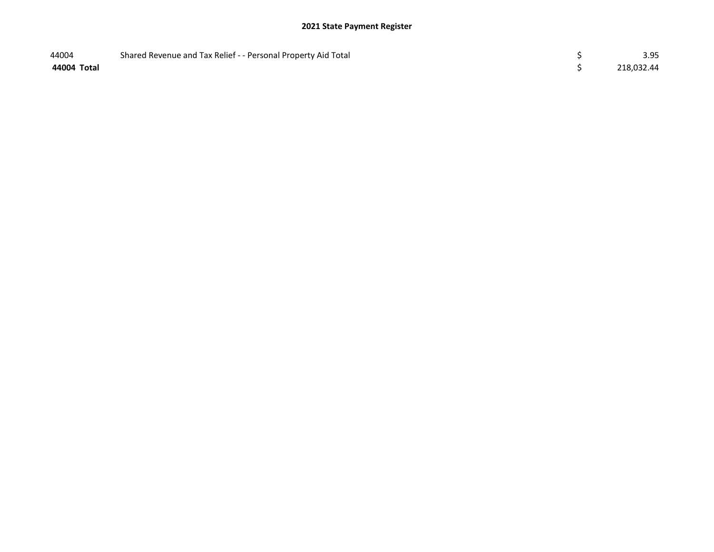| 44004       | Shared Revenue and Tax Relief - - Personal Property Aid Total | 3.95       |
|-------------|---------------------------------------------------------------|------------|
| 44004 Total |                                                               | 218,032.44 |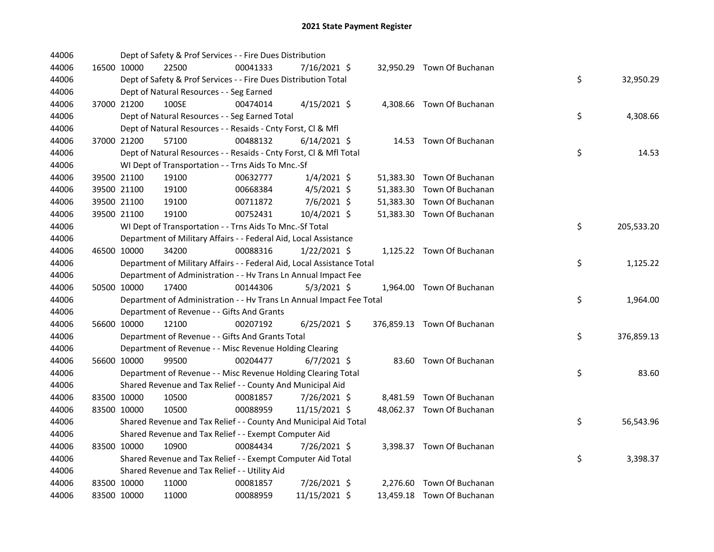| 44006 |             | Dept of Safety & Prof Services - - Fire Dues Distribution              |          |                |  |                             |    |            |
|-------|-------------|------------------------------------------------------------------------|----------|----------------|--|-----------------------------|----|------------|
| 44006 | 16500 10000 | 22500                                                                  | 00041333 | 7/16/2021 \$   |  | 32,950.29 Town Of Buchanan  |    |            |
| 44006 |             | Dept of Safety & Prof Services - - Fire Dues Distribution Total        |          |                |  |                             | \$ | 32,950.29  |
| 44006 |             | Dept of Natural Resources - - Seg Earned                               |          |                |  |                             |    |            |
| 44006 | 37000 21200 | 100SE                                                                  | 00474014 | $4/15/2021$ \$ |  | 4,308.66 Town Of Buchanan   |    |            |
| 44006 |             | Dept of Natural Resources - - Seg Earned Total                         |          |                |  |                             | \$ | 4,308.66   |
| 44006 |             | Dept of Natural Resources - - Resaids - Cnty Forst, Cl & Mfl           |          |                |  |                             |    |            |
| 44006 | 37000 21200 | 57100                                                                  | 00488132 | $6/14/2021$ \$ |  | 14.53 Town Of Buchanan      |    |            |
| 44006 |             | Dept of Natural Resources - - Resaids - Cnty Forst, Cl & Mfl Total     |          |                |  |                             | \$ | 14.53      |
| 44006 |             | WI Dept of Transportation - - Trns Aids To Mnc.-Sf                     |          |                |  |                             |    |            |
| 44006 | 39500 21100 | 19100                                                                  | 00632777 | $1/4/2021$ \$  |  | 51,383.30 Town Of Buchanan  |    |            |
| 44006 | 39500 21100 | 19100                                                                  | 00668384 | 4/5/2021 \$    |  | 51,383.30 Town Of Buchanan  |    |            |
| 44006 | 39500 21100 | 19100                                                                  | 00711872 | $7/6/2021$ \$  |  | 51,383.30 Town Of Buchanan  |    |            |
| 44006 | 39500 21100 | 19100                                                                  | 00752431 | 10/4/2021 \$   |  | 51,383.30 Town Of Buchanan  |    |            |
| 44006 |             | WI Dept of Transportation - - Trns Aids To Mnc.-Sf Total               |          |                |  |                             | \$ | 205,533.20 |
| 44006 |             | Department of Military Affairs - - Federal Aid, Local Assistance       |          |                |  |                             |    |            |
| 44006 | 46500 10000 | 34200                                                                  | 00088316 | $1/22/2021$ \$ |  | 1,125.22 Town Of Buchanan   |    |            |
| 44006 |             | Department of Military Affairs - - Federal Aid, Local Assistance Total |          |                |  |                             | \$ | 1,125.22   |
| 44006 |             | Department of Administration - - Hv Trans Ln Annual Impact Fee         |          |                |  |                             |    |            |
| 44006 | 50500 10000 | 17400                                                                  | 00144306 | $5/3/2021$ \$  |  | 1,964.00 Town Of Buchanan   |    |            |
| 44006 |             | Department of Administration - - Hv Trans Ln Annual Impact Fee Total   |          |                |  |                             | \$ | 1,964.00   |
| 44006 |             | Department of Revenue - - Gifts And Grants                             |          |                |  |                             |    |            |
| 44006 | 56600 10000 | 12100                                                                  | 00207192 | $6/25/2021$ \$ |  | 376,859.13 Town Of Buchanan |    |            |
| 44006 |             | Department of Revenue - - Gifts And Grants Total                       |          |                |  |                             | \$ | 376,859.13 |
| 44006 |             | Department of Revenue - - Misc Revenue Holding Clearing                |          |                |  |                             |    |            |
| 44006 | 56600 10000 | 99500                                                                  | 00204477 | $6/7/2021$ \$  |  | 83.60 Town Of Buchanan      |    |            |
| 44006 |             | Department of Revenue - - Misc Revenue Holding Clearing Total          |          |                |  |                             | \$ | 83.60      |
| 44006 |             | Shared Revenue and Tax Relief - - County And Municipal Aid             |          |                |  |                             |    |            |
| 44006 | 83500 10000 | 10500                                                                  | 00081857 | 7/26/2021 \$   |  | 8,481.59 Town Of Buchanan   |    |            |
| 44006 | 83500 10000 | 10500                                                                  | 00088959 | 11/15/2021 \$  |  | 48,062.37 Town Of Buchanan  |    |            |
| 44006 |             | Shared Revenue and Tax Relief - - County And Municipal Aid Total       |          |                |  |                             | \$ | 56,543.96  |
| 44006 |             | Shared Revenue and Tax Relief - - Exempt Computer Aid                  |          |                |  |                             |    |            |
| 44006 | 83500 10000 | 10900                                                                  | 00084434 | 7/26/2021 \$   |  | 3,398.37 Town Of Buchanan   |    |            |
| 44006 |             | Shared Revenue and Tax Relief - - Exempt Computer Aid Total            |          |                |  |                             | \$ | 3,398.37   |
| 44006 |             | Shared Revenue and Tax Relief - - Utility Aid                          |          |                |  |                             |    |            |
| 44006 | 83500 10000 | 11000                                                                  | 00081857 | 7/26/2021 \$   |  | 2,276.60 Town Of Buchanan   |    |            |
| 44006 | 83500 10000 | 11000                                                                  | 00088959 | 11/15/2021 \$  |  | 13,459.18 Town Of Buchanan  |    |            |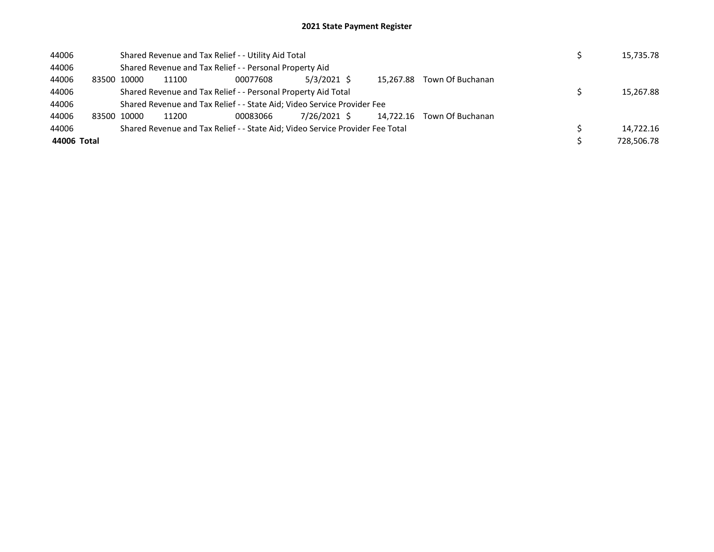| 44006       |             | Shared Revenue and Tax Relief - - Utility Aid Total                           |          |              |           |                            |  | 15,735.78  |
|-------------|-------------|-------------------------------------------------------------------------------|----------|--------------|-----------|----------------------------|--|------------|
| 44006       |             | Shared Revenue and Tax Relief - - Personal Property Aid                       |          |              |           |                            |  |            |
| 44006       | 83500 10000 | 11100                                                                         | 00077608 | 5/3/2021 \$  | 15.267.88 | Town Of Buchanan           |  |            |
| 44006       |             | Shared Revenue and Tax Relief - - Personal Property Aid Total                 |          |              |           |                            |  | 15.267.88  |
| 44006       |             | Shared Revenue and Tax Relief - - State Aid; Video Service Provider Fee       |          |              |           |                            |  |            |
| 44006       | 83500 10000 | 11200                                                                         | 00083066 | 7/26/2021 \$ |           | 14.722.16 Town Of Buchanan |  |            |
| 44006       |             | Shared Revenue and Tax Relief - - State Aid; Video Service Provider Fee Total |          |              |           |                            |  | 14.722.16  |
| 44006 Total |             |                                                                               |          |              |           |                            |  | 728,506.78 |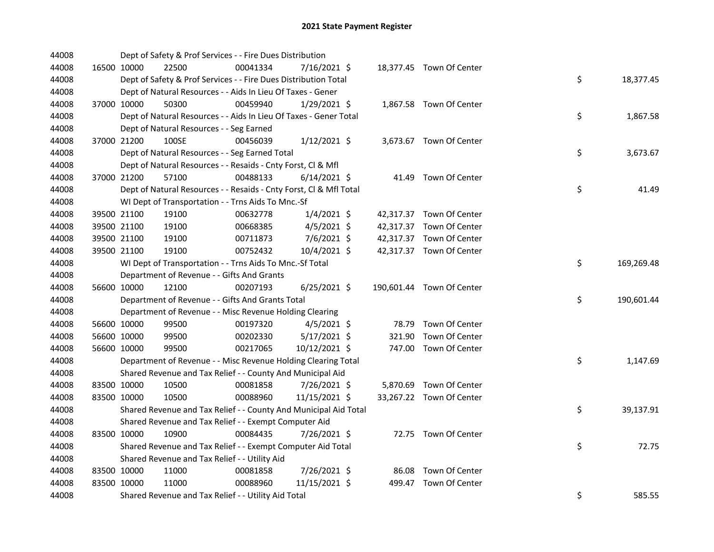| 44008 |             | Dept of Safety & Prof Services - - Fire Dues Distribution          |          |                |        |                           |    |            |
|-------|-------------|--------------------------------------------------------------------|----------|----------------|--------|---------------------------|----|------------|
| 44008 | 16500 10000 | 22500                                                              | 00041334 | 7/16/2021 \$   |        | 18,377.45 Town Of Center  |    |            |
| 44008 |             | Dept of Safety & Prof Services - - Fire Dues Distribution Total    |          |                |        |                           | \$ | 18,377.45  |
| 44008 |             | Dept of Natural Resources - - Aids In Lieu Of Taxes - Gener        |          |                |        |                           |    |            |
| 44008 | 37000 10000 | 50300                                                              | 00459940 | 1/29/2021 \$   |        | 1,867.58 Town Of Center   |    |            |
| 44008 |             | Dept of Natural Resources - - Aids In Lieu Of Taxes - Gener Total  |          |                |        |                           | \$ | 1,867.58   |
| 44008 |             | Dept of Natural Resources - - Seg Earned                           |          |                |        |                           |    |            |
| 44008 | 37000 21200 | 100SE                                                              | 00456039 | $1/12/2021$ \$ |        | 3,673.67 Town Of Center   |    |            |
| 44008 |             | Dept of Natural Resources - - Seg Earned Total                     |          |                |        |                           | \$ | 3,673.67   |
| 44008 |             | Dept of Natural Resources - - Resaids - Cnty Forst, CI & Mfl       |          |                |        |                           |    |            |
| 44008 | 37000 21200 | 57100                                                              | 00488133 | $6/14/2021$ \$ |        | 41.49 Town Of Center      |    |            |
| 44008 |             | Dept of Natural Resources - - Resaids - Cnty Forst, Cl & Mfl Total |          |                |        |                           | \$ | 41.49      |
| 44008 |             | WI Dept of Transportation - - Trns Aids To Mnc.-Sf                 |          |                |        |                           |    |            |
| 44008 | 39500 21100 | 19100                                                              | 00632778 | $1/4/2021$ \$  |        | 42,317.37 Town Of Center  |    |            |
| 44008 | 39500 21100 | 19100                                                              | 00668385 | $4/5/2021$ \$  |        | 42,317.37 Town Of Center  |    |            |
| 44008 | 39500 21100 | 19100                                                              | 00711873 | 7/6/2021 \$    |        | 42,317.37 Town Of Center  |    |            |
| 44008 | 39500 21100 | 19100                                                              | 00752432 | 10/4/2021 \$   |        | 42,317.37 Town Of Center  |    |            |
| 44008 |             | WI Dept of Transportation - - Trns Aids To Mnc.-Sf Total           |          |                |        |                           | \$ | 169,269.48 |
| 44008 |             | Department of Revenue - - Gifts And Grants                         |          |                |        |                           |    |            |
| 44008 | 56600 10000 | 12100                                                              | 00207193 | 6/25/2021 \$   |        | 190,601.44 Town Of Center |    |            |
| 44008 |             | Department of Revenue - - Gifts And Grants Total                   |          |                |        |                           | \$ | 190,601.44 |
| 44008 |             | Department of Revenue - - Misc Revenue Holding Clearing            |          |                |        |                           |    |            |
| 44008 | 56600 10000 | 99500                                                              | 00197320 | $4/5/2021$ \$  |        | 78.79 Town Of Center      |    |            |
| 44008 | 56600 10000 | 99500                                                              | 00202330 | 5/17/2021 \$   | 321.90 | Town Of Center            |    |            |
| 44008 | 56600 10000 | 99500                                                              | 00217065 | 10/12/2021 \$  |        | 747.00 Town Of Center     |    |            |
| 44008 |             | Department of Revenue - - Misc Revenue Holding Clearing Total      |          |                |        |                           | \$ | 1,147.69   |
| 44008 |             | Shared Revenue and Tax Relief - - County And Municipal Aid         |          |                |        |                           |    |            |
| 44008 | 83500 10000 | 10500                                                              | 00081858 | 7/26/2021 \$   |        | 5,870.69 Town Of Center   |    |            |
| 44008 | 83500 10000 | 10500                                                              | 00088960 | 11/15/2021 \$  |        | 33,267.22 Town Of Center  |    |            |
| 44008 |             | Shared Revenue and Tax Relief - - County And Municipal Aid Total   |          |                |        |                           | \$ | 39,137.91  |
| 44008 |             | Shared Revenue and Tax Relief - - Exempt Computer Aid              |          |                |        |                           |    |            |
| 44008 | 83500 10000 | 10900                                                              | 00084435 | 7/26/2021 \$   |        | 72.75 Town Of Center      |    |            |
| 44008 |             | Shared Revenue and Tax Relief - - Exempt Computer Aid Total        |          |                |        |                           | \$ | 72.75      |
| 44008 |             | Shared Revenue and Tax Relief - - Utility Aid                      |          |                |        |                           |    |            |
| 44008 | 83500 10000 | 11000                                                              | 00081858 | 7/26/2021 \$   |        | 86.08 Town Of Center      |    |            |
| 44008 | 83500 10000 | 11000                                                              | 00088960 | 11/15/2021 \$  |        | 499.47 Town Of Center     |    |            |
| 44008 |             | Shared Revenue and Tax Relief - - Utility Aid Total                |          |                |        |                           | \$ | 585.55     |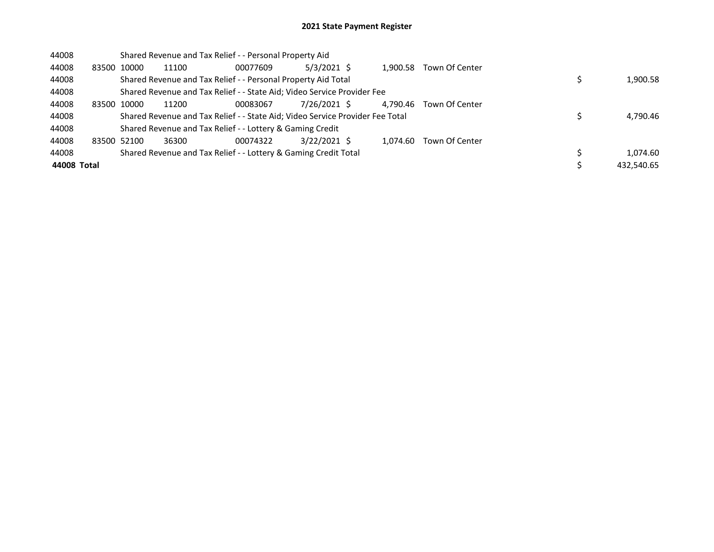| 44008       |             |       | Shared Revenue and Tax Relief - - Personal Property Aid                       |          |               |          |                |            |
|-------------|-------------|-------|-------------------------------------------------------------------------------|----------|---------------|----------|----------------|------------|
| 44008       | 83500 10000 |       | 11100                                                                         | 00077609 | $5/3/2021$ \$ | 1.900.58 | Town Of Center |            |
| 44008       |             |       | Shared Revenue and Tax Relief - - Personal Property Aid Total                 |          |               |          |                | 1,900.58   |
| 44008       |             |       | Shared Revenue and Tax Relief - - State Aid; Video Service Provider Fee       |          |               |          |                |            |
| 44008       | 83500       | 10000 | 11200                                                                         | 00083067 | 7/26/2021 \$  | 4.790.46 | Town Of Center |            |
| 44008       |             |       | Shared Revenue and Tax Relief - - State Aid; Video Service Provider Fee Total |          |               |          |                | 4,790.46   |
| 44008       |             |       | Shared Revenue and Tax Relief - - Lottery & Gaming Credit                     |          |               |          |                |            |
| 44008       | 83500 52100 |       | 36300                                                                         | 00074322 | 3/22/2021 \$  | 1.074.60 | Town Of Center |            |
| 44008       |             |       | Shared Revenue and Tax Relief - - Lottery & Gaming Credit Total               |          |               |          |                | 1.074.60   |
| 44008 Total |             |       |                                                                               |          |               |          |                | 432,540.65 |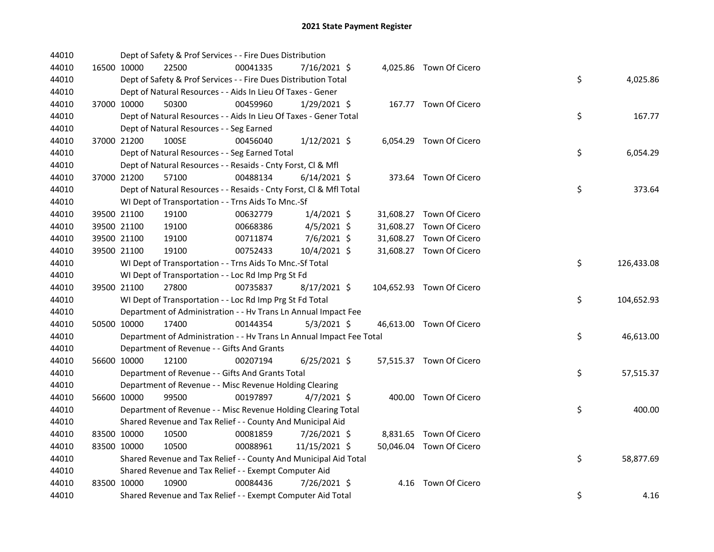| 44010 | Dept of Safety & Prof Services - - Fire Dues Distribution            |          |                |  |                           |    |            |
|-------|----------------------------------------------------------------------|----------|----------------|--|---------------------------|----|------------|
| 44010 | 16500 10000<br>22500                                                 | 00041335 | 7/16/2021 \$   |  | 4,025.86 Town Of Cicero   |    |            |
| 44010 | Dept of Safety & Prof Services - - Fire Dues Distribution Total      |          |                |  |                           | \$ | 4,025.86   |
| 44010 | Dept of Natural Resources - - Aids In Lieu Of Taxes - Gener          |          |                |  |                           |    |            |
| 44010 | 37000 10000<br>50300                                                 | 00459960 | 1/29/2021 \$   |  | 167.77 Town Of Cicero     |    |            |
| 44010 | Dept of Natural Resources - - Aids In Lieu Of Taxes - Gener Total    |          |                |  |                           | \$ | 167.77     |
| 44010 | Dept of Natural Resources - - Seg Earned                             |          |                |  |                           |    |            |
| 44010 | 37000 21200<br>100SE                                                 | 00456040 | $1/12/2021$ \$ |  | 6,054.29 Town Of Cicero   |    |            |
| 44010 | Dept of Natural Resources - - Seg Earned Total                       |          |                |  |                           | \$ | 6,054.29   |
| 44010 | Dept of Natural Resources - - Resaids - Cnty Forst, Cl & Mfl         |          |                |  |                           |    |            |
| 44010 | 37000 21200<br>57100                                                 | 00488134 | $6/14/2021$ \$ |  | 373.64 Town Of Cicero     |    |            |
| 44010 | Dept of Natural Resources - - Resaids - Cnty Forst, Cl & Mfl Total   |          |                |  |                           | \$ | 373.64     |
| 44010 | WI Dept of Transportation - - Trns Aids To Mnc.-Sf                   |          |                |  |                           |    |            |
| 44010 | 39500 21100<br>19100                                                 | 00632779 | $1/4/2021$ \$  |  | 31,608.27 Town Of Cicero  |    |            |
| 44010 | 39500 21100<br>19100                                                 | 00668386 | $4/5/2021$ \$  |  | 31,608.27 Town Of Cicero  |    |            |
| 44010 | 19100<br>39500 21100                                                 | 00711874 | 7/6/2021 \$    |  | 31,608.27 Town Of Cicero  |    |            |
| 44010 | 39500 21100<br>19100                                                 | 00752433 | 10/4/2021 \$   |  | 31,608.27 Town Of Cicero  |    |            |
| 44010 | WI Dept of Transportation - - Trns Aids To Mnc.-Sf Total             |          |                |  |                           | \$ | 126,433.08 |
| 44010 | WI Dept of Transportation - - Loc Rd Imp Prg St Fd                   |          |                |  |                           |    |            |
| 44010 | 27800<br>39500 21100                                                 | 00735837 | 8/17/2021 \$   |  | 104,652.93 Town Of Cicero |    |            |
| 44010 | WI Dept of Transportation - - Loc Rd Imp Prg St Fd Total             |          |                |  |                           | \$ | 104,652.93 |
| 44010 | Department of Administration - - Hv Trans Ln Annual Impact Fee       |          |                |  |                           |    |            |
| 44010 | 50500 10000<br>17400                                                 | 00144354 | $5/3/2021$ \$  |  | 46,613.00 Town Of Cicero  |    |            |
| 44010 | Department of Administration - - Hv Trans Ln Annual Impact Fee Total |          |                |  |                           | \$ | 46,613.00  |
| 44010 | Department of Revenue - - Gifts And Grants                           |          |                |  |                           |    |            |
| 44010 | 56600 10000<br>12100                                                 | 00207194 | $6/25/2021$ \$ |  | 57,515.37 Town Of Cicero  |    |            |
| 44010 | Department of Revenue - - Gifts And Grants Total                     |          |                |  |                           | \$ | 57,515.37  |
| 44010 | Department of Revenue - - Misc Revenue Holding Clearing              |          |                |  |                           |    |            |
| 44010 | 56600 10000<br>99500                                                 | 00197897 | $4/7/2021$ \$  |  | 400.00 Town Of Cicero     |    |            |
| 44010 | Department of Revenue - - Misc Revenue Holding Clearing Total        |          |                |  |                           | \$ | 400.00     |
| 44010 | Shared Revenue and Tax Relief - - County And Municipal Aid           |          |                |  |                           |    |            |
| 44010 | 83500 10000<br>10500                                                 | 00081859 | 7/26/2021 \$   |  | 8,831.65 Town Of Cicero   |    |            |
| 44010 | 83500 10000<br>10500                                                 | 00088961 | 11/15/2021 \$  |  | 50,046.04 Town Of Cicero  |    |            |
| 44010 | Shared Revenue and Tax Relief - - County And Municipal Aid Total     |          |                |  |                           | \$ | 58,877.69  |
| 44010 | Shared Revenue and Tax Relief - - Exempt Computer Aid                |          |                |  |                           |    |            |
| 44010 | 83500 10000<br>10900                                                 | 00084436 | 7/26/2021 \$   |  | 4.16 Town Of Cicero       |    |            |
| 44010 | Shared Revenue and Tax Relief - - Exempt Computer Aid Total          |          |                |  |                           | \$ | 4.16       |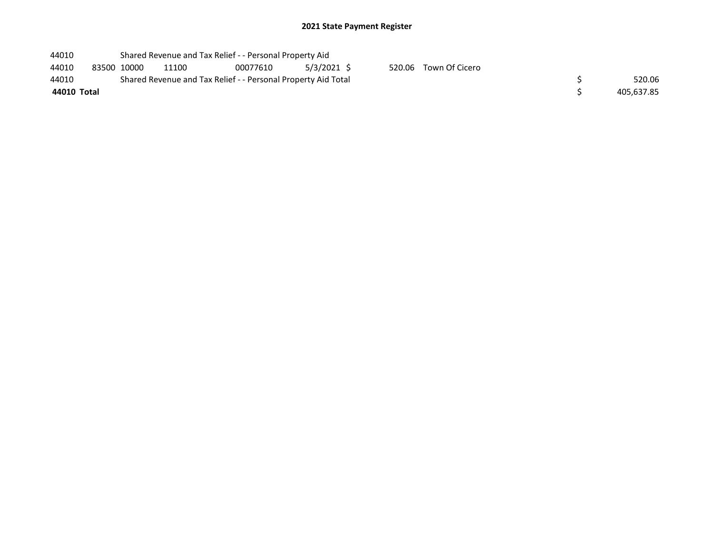| 44010       |             |       | Shared Revenue and Tax Relief - - Personal Property Aid       |             |                       |            |
|-------------|-------------|-------|---------------------------------------------------------------|-------------|-----------------------|------------|
| 44010       | 83500 10000 | 11100 | 00077610                                                      | 5/3/2021 \$ | 520.06 Town Of Cicero |            |
| 44010       |             |       | Shared Revenue and Tax Relief - - Personal Property Aid Total |             |                       | 520.06     |
| 44010 Total |             |       |                                                               |             |                       | 405,637.85 |
|             |             |       |                                                               |             |                       |            |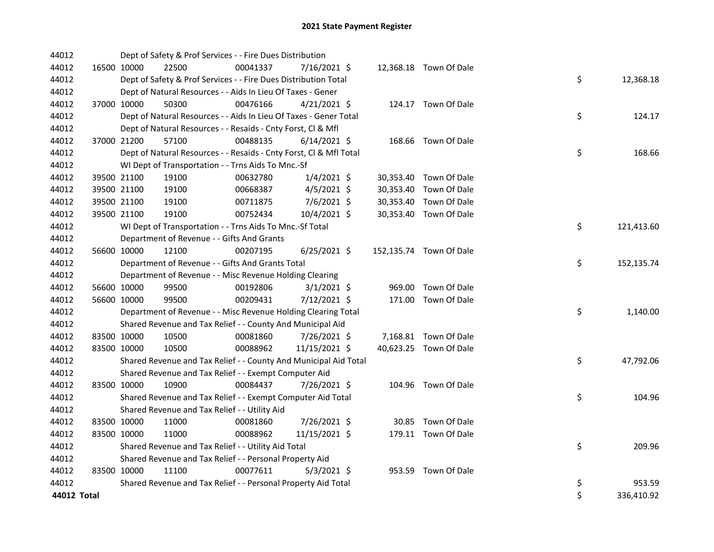| 44012       | Dept of Safety & Prof Services - - Fire Dues Distribution          |          |                |                         |                  |
|-------------|--------------------------------------------------------------------|----------|----------------|-------------------------|------------------|
| 44012       | 16500 10000<br>22500                                               | 00041337 | 7/16/2021 \$   | 12,368.18 Town Of Dale  |                  |
| 44012       | Dept of Safety & Prof Services - - Fire Dues Distribution Total    |          |                |                         | \$<br>12,368.18  |
| 44012       | Dept of Natural Resources - - Aids In Lieu Of Taxes - Gener        |          |                |                         |                  |
| 44012       | 37000 10000<br>50300                                               | 00476166 | $4/21/2021$ \$ | 124.17 Town Of Dale     |                  |
| 44012       | Dept of Natural Resources - - Aids In Lieu Of Taxes - Gener Total  |          |                |                         | \$<br>124.17     |
| 44012       | Dept of Natural Resources - - Resaids - Cnty Forst, Cl & Mfl       |          |                |                         |                  |
| 44012       | 37000 21200<br>57100                                               | 00488135 | $6/14/2021$ \$ | 168.66 Town Of Dale     |                  |
| 44012       | Dept of Natural Resources - - Resaids - Cnty Forst, CI & Mfl Total |          |                |                         | \$<br>168.66     |
| 44012       | WI Dept of Transportation - - Trns Aids To Mnc.-Sf                 |          |                |                         |                  |
| 44012       | 39500 21100<br>19100                                               | 00632780 | $1/4/2021$ \$  | 30,353.40 Town Of Dale  |                  |
| 44012       | 39500 21100<br>19100                                               | 00668387 | $4/5/2021$ \$  | 30,353.40 Town Of Dale  |                  |
| 44012       | 19100<br>39500 21100                                               | 00711875 | 7/6/2021 \$    | 30,353.40 Town Of Dale  |                  |
| 44012       | 39500 21100<br>19100                                               | 00752434 | 10/4/2021 \$   | 30,353.40 Town Of Dale  |                  |
| 44012       | WI Dept of Transportation - - Trns Aids To Mnc.-Sf Total           |          |                |                         | \$<br>121,413.60 |
| 44012       | Department of Revenue - - Gifts And Grants                         |          |                |                         |                  |
| 44012       | 56600 10000<br>12100                                               | 00207195 | $6/25/2021$ \$ | 152,135.74 Town Of Dale |                  |
| 44012       | Department of Revenue - - Gifts And Grants Total                   |          |                |                         | \$<br>152,135.74 |
| 44012       | Department of Revenue - - Misc Revenue Holding Clearing            |          |                |                         |                  |
| 44012       | 99500<br>56600 10000                                               | 00192806 | $3/1/2021$ \$  | 969.00 Town Of Dale     |                  |
| 44012       | 56600 10000<br>99500                                               | 00209431 | 7/12/2021 \$   | 171.00 Town Of Dale     |                  |
| 44012       | Department of Revenue - - Misc Revenue Holding Clearing Total      |          |                |                         | \$<br>1,140.00   |
| 44012       | Shared Revenue and Tax Relief - - County And Municipal Aid         |          |                |                         |                  |
| 44012       | 83500 10000<br>10500                                               | 00081860 | 7/26/2021 \$   | 7,168.81 Town Of Dale   |                  |
| 44012       | 83500 10000<br>10500                                               | 00088962 | 11/15/2021 \$  | 40,623.25 Town Of Dale  |                  |
| 44012       | Shared Revenue and Tax Relief - - County And Municipal Aid Total   |          |                |                         | \$<br>47,792.06  |
| 44012       | Shared Revenue and Tax Relief - - Exempt Computer Aid              |          |                |                         |                  |
| 44012       | 83500 10000<br>10900                                               | 00084437 | 7/26/2021 \$   | 104.96 Town Of Dale     |                  |
| 44012       | Shared Revenue and Tax Relief - - Exempt Computer Aid Total        |          |                |                         | \$<br>104.96     |
| 44012       | Shared Revenue and Tax Relief - - Utility Aid                      |          |                |                         |                  |
| 44012       | 83500 10000<br>11000                                               | 00081860 | 7/26/2021 \$   | 30.85 Town Of Dale      |                  |
| 44012       | 83500 10000<br>11000                                               | 00088962 | 11/15/2021 \$  | 179.11 Town Of Dale     |                  |
| 44012       | Shared Revenue and Tax Relief - - Utility Aid Total                |          |                |                         | \$<br>209.96     |
| 44012       | Shared Revenue and Tax Relief - - Personal Property Aid            |          |                |                         |                  |
| 44012       | 83500 10000<br>11100                                               | 00077611 | $5/3/2021$ \$  | 953.59 Town Of Dale     |                  |
| 44012       | Shared Revenue and Tax Relief - - Personal Property Aid Total      |          |                |                         | \$<br>953.59     |
| 44012 Total |                                                                    |          |                |                         | \$<br>336,410.92 |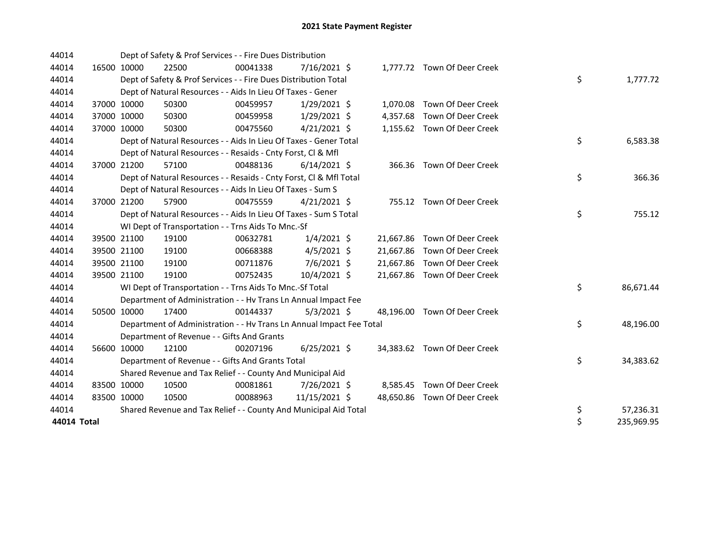| 44014       |             | Dept of Safety & Prof Services - - Fire Dues Distribution            |          |                |  |                              |    |            |
|-------------|-------------|----------------------------------------------------------------------|----------|----------------|--|------------------------------|----|------------|
| 44014       | 16500 10000 | 22500                                                                | 00041338 | 7/16/2021 \$   |  | 1,777.72 Town Of Deer Creek  |    |            |
| 44014       |             | Dept of Safety & Prof Services - - Fire Dues Distribution Total      |          |                |  |                              | \$ | 1,777.72   |
| 44014       |             | Dept of Natural Resources - - Aids In Lieu Of Taxes - Gener          |          |                |  |                              |    |            |
| 44014       | 37000 10000 | 50300                                                                | 00459957 | $1/29/2021$ \$ |  | 1,070.08 Town Of Deer Creek  |    |            |
| 44014       | 37000 10000 | 50300                                                                | 00459958 | $1/29/2021$ \$ |  | 4,357.68 Town Of Deer Creek  |    |            |
| 44014       | 37000 10000 | 50300                                                                | 00475560 | $4/21/2021$ \$ |  | 1,155.62 Town Of Deer Creek  |    |            |
| 44014       |             | Dept of Natural Resources - - Aids In Lieu Of Taxes - Gener Total    |          |                |  |                              | \$ | 6,583.38   |
| 44014       |             | Dept of Natural Resources - - Resaids - Cnty Forst, Cl & Mfl         |          |                |  |                              |    |            |
| 44014       | 37000 21200 | 57100                                                                | 00488136 | $6/14/2021$ \$ |  | 366.36 Town Of Deer Creek    |    |            |
| 44014       |             | Dept of Natural Resources - - Resaids - Cnty Forst, Cl & Mfl Total   |          |                |  |                              | \$ | 366.36     |
| 44014       |             | Dept of Natural Resources - - Aids In Lieu Of Taxes - Sum S          |          |                |  |                              |    |            |
| 44014       | 37000 21200 | 57900                                                                | 00475559 | $4/21/2021$ \$ |  | 755.12 Town Of Deer Creek    |    |            |
| 44014       |             | Dept of Natural Resources - - Aids In Lieu Of Taxes - Sum S Total    |          |                |  |                              | \$ | 755.12     |
| 44014       |             | WI Dept of Transportation - - Trns Aids To Mnc.-Sf                   |          |                |  |                              |    |            |
| 44014       | 39500 21100 | 19100                                                                | 00632781 | $1/4/2021$ \$  |  | 21,667.86 Town Of Deer Creek |    |            |
| 44014       | 39500 21100 | 19100                                                                | 00668388 | $4/5/2021$ \$  |  | 21,667.86 Town Of Deer Creek |    |            |
| 44014       | 39500 21100 | 19100                                                                | 00711876 | 7/6/2021 \$    |  | 21,667.86 Town Of Deer Creek |    |            |
| 44014       | 39500 21100 | 19100                                                                | 00752435 | 10/4/2021 \$   |  | 21,667.86 Town Of Deer Creek |    |            |
| 44014       |             | WI Dept of Transportation - - Trns Aids To Mnc.-Sf Total             |          |                |  |                              | \$ | 86,671.44  |
| 44014       |             | Department of Administration - - Hv Trans Ln Annual Impact Fee       |          |                |  |                              |    |            |
| 44014       | 50500 10000 | 17400                                                                | 00144337 | $5/3/2021$ \$  |  | 48,196.00 Town Of Deer Creek |    |            |
| 44014       |             | Department of Administration - - Hv Trans Ln Annual Impact Fee Total |          |                |  |                              | \$ | 48,196.00  |
| 44014       |             | Department of Revenue - - Gifts And Grants                           |          |                |  |                              |    |            |
| 44014       | 56600 10000 | 12100                                                                | 00207196 | $6/25/2021$ \$ |  | 34,383.62 Town Of Deer Creek |    |            |
| 44014       |             | Department of Revenue - - Gifts And Grants Total                     |          |                |  |                              | \$ | 34,383.62  |
| 44014       |             | Shared Revenue and Tax Relief - - County And Municipal Aid           |          |                |  |                              |    |            |
| 44014       | 83500 10000 | 10500                                                                | 00081861 | 7/26/2021 \$   |  | 8,585.45 Town Of Deer Creek  |    |            |
| 44014       | 83500 10000 | 10500                                                                | 00088963 | 11/15/2021 \$  |  | 48,650.86 Town Of Deer Creek |    |            |
| 44014       |             | Shared Revenue and Tax Relief - - County And Municipal Aid Total     |          |                |  |                              | \$ | 57,236.31  |
| 44014 Total |             |                                                                      |          |                |  |                              | \$ | 235,969.95 |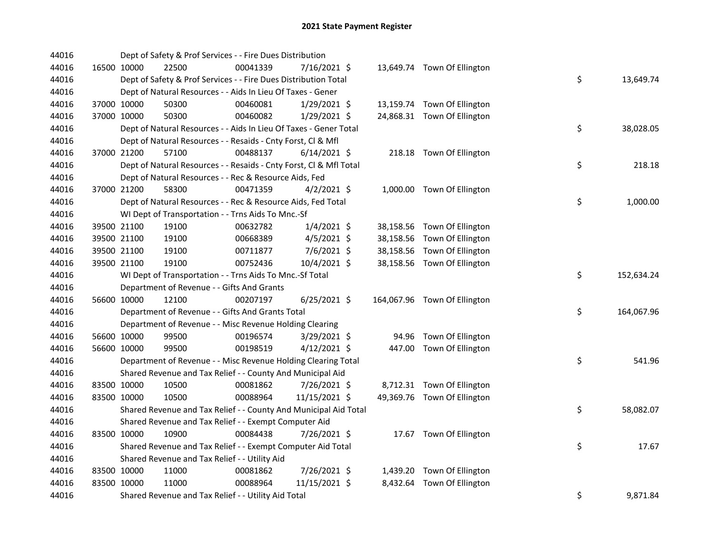| 44016 |             | Dept of Safety & Prof Services - - Fire Dues Distribution          |          |                |  |                              |    |            |
|-------|-------------|--------------------------------------------------------------------|----------|----------------|--|------------------------------|----|------------|
| 44016 | 16500 10000 | 22500                                                              | 00041339 | 7/16/2021 \$   |  | 13,649.74 Town Of Ellington  |    |            |
| 44016 |             | Dept of Safety & Prof Services - - Fire Dues Distribution Total    |          |                |  |                              | \$ | 13,649.74  |
| 44016 |             | Dept of Natural Resources - - Aids In Lieu Of Taxes - Gener        |          |                |  |                              |    |            |
| 44016 | 37000 10000 | 50300                                                              | 00460081 | 1/29/2021 \$   |  | 13,159.74 Town Of Ellington  |    |            |
| 44016 | 37000 10000 | 50300                                                              | 00460082 | 1/29/2021 \$   |  | 24,868.31 Town Of Ellington  |    |            |
| 44016 |             | Dept of Natural Resources - - Aids In Lieu Of Taxes - Gener Total  |          |                |  |                              | \$ | 38,028.05  |
| 44016 |             | Dept of Natural Resources - - Resaids - Cnty Forst, Cl & Mfl       |          |                |  |                              |    |            |
| 44016 | 37000 21200 | 57100                                                              | 00488137 | $6/14/2021$ \$ |  | 218.18 Town Of Ellington     |    |            |
| 44016 |             | Dept of Natural Resources - - Resaids - Cnty Forst, CI & Mfl Total |          |                |  |                              | \$ | 218.18     |
| 44016 |             | Dept of Natural Resources - - Rec & Resource Aids, Fed             |          |                |  |                              |    |            |
| 44016 | 37000 21200 | 58300                                                              | 00471359 | $4/2/2021$ \$  |  | 1,000.00 Town Of Ellington   |    |            |
| 44016 |             | Dept of Natural Resources - - Rec & Resource Aids, Fed Total       |          |                |  |                              | \$ | 1,000.00   |
| 44016 |             | WI Dept of Transportation - - Trns Aids To Mnc.-Sf                 |          |                |  |                              |    |            |
| 44016 | 39500 21100 | 19100                                                              | 00632782 | $1/4/2021$ \$  |  | 38,158.56 Town Of Ellington  |    |            |
| 44016 | 39500 21100 | 19100                                                              | 00668389 | 4/5/2021 \$    |  | 38,158.56 Town Of Ellington  |    |            |
| 44016 | 39500 21100 | 19100                                                              | 00711877 | 7/6/2021 \$    |  | 38,158.56 Town Of Ellington  |    |            |
| 44016 | 39500 21100 | 19100                                                              | 00752436 | 10/4/2021 \$   |  | 38,158.56 Town Of Ellington  |    |            |
| 44016 |             | WI Dept of Transportation - - Trns Aids To Mnc.-Sf Total           |          |                |  |                              | \$ | 152,634.24 |
| 44016 |             | Department of Revenue - - Gifts And Grants                         |          |                |  |                              |    |            |
| 44016 | 56600 10000 | 12100                                                              | 00207197 | $6/25/2021$ \$ |  | 164,067.96 Town Of Ellington |    |            |
| 44016 |             | Department of Revenue - - Gifts And Grants Total                   |          |                |  |                              | \$ | 164,067.96 |
| 44016 |             | Department of Revenue - - Misc Revenue Holding Clearing            |          |                |  |                              |    |            |
| 44016 | 56600 10000 | 99500                                                              | 00196574 | 3/29/2021 \$   |  | 94.96 Town Of Ellington      |    |            |
| 44016 | 56600 10000 | 99500                                                              | 00198519 | $4/12/2021$ \$ |  | 447.00 Town Of Ellington     |    |            |
| 44016 |             | Department of Revenue - - Misc Revenue Holding Clearing Total      |          |                |  |                              | \$ | 541.96     |
| 44016 |             | Shared Revenue and Tax Relief - - County And Municipal Aid         |          |                |  |                              |    |            |
| 44016 | 83500 10000 | 10500                                                              | 00081862 | 7/26/2021 \$   |  | 8,712.31 Town Of Ellington   |    |            |
| 44016 | 83500 10000 | 10500                                                              | 00088964 | 11/15/2021 \$  |  | 49,369.76 Town Of Ellington  |    |            |
| 44016 |             | Shared Revenue and Tax Relief - - County And Municipal Aid Total   |          |                |  |                              | \$ | 58,082.07  |
| 44016 |             | Shared Revenue and Tax Relief - - Exempt Computer Aid              |          |                |  |                              |    |            |
| 44016 | 83500 10000 | 10900                                                              | 00084438 | 7/26/2021 \$   |  | 17.67 Town Of Ellington      |    |            |
| 44016 |             | Shared Revenue and Tax Relief - - Exempt Computer Aid Total        |          |                |  |                              | \$ | 17.67      |
| 44016 |             | Shared Revenue and Tax Relief - - Utility Aid                      |          |                |  |                              |    |            |
| 44016 | 83500 10000 | 11000                                                              | 00081862 | 7/26/2021 \$   |  | 1,439.20 Town Of Ellington   |    |            |
| 44016 | 83500 10000 | 11000                                                              | 00088964 | 11/15/2021 \$  |  | 8,432.64 Town Of Ellington   |    |            |
| 44016 |             | Shared Revenue and Tax Relief - - Utility Aid Total                |          |                |  |                              | \$ | 9,871.84   |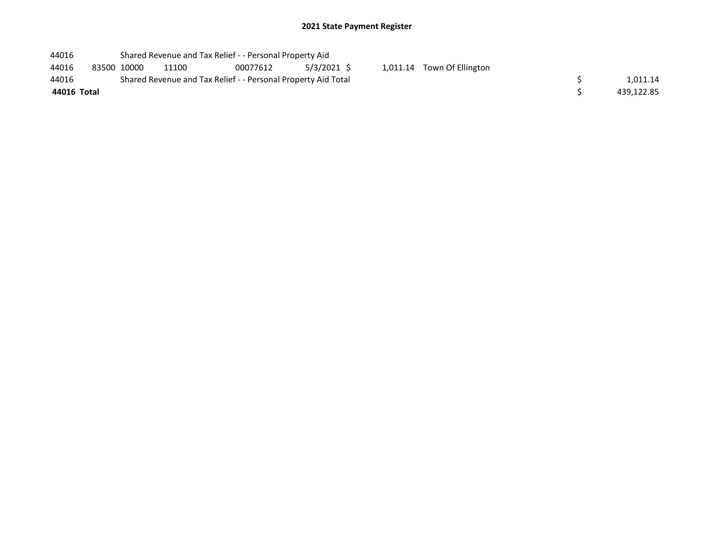| 44016       |             | Shared Revenue and Tax Relief - - Personal Property Aid       |          |               |                            |            |
|-------------|-------------|---------------------------------------------------------------|----------|---------------|----------------------------|------------|
| 44016       | 83500 10000 | 11100                                                         | 00077612 | $5/3/2021$ \$ | 1,011.14 Town Of Ellington |            |
| 44016       |             | Shared Revenue and Tax Relief - - Personal Property Aid Total |          |               |                            | 1.011.14   |
| 44016 Total |             |                                                               |          |               |                            | 439,122.85 |
|             |             |                                                               |          |               |                            |            |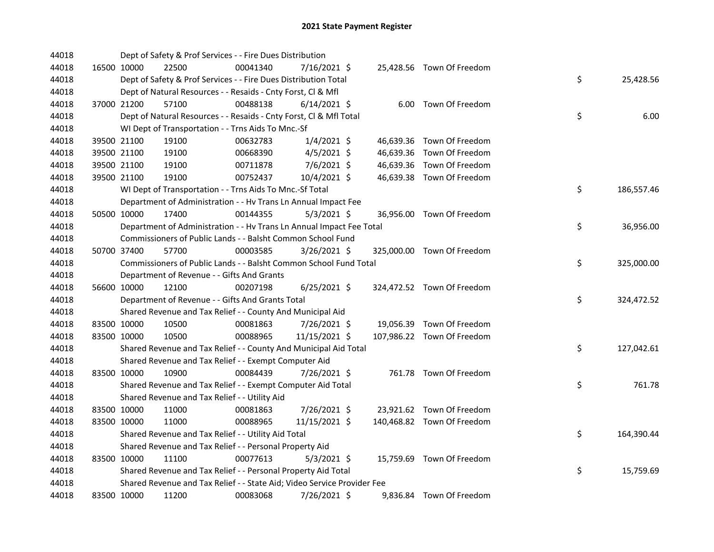| 44018 |                                               | Dept of Safety & Prof Services - - Fire Dues Distribution               |                |  |                            |    |            |
|-------|-----------------------------------------------|-------------------------------------------------------------------------|----------------|--|----------------------------|----|------------|
| 44018 | 16500 10000<br>22500                          | 00041340                                                                | 7/16/2021 \$   |  | 25,428.56 Town Of Freedom  |    |            |
| 44018 |                                               | Dept of Safety & Prof Services - - Fire Dues Distribution Total         |                |  |                            | \$ | 25,428.56  |
| 44018 |                                               | Dept of Natural Resources - - Resaids - Cnty Forst, Cl & Mfl            |                |  |                            |    |            |
| 44018 | 37000 21200<br>57100                          | 00488138                                                                | $6/14/2021$ \$ |  | 6.00 Town Of Freedom       |    |            |
| 44018 |                                               | Dept of Natural Resources - - Resaids - Cnty Forst, Cl & Mfl Total      |                |  |                            | \$ | 6.00       |
| 44018 |                                               | WI Dept of Transportation - - Trns Aids To Mnc.-Sf                      |                |  |                            |    |            |
| 44018 | 19100<br>39500 21100                          | 00632783                                                                | $1/4/2021$ \$  |  | 46,639.36 Town Of Freedom  |    |            |
| 44018 | 19100<br>39500 21100                          | 00668390                                                                | $4/5/2021$ \$  |  | 46,639.36 Town Of Freedom  |    |            |
| 44018 | 39500 21100<br>19100                          | 00711878                                                                | $7/6/2021$ \$  |  | 46,639.36 Town Of Freedom  |    |            |
| 44018 | 39500 21100<br>19100                          | 00752437                                                                | 10/4/2021 \$   |  | 46,639.38 Town Of Freedom  |    |            |
| 44018 |                                               | WI Dept of Transportation - - Trns Aids To Mnc.-Sf Total                |                |  |                            | \$ | 186,557.46 |
| 44018 |                                               | Department of Administration - - Hv Trans Ln Annual Impact Fee          |                |  |                            |    |            |
| 44018 | 50500 10000<br>17400                          | 00144355                                                                | $5/3/2021$ \$  |  | 36,956.00 Town Of Freedom  |    |            |
| 44018 |                                               | Department of Administration - - Hv Trans Ln Annual Impact Fee Total    |                |  |                            | \$ | 36,956.00  |
| 44018 |                                               | Commissioners of Public Lands - - Balsht Common School Fund             |                |  |                            |    |            |
| 44018 | 50700 37400<br>57700                          | 00003585                                                                | 3/26/2021 \$   |  | 325,000.00 Town Of Freedom |    |            |
| 44018 |                                               | Commissioners of Public Lands - - Balsht Common School Fund Total       |                |  |                            | \$ | 325,000.00 |
| 44018 | Department of Revenue - - Gifts And Grants    |                                                                         |                |  |                            |    |            |
| 44018 | 12100<br>56600 10000                          | 00207198                                                                | $6/25/2021$ \$ |  | 324,472.52 Town Of Freedom |    |            |
| 44018 |                                               | Department of Revenue - - Gifts And Grants Total                        |                |  |                            | \$ | 324,472.52 |
| 44018 |                                               | Shared Revenue and Tax Relief - - County And Municipal Aid              |                |  |                            |    |            |
| 44018 | 10500<br>83500 10000                          | 00081863                                                                | 7/26/2021 \$   |  | 19,056.39 Town Of Freedom  |    |            |
| 44018 | 83500 10000<br>10500                          | 00088965                                                                | 11/15/2021 \$  |  | 107,986.22 Town Of Freedom |    |            |
| 44018 |                                               | Shared Revenue and Tax Relief - - County And Municipal Aid Total        |                |  |                            | \$ | 127,042.61 |
| 44018 |                                               | Shared Revenue and Tax Relief - - Exempt Computer Aid                   |                |  |                            |    |            |
| 44018 | 83500 10000<br>10900                          | 00084439                                                                | 7/26/2021 \$   |  | 761.78 Town Of Freedom     |    |            |
| 44018 |                                               | Shared Revenue and Tax Relief - - Exempt Computer Aid Total             |                |  |                            | \$ | 761.78     |
| 44018 | Shared Revenue and Tax Relief - - Utility Aid |                                                                         |                |  |                            |    |            |
| 44018 | 83500 10000<br>11000                          | 00081863                                                                | 7/26/2021 \$   |  | 23,921.62 Town Of Freedom  |    |            |
| 44018 | 83500 10000<br>11000                          | 00088965                                                                | 11/15/2021 \$  |  | 140,468.82 Town Of Freedom |    |            |
| 44018 |                                               | Shared Revenue and Tax Relief - - Utility Aid Total                     |                |  |                            | \$ | 164,390.44 |
| 44018 |                                               | Shared Revenue and Tax Relief - - Personal Property Aid                 |                |  |                            |    |            |
| 44018 | 83500 10000<br>11100                          | 00077613                                                                | $5/3/2021$ \$  |  | 15,759.69 Town Of Freedom  |    |            |
| 44018 |                                               | Shared Revenue and Tax Relief - - Personal Property Aid Total           |                |  |                            | \$ | 15,759.69  |
| 44018 |                                               | Shared Revenue and Tax Relief - - State Aid; Video Service Provider Fee |                |  |                            |    |            |
| 44018 | 83500 10000<br>11200                          | 00083068                                                                | 7/26/2021 \$   |  | 9,836.84 Town Of Freedom   |    |            |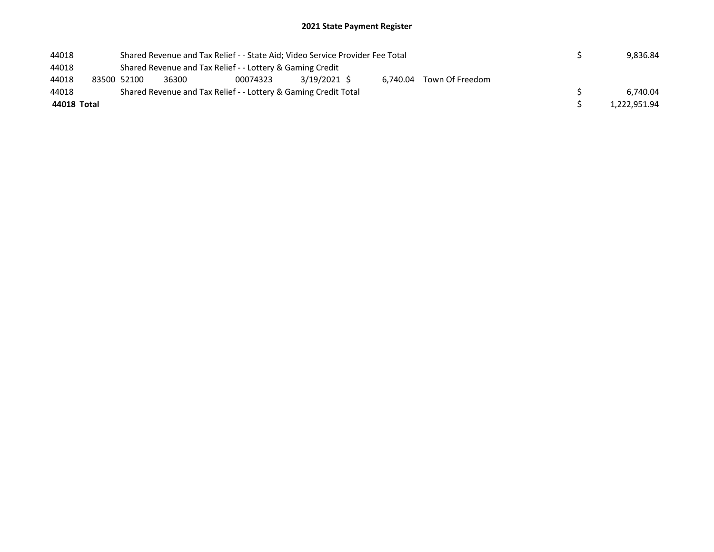| 44018       |             |       |                                                                 | Shared Revenue and Tax Relief - - State Aid; Video Service Provider Fee Total |                          | 9.836.84     |
|-------------|-------------|-------|-----------------------------------------------------------------|-------------------------------------------------------------------------------|--------------------------|--------------|
| 44018       |             |       | Shared Revenue and Tax Relief - - Lottery & Gaming Credit       |                                                                               |                          |              |
| 44018       | 83500 52100 | 36300 | 00074323                                                        | 3/19/2021 \$                                                                  | 6.740.04 Town Of Freedom |              |
| 44018       |             |       | Shared Revenue and Tax Relief - - Lottery & Gaming Credit Total |                                                                               |                          | 6.740.04     |
| 44018 Total |             |       |                                                                 |                                                                               |                          | 1,222,951.94 |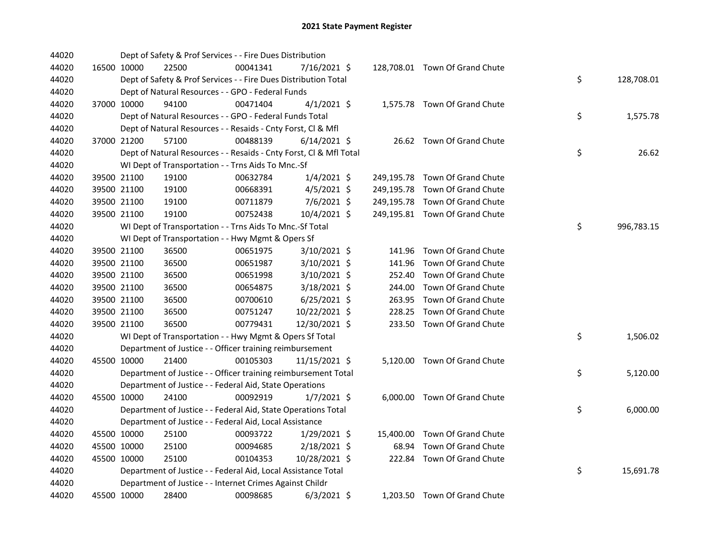| 44020 |             | Dept of Safety & Prof Services - - Fire Dues Distribution          |          |                |        |                                |    |            |
|-------|-------------|--------------------------------------------------------------------|----------|----------------|--------|--------------------------------|----|------------|
| 44020 | 16500 10000 | 22500                                                              | 00041341 | 7/16/2021 \$   |        | 128,708.01 Town Of Grand Chute |    |            |
| 44020 |             | Dept of Safety & Prof Services - - Fire Dues Distribution Total    |          |                |        |                                | \$ | 128,708.01 |
| 44020 |             | Dept of Natural Resources - - GPO - Federal Funds                  |          |                |        |                                |    |            |
| 44020 | 37000 10000 | 94100                                                              | 00471404 | $4/1/2021$ \$  |        | 1,575.78 Town Of Grand Chute   |    |            |
| 44020 |             | Dept of Natural Resources - - GPO - Federal Funds Total            |          |                |        |                                | \$ | 1,575.78   |
| 44020 |             | Dept of Natural Resources - - Resaids - Cnty Forst, Cl & Mfl       |          |                |        |                                |    |            |
| 44020 | 37000 21200 | 57100                                                              | 00488139 | $6/14/2021$ \$ |        | 26.62 Town Of Grand Chute      |    |            |
| 44020 |             | Dept of Natural Resources - - Resaids - Cnty Forst, Cl & Mfl Total |          |                |        |                                | \$ | 26.62      |
| 44020 |             | WI Dept of Transportation - - Trns Aids To Mnc.-Sf                 |          |                |        |                                |    |            |
| 44020 | 39500 21100 | 19100                                                              | 00632784 | $1/4/2021$ \$  |        | 249,195.78 Town Of Grand Chute |    |            |
| 44020 | 39500 21100 | 19100                                                              | 00668391 | 4/5/2021 \$    |        | 249,195.78 Town Of Grand Chute |    |            |
| 44020 | 39500 21100 | 19100                                                              | 00711879 | $7/6/2021$ \$  |        | 249,195.78 Town Of Grand Chute |    |            |
| 44020 | 39500 21100 | 19100                                                              | 00752438 | 10/4/2021 \$   |        | 249,195.81 Town Of Grand Chute |    |            |
| 44020 |             | WI Dept of Transportation - - Trns Aids To Mnc.-Sf Total           |          |                |        |                                | \$ | 996,783.15 |
| 44020 |             | WI Dept of Transportation - - Hwy Mgmt & Opers Sf                  |          |                |        |                                |    |            |
| 44020 | 39500 21100 | 36500                                                              | 00651975 | 3/10/2021 \$   |        | 141.96 Town Of Grand Chute     |    |            |
| 44020 | 39500 21100 | 36500                                                              | 00651987 | 3/10/2021 \$   | 141.96 | Town Of Grand Chute            |    |            |
| 44020 | 39500 21100 | 36500                                                              | 00651998 | 3/10/2021 \$   |        | 252.40 Town Of Grand Chute     |    |            |
| 44020 | 39500 21100 | 36500                                                              | 00654875 | 3/18/2021 \$   | 244.00 | Town Of Grand Chute            |    |            |
| 44020 | 39500 21100 | 36500                                                              | 00700610 | $6/25/2021$ \$ |        | 263.95 Town Of Grand Chute     |    |            |
| 44020 | 39500 21100 | 36500                                                              | 00751247 | 10/22/2021 \$  |        | 228.25 Town Of Grand Chute     |    |            |
| 44020 | 39500 21100 | 36500                                                              | 00779431 | 12/30/2021 \$  |        | 233.50 Town Of Grand Chute     |    |            |
| 44020 |             | WI Dept of Transportation - - Hwy Mgmt & Opers Sf Total            |          |                |        |                                | \$ | 1,506.02   |
| 44020 |             | Department of Justice - - Officer training reimbursement           |          |                |        |                                |    |            |
| 44020 | 45500 10000 | 21400                                                              | 00105303 | 11/15/2021 \$  |        | 5,120.00 Town Of Grand Chute   |    |            |
| 44020 |             | Department of Justice - - Officer training reimbursement Total     |          |                |        |                                | \$ | 5,120.00   |
| 44020 |             | Department of Justice - - Federal Aid, State Operations            |          |                |        |                                |    |            |
| 44020 | 45500 10000 | 24100                                                              | 00092919 | $1/7/2021$ \$  |        | 6,000.00 Town Of Grand Chute   |    |            |
| 44020 |             | Department of Justice - - Federal Aid, State Operations Total      |          |                |        |                                | \$ | 6,000.00   |
| 44020 |             | Department of Justice - - Federal Aid, Local Assistance            |          |                |        |                                |    |            |
| 44020 | 45500 10000 | 25100                                                              | 00093722 | $1/29/2021$ \$ |        | 15,400.00 Town Of Grand Chute  |    |            |
| 44020 | 45500 10000 | 25100                                                              | 00094685 | $2/18/2021$ \$ | 68.94  | Town Of Grand Chute            |    |            |
| 44020 | 45500 10000 | 25100                                                              | 00104353 | 10/28/2021 \$  |        | 222.84 Town Of Grand Chute     |    |            |
| 44020 |             | Department of Justice - - Federal Aid, Local Assistance Total      |          |                |        |                                | \$ | 15,691.78  |
| 44020 |             | Department of Justice - - Internet Crimes Against Childr           |          |                |        |                                |    |            |
| 44020 | 45500 10000 | 28400                                                              | 00098685 | $6/3/2021$ \$  |        | 1,203.50 Town Of Grand Chute   |    |            |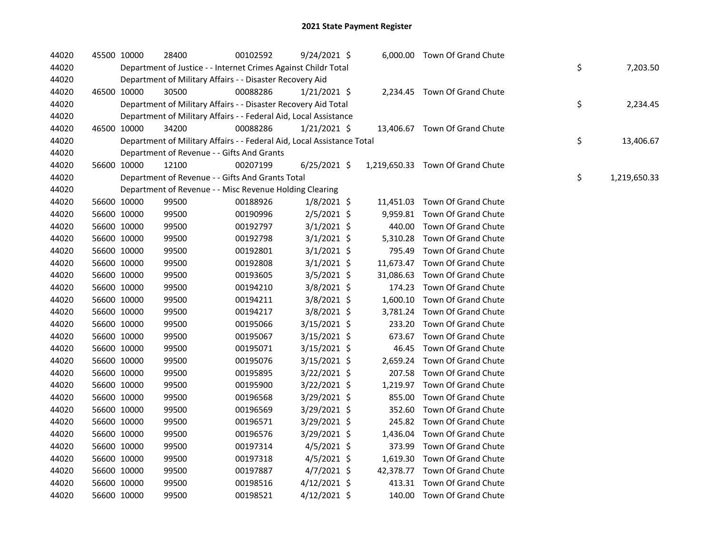| 44020 | 45500 10000 |             | 28400                                                                  | 00102592 | 9/24/2021 \$   |  | 6,000.00 Town Of Grand Chute     |    |              |
|-------|-------------|-------------|------------------------------------------------------------------------|----------|----------------|--|----------------------------------|----|--------------|
| 44020 |             |             | Department of Justice - - Internet Crimes Against Childr Total         |          |                |  |                                  | \$ | 7,203.50     |
| 44020 |             |             | Department of Military Affairs - - Disaster Recovery Aid               |          |                |  |                                  |    |              |
| 44020 |             | 46500 10000 | 30500                                                                  | 00088286 | $1/21/2021$ \$ |  | 2,234.45 Town Of Grand Chute     |    |              |
| 44020 |             |             | Department of Military Affairs - - Disaster Recovery Aid Total         |          |                |  |                                  | \$ | 2,234.45     |
| 44020 |             |             | Department of Military Affairs - - Federal Aid, Local Assistance       |          |                |  |                                  |    |              |
| 44020 |             | 46500 10000 | 34200                                                                  | 00088286 | $1/21/2021$ \$ |  | 13,406.67 Town Of Grand Chute    |    |              |
| 44020 |             |             | Department of Military Affairs - - Federal Aid, Local Assistance Total |          |                |  |                                  | \$ | 13,406.67    |
| 44020 |             |             | Department of Revenue - - Gifts And Grants                             |          |                |  |                                  |    |              |
| 44020 | 56600 10000 |             | 12100                                                                  | 00207199 | $6/25/2021$ \$ |  | 1,219,650.33 Town Of Grand Chute |    |              |
| 44020 |             |             | Department of Revenue - - Gifts And Grants Total                       |          |                |  |                                  | \$ | 1,219,650.33 |
| 44020 |             |             | Department of Revenue - - Misc Revenue Holding Clearing                |          |                |  |                                  |    |              |
| 44020 |             | 56600 10000 | 99500                                                                  | 00188926 | $1/8/2021$ \$  |  | 11,451.03 Town Of Grand Chute    |    |              |
| 44020 |             | 56600 10000 | 99500                                                                  | 00190996 | $2/5/2021$ \$  |  | 9,959.81 Town Of Grand Chute     |    |              |
| 44020 |             | 56600 10000 | 99500                                                                  | 00192797 | $3/1/2021$ \$  |  | 440.00 Town Of Grand Chute       |    |              |
| 44020 | 56600 10000 |             | 99500                                                                  | 00192798 | $3/1/2021$ \$  |  | 5,310.28 Town Of Grand Chute     |    |              |
| 44020 |             | 56600 10000 | 99500                                                                  | 00192801 | $3/1/2021$ \$  |  | 795.49 Town Of Grand Chute       |    |              |
| 44020 |             | 56600 10000 | 99500                                                                  | 00192808 | $3/1/2021$ \$  |  | 11,673.47 Town Of Grand Chute    |    |              |
| 44020 | 56600 10000 |             | 99500                                                                  | 00193605 | 3/5/2021 \$    |  | 31,086.63 Town Of Grand Chute    |    |              |
| 44020 |             | 56600 10000 | 99500                                                                  | 00194210 | 3/8/2021 \$    |  | 174.23 Town Of Grand Chute       |    |              |
| 44020 |             | 56600 10000 | 99500                                                                  | 00194211 | $3/8/2021$ \$  |  | 1,600.10 Town Of Grand Chute     |    |              |
| 44020 |             | 56600 10000 | 99500                                                                  | 00194217 | 3/8/2021 \$    |  | 3,781.24 Town Of Grand Chute     |    |              |
| 44020 |             | 56600 10000 | 99500                                                                  | 00195066 | 3/15/2021 \$   |  | 233.20 Town Of Grand Chute       |    |              |
| 44020 |             | 56600 10000 | 99500                                                                  | 00195067 | $3/15/2021$ \$ |  | 673.67 Town Of Grand Chute       |    |              |
| 44020 | 56600 10000 |             | 99500                                                                  | 00195071 | $3/15/2021$ \$ |  | 46.45 Town Of Grand Chute        |    |              |
| 44020 | 56600 10000 |             | 99500                                                                  | 00195076 | $3/15/2021$ \$ |  | 2,659.24 Town Of Grand Chute     |    |              |
| 44020 | 56600 10000 |             | 99500                                                                  | 00195895 | 3/22/2021 \$   |  | 207.58 Town Of Grand Chute       |    |              |
| 44020 | 56600 10000 |             | 99500                                                                  | 00195900 | $3/22/2021$ \$ |  | 1,219.97 Town Of Grand Chute     |    |              |
| 44020 | 56600 10000 |             | 99500                                                                  | 00196568 | 3/29/2021 \$   |  | 855.00 Town Of Grand Chute       |    |              |
| 44020 | 56600 10000 |             | 99500                                                                  | 00196569 | $3/29/2021$ \$ |  | 352.60 Town Of Grand Chute       |    |              |
| 44020 | 56600 10000 |             | 99500                                                                  | 00196571 | 3/29/2021 \$   |  | 245.82 Town Of Grand Chute       |    |              |
| 44020 | 56600 10000 |             | 99500                                                                  | 00196576 | 3/29/2021 \$   |  | 1,436.04 Town Of Grand Chute     |    |              |
| 44020 | 56600 10000 |             | 99500                                                                  | 00197314 | $4/5/2021$ \$  |  | 373.99 Town Of Grand Chute       |    |              |
| 44020 | 56600 10000 |             | 99500                                                                  | 00197318 | $4/5/2021$ \$  |  | 1,619.30 Town Of Grand Chute     |    |              |
| 44020 | 56600 10000 |             | 99500                                                                  | 00197887 | $4/7/2021$ \$  |  | 42,378.77 Town Of Grand Chute    |    |              |
| 44020 | 56600 10000 |             | 99500                                                                  | 00198516 | $4/12/2021$ \$ |  | 413.31 Town Of Grand Chute       |    |              |
| 44020 | 56600 10000 |             | 99500                                                                  | 00198521 | $4/12/2021$ \$ |  | 140.00 Town Of Grand Chute       |    |              |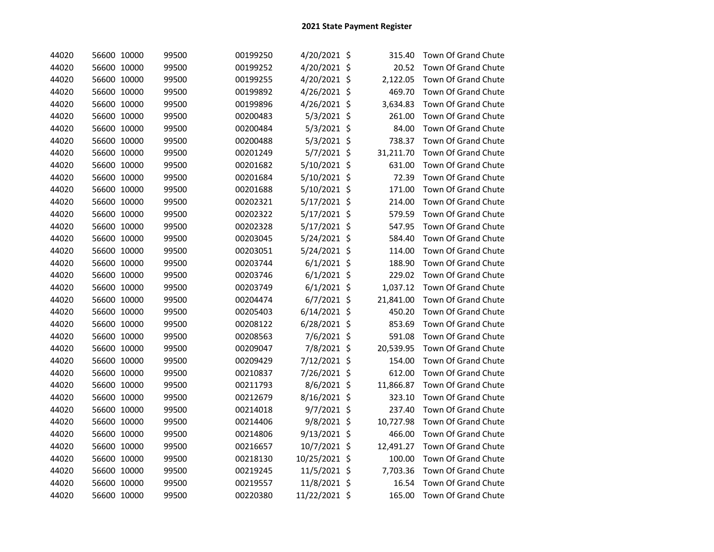| 44020 | 56600 10000 | 99500 | 00199250 | 4/20/2021 \$   | 315.40    | Town Of Grand Chute        |
|-------|-------------|-------|----------|----------------|-----------|----------------------------|
| 44020 | 56600 10000 | 99500 | 00199252 | 4/20/2021 \$   | 20.52     | Town Of Grand Chute        |
| 44020 | 56600 10000 | 99500 | 00199255 | 4/20/2021 \$   | 2,122.05  | Town Of Grand Chute        |
| 44020 | 56600 10000 | 99500 | 00199892 | 4/26/2021 \$   | 469.70    | Town Of Grand Chute        |
| 44020 | 56600 10000 | 99500 | 00199896 | 4/26/2021 \$   | 3,634.83  | <b>Town Of Grand Chute</b> |
| 44020 | 56600 10000 | 99500 | 00200483 | 5/3/2021 \$    | 261.00    | Town Of Grand Chute        |
| 44020 | 56600 10000 | 99500 | 00200484 | 5/3/2021 \$    | 84.00     | Town Of Grand Chute        |
| 44020 | 56600 10000 | 99500 | 00200488 | $5/3/2021$ \$  | 738.37    | Town Of Grand Chute        |
| 44020 | 56600 10000 | 99500 | 00201249 | 5/7/2021 \$    | 31,211.70 | Town Of Grand Chute        |
| 44020 | 56600 10000 | 99500 | 00201682 | 5/10/2021 \$   | 631.00    | Town Of Grand Chute        |
| 44020 | 56600 10000 | 99500 | 00201684 | 5/10/2021 \$   | 72.39     | Town Of Grand Chute        |
| 44020 | 56600 10000 | 99500 | 00201688 | 5/10/2021 \$   | 171.00    | Town Of Grand Chute        |
| 44020 | 56600 10000 | 99500 | 00202321 | 5/17/2021 \$   | 214.00    | <b>Town Of Grand Chute</b> |
| 44020 | 56600 10000 | 99500 | 00202322 | 5/17/2021 \$   | 579.59    | <b>Town Of Grand Chute</b> |
| 44020 | 56600 10000 | 99500 | 00202328 | 5/17/2021 \$   | 547.95    | <b>Town Of Grand Chute</b> |
| 44020 | 56600 10000 | 99500 | 00203045 | 5/24/2021 \$   | 584.40    | Town Of Grand Chute        |
| 44020 | 56600 10000 | 99500 | 00203051 | 5/24/2021 \$   | 114.00    | Town Of Grand Chute        |
| 44020 | 56600 10000 | 99500 | 00203744 | $6/1/2021$ \$  | 188.90    | Town Of Grand Chute        |
| 44020 | 56600 10000 | 99500 | 00203746 | $6/1/2021$ \$  | 229.02    | <b>Town Of Grand Chute</b> |
| 44020 | 56600 10000 | 99500 | 00203749 | $6/1/2021$ \$  | 1,037.12  | Town Of Grand Chute        |
| 44020 | 56600 10000 | 99500 | 00204474 | $6/7/2021$ \$  | 21,841.00 | Town Of Grand Chute        |
| 44020 | 56600 10000 | 99500 | 00205403 | $6/14/2021$ \$ | 450.20    | Town Of Grand Chute        |
| 44020 | 56600 10000 | 99500 | 00208122 | 6/28/2021 \$   | 853.69    | Town Of Grand Chute        |
| 44020 | 56600 10000 | 99500 | 00208563 | 7/6/2021 \$    | 591.08    | Town Of Grand Chute        |
| 44020 | 56600 10000 | 99500 | 00209047 | 7/8/2021 \$    | 20,539.95 | Town Of Grand Chute        |
| 44020 | 56600 10000 | 99500 | 00209429 | 7/12/2021 \$   | 154.00    | Town Of Grand Chute        |
| 44020 | 56600 10000 | 99500 | 00210837 | 7/26/2021 \$   | 612.00    | Town Of Grand Chute        |
| 44020 | 56600 10000 | 99500 | 00211793 | 8/6/2021 \$    | 11,866.87 | Town Of Grand Chute        |
| 44020 | 56600 10000 | 99500 | 00212679 | 8/16/2021 \$   | 323.10    | Town Of Grand Chute        |
| 44020 | 56600 10000 | 99500 | 00214018 | 9/7/2021 \$    | 237.40    | Town Of Grand Chute        |
| 44020 | 56600 10000 | 99500 | 00214406 | 9/8/2021 \$    | 10,727.98 | Town Of Grand Chute        |
| 44020 | 56600 10000 | 99500 | 00214806 | 9/13/2021 \$   | 466.00    | Town Of Grand Chute        |
| 44020 | 56600 10000 | 99500 | 00216657 | 10/7/2021 \$   | 12,491.27 | Town Of Grand Chute        |
| 44020 | 56600 10000 | 99500 | 00218130 | 10/25/2021 \$  | 100.00    | Town Of Grand Chute        |
| 44020 | 56600 10000 | 99500 | 00219245 | 11/5/2021 \$   | 7,703.36  | Town Of Grand Chute        |
| 44020 | 56600 10000 | 99500 | 00219557 | 11/8/2021 \$   | 16.54     | Town Of Grand Chute        |
| 44020 | 56600 10000 | 99500 | 00220380 | 11/22/2021 \$  | 165.00    | Town Of Grand Chute        |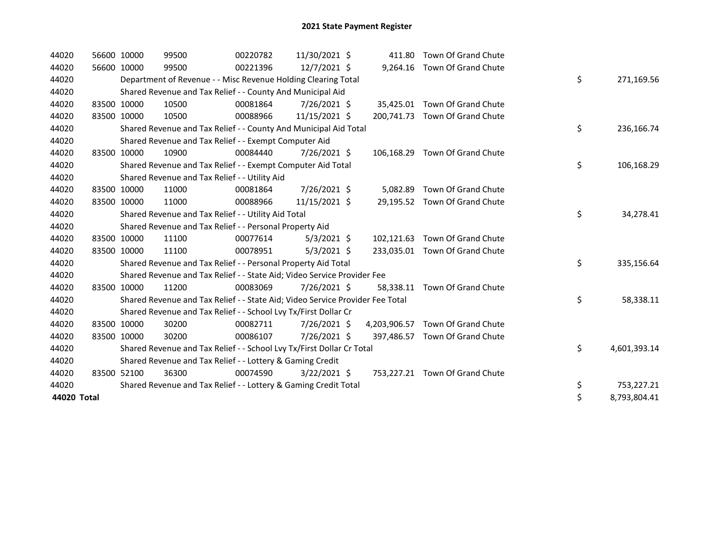| 44020       | 56600 10000 | 99500                                                                         | 00220782 | 11/30/2021 \$  |            | 411.80 Town Of Grand Chute       |    |              |
|-------------|-------------|-------------------------------------------------------------------------------|----------|----------------|------------|----------------------------------|----|--------------|
| 44020       | 56600 10000 | 99500                                                                         | 00221396 | 12/7/2021 \$   |            | 9,264.16 Town Of Grand Chute     |    |              |
| 44020       |             | Department of Revenue - - Misc Revenue Holding Clearing Total                 |          |                |            |                                  | \$ | 271,169.56   |
| 44020       |             | Shared Revenue and Tax Relief - - County And Municipal Aid                    |          |                |            |                                  |    |              |
| 44020       | 83500 10000 | 10500                                                                         | 00081864 | 7/26/2021 \$   |            | 35,425.01 Town Of Grand Chute    |    |              |
| 44020       | 83500 10000 | 10500                                                                         | 00088966 | 11/15/2021 \$  | 200.741.73 | Town Of Grand Chute              |    |              |
| 44020       |             | Shared Revenue and Tax Relief - - County And Municipal Aid Total              |          |                |            |                                  | \$ | 236,166.74   |
| 44020       |             | Shared Revenue and Tax Relief - - Exempt Computer Aid                         |          |                |            |                                  |    |              |
| 44020       | 83500 10000 | 10900                                                                         | 00084440 | 7/26/2021 \$   |            | 106,168.29 Town Of Grand Chute   |    |              |
| 44020       |             | Shared Revenue and Tax Relief - - Exempt Computer Aid Total                   |          |                |            |                                  | \$ | 106,168.29   |
| 44020       |             | Shared Revenue and Tax Relief - - Utility Aid                                 |          |                |            |                                  |    |              |
| 44020       | 83500 10000 | 11000                                                                         | 00081864 | 7/26/2021 \$   |            | 5,082.89 Town Of Grand Chute     |    |              |
| 44020       | 83500 10000 | 11000                                                                         | 00088966 | 11/15/2021 \$  |            | 29,195.52 Town Of Grand Chute    |    |              |
| 44020       |             | Shared Revenue and Tax Relief - - Utility Aid Total                           |          |                |            |                                  | \$ | 34,278.41    |
| 44020       |             | Shared Revenue and Tax Relief - - Personal Property Aid                       |          |                |            |                                  |    |              |
| 44020       | 83500 10000 | 11100                                                                         | 00077614 | $5/3/2021$ \$  |            | 102,121.63 Town Of Grand Chute   |    |              |
| 44020       | 83500 10000 | 11100                                                                         | 00078951 | $5/3/2021$ \$  |            | 233,035.01 Town Of Grand Chute   |    |              |
| 44020       |             | Shared Revenue and Tax Relief - - Personal Property Aid Total                 |          |                |            |                                  | \$ | 335,156.64   |
| 44020       |             | Shared Revenue and Tax Relief - - State Aid; Video Service Provider Fee       |          |                |            |                                  |    |              |
| 44020       | 83500 10000 | 11200                                                                         | 00083069 | 7/26/2021 \$   | 58.338.11  | Town Of Grand Chute              |    |              |
| 44020       |             | Shared Revenue and Tax Relief - - State Aid; Video Service Provider Fee Total |          |                |            |                                  | \$ | 58,338.11    |
| 44020       |             | Shared Revenue and Tax Relief - - School Lvy Tx/First Dollar Cr               |          |                |            |                                  |    |              |
| 44020       | 83500 10000 | 30200                                                                         | 00082711 | 7/26/2021 \$   |            | 4,203,906.57 Town Of Grand Chute |    |              |
| 44020       | 83500 10000 | 30200                                                                         | 00086107 | 7/26/2021 \$   |            | 397,486.57 Town Of Grand Chute   |    |              |
| 44020       |             | Shared Revenue and Tax Relief - - School Lvy Tx/First Dollar Cr Total         |          |                |            |                                  | \$ | 4,601,393.14 |
| 44020       |             | Shared Revenue and Tax Relief - - Lottery & Gaming Credit                     |          |                |            |                                  |    |              |
| 44020       | 83500 52100 | 36300                                                                         | 00074590 | $3/22/2021$ \$ |            | 753,227.21 Town Of Grand Chute   |    |              |
| 44020       |             | Shared Revenue and Tax Relief - - Lottery & Gaming Credit Total               |          |                |            |                                  | \$ | 753,227.21   |
| 44020 Total |             |                                                                               |          |                |            |                                  | \$ | 8,793,804.41 |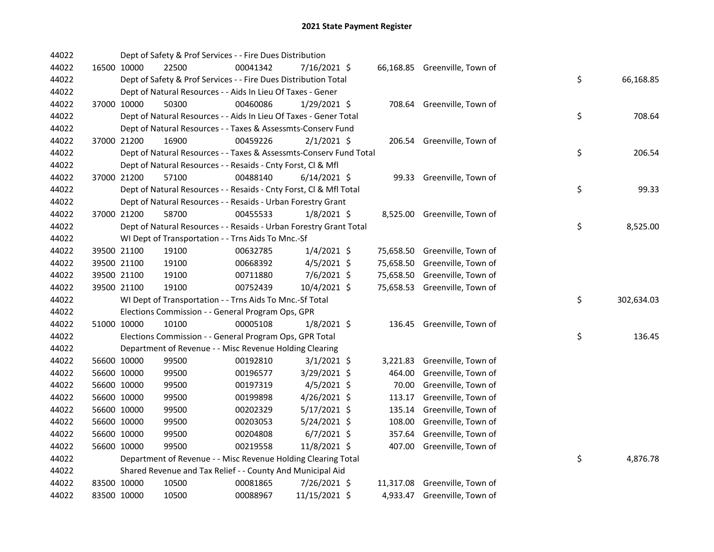| 44022 |             | Dept of Safety & Prof Services - - Fire Dues Distribution          |          |                |        |                               |    |            |
|-------|-------------|--------------------------------------------------------------------|----------|----------------|--------|-------------------------------|----|------------|
| 44022 | 16500 10000 | 22500                                                              | 00041342 | 7/16/2021 \$   |        | 66,168.85 Greenville, Town of |    |            |
| 44022 |             | Dept of Safety & Prof Services - - Fire Dues Distribution Total    |          |                |        |                               | \$ | 66,168.85  |
| 44022 |             | Dept of Natural Resources - - Aids In Lieu Of Taxes - Gener        |          |                |        |                               |    |            |
| 44022 | 37000 10000 | 50300                                                              | 00460086 | 1/29/2021 \$   |        | 708.64 Greenville, Town of    |    |            |
| 44022 |             | Dept of Natural Resources - - Aids In Lieu Of Taxes - Gener Total  |          |                |        |                               | \$ | 708.64     |
| 44022 |             | Dept of Natural Resources - - Taxes & Assessmts-Conserv Fund       |          |                |        |                               |    |            |
| 44022 | 37000 21200 | 16900                                                              | 00459226 | $2/1/2021$ \$  |        | 206.54 Greenville, Town of    |    |            |
| 44022 |             | Dept of Natural Resources - - Taxes & Assessmts-Conserv Fund Total |          |                |        |                               | \$ | 206.54     |
| 44022 |             | Dept of Natural Resources - - Resaids - Cnty Forst, Cl & Mfl       |          |                |        |                               |    |            |
| 44022 | 37000 21200 | 57100                                                              | 00488140 | $6/14/2021$ \$ |        | 99.33 Greenville, Town of     |    |            |
| 44022 |             | Dept of Natural Resources - - Resaids - Cnty Forst, Cl & Mfl Total |          |                |        |                               | \$ | 99.33      |
| 44022 |             | Dept of Natural Resources - - Resaids - Urban Forestry Grant       |          |                |        |                               |    |            |
| 44022 | 37000 21200 | 58700                                                              | 00455533 | $1/8/2021$ \$  |        | 8,525.00 Greenville, Town of  |    |            |
| 44022 |             | Dept of Natural Resources - - Resaids - Urban Forestry Grant Total |          |                |        |                               | \$ | 8,525.00   |
| 44022 |             | WI Dept of Transportation - - Trns Aids To Mnc.-Sf                 |          |                |        |                               |    |            |
| 44022 | 39500 21100 | 19100                                                              | 00632785 | $1/4/2021$ \$  |        | 75,658.50 Greenville, Town of |    |            |
| 44022 | 39500 21100 | 19100                                                              | 00668392 | $4/5/2021$ \$  |        | 75,658.50 Greenville, Town of |    |            |
| 44022 | 39500 21100 | 19100                                                              | 00711880 | 7/6/2021 \$    |        | 75,658.50 Greenville, Town of |    |            |
| 44022 | 39500 21100 | 19100                                                              | 00752439 | 10/4/2021 \$   |        | 75,658.53 Greenville, Town of |    |            |
| 44022 |             | WI Dept of Transportation - - Trns Aids To Mnc.-Sf Total           |          |                |        |                               | \$ | 302,634.03 |
| 44022 |             | Elections Commission - - General Program Ops, GPR                  |          |                |        |                               |    |            |
| 44022 | 51000 10000 | 10100                                                              | 00005108 | $1/8/2021$ \$  |        | 136.45 Greenville, Town of    |    |            |
| 44022 |             | Elections Commission - - General Program Ops, GPR Total            |          |                |        |                               | \$ | 136.45     |
| 44022 |             | Department of Revenue - - Misc Revenue Holding Clearing            |          |                |        |                               |    |            |
| 44022 | 56600 10000 | 99500                                                              | 00192810 | $3/1/2021$ \$  |        | 3,221.83 Greenville, Town of  |    |            |
| 44022 | 56600 10000 | 99500                                                              | 00196577 | 3/29/2021 \$   | 464.00 | Greenville, Town of           |    |            |
| 44022 | 56600 10000 | 99500                                                              | 00197319 | 4/5/2021 \$    | 70.00  | Greenville, Town of           |    |            |
| 44022 | 56600 10000 | 99500                                                              | 00199898 | 4/26/2021 \$   | 113.17 | Greenville, Town of           |    |            |
| 44022 | 56600 10000 | 99500                                                              | 00202329 | $5/17/2021$ \$ | 135.14 | Greenville, Town of           |    |            |
| 44022 | 56600 10000 | 99500                                                              | 00203053 | 5/24/2021 \$   | 108.00 | Greenville, Town of           |    |            |
| 44022 | 56600 10000 | 99500                                                              | 00204808 | $6/7/2021$ \$  | 357.64 | Greenville, Town of           |    |            |
| 44022 | 56600 10000 | 99500                                                              | 00219558 | 11/8/2021 \$   |        | 407.00 Greenville, Town of    |    |            |
| 44022 |             | Department of Revenue - - Misc Revenue Holding Clearing Total      |          |                |        |                               | \$ | 4,876.78   |
| 44022 |             | Shared Revenue and Tax Relief - - County And Municipal Aid         |          |                |        |                               |    |            |
| 44022 | 83500 10000 | 10500                                                              | 00081865 | 7/26/2021 \$   |        | 11,317.08 Greenville, Town of |    |            |
| 44022 | 83500 10000 | 10500                                                              | 00088967 | 11/15/2021 \$  |        | 4,933.47 Greenville, Town of  |    |            |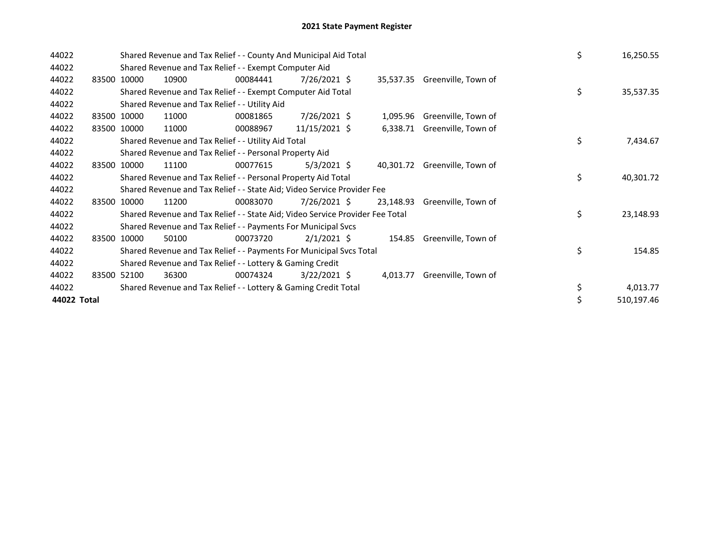| 44022       |       |             | Shared Revenue and Tax Relief - - County And Municipal Aid Total<br>Shared Revenue and Tax Relief - - Exempt Computer Aid |          |                 |  |           |                               |  |    | 16,250.55  |
|-------------|-------|-------------|---------------------------------------------------------------------------------------------------------------------------|----------|-----------------|--|-----------|-------------------------------|--|----|------------|
| 44022       |       |             |                                                                                                                           |          |                 |  |           |                               |  |    |            |
| 44022       |       | 83500 10000 | 10900                                                                                                                     | 00084441 | $7/26/2021$ \$  |  |           | 35,537.35 Greenville, Town of |  |    |            |
| 44022       |       |             | Shared Revenue and Tax Relief - - Exempt Computer Aid Total                                                               |          |                 |  |           |                               |  | \$ | 35,537.35  |
| 44022       |       |             | Shared Revenue and Tax Relief - - Utility Aid                                                                             |          |                 |  |           |                               |  |    |            |
| 44022       |       | 83500 10000 | 11000                                                                                                                     | 00081865 | $7/26/2021$ \$  |  | 1,095.96  | Greenville, Town of           |  |    |            |
| 44022       |       | 83500 10000 | 11000                                                                                                                     | 00088967 | $11/15/2021$ \$ |  |           | 6,338.71 Greenville, Town of  |  |    |            |
| 44022       |       |             | Shared Revenue and Tax Relief - - Utility Aid Total                                                                       |          |                 |  |           |                               |  | \$ | 7,434.67   |
| 44022       |       |             | Shared Revenue and Tax Relief - - Personal Property Aid                                                                   |          |                 |  |           |                               |  |    |            |
| 44022       |       | 83500 10000 | 11100                                                                                                                     | 00077615 | $5/3/2021$ \$   |  | 40,301.72 | Greenville, Town of           |  |    |            |
| 44022       |       |             | Shared Revenue and Tax Relief - - Personal Property Aid Total                                                             |          |                 |  |           |                               |  | \$ | 40,301.72  |
| 44022       |       |             | Shared Revenue and Tax Relief - - State Aid; Video Service Provider Fee                                                   |          |                 |  |           |                               |  |    |            |
| 44022       | 83500 | 10000       | 11200                                                                                                                     | 00083070 | 7/26/2021 \$    |  | 23,148.93 | Greenville, Town of           |  |    |            |
| 44022       |       |             | Shared Revenue and Tax Relief - - State Aid; Video Service Provider Fee Total                                             |          |                 |  |           |                               |  | \$ | 23,148.93  |
| 44022       |       |             | Shared Revenue and Tax Relief - - Payments For Municipal Svcs                                                             |          |                 |  |           |                               |  |    |            |
| 44022       |       | 83500 10000 | 50100                                                                                                                     | 00073720 | $2/1/2021$ \$   |  |           | 154.85 Greenville, Town of    |  |    |            |
| 44022       |       |             | Shared Revenue and Tax Relief - - Payments For Municipal Svcs Total                                                       |          |                 |  |           |                               |  | \$ | 154.85     |
| 44022       |       |             | Shared Revenue and Tax Relief - - Lottery & Gaming Credit                                                                 |          |                 |  |           |                               |  |    |            |
| 44022       |       | 83500 52100 | 36300                                                                                                                     | 00074324 | $3/22/2021$ \$  |  | 4,013.77  | Greenville, Town of           |  |    |            |
| 44022       |       |             | Shared Revenue and Tax Relief - - Lottery & Gaming Credit Total                                                           |          |                 |  |           |                               |  | \$ | 4,013.77   |
| 44022 Total |       |             |                                                                                                                           |          |                 |  |           |                               |  | \$ | 510,197.46 |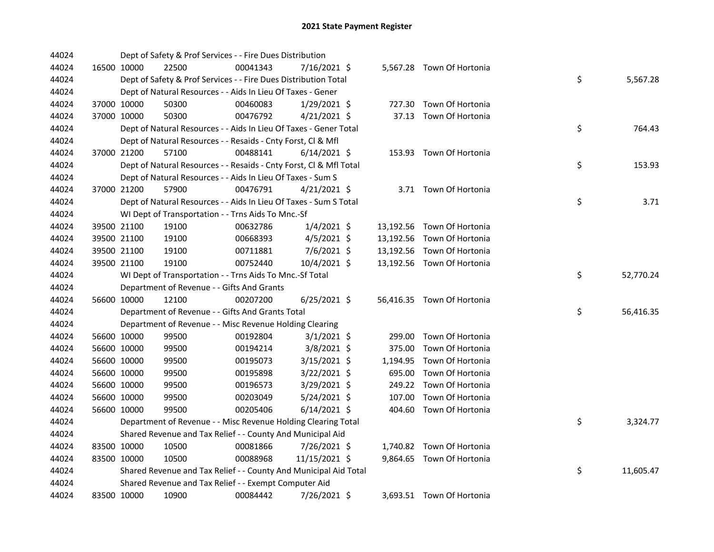| 44024 |             | Dept of Safety & Prof Services - - Fire Dues Distribution          |          |                |          |                            |    |           |
|-------|-------------|--------------------------------------------------------------------|----------|----------------|----------|----------------------------|----|-----------|
| 44024 | 16500 10000 | 22500                                                              | 00041343 | 7/16/2021 \$   |          | 5,567.28 Town Of Hortonia  |    |           |
| 44024 |             | Dept of Safety & Prof Services - - Fire Dues Distribution Total    |          |                |          |                            | \$ | 5,567.28  |
| 44024 |             | Dept of Natural Resources - - Aids In Lieu Of Taxes - Gener        |          |                |          |                            |    |           |
| 44024 | 37000 10000 | 50300                                                              | 00460083 | $1/29/2021$ \$ |          | 727.30 Town Of Hortonia    |    |           |
| 44024 | 37000 10000 | 50300                                                              | 00476792 | $4/21/2021$ \$ |          | 37.13 Town Of Hortonia     |    |           |
| 44024 |             | Dept of Natural Resources - - Aids In Lieu Of Taxes - Gener Total  |          |                |          |                            | \$ | 764.43    |
| 44024 |             | Dept of Natural Resources - - Resaids - Cnty Forst, Cl & Mfl       |          |                |          |                            |    |           |
| 44024 | 37000 21200 | 57100                                                              | 00488141 | $6/14/2021$ \$ |          | 153.93 Town Of Hortonia    |    |           |
| 44024 |             | Dept of Natural Resources - - Resaids - Cnty Forst, Cl & Mfl Total |          |                |          |                            | \$ | 153.93    |
| 44024 |             | Dept of Natural Resources - - Aids In Lieu Of Taxes - Sum S        |          |                |          |                            |    |           |
| 44024 | 37000 21200 | 57900                                                              | 00476791 | $4/21/2021$ \$ |          | 3.71 Town Of Hortonia      |    |           |
| 44024 |             | Dept of Natural Resources - - Aids In Lieu Of Taxes - Sum S Total  |          |                |          |                            | \$ | 3.71      |
| 44024 |             | WI Dept of Transportation - - Trns Aids To Mnc.-Sf                 |          |                |          |                            |    |           |
| 44024 | 39500 21100 | 19100                                                              | 00632786 | $1/4/2021$ \$  |          | 13,192.56 Town Of Hortonia |    |           |
| 44024 | 39500 21100 | 19100                                                              | 00668393 | $4/5/2021$ \$  |          | 13,192.56 Town Of Hortonia |    |           |
| 44024 | 39500 21100 | 19100                                                              | 00711881 | 7/6/2021 \$    |          | 13,192.56 Town Of Hortonia |    |           |
| 44024 | 39500 21100 | 19100                                                              | 00752440 | 10/4/2021 \$   |          | 13,192.56 Town Of Hortonia |    |           |
| 44024 |             | WI Dept of Transportation - - Trns Aids To Mnc.-Sf Total           |          |                |          |                            | \$ | 52,770.24 |
| 44024 |             | Department of Revenue - - Gifts And Grants                         |          |                |          |                            |    |           |
| 44024 | 56600 10000 | 12100                                                              | 00207200 | $6/25/2021$ \$ |          | 56,416.35 Town Of Hortonia |    |           |
| 44024 |             | Department of Revenue - - Gifts And Grants Total                   |          |                |          |                            | \$ | 56,416.35 |
| 44024 |             | Department of Revenue - - Misc Revenue Holding Clearing            |          |                |          |                            |    |           |
| 44024 | 56600 10000 | 99500                                                              | 00192804 | $3/1/2021$ \$  |          | 299.00 Town Of Hortonia    |    |           |
| 44024 | 56600 10000 | 99500                                                              | 00194214 | $3/8/2021$ \$  | 375.00   | Town Of Hortonia           |    |           |
| 44024 | 56600 10000 | 99500                                                              | 00195073 | $3/15/2021$ \$ | 1,194.95 | Town Of Hortonia           |    |           |
| 44024 | 56600 10000 | 99500                                                              | 00195898 | 3/22/2021 \$   | 695.00   | Town Of Hortonia           |    |           |
| 44024 | 56600 10000 | 99500                                                              | 00196573 | 3/29/2021 \$   | 249.22   | Town Of Hortonia           |    |           |
| 44024 | 56600 10000 | 99500                                                              | 00203049 | $5/24/2021$ \$ | 107.00   | Town Of Hortonia           |    |           |
| 44024 | 56600 10000 | 99500                                                              | 00205406 | $6/14/2021$ \$ |          | 404.60 Town Of Hortonia    |    |           |
| 44024 |             | Department of Revenue - - Misc Revenue Holding Clearing Total      |          |                |          |                            | \$ | 3,324.77  |
| 44024 |             | Shared Revenue and Tax Relief - - County And Municipal Aid         |          |                |          |                            |    |           |
| 44024 | 83500 10000 | 10500                                                              | 00081866 | $7/26/2021$ \$ |          | 1,740.82 Town Of Hortonia  |    |           |
| 44024 | 83500 10000 | 10500                                                              | 00088968 | 11/15/2021 \$  |          | 9,864.65 Town Of Hortonia  |    |           |
| 44024 |             | Shared Revenue and Tax Relief - - County And Municipal Aid Total   |          |                |          |                            | \$ | 11,605.47 |
| 44024 |             | Shared Revenue and Tax Relief - - Exempt Computer Aid              |          |                |          |                            |    |           |
| 44024 | 83500 10000 | 10900                                                              | 00084442 | 7/26/2021 \$   |          | 3,693.51 Town Of Hortonia  |    |           |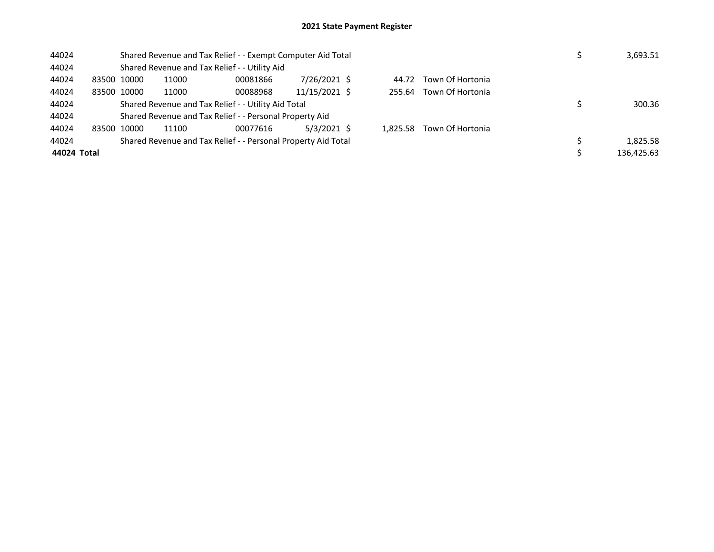| 44024       | Shared Revenue and Tax Relief - - Exempt Computer Aid Total | 3,693.51 |                                                               |               |          |                  |            |
|-------------|-------------------------------------------------------------|----------|---------------------------------------------------------------|---------------|----------|------------------|------------|
| 44024       |                                                             |          | Shared Revenue and Tax Relief - - Utility Aid                 |               |          |                  |            |
| 44024       | 83500 10000                                                 | 11000    | 00081866                                                      | 7/26/2021 \$  | 44.72    | Town Of Hortonia |            |
| 44024       | 83500 10000                                                 | 11000    | 00088968                                                      | 11/15/2021 \$ | 255.64   | Town Of Hortonia |            |
| 44024       |                                                             |          | Shared Revenue and Tax Relief - - Utility Aid Total           |               |          |                  | 300.36     |
| 44024       |                                                             |          | Shared Revenue and Tax Relief - - Personal Property Aid       |               |          |                  |            |
| 44024       | 83500 10000                                                 | 11100    | 00077616                                                      | $5/3/2021$ \$ | 1.825.58 | Town Of Hortonia |            |
| 44024       |                                                             |          | Shared Revenue and Tax Relief - - Personal Property Aid Total |               |          |                  | 1,825.58   |
| 44024 Total |                                                             |          |                                                               |               |          |                  | 136,425.63 |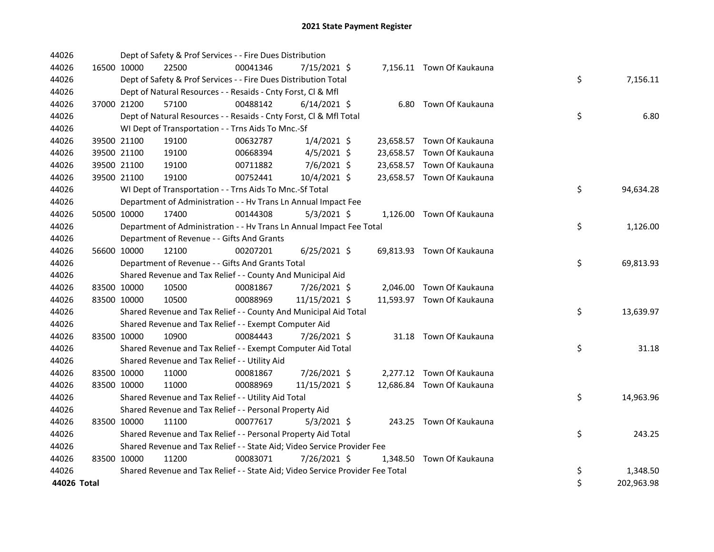| 44026       |             | Dept of Safety & Prof Services - - Fire Dues Distribution                     |          |                |  |                            |    |            |
|-------------|-------------|-------------------------------------------------------------------------------|----------|----------------|--|----------------------------|----|------------|
| 44026       | 16500 10000 | 22500                                                                         | 00041346 | 7/15/2021 \$   |  | 7,156.11 Town Of Kaukauna  |    |            |
| 44026       |             | Dept of Safety & Prof Services - - Fire Dues Distribution Total               |          |                |  |                            | \$ | 7,156.11   |
| 44026       |             | Dept of Natural Resources - - Resaids - Cnty Forst, CI & Mfl                  |          |                |  |                            |    |            |
| 44026       | 37000 21200 | 57100                                                                         | 00488142 | $6/14/2021$ \$ |  | 6.80 Town Of Kaukauna      |    |            |
| 44026       |             | Dept of Natural Resources - - Resaids - Cnty Forst, Cl & Mfl Total            |          |                |  |                            | \$ | 6.80       |
| 44026       |             | WI Dept of Transportation - - Trns Aids To Mnc.-Sf                            |          |                |  |                            |    |            |
| 44026       | 39500 21100 | 19100                                                                         | 00632787 | $1/4/2021$ \$  |  | 23,658.57 Town Of Kaukauna |    |            |
| 44026       | 39500 21100 | 19100                                                                         | 00668394 | $4/5/2021$ \$  |  | 23,658.57 Town Of Kaukauna |    |            |
| 44026       | 39500 21100 | 19100                                                                         | 00711882 | 7/6/2021 \$    |  | 23,658.57 Town Of Kaukauna |    |            |
| 44026       | 39500 21100 | 19100                                                                         | 00752441 | 10/4/2021 \$   |  | 23,658.57 Town Of Kaukauna |    |            |
| 44026       |             | WI Dept of Transportation - - Trns Aids To Mnc.-Sf Total                      |          |                |  |                            | \$ | 94,634.28  |
| 44026       |             | Department of Administration - - Hv Trans Ln Annual Impact Fee                |          |                |  |                            |    |            |
| 44026       | 50500 10000 | 17400                                                                         | 00144308 | $5/3/2021$ \$  |  | 1,126.00 Town Of Kaukauna  |    |            |
| 44026       |             | Department of Administration - - Hv Trans Ln Annual Impact Fee Total          |          |                |  |                            | \$ | 1,126.00   |
| 44026       |             | Department of Revenue - - Gifts And Grants                                    |          |                |  |                            |    |            |
| 44026       | 56600 10000 | 12100                                                                         | 00207201 | $6/25/2021$ \$ |  | 69,813.93 Town Of Kaukauna |    |            |
| 44026       |             | Department of Revenue - - Gifts And Grants Total                              |          |                |  |                            | \$ | 69,813.93  |
| 44026       |             | Shared Revenue and Tax Relief - - County And Municipal Aid                    |          |                |  |                            |    |            |
| 44026       | 83500 10000 | 10500                                                                         | 00081867 | 7/26/2021 \$   |  | 2,046.00 Town Of Kaukauna  |    |            |
| 44026       | 83500 10000 | 10500                                                                         | 00088969 | 11/15/2021 \$  |  | 11,593.97 Town Of Kaukauna |    |            |
| 44026       |             | Shared Revenue and Tax Relief - - County And Municipal Aid Total              |          |                |  |                            | \$ | 13,639.97  |
| 44026       |             | Shared Revenue and Tax Relief - - Exempt Computer Aid                         |          |                |  |                            |    |            |
| 44026       | 83500 10000 | 10900                                                                         | 00084443 | 7/26/2021 \$   |  | 31.18 Town Of Kaukauna     |    |            |
| 44026       |             | Shared Revenue and Tax Relief - - Exempt Computer Aid Total                   |          |                |  |                            | \$ | 31.18      |
| 44026       |             | Shared Revenue and Tax Relief - - Utility Aid                                 |          |                |  |                            |    |            |
| 44026       | 83500 10000 | 11000                                                                         | 00081867 | 7/26/2021 \$   |  | 2,277.12 Town Of Kaukauna  |    |            |
| 44026       | 83500 10000 | 11000                                                                         | 00088969 | 11/15/2021 \$  |  | 12,686.84 Town Of Kaukauna |    |            |
| 44026       |             | Shared Revenue and Tax Relief - - Utility Aid Total                           |          |                |  |                            | \$ | 14,963.96  |
| 44026       |             | Shared Revenue and Tax Relief - - Personal Property Aid                       |          |                |  |                            |    |            |
| 44026       | 83500 10000 | 11100                                                                         | 00077617 | $5/3/2021$ \$  |  | 243.25 Town Of Kaukauna    |    |            |
| 44026       |             | Shared Revenue and Tax Relief - - Personal Property Aid Total                 |          |                |  |                            | \$ | 243.25     |
| 44026       |             | Shared Revenue and Tax Relief - - State Aid; Video Service Provider Fee       |          |                |  |                            |    |            |
| 44026       | 83500 10000 | 11200                                                                         | 00083071 | 7/26/2021 \$   |  | 1,348.50 Town Of Kaukauna  |    |            |
| 44026       |             | Shared Revenue and Tax Relief - - State Aid; Video Service Provider Fee Total |          |                |  |                            | \$ | 1,348.50   |
| 44026 Total |             |                                                                               |          |                |  |                            | \$ | 202,963.98 |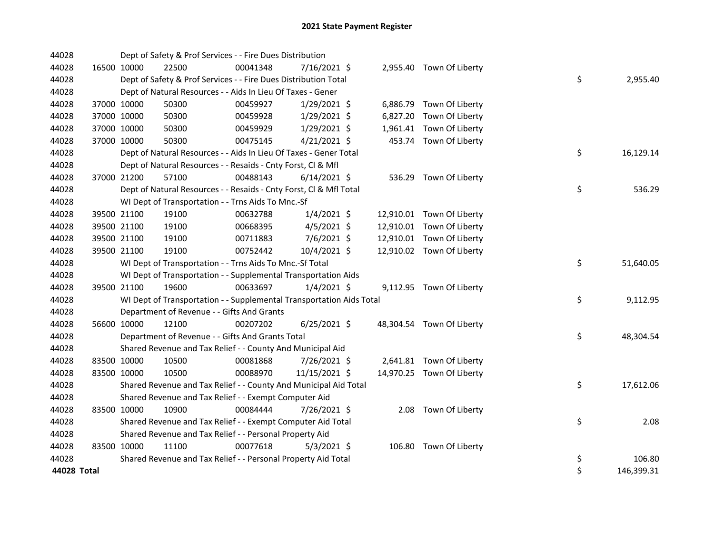| 44028       |             |             | Dept of Safety & Prof Services - - Fire Dues Distribution            |          |                |  |                           |    |            |
|-------------|-------------|-------------|----------------------------------------------------------------------|----------|----------------|--|---------------------------|----|------------|
| 44028       | 16500 10000 |             | 22500                                                                | 00041348 | 7/16/2021 \$   |  | 2,955.40 Town Of Liberty  |    |            |
| 44028       |             |             | Dept of Safety & Prof Services - - Fire Dues Distribution Total      |          |                |  |                           | \$ | 2,955.40   |
| 44028       |             |             | Dept of Natural Resources - - Aids In Lieu Of Taxes - Gener          |          |                |  |                           |    |            |
| 44028       |             | 37000 10000 | 50300                                                                | 00459927 | $1/29/2021$ \$ |  | 6,886.79 Town Of Liberty  |    |            |
| 44028       |             | 37000 10000 | 50300                                                                | 00459928 | $1/29/2021$ \$ |  | 6,827.20 Town Of Liberty  |    |            |
| 44028       |             | 37000 10000 | 50300                                                                | 00459929 | $1/29/2021$ \$ |  | 1,961.41 Town Of Liberty  |    |            |
| 44028       |             | 37000 10000 | 50300                                                                | 00475145 | $4/21/2021$ \$ |  | 453.74 Town Of Liberty    |    |            |
| 44028       |             |             | Dept of Natural Resources - - Aids In Lieu Of Taxes - Gener Total    |          |                |  |                           | \$ | 16,129.14  |
| 44028       |             |             | Dept of Natural Resources - - Resaids - Cnty Forst, Cl & Mfl         |          |                |  |                           |    |            |
| 44028       |             | 37000 21200 | 57100                                                                | 00488143 | $6/14/2021$ \$ |  | 536.29 Town Of Liberty    |    |            |
| 44028       |             |             | Dept of Natural Resources - - Resaids - Cnty Forst, Cl & Mfl Total   |          |                |  |                           | \$ | 536.29     |
| 44028       |             |             | WI Dept of Transportation - - Trns Aids To Mnc.-Sf                   |          |                |  |                           |    |            |
| 44028       |             | 39500 21100 | 19100                                                                | 00632788 | $1/4/2021$ \$  |  | 12,910.01 Town Of Liberty |    |            |
| 44028       |             | 39500 21100 | 19100                                                                | 00668395 | $4/5/2021$ \$  |  | 12,910.01 Town Of Liberty |    |            |
| 44028       |             | 39500 21100 | 19100                                                                | 00711883 | 7/6/2021 \$    |  | 12,910.01 Town Of Liberty |    |            |
| 44028       |             | 39500 21100 | 19100                                                                | 00752442 | 10/4/2021 \$   |  | 12,910.02 Town Of Liberty |    |            |
| 44028       |             |             | WI Dept of Transportation - - Trns Aids To Mnc.-Sf Total             |          |                |  |                           | \$ | 51,640.05  |
| 44028       |             |             | WI Dept of Transportation - - Supplemental Transportation Aids       |          |                |  |                           |    |            |
| 44028       |             | 39500 21100 | 19600                                                                | 00633697 | $1/4/2021$ \$  |  | 9,112.95 Town Of Liberty  |    |            |
| 44028       |             |             | WI Dept of Transportation - - Supplemental Transportation Aids Total |          |                |  |                           | \$ | 9,112.95   |
| 44028       |             |             | Department of Revenue - - Gifts And Grants                           |          |                |  |                           |    |            |
| 44028       |             | 56600 10000 | 12100                                                                | 00207202 | $6/25/2021$ \$ |  | 48,304.54 Town Of Liberty |    |            |
| 44028       |             |             | Department of Revenue - - Gifts And Grants Total                     |          |                |  |                           | \$ | 48,304.54  |
| 44028       |             |             | Shared Revenue and Tax Relief - - County And Municipal Aid           |          |                |  |                           |    |            |
| 44028       |             | 83500 10000 | 10500                                                                | 00081868 | 7/26/2021 \$   |  | 2,641.81 Town Of Liberty  |    |            |
| 44028       |             | 83500 10000 | 10500                                                                | 00088970 | 11/15/2021 \$  |  | 14,970.25 Town Of Liberty |    |            |
| 44028       |             |             | Shared Revenue and Tax Relief - - County And Municipal Aid Total     |          |                |  |                           | \$ | 17,612.06  |
| 44028       |             |             | Shared Revenue and Tax Relief - - Exempt Computer Aid                |          |                |  |                           |    |            |
| 44028       |             | 83500 10000 | 10900                                                                | 00084444 | 7/26/2021 \$   |  | 2.08 Town Of Liberty      |    |            |
| 44028       |             |             | Shared Revenue and Tax Relief - - Exempt Computer Aid Total          |          |                |  |                           | \$ | 2.08       |
| 44028       |             |             | Shared Revenue and Tax Relief - - Personal Property Aid              |          |                |  |                           |    |            |
| 44028       |             | 83500 10000 | 11100                                                                | 00077618 | $5/3/2021$ \$  |  | 106.80 Town Of Liberty    |    |            |
| 44028       |             |             | Shared Revenue and Tax Relief - - Personal Property Aid Total        |          |                |  |                           | \$ | 106.80     |
| 44028 Total |             |             |                                                                      |          |                |  |                           | \$ | 146,399.31 |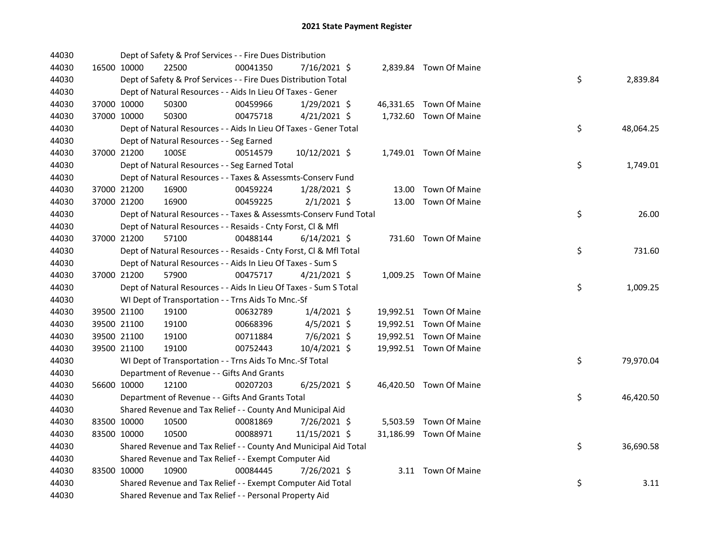| 44030 |             |             | Dept of Safety & Prof Services - - Fire Dues Distribution          |          |                |  |                         |    |           |
|-------|-------------|-------------|--------------------------------------------------------------------|----------|----------------|--|-------------------------|----|-----------|
| 44030 |             | 16500 10000 | 22500                                                              | 00041350 | 7/16/2021 \$   |  | 2,839.84 Town Of Maine  |    |           |
| 44030 |             |             | Dept of Safety & Prof Services - - Fire Dues Distribution Total    |          |                |  |                         | \$ | 2,839.84  |
| 44030 |             |             | Dept of Natural Resources - - Aids In Lieu Of Taxes - Gener        |          |                |  |                         |    |           |
| 44030 |             | 37000 10000 | 50300                                                              | 00459966 | 1/29/2021 \$   |  | 46,331.65 Town Of Maine |    |           |
| 44030 | 37000 10000 |             | 50300                                                              | 00475718 | $4/21/2021$ \$ |  | 1,732.60 Town Of Maine  |    |           |
| 44030 |             |             | Dept of Natural Resources - - Aids In Lieu Of Taxes - Gener Total  |          |                |  |                         | \$ | 48,064.25 |
| 44030 |             |             | Dept of Natural Resources - - Seg Earned                           |          |                |  |                         |    |           |
| 44030 | 37000 21200 |             | 100SE                                                              | 00514579 | 10/12/2021 \$  |  | 1,749.01 Town Of Maine  |    |           |
| 44030 |             |             | Dept of Natural Resources - - Seg Earned Total                     |          |                |  |                         | \$ | 1,749.01  |
| 44030 |             |             | Dept of Natural Resources - - Taxes & Assessmts-Conserv Fund       |          |                |  |                         |    |           |
| 44030 |             | 37000 21200 | 16900                                                              | 00459224 | $1/28/2021$ \$ |  | 13.00 Town Of Maine     |    |           |
| 44030 |             | 37000 21200 | 16900                                                              | 00459225 | $2/1/2021$ \$  |  | 13.00 Town Of Maine     |    |           |
| 44030 |             |             | Dept of Natural Resources - - Taxes & Assessmts-Conserv Fund Total |          |                |  |                         | \$ | 26.00     |
| 44030 |             |             | Dept of Natural Resources - - Resaids - Cnty Forst, Cl & Mfl       |          |                |  |                         |    |           |
| 44030 | 37000 21200 |             | 57100                                                              | 00488144 | $6/14/2021$ \$ |  | 731.60 Town Of Maine    |    |           |
| 44030 |             |             | Dept of Natural Resources - - Resaids - Cnty Forst, Cl & Mfl Total |          |                |  |                         | \$ | 731.60    |
| 44030 |             |             | Dept of Natural Resources - - Aids In Lieu Of Taxes - Sum S        |          |                |  |                         |    |           |
| 44030 |             | 37000 21200 | 57900                                                              | 00475717 | $4/21/2021$ \$ |  | 1,009.25 Town Of Maine  |    |           |
| 44030 |             |             | Dept of Natural Resources - - Aids In Lieu Of Taxes - Sum S Total  |          |                |  |                         | \$ | 1,009.25  |
| 44030 |             |             | WI Dept of Transportation - - Trns Aids To Mnc.-Sf                 |          |                |  |                         |    |           |
| 44030 |             | 39500 21100 | 19100                                                              | 00632789 | $1/4/2021$ \$  |  | 19,992.51 Town Of Maine |    |           |
| 44030 |             | 39500 21100 | 19100                                                              | 00668396 | $4/5/2021$ \$  |  | 19,992.51 Town Of Maine |    |           |
| 44030 |             | 39500 21100 | 19100                                                              | 00711884 | 7/6/2021 \$    |  | 19,992.51 Town Of Maine |    |           |
| 44030 |             | 39500 21100 | 19100                                                              | 00752443 | 10/4/2021 \$   |  | 19,992.51 Town Of Maine |    |           |
| 44030 |             |             | WI Dept of Transportation - - Trns Aids To Mnc.-Sf Total           |          |                |  |                         | \$ | 79,970.04 |
| 44030 |             |             | Department of Revenue - - Gifts And Grants                         |          |                |  |                         |    |           |
| 44030 |             | 56600 10000 | 12100                                                              | 00207203 | $6/25/2021$ \$ |  | 46,420.50 Town Of Maine |    |           |
| 44030 |             |             | Department of Revenue - - Gifts And Grants Total                   |          |                |  |                         | \$ | 46,420.50 |
| 44030 |             |             | Shared Revenue and Tax Relief - - County And Municipal Aid         |          |                |  |                         |    |           |
| 44030 |             | 83500 10000 | 10500                                                              | 00081869 | 7/26/2021 \$   |  | 5,503.59 Town Of Maine  |    |           |
| 44030 |             | 83500 10000 | 10500                                                              | 00088971 | 11/15/2021 \$  |  | 31,186.99 Town Of Maine |    |           |
| 44030 |             |             | Shared Revenue and Tax Relief - - County And Municipal Aid Total   |          |                |  |                         | \$ | 36,690.58 |
| 44030 |             |             | Shared Revenue and Tax Relief - - Exempt Computer Aid              |          |                |  |                         |    |           |
| 44030 | 83500 10000 |             | 10900                                                              | 00084445 | 7/26/2021 \$   |  | 3.11 Town Of Maine      |    |           |
| 44030 |             |             | Shared Revenue and Tax Relief - - Exempt Computer Aid Total        |          |                |  |                         | \$ | 3.11      |
| 44030 |             |             | Shared Revenue and Tax Relief - - Personal Property Aid            |          |                |  |                         |    |           |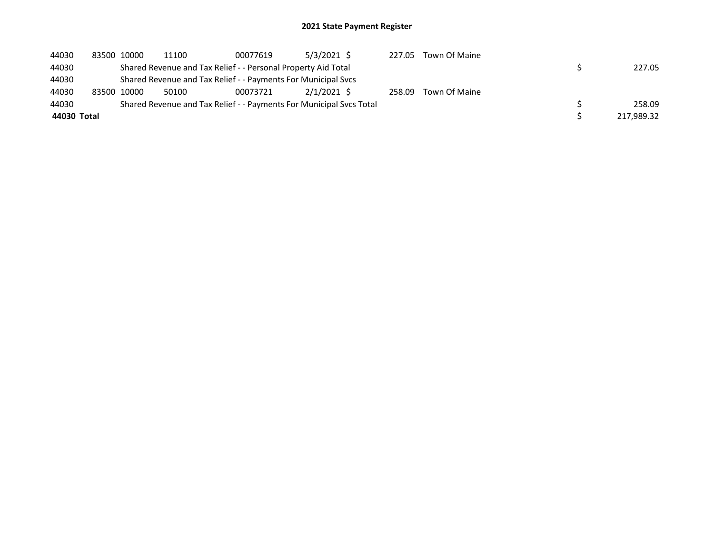| 44030       | 83500 10000 | 11100 | 00077619                                                      | $5/3/2021$ \$                                                       | 227.05 | Town Of Maine |            |
|-------------|-------------|-------|---------------------------------------------------------------|---------------------------------------------------------------------|--------|---------------|------------|
| 44030       |             |       | Shared Revenue and Tax Relief - - Personal Property Aid Total |                                                                     |        |               | 227.05     |
| 44030       |             |       | Shared Revenue and Tax Relief - - Payments For Municipal Svcs |                                                                     |        |               |            |
| 44030       | 83500 10000 | 50100 | 00073721                                                      | $2/1/2021$ \$                                                       | 258.09 | Town Of Maine |            |
| 44030       |             |       |                                                               | Shared Revenue and Tax Relief - - Payments For Municipal Svcs Total |        |               | 258.09     |
| 44030 Total |             |       |                                                               |                                                                     |        |               | 217,989.32 |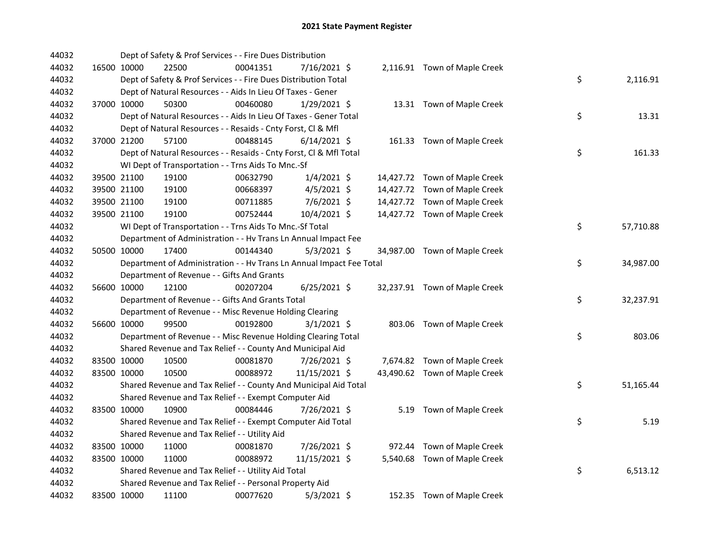| 44032 |             | Dept of Safety & Prof Services - - Fire Dues Distribution            |          |                |  |                               |    |           |
|-------|-------------|----------------------------------------------------------------------|----------|----------------|--|-------------------------------|----|-----------|
| 44032 | 16500 10000 | 22500                                                                | 00041351 | 7/16/2021 \$   |  | 2,116.91 Town of Maple Creek  |    |           |
| 44032 |             | Dept of Safety & Prof Services - - Fire Dues Distribution Total      |          |                |  |                               | \$ | 2,116.91  |
| 44032 |             | Dept of Natural Resources - - Aids In Lieu Of Taxes - Gener          |          |                |  |                               |    |           |
| 44032 | 37000 10000 | 50300                                                                | 00460080 | 1/29/2021 \$   |  | 13.31 Town of Maple Creek     |    |           |
| 44032 |             | Dept of Natural Resources - - Aids In Lieu Of Taxes - Gener Total    |          |                |  |                               | \$ | 13.31     |
| 44032 |             | Dept of Natural Resources - - Resaids - Cnty Forst, Cl & Mfl         |          |                |  |                               |    |           |
| 44032 | 37000 21200 | 57100                                                                | 00488145 | $6/14/2021$ \$ |  | 161.33 Town of Maple Creek    |    |           |
| 44032 |             | Dept of Natural Resources - - Resaids - Cnty Forst, CI & Mfl Total   |          |                |  |                               | \$ | 161.33    |
| 44032 |             | WI Dept of Transportation - - Trns Aids To Mnc.-Sf                   |          |                |  |                               |    |           |
| 44032 | 39500 21100 | 19100                                                                | 00632790 | $1/4/2021$ \$  |  | 14,427.72 Town of Maple Creek |    |           |
| 44032 | 39500 21100 | 19100                                                                | 00668397 | 4/5/2021 \$    |  | 14,427.72 Town of Maple Creek |    |           |
| 44032 | 39500 21100 | 19100                                                                | 00711885 | 7/6/2021 \$    |  | 14,427.72 Town of Maple Creek |    |           |
| 44032 | 39500 21100 | 19100                                                                | 00752444 | 10/4/2021 \$   |  | 14,427.72 Town of Maple Creek |    |           |
| 44032 |             | WI Dept of Transportation - - Trns Aids To Mnc .- Sf Total           |          |                |  |                               | \$ | 57,710.88 |
| 44032 |             | Department of Administration - - Hv Trans Ln Annual Impact Fee       |          |                |  |                               |    |           |
| 44032 | 50500 10000 | 17400                                                                | 00144340 | $5/3/2021$ \$  |  | 34,987.00 Town of Maple Creek |    |           |
| 44032 |             | Department of Administration - - Hv Trans Ln Annual Impact Fee Total |          |                |  |                               | \$ | 34,987.00 |
| 44032 |             | Department of Revenue - - Gifts And Grants                           |          |                |  |                               |    |           |
| 44032 | 56600 10000 | 12100                                                                | 00207204 | $6/25/2021$ \$ |  | 32,237.91 Town of Maple Creek |    |           |
| 44032 |             | Department of Revenue - - Gifts And Grants Total                     |          |                |  |                               | \$ | 32,237.91 |
| 44032 |             | Department of Revenue - - Misc Revenue Holding Clearing              |          |                |  |                               |    |           |
| 44032 | 56600 10000 | 99500                                                                | 00192800 | $3/1/2021$ \$  |  | 803.06 Town of Maple Creek    |    |           |
| 44032 |             | Department of Revenue - - Misc Revenue Holding Clearing Total        |          |                |  |                               | \$ | 803.06    |
| 44032 |             | Shared Revenue and Tax Relief - - County And Municipal Aid           |          |                |  |                               |    |           |
| 44032 | 83500 10000 | 10500                                                                | 00081870 | 7/26/2021 \$   |  | 7,674.82 Town of Maple Creek  |    |           |
| 44032 | 83500 10000 | 10500                                                                | 00088972 | 11/15/2021 \$  |  | 43,490.62 Town of Maple Creek |    |           |
| 44032 |             | Shared Revenue and Tax Relief - - County And Municipal Aid Total     |          |                |  |                               | \$ | 51,165.44 |
| 44032 |             | Shared Revenue and Tax Relief - - Exempt Computer Aid                |          |                |  |                               |    |           |
| 44032 | 83500 10000 | 10900                                                                | 00084446 | 7/26/2021 \$   |  | 5.19 Town of Maple Creek      |    |           |
| 44032 |             | Shared Revenue and Tax Relief - - Exempt Computer Aid Total          |          |                |  |                               | \$ | 5.19      |
| 44032 |             | Shared Revenue and Tax Relief - - Utility Aid                        |          |                |  |                               |    |           |
| 44032 | 83500 10000 | 11000                                                                | 00081870 | 7/26/2021 \$   |  | 972.44 Town of Maple Creek    |    |           |
| 44032 | 83500 10000 | 11000                                                                | 00088972 | 11/15/2021 \$  |  | 5,540.68 Town of Maple Creek  |    |           |
| 44032 |             | Shared Revenue and Tax Relief - - Utility Aid Total                  |          |                |  |                               | \$ | 6,513.12  |
| 44032 |             | Shared Revenue and Tax Relief - - Personal Property Aid              |          |                |  |                               |    |           |
| 44032 | 83500 10000 | 11100                                                                | 00077620 | $5/3/2021$ \$  |  | 152.35 Town of Maple Creek    |    |           |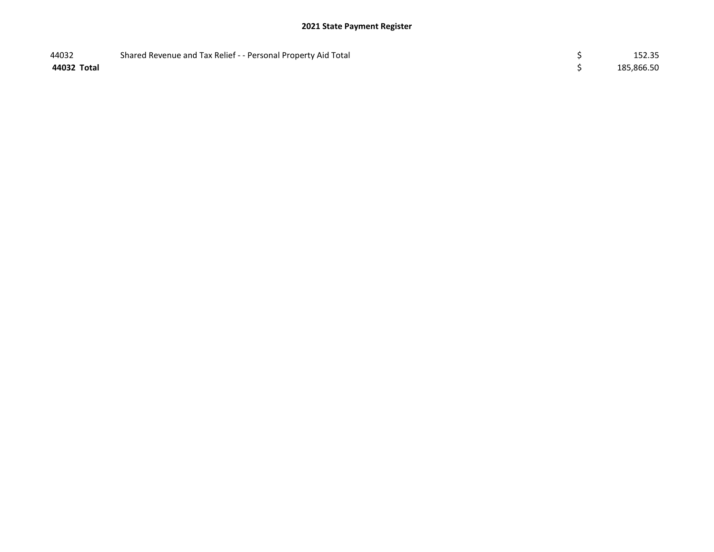| 44032       | Shared Revenue and Tax Relief - - Personal Property Aid Total | 152.35     |
|-------------|---------------------------------------------------------------|------------|
| 44032 Total |                                                               | 185,866.50 |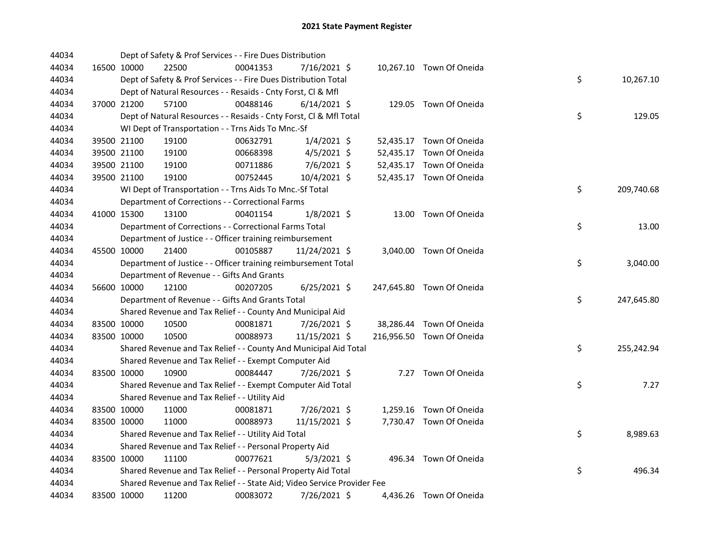| 44034 | Dept of Safety & Prof Services - - Fire Dues Distribution               |          |                |  |                           |                  |
|-------|-------------------------------------------------------------------------|----------|----------------|--|---------------------------|------------------|
| 44034 | 16500 10000<br>22500                                                    | 00041353 | 7/16/2021 \$   |  | 10,267.10 Town Of Oneida  |                  |
| 44034 | Dept of Safety & Prof Services - - Fire Dues Distribution Total         |          |                |  |                           | \$<br>10,267.10  |
| 44034 | Dept of Natural Resources - - Resaids - Cnty Forst, Cl & Mfl            |          |                |  |                           |                  |
| 44034 | 37000 21200<br>57100                                                    | 00488146 | $6/14/2021$ \$ |  | 129.05 Town Of Oneida     |                  |
| 44034 | Dept of Natural Resources - - Resaids - Cnty Forst, CI & Mfl Total      |          |                |  |                           | \$<br>129.05     |
| 44034 | WI Dept of Transportation - - Trns Aids To Mnc.-Sf                      |          |                |  |                           |                  |
| 44034 | 39500 21100<br>19100                                                    | 00632791 | $1/4/2021$ \$  |  | 52,435.17 Town Of Oneida  |                  |
| 44034 | 39500 21100<br>19100                                                    | 00668398 | $4/5/2021$ \$  |  | 52,435.17 Town Of Oneida  |                  |
| 44034 | 39500 21100<br>19100                                                    | 00711886 | $7/6/2021$ \$  |  | 52,435.17 Town Of Oneida  |                  |
| 44034 | 39500 21100<br>19100                                                    | 00752445 | 10/4/2021 \$   |  | 52,435.17 Town Of Oneida  |                  |
| 44034 | WI Dept of Transportation - - Trns Aids To Mnc.-Sf Total                |          |                |  |                           | \$<br>209,740.68 |
| 44034 | Department of Corrections - - Correctional Farms                        |          |                |  |                           |                  |
| 44034 | 41000 15300<br>13100                                                    | 00401154 | $1/8/2021$ \$  |  | 13.00 Town Of Oneida      |                  |
| 44034 | Department of Corrections - - Correctional Farms Total                  |          |                |  |                           | \$<br>13.00      |
| 44034 | Department of Justice - - Officer training reimbursement                |          |                |  |                           |                  |
| 44034 | 45500 10000<br>21400                                                    | 00105887 | 11/24/2021 \$  |  | 3,040.00 Town Of Oneida   |                  |
| 44034 | Department of Justice - - Officer training reimbursement Total          |          |                |  |                           | \$<br>3,040.00   |
| 44034 | Department of Revenue - - Gifts And Grants                              |          |                |  |                           |                  |
| 44034 | 12100<br>56600 10000                                                    | 00207205 | $6/25/2021$ \$ |  | 247,645.80 Town Of Oneida |                  |
| 44034 | Department of Revenue - - Gifts And Grants Total                        |          |                |  |                           | \$<br>247,645.80 |
| 44034 | Shared Revenue and Tax Relief - - County And Municipal Aid              |          |                |  |                           |                  |
| 44034 | 83500 10000<br>10500                                                    | 00081871 | 7/26/2021 \$   |  | 38,286.44 Town Of Oneida  |                  |
| 44034 | 83500 10000<br>10500                                                    | 00088973 | 11/15/2021 \$  |  | 216,956.50 Town Of Oneida |                  |
| 44034 | Shared Revenue and Tax Relief - - County And Municipal Aid Total        |          |                |  |                           | \$<br>255,242.94 |
| 44034 | Shared Revenue and Tax Relief - - Exempt Computer Aid                   |          |                |  |                           |                  |
| 44034 | 83500 10000<br>10900                                                    | 00084447 | 7/26/2021 \$   |  | 7.27 Town Of Oneida       |                  |
| 44034 | Shared Revenue and Tax Relief - - Exempt Computer Aid Total             |          |                |  |                           | \$<br>7.27       |
| 44034 | Shared Revenue and Tax Relief - - Utility Aid                           |          |                |  |                           |                  |
| 44034 | 83500 10000<br>11000                                                    | 00081871 | 7/26/2021 \$   |  | 1,259.16 Town Of Oneida   |                  |
| 44034 | 83500 10000<br>11000                                                    | 00088973 | 11/15/2021 \$  |  | 7,730.47 Town Of Oneida   |                  |
| 44034 | Shared Revenue and Tax Relief - - Utility Aid Total                     |          |                |  |                           | \$<br>8,989.63   |
| 44034 | Shared Revenue and Tax Relief - - Personal Property Aid                 |          |                |  |                           |                  |
| 44034 | 83500 10000<br>11100                                                    | 00077621 | $5/3/2021$ \$  |  | 496.34 Town Of Oneida     |                  |
| 44034 | Shared Revenue and Tax Relief - - Personal Property Aid Total           |          |                |  |                           | \$<br>496.34     |
| 44034 | Shared Revenue and Tax Relief - - State Aid; Video Service Provider Fee |          |                |  |                           |                  |
| 44034 | 83500 10000<br>11200                                                    | 00083072 | 7/26/2021 \$   |  | 4,436.26 Town Of Oneida   |                  |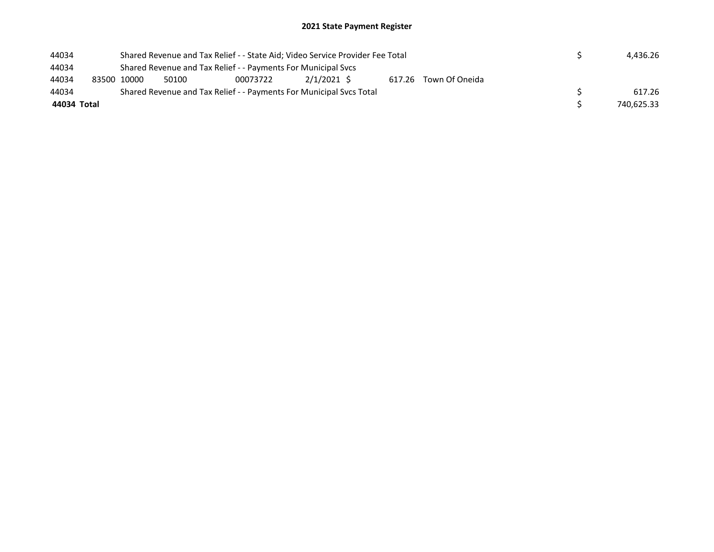| 44034       | Shared Revenue and Tax Relief - - State Aid; Video Service Provider Fee Total |       |                                                                     |               |  |                       |  |  | 4.436.26   |
|-------------|-------------------------------------------------------------------------------|-------|---------------------------------------------------------------------|---------------|--|-----------------------|--|--|------------|
| 44034       | Shared Revenue and Tax Relief - - Payments For Municipal Svcs                 |       |                                                                     |               |  |                       |  |  |            |
| 44034       | 83500 10000                                                                   | 50100 | 00073722                                                            | $2/1/2021$ \$ |  | 617.26 Town Of Oneida |  |  |            |
| 44034       |                                                                               |       | Shared Revenue and Tax Relief - - Payments For Municipal Svcs Total |               |  |                       |  |  | 617.26     |
| 44034 Total |                                                                               |       |                                                                     |               |  |                       |  |  | 740.625.33 |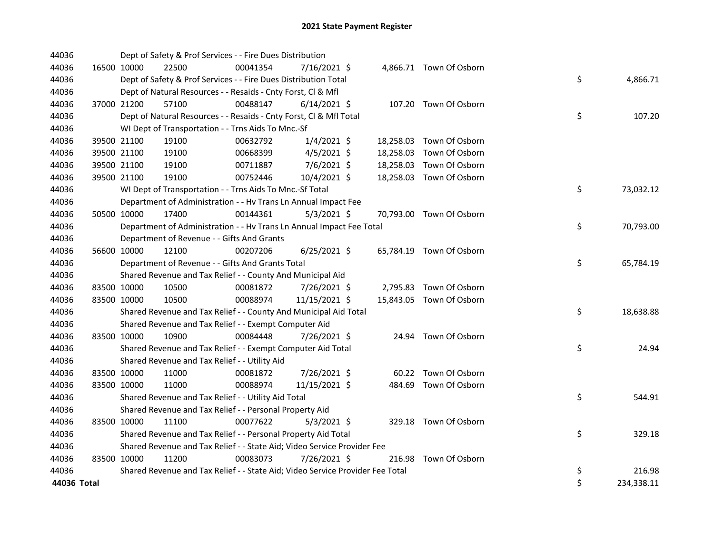| 44036       |             | Dept of Safety & Prof Services - - Fire Dues Distribution                     |          |                |  |                          |    |            |
|-------------|-------------|-------------------------------------------------------------------------------|----------|----------------|--|--------------------------|----|------------|
| 44036       | 16500 10000 | 22500                                                                         | 00041354 | 7/16/2021 \$   |  | 4,866.71 Town Of Osborn  |    |            |
| 44036       |             | Dept of Safety & Prof Services - - Fire Dues Distribution Total               |          |                |  |                          | \$ | 4,866.71   |
| 44036       |             | Dept of Natural Resources - - Resaids - Cnty Forst, CI & Mfl                  |          |                |  |                          |    |            |
| 44036       | 37000 21200 | 57100                                                                         | 00488147 | $6/14/2021$ \$ |  | 107.20 Town Of Osborn    |    |            |
| 44036       |             | Dept of Natural Resources - - Resaids - Cnty Forst, Cl & Mfl Total            |          |                |  |                          | \$ | 107.20     |
| 44036       |             | WI Dept of Transportation - - Trns Aids To Mnc.-Sf                            |          |                |  |                          |    |            |
| 44036       | 39500 21100 | 19100                                                                         | 00632792 | $1/4/2021$ \$  |  | 18,258.03 Town Of Osborn |    |            |
| 44036       | 39500 21100 | 19100                                                                         | 00668399 | $4/5/2021$ \$  |  | 18,258.03 Town Of Osborn |    |            |
| 44036       | 39500 21100 | 19100                                                                         | 00711887 | 7/6/2021 \$    |  | 18,258.03 Town Of Osborn |    |            |
| 44036       | 39500 21100 | 19100                                                                         | 00752446 | 10/4/2021 \$   |  | 18,258.03 Town Of Osborn |    |            |
| 44036       |             | WI Dept of Transportation - - Trns Aids To Mnc.-Sf Total                      |          |                |  |                          | \$ | 73,032.12  |
| 44036       |             | Department of Administration - - Hv Trans Ln Annual Impact Fee                |          |                |  |                          |    |            |
| 44036       | 50500 10000 | 17400                                                                         | 00144361 | $5/3/2021$ \$  |  | 70,793.00 Town Of Osborn |    |            |
| 44036       |             | Department of Administration - - Hv Trans Ln Annual Impact Fee Total          |          |                |  |                          | \$ | 70,793.00  |
| 44036       |             | Department of Revenue - - Gifts And Grants                                    |          |                |  |                          |    |            |
| 44036       | 56600 10000 | 12100                                                                         | 00207206 | $6/25/2021$ \$ |  | 65,784.19 Town Of Osborn |    |            |
| 44036       |             | Department of Revenue - - Gifts And Grants Total                              |          |                |  |                          | \$ | 65,784.19  |
| 44036       |             | Shared Revenue and Tax Relief - - County And Municipal Aid                    |          |                |  |                          |    |            |
| 44036       | 83500 10000 | 10500                                                                         | 00081872 | 7/26/2021 \$   |  | 2,795.83 Town Of Osborn  |    |            |
| 44036       | 83500 10000 | 10500                                                                         | 00088974 | 11/15/2021 \$  |  | 15,843.05 Town Of Osborn |    |            |
| 44036       |             | Shared Revenue and Tax Relief - - County And Municipal Aid Total              |          |                |  |                          | \$ | 18,638.88  |
| 44036       |             | Shared Revenue and Tax Relief - - Exempt Computer Aid                         |          |                |  |                          |    |            |
| 44036       | 83500 10000 | 10900                                                                         | 00084448 | 7/26/2021 \$   |  | 24.94 Town Of Osborn     |    |            |
| 44036       |             | Shared Revenue and Tax Relief - - Exempt Computer Aid Total                   |          |                |  |                          | \$ | 24.94      |
| 44036       |             | Shared Revenue and Tax Relief - - Utility Aid                                 |          |                |  |                          |    |            |
| 44036       | 83500 10000 | 11000                                                                         | 00081872 | 7/26/2021 \$   |  | 60.22 Town Of Osborn     |    |            |
| 44036       | 83500 10000 | 11000                                                                         | 00088974 | 11/15/2021 \$  |  | 484.69 Town Of Osborn    |    |            |
| 44036       |             | Shared Revenue and Tax Relief - - Utility Aid Total                           |          |                |  |                          | \$ | 544.91     |
| 44036       |             | Shared Revenue and Tax Relief - - Personal Property Aid                       |          |                |  |                          |    |            |
| 44036       | 83500 10000 | 11100                                                                         | 00077622 | $5/3/2021$ \$  |  | 329.18 Town Of Osborn    |    |            |
| 44036       |             | Shared Revenue and Tax Relief - - Personal Property Aid Total                 |          |                |  |                          | \$ | 329.18     |
| 44036       |             | Shared Revenue and Tax Relief - - State Aid; Video Service Provider Fee       |          |                |  |                          |    |            |
| 44036       | 83500 10000 | 11200                                                                         | 00083073 | 7/26/2021 \$   |  | 216.98 Town Of Osborn    |    |            |
| 44036       |             | Shared Revenue and Tax Relief - - State Aid; Video Service Provider Fee Total |          |                |  |                          | \$ | 216.98     |
| 44036 Total |             |                                                                               |          |                |  |                          | \$ | 234,338.11 |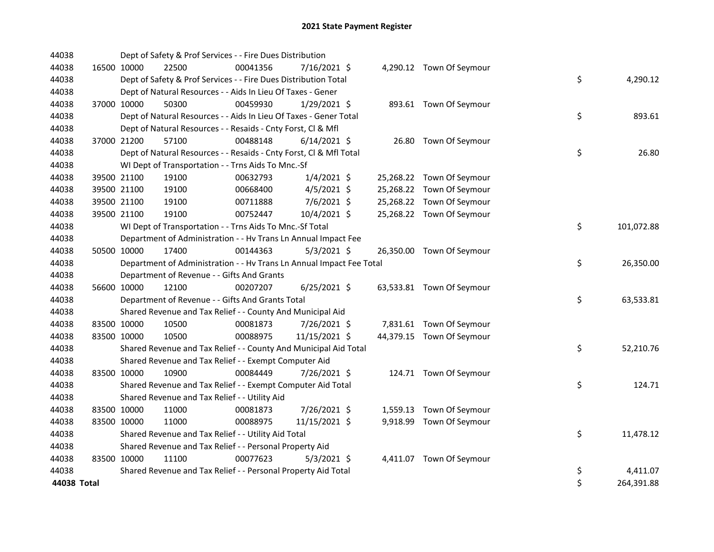| 44038       | Dept of Safety & Prof Services - - Fire Dues Distribution            |          |                |                           |                  |
|-------------|----------------------------------------------------------------------|----------|----------------|---------------------------|------------------|
| 44038       | 16500 10000<br>22500                                                 | 00041356 | 7/16/2021 \$   | 4,290.12 Town Of Seymour  |                  |
| 44038       | Dept of Safety & Prof Services - - Fire Dues Distribution Total      |          |                |                           | \$<br>4,290.12   |
| 44038       | Dept of Natural Resources - - Aids In Lieu Of Taxes - Gener          |          |                |                           |                  |
| 44038       | 37000 10000<br>50300                                                 | 00459930 | $1/29/2021$ \$ | 893.61 Town Of Seymour    |                  |
| 44038       | Dept of Natural Resources - - Aids In Lieu Of Taxes - Gener Total    |          |                |                           | \$<br>893.61     |
| 44038       | Dept of Natural Resources - - Resaids - Cnty Forst, Cl & Mfl         |          |                |                           |                  |
| 44038       | 37000 21200<br>57100                                                 | 00488148 | $6/14/2021$ \$ | 26.80 Town Of Seymour     |                  |
| 44038       | Dept of Natural Resources - - Resaids - Cnty Forst, Cl & Mfl Total   |          |                |                           | \$<br>26.80      |
| 44038       | WI Dept of Transportation - - Trns Aids To Mnc.-Sf                   |          |                |                           |                  |
| 44038       | 39500 21100<br>19100                                                 | 00632793 | $1/4/2021$ \$  | 25,268.22 Town Of Seymour |                  |
| 44038       | 39500 21100<br>19100                                                 | 00668400 | $4/5/2021$ \$  | 25,268.22 Town Of Seymour |                  |
| 44038       | 39500 21100<br>19100                                                 | 00711888 | 7/6/2021 \$    | 25,268.22 Town Of Seymour |                  |
| 44038       | 39500 21100<br>19100                                                 | 00752447 | 10/4/2021 \$   | 25,268.22 Town Of Seymour |                  |
| 44038       | WI Dept of Transportation - - Trns Aids To Mnc.-Sf Total             |          |                |                           | \$<br>101,072.88 |
| 44038       | Department of Administration - - Hv Trans Ln Annual Impact Fee       |          |                |                           |                  |
| 44038       | 50500 10000<br>17400                                                 | 00144363 | $5/3/2021$ \$  | 26,350.00 Town Of Seymour |                  |
| 44038       | Department of Administration - - Hv Trans Ln Annual Impact Fee Total |          |                |                           | \$<br>26,350.00  |
| 44038       | Department of Revenue - - Gifts And Grants                           |          |                |                           |                  |
| 44038       | 56600 10000<br>12100                                                 | 00207207 | $6/25/2021$ \$ | 63,533.81 Town Of Seymour |                  |
| 44038       | Department of Revenue - - Gifts And Grants Total                     |          |                |                           | \$<br>63,533.81  |
| 44038       | Shared Revenue and Tax Relief - - County And Municipal Aid           |          |                |                           |                  |
| 44038       | 83500 10000<br>10500                                                 | 00081873 | 7/26/2021 \$   | 7,831.61 Town Of Seymour  |                  |
| 44038       | 83500 10000<br>10500                                                 | 00088975 | 11/15/2021 \$  | 44,379.15 Town Of Seymour |                  |
| 44038       | Shared Revenue and Tax Relief - - County And Municipal Aid Total     |          |                |                           | \$<br>52,210.76  |
| 44038       | Shared Revenue and Tax Relief - - Exempt Computer Aid                |          |                |                           |                  |
| 44038       | 83500 10000<br>10900                                                 | 00084449 | 7/26/2021 \$   | 124.71 Town Of Seymour    |                  |
| 44038       | Shared Revenue and Tax Relief - - Exempt Computer Aid Total          |          |                |                           | \$<br>124.71     |
| 44038       | Shared Revenue and Tax Relief - - Utility Aid                        |          |                |                           |                  |
| 44038       | 83500 10000<br>11000                                                 | 00081873 | 7/26/2021 \$   | 1,559.13 Town Of Seymour  |                  |
| 44038       | 83500 10000<br>11000                                                 | 00088975 | 11/15/2021 \$  | 9,918.99 Town Of Seymour  |                  |
| 44038       | Shared Revenue and Tax Relief - - Utility Aid Total                  |          |                |                           | \$<br>11,478.12  |
| 44038       | Shared Revenue and Tax Relief - - Personal Property Aid              |          |                |                           |                  |
| 44038       | 83500 10000<br>11100                                                 | 00077623 | $5/3/2021$ \$  | 4,411.07 Town Of Seymour  |                  |
| 44038       | Shared Revenue and Tax Relief - - Personal Property Aid Total        |          |                |                           | \$<br>4,411.07   |
| 44038 Total |                                                                      |          |                |                           | \$<br>264,391.88 |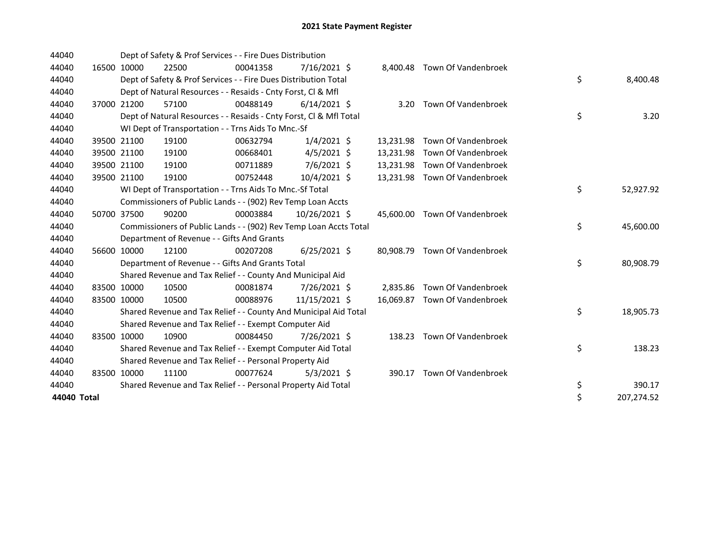| 44040       |       |             | Dept of Safety & Prof Services - - Fire Dues Distribution          |          |                |           |                               |    |            |
|-------------|-------|-------------|--------------------------------------------------------------------|----------|----------------|-----------|-------------------------------|----|------------|
| 44040       |       | 16500 10000 | 22500                                                              | 00041358 | $7/16/2021$ \$ |           | 8,400.48 Town Of Vandenbroek  |    |            |
| 44040       |       |             | Dept of Safety & Prof Services - - Fire Dues Distribution Total    |          |                |           |                               | \$ | 8,400.48   |
| 44040       |       |             | Dept of Natural Resources - - Resaids - Cnty Forst, CI & Mfl       |          |                |           |                               |    |            |
| 44040       |       | 37000 21200 | 57100                                                              | 00488149 | $6/14/2021$ \$ |           | 3.20 Town Of Vandenbroek      |    |            |
| 44040       |       |             | Dept of Natural Resources - - Resaids - Cnty Forst, CI & Mfl Total |          |                |           |                               | \$ | 3.20       |
| 44040       |       |             | WI Dept of Transportation - - Trns Aids To Mnc.-Sf                 |          |                |           |                               |    |            |
| 44040       |       | 39500 21100 | 19100                                                              | 00632794 | $1/4/2021$ \$  | 13,231.98 | Town Of Vandenbroek           |    |            |
| 44040       |       | 39500 21100 | 19100                                                              | 00668401 | $4/5/2021$ \$  | 13,231.98 | Town Of Vandenbroek           |    |            |
| 44040       |       | 39500 21100 | 19100                                                              | 00711889 | 7/6/2021 \$    | 13,231.98 | Town Of Vandenbroek           |    |            |
| 44040       |       | 39500 21100 | 19100                                                              | 00752448 | 10/4/2021 \$   | 13,231.98 | Town Of Vandenbroek           |    |            |
| 44040       |       |             | WI Dept of Transportation - - Trns Aids To Mnc.-Sf Total           |          |                |           |                               | \$ | 52,927.92  |
| 44040       |       |             | Commissioners of Public Lands - - (902) Rev Temp Loan Accts        |          |                |           |                               |    |            |
| 44040       |       | 50700 37500 | 90200                                                              | 00003884 | 10/26/2021 \$  |           | 45,600.00 Town Of Vandenbroek |    |            |
| 44040       |       |             | Commissioners of Public Lands - - (902) Rev Temp Loan Accts Total  |          |                |           |                               | \$ | 45,600.00  |
| 44040       |       |             | Department of Revenue - - Gifts And Grants                         |          |                |           |                               |    |            |
| 44040       |       | 56600 10000 | 12100                                                              | 00207208 | $6/25/2021$ \$ |           | 80,908.79 Town Of Vandenbroek |    |            |
| 44040       |       |             | Department of Revenue - - Gifts And Grants Total                   |          |                |           |                               | \$ | 80,908.79  |
| 44040       |       |             | Shared Revenue and Tax Relief - - County And Municipal Aid         |          |                |           |                               |    |            |
| 44040       |       | 83500 10000 | 10500                                                              | 00081874 | 7/26/2021 \$   | 2.835.86  | Town Of Vandenbroek           |    |            |
| 44040       |       | 83500 10000 | 10500                                                              | 00088976 | 11/15/2021 \$  |           | 16,069.87 Town Of Vandenbroek |    |            |
| 44040       |       |             | Shared Revenue and Tax Relief - - County And Municipal Aid Total   |          |                |           |                               | \$ | 18,905.73  |
| 44040       |       |             | Shared Revenue and Tax Relief - - Exempt Computer Aid              |          |                |           |                               |    |            |
| 44040       | 83500 | 10000       | 10900                                                              | 00084450 | 7/26/2021 \$   |           | 138.23 Town Of Vandenbroek    |    |            |
| 44040       |       |             | Shared Revenue and Tax Relief - - Exempt Computer Aid Total        |          |                |           |                               | \$ | 138.23     |
| 44040       |       |             | Shared Revenue and Tax Relief - - Personal Property Aid            |          |                |           |                               |    |            |
| 44040       |       | 83500 10000 | 11100                                                              | 00077624 | $5/3/2021$ \$  | 390.17    | Town Of Vandenbroek           |    |            |
| 44040       |       |             | Shared Revenue and Tax Relief - - Personal Property Aid Total      |          |                |           |                               | \$ | 390.17     |
| 44040 Total |       |             |                                                                    |          |                |           |                               | \$ | 207,274.52 |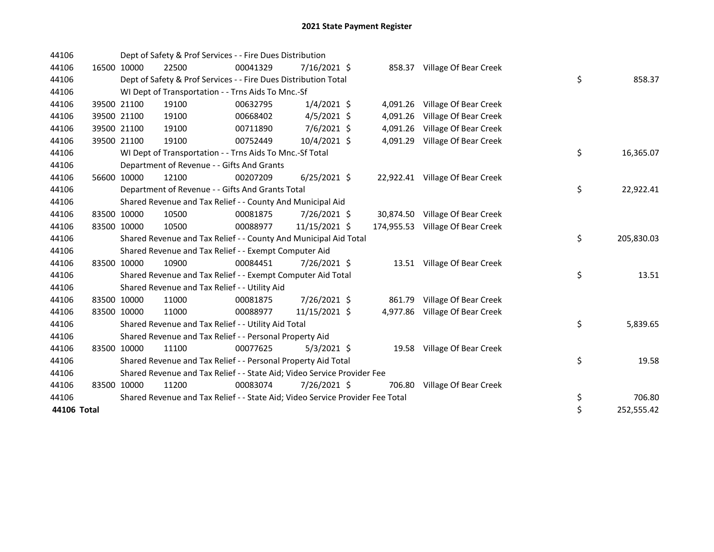| 44106 |             | Dept of Safety & Prof Services - - Fire Dues Distribution                     |          |                |          |                                  |          |            |
|-------|-------------|-------------------------------------------------------------------------------|----------|----------------|----------|----------------------------------|----------|------------|
| 44106 | 16500 10000 | 22500                                                                         | 00041329 | $7/16/2021$ \$ |          | 858.37 Village Of Bear Creek     |          |            |
| 44106 |             | Dept of Safety & Prof Services - - Fire Dues Distribution Total               |          |                |          |                                  | \$       | 858.37     |
| 44106 |             | WI Dept of Transportation - - Trns Aids To Mnc.-Sf                            |          |                |          |                                  |          |            |
| 44106 | 39500 21100 | 19100                                                                         | 00632795 | $1/4/2021$ \$  |          | 4,091.26 Village Of Bear Creek   |          |            |
| 44106 | 39500 21100 | 19100                                                                         | 00668402 | $4/5/2021$ \$  | 4,091.26 | Village Of Bear Creek            |          |            |
| 44106 | 39500 21100 | 19100                                                                         | 00711890 | 7/6/2021 \$    | 4,091.26 | Village Of Bear Creek            |          |            |
| 44106 | 39500 21100 | 19100                                                                         | 00752449 | 10/4/2021 \$   |          | 4,091.29 Village Of Bear Creek   |          |            |
| 44106 |             | WI Dept of Transportation - - Trns Aids To Mnc.-Sf Total                      |          |                |          |                                  | \$       | 16,365.07  |
| 44106 |             | Department of Revenue - - Gifts And Grants                                    |          |                |          |                                  |          |            |
| 44106 | 56600 10000 | 12100                                                                         | 00207209 | $6/25/2021$ \$ |          | 22,922.41 Village Of Bear Creek  |          |            |
| 44106 |             | Department of Revenue - - Gifts And Grants Total                              |          |                |          |                                  | \$       | 22,922.41  |
| 44106 |             | Shared Revenue and Tax Relief - - County And Municipal Aid                    |          |                |          |                                  |          |            |
| 44106 | 83500 10000 | 10500                                                                         | 00081875 | 7/26/2021 \$   |          | 30,874.50 Village Of Bear Creek  |          |            |
| 44106 | 83500 10000 | 10500                                                                         | 00088977 | 11/15/2021 \$  |          | 174,955.53 Village Of Bear Creek |          |            |
| 44106 |             | Shared Revenue and Tax Relief - - County And Municipal Aid Total              |          |                |          |                                  | \$       | 205,830.03 |
| 44106 |             | Shared Revenue and Tax Relief - - Exempt Computer Aid                         |          |                |          |                                  |          |            |
| 44106 | 83500 10000 | 10900                                                                         | 00084451 | 7/26/2021 \$   |          | 13.51 Village Of Bear Creek      |          |            |
| 44106 |             | Shared Revenue and Tax Relief - - Exempt Computer Aid Total                   |          |                |          |                                  | \$       | 13.51      |
| 44106 |             | Shared Revenue and Tax Relief - - Utility Aid                                 |          |                |          |                                  |          |            |
| 44106 | 83500 10000 | 11000                                                                         | 00081875 | 7/26/2021 \$   |          | 861.79 Village Of Bear Creek     |          |            |
| 44106 | 83500 10000 | 11000                                                                         | 00088977 | 11/15/2021 \$  |          | 4,977.86 Village Of Bear Creek   |          |            |
| 44106 |             | Shared Revenue and Tax Relief - - Utility Aid Total                           |          |                |          |                                  | \$       | 5,839.65   |
| 44106 |             | Shared Revenue and Tax Relief - - Personal Property Aid                       |          |                |          |                                  |          |            |
| 44106 | 83500 10000 | 11100                                                                         | 00077625 | $5/3/2021$ \$  |          | 19.58 Village Of Bear Creek      |          |            |
| 44106 |             | Shared Revenue and Tax Relief - - Personal Property Aid Total                 |          |                |          |                                  | \$       | 19.58      |
| 44106 |             | Shared Revenue and Tax Relief - - State Aid; Video Service Provider Fee       |          |                |          |                                  |          |            |
|       |             |                                                                               |          |                |          |                                  |          |            |
| 44106 | 83500 10000 | 11200                                                                         | 00083074 | 7/26/2021 \$   | 706.80   | Village Of Bear Creek            |          |            |
| 44106 |             | Shared Revenue and Tax Relief - - State Aid; Video Service Provider Fee Total |          |                |          |                                  | \$<br>\$ | 706.80     |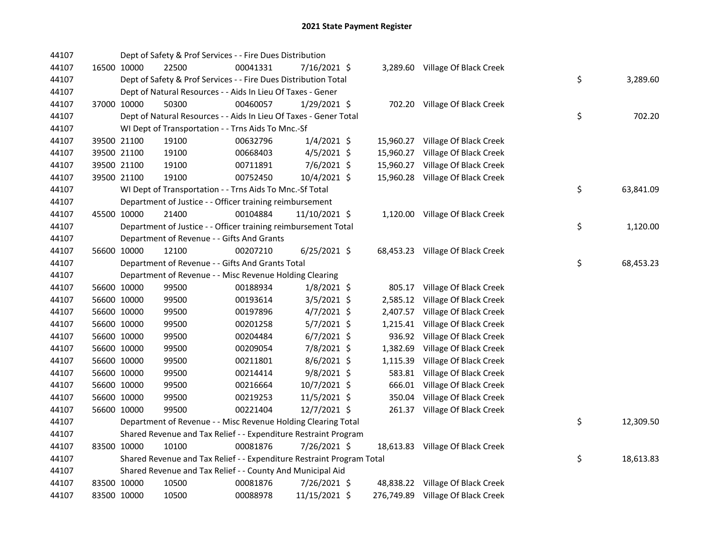| 44107 |             | Dept of Safety & Prof Services - - Fire Dues Distribution             |          |                |          |                                   |    |           |
|-------|-------------|-----------------------------------------------------------------------|----------|----------------|----------|-----------------------------------|----|-----------|
| 44107 | 16500 10000 | 22500                                                                 | 00041331 | 7/16/2021 \$   |          | 3,289.60 Village Of Black Creek   |    |           |
| 44107 |             | Dept of Safety & Prof Services - - Fire Dues Distribution Total       |          |                |          |                                   | \$ | 3,289.60  |
| 44107 |             | Dept of Natural Resources - - Aids In Lieu Of Taxes - Gener           |          |                |          |                                   |    |           |
| 44107 | 37000 10000 | 50300                                                                 | 00460057 | $1/29/2021$ \$ |          | 702.20 Village Of Black Creek     |    |           |
| 44107 |             | Dept of Natural Resources - - Aids In Lieu Of Taxes - Gener Total     |          |                |          |                                   | \$ | 702.20    |
| 44107 |             | WI Dept of Transportation - - Trns Aids To Mnc.-Sf                    |          |                |          |                                   |    |           |
| 44107 | 39500 21100 | 19100                                                                 | 00632796 | $1/4/2021$ \$  |          | 15,960.27 Village Of Black Creek  |    |           |
| 44107 | 39500 21100 | 19100                                                                 | 00668403 | $4/5/2021$ \$  |          | 15,960.27 Village Of Black Creek  |    |           |
| 44107 | 39500 21100 | 19100                                                                 | 00711891 | 7/6/2021 \$    |          | 15,960.27 Village Of Black Creek  |    |           |
| 44107 | 39500 21100 | 19100                                                                 | 00752450 | 10/4/2021 \$   |          | 15,960.28 Village Of Black Creek  |    |           |
| 44107 |             | WI Dept of Transportation - - Trns Aids To Mnc.-Sf Total              |          |                |          |                                   | \$ | 63,841.09 |
| 44107 |             | Department of Justice - - Officer training reimbursement              |          |                |          |                                   |    |           |
| 44107 | 45500 10000 | 21400                                                                 | 00104884 | 11/10/2021 \$  |          | 1,120.00 Village Of Black Creek   |    |           |
| 44107 |             | Department of Justice - - Officer training reimbursement Total        |          |                |          |                                   | \$ | 1,120.00  |
| 44107 |             | Department of Revenue - - Gifts And Grants                            |          |                |          |                                   |    |           |
| 44107 | 56600 10000 | 12100                                                                 | 00207210 | $6/25/2021$ \$ |          | 68,453.23 Village Of Black Creek  |    |           |
| 44107 |             | Department of Revenue - - Gifts And Grants Total                      |          |                |          |                                   | \$ | 68,453.23 |
| 44107 |             | Department of Revenue - - Misc Revenue Holding Clearing               |          |                |          |                                   |    |           |
| 44107 | 56600 10000 | 99500                                                                 | 00188934 | $1/8/2021$ \$  |          | 805.17 Village Of Black Creek     |    |           |
| 44107 | 56600 10000 | 99500                                                                 | 00193614 | $3/5/2021$ \$  |          | 2,585.12 Village Of Black Creek   |    |           |
| 44107 | 56600 10000 | 99500                                                                 | 00197896 | $4/7/2021$ \$  |          | 2,407.57 Village Of Black Creek   |    |           |
| 44107 | 56600 10000 | 99500                                                                 | 00201258 | $5/7/2021$ \$  |          | 1,215.41 Village Of Black Creek   |    |           |
| 44107 | 56600 10000 | 99500                                                                 | 00204484 | $6/7/2021$ \$  |          | 936.92 Village Of Black Creek     |    |           |
| 44107 | 56600 10000 | 99500                                                                 | 00209054 | 7/8/2021 \$    | 1,382.69 | Village Of Black Creek            |    |           |
| 44107 | 56600 10000 | 99500                                                                 | 00211801 | 8/6/2021 \$    | 1,115.39 | Village Of Black Creek            |    |           |
| 44107 | 56600 10000 | 99500                                                                 | 00214414 | 9/8/2021 \$    | 583.81   | Village Of Black Creek            |    |           |
| 44107 | 56600 10000 | 99500                                                                 | 00216664 | 10/7/2021 \$   | 666.01   | Village Of Black Creek            |    |           |
| 44107 | 56600 10000 | 99500                                                                 | 00219253 | 11/5/2021 \$   | 350.04   | Village Of Black Creek            |    |           |
| 44107 | 56600 10000 | 99500                                                                 | 00221404 | 12/7/2021 \$   |          | 261.37 Village Of Black Creek     |    |           |
| 44107 |             | Department of Revenue - - Misc Revenue Holding Clearing Total         |          |                |          |                                   | \$ | 12,309.50 |
| 44107 |             | Shared Revenue and Tax Relief - - Expenditure Restraint Program       |          |                |          |                                   |    |           |
| 44107 | 83500 10000 | 10100                                                                 | 00081876 | 7/26/2021 \$   |          | 18,613.83 Village Of Black Creek  |    |           |
| 44107 |             | Shared Revenue and Tax Relief - - Expenditure Restraint Program Total |          |                |          |                                   | \$ | 18,613.83 |
| 44107 |             | Shared Revenue and Tax Relief - - County And Municipal Aid            |          |                |          |                                   |    |           |
| 44107 | 83500 10000 | 10500                                                                 | 00081876 | 7/26/2021 \$   |          | 48,838.22 Village Of Black Creek  |    |           |
| 44107 | 83500 10000 | 10500                                                                 | 00088978 | 11/15/2021 \$  |          | 276,749.89 Village Of Black Creek |    |           |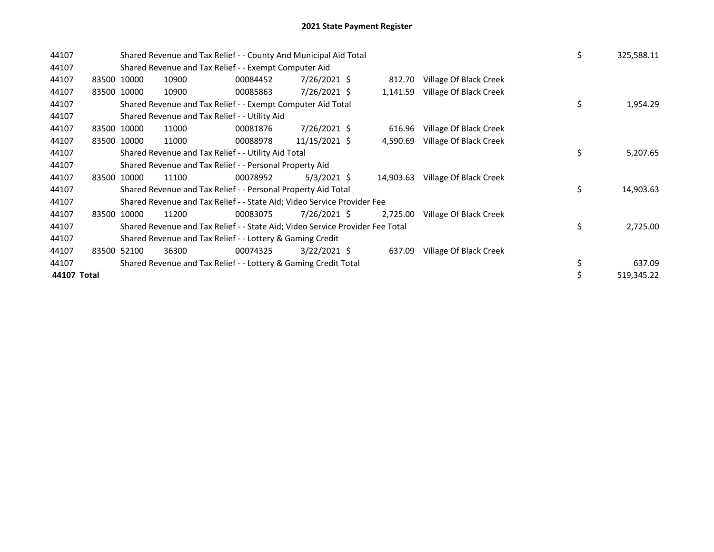| 44107       |             | Shared Revenue and Tax Relief - - County And Municipal Aid Total              |          |                |  |           |                        |  |    | 325,588.11 |
|-------------|-------------|-------------------------------------------------------------------------------|----------|----------------|--|-----------|------------------------|--|----|------------|
| 44107       |             | Shared Revenue and Tax Relief - - Exempt Computer Aid                         |          |                |  |           |                        |  |    |            |
| 44107       | 83500 10000 | 10900                                                                         | 00084452 | $7/26/2021$ \$ |  | 812.70    | Village Of Black Creek |  |    |            |
| 44107       | 83500 10000 | 10900                                                                         | 00085863 | 7/26/2021 \$   |  | 1,141.59  | Village Of Black Creek |  |    |            |
| 44107       |             | Shared Revenue and Tax Relief - - Exempt Computer Aid Total                   |          |                |  |           |                        |  | \$ | 1,954.29   |
| 44107       |             | Shared Revenue and Tax Relief - - Utility Aid                                 |          |                |  |           |                        |  |    |            |
| 44107       | 83500 10000 | 11000                                                                         | 00081876 | $7/26/2021$ \$ |  | 616.96    | Village Of Black Creek |  |    |            |
| 44107       | 83500 10000 | 11000                                                                         | 00088978 | 11/15/2021 \$  |  | 4,590.69  | Village Of Black Creek |  |    |            |
| 44107       |             | Shared Revenue and Tax Relief - - Utility Aid Total                           |          |                |  |           |                        |  | \$ | 5,207.65   |
| 44107       |             | Shared Revenue and Tax Relief - - Personal Property Aid                       |          |                |  |           |                        |  |    |            |
| 44107       | 83500 10000 | 11100                                                                         | 00078952 | $5/3/2021$ \$  |  | 14,903.63 | Village Of Black Creek |  |    |            |
| 44107       |             | Shared Revenue and Tax Relief - - Personal Property Aid Total                 |          |                |  |           |                        |  | \$ | 14,903.63  |
| 44107       |             | Shared Revenue and Tax Relief - - State Aid; Video Service Provider Fee       |          |                |  |           |                        |  |    |            |
| 44107       | 83500 10000 | 11200                                                                         | 00083075 | 7/26/2021 \$   |  | 2,725.00  | Village Of Black Creek |  |    |            |
| 44107       |             | Shared Revenue and Tax Relief - - State Aid; Video Service Provider Fee Total |          |                |  |           |                        |  | \$ | 2,725.00   |
| 44107       |             | Shared Revenue and Tax Relief - - Lottery & Gaming Credit                     |          |                |  |           |                        |  |    |            |
| 44107       | 83500 52100 | 36300                                                                         | 00074325 | $3/22/2021$ \$ |  | 637.09    | Village Of Black Creek |  |    |            |
| 44107       |             | Shared Revenue and Tax Relief - - Lottery & Gaming Credit Total               |          |                |  |           |                        |  | \$ | 637.09     |
| 44107 Total |             |                                                                               |          |                |  |           |                        |  |    | 519,345.22 |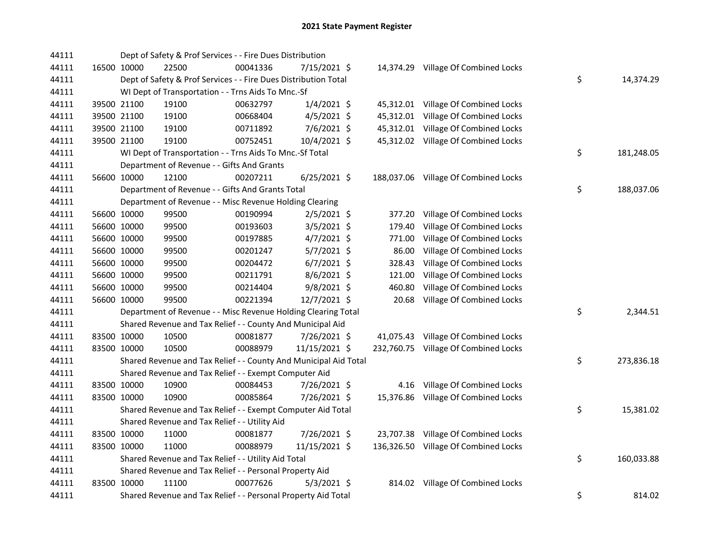| 44111 |             | Dept of Safety & Prof Services - - Fire Dues Distribution        |          |                |           |                                      |                  |
|-------|-------------|------------------------------------------------------------------|----------|----------------|-----------|--------------------------------------|------------------|
| 44111 | 16500 10000 | 22500                                                            | 00041336 | 7/15/2021 \$   |           | 14,374.29 Village Of Combined Locks  |                  |
| 44111 |             | Dept of Safety & Prof Services - - Fire Dues Distribution Total  |          |                |           |                                      | \$<br>14,374.29  |
| 44111 |             | WI Dept of Transportation - - Trns Aids To Mnc.-Sf               |          |                |           |                                      |                  |
| 44111 | 39500 21100 | 19100                                                            | 00632797 | $1/4/2021$ \$  |           | 45,312.01 Village Of Combined Locks  |                  |
| 44111 | 39500 21100 | 19100                                                            | 00668404 | $4/5/2021$ \$  | 45,312.01 | Village Of Combined Locks            |                  |
| 44111 | 39500 21100 | 19100                                                            | 00711892 | 7/6/2021 \$    | 45,312.01 | Village Of Combined Locks            |                  |
| 44111 | 39500 21100 | 19100                                                            | 00752451 | 10/4/2021 \$   |           | 45,312.02 Village Of Combined Locks  |                  |
| 44111 |             | WI Dept of Transportation - - Trns Aids To Mnc.-Sf Total         |          |                |           |                                      | \$<br>181,248.05 |
| 44111 |             | Department of Revenue - - Gifts And Grants                       |          |                |           |                                      |                  |
| 44111 | 56600 10000 | 12100                                                            | 00207211 | $6/25/2021$ \$ |           | 188,037.06 Village Of Combined Locks |                  |
| 44111 |             | Department of Revenue - - Gifts And Grants Total                 |          |                |           |                                      | \$<br>188,037.06 |
| 44111 |             | Department of Revenue - - Misc Revenue Holding Clearing          |          |                |           |                                      |                  |
| 44111 | 56600 10000 | 99500                                                            | 00190994 | $2/5/2021$ \$  | 377.20    | Village Of Combined Locks            |                  |
| 44111 | 56600 10000 | 99500                                                            | 00193603 | $3/5/2021$ \$  | 179.40    | Village Of Combined Locks            |                  |
| 44111 | 56600 10000 | 99500                                                            | 00197885 | 4/7/2021 \$    | 771.00    | Village Of Combined Locks            |                  |
| 44111 | 56600 10000 | 99500                                                            | 00201247 | 5/7/2021 \$    | 86.00     | Village Of Combined Locks            |                  |
| 44111 | 56600 10000 | 99500                                                            | 00204472 | $6/7/2021$ \$  | 328.43    | Village Of Combined Locks            |                  |
| 44111 | 56600 10000 | 99500                                                            | 00211791 | $8/6/2021$ \$  | 121.00    | Village Of Combined Locks            |                  |
| 44111 | 56600 10000 | 99500                                                            | 00214404 | $9/8/2021$ \$  | 460.80    | Village Of Combined Locks            |                  |
| 44111 | 56600 10000 | 99500                                                            | 00221394 | 12/7/2021 \$   | 20.68     | Village Of Combined Locks            |                  |
| 44111 |             | Department of Revenue - - Misc Revenue Holding Clearing Total    |          |                |           |                                      | \$<br>2,344.51   |
| 44111 |             | Shared Revenue and Tax Relief - - County And Municipal Aid       |          |                |           |                                      |                  |
| 44111 | 83500 10000 | 10500                                                            | 00081877 | 7/26/2021 \$   |           | 41,075.43 Village Of Combined Locks  |                  |
| 44111 | 83500 10000 | 10500                                                            | 00088979 | 11/15/2021 \$  |           | 232,760.75 Village Of Combined Locks |                  |
| 44111 |             | Shared Revenue and Tax Relief - - County And Municipal Aid Total |          |                |           |                                      | \$<br>273,836.18 |
| 44111 |             | Shared Revenue and Tax Relief - - Exempt Computer Aid            |          |                |           |                                      |                  |
| 44111 | 83500 10000 | 10900                                                            | 00084453 | 7/26/2021 \$   |           | 4.16 Village Of Combined Locks       |                  |
| 44111 | 83500 10000 | 10900                                                            | 00085864 | 7/26/2021 \$   |           | 15,376.86 Village Of Combined Locks  |                  |
| 44111 |             | Shared Revenue and Tax Relief - - Exempt Computer Aid Total      |          |                |           |                                      | \$<br>15,381.02  |
| 44111 |             | Shared Revenue and Tax Relief - - Utility Aid                    |          |                |           |                                      |                  |
| 44111 | 83500 10000 | 11000                                                            | 00081877 | 7/26/2021 \$   |           | 23,707.38 Village Of Combined Locks  |                  |
| 44111 | 83500 10000 | 11000                                                            | 00088979 | 11/15/2021 \$  |           | 136,326.50 Village Of Combined Locks |                  |
| 44111 |             | Shared Revenue and Tax Relief - - Utility Aid Total              |          |                |           |                                      | \$<br>160,033.88 |
| 44111 |             | Shared Revenue and Tax Relief - - Personal Property Aid          |          |                |           |                                      |                  |
| 44111 | 83500 10000 | 11100                                                            | 00077626 | $5/3/2021$ \$  |           | 814.02 Village Of Combined Locks     |                  |
| 44111 |             | Shared Revenue and Tax Relief - - Personal Property Aid Total    |          |                |           |                                      | \$<br>814.02     |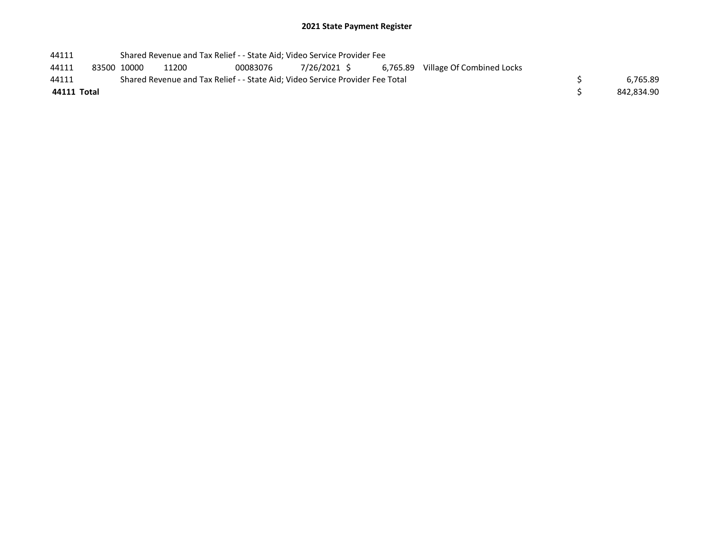| 44111       |                                                                               | Shared Revenue and Tax Relief - - State Aid; Video Service Provider Fee |       |          |              |  |  |                                    |            |
|-------------|-------------------------------------------------------------------------------|-------------------------------------------------------------------------|-------|----------|--------------|--|--|------------------------------------|------------|
| 44111       |                                                                               | 83500 10000                                                             | 11200 | 00083076 | 7/26/2021 \$ |  |  | 6,765.89 Village Of Combined Locks |            |
| 44111       | Shared Revenue and Tax Relief - - State Aid; Video Service Provider Fee Total |                                                                         |       |          |              |  |  |                                    | 6.765.89   |
| 44111 Total |                                                                               |                                                                         |       |          |              |  |  |                                    | 842.834.90 |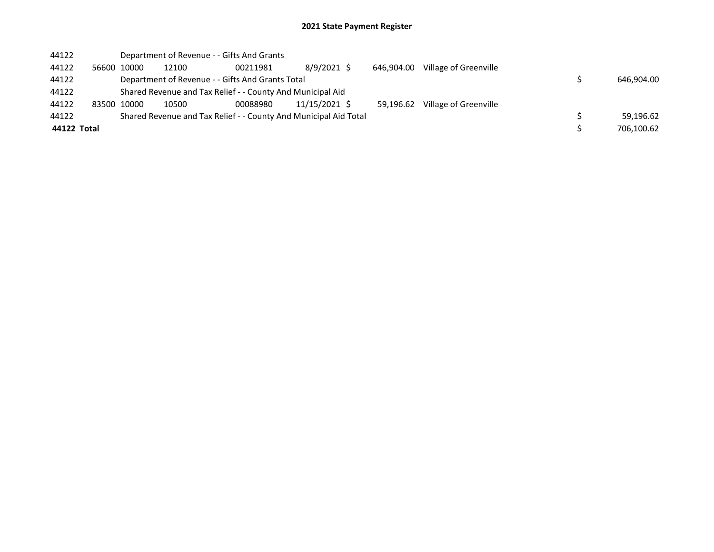| 44122       |             | Department of Revenue - - Gifts And Grants                       |          |               |            |                       |  |            |
|-------------|-------------|------------------------------------------------------------------|----------|---------------|------------|-----------------------|--|------------|
| 44122       | 56600 10000 | 12100                                                            | 00211981 | 8/9/2021 \$   | 646.904.00 | Village of Greenville |  |            |
| 44122       |             | Department of Revenue - - Gifts And Grants Total                 |          |               |            |                       |  | 646,904.00 |
| 44122       |             | Shared Revenue and Tax Relief - - County And Municipal Aid       |          |               |            |                       |  |            |
| 44122       | 83500 10000 | 10500                                                            | 00088980 | 11/15/2021 \$ | 59.196.62  | Village of Greenville |  |            |
| 44122       |             | Shared Revenue and Tax Relief - - County And Municipal Aid Total |          |               |            |                       |  | 59,196.62  |
| 44122 Total |             |                                                                  |          |               |            |                       |  | 706,100.62 |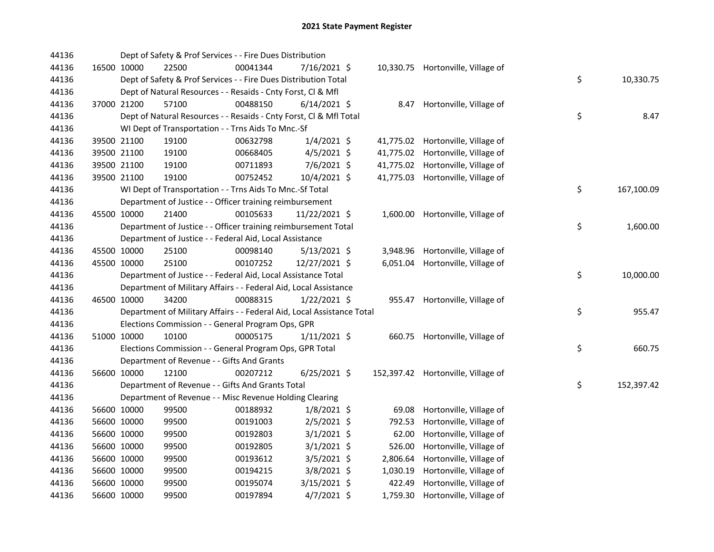| 44136 |             | Dept of Safety & Prof Services - - Fire Dues Distribution              |          |                |           |                                    |                  |
|-------|-------------|------------------------------------------------------------------------|----------|----------------|-----------|------------------------------------|------------------|
| 44136 | 16500 10000 | 22500                                                                  | 00041344 | 7/16/2021 \$   |           | 10,330.75 Hortonville, Village of  |                  |
| 44136 |             | Dept of Safety & Prof Services - - Fire Dues Distribution Total        |          |                |           |                                    | \$<br>10,330.75  |
| 44136 |             | Dept of Natural Resources - - Resaids - Cnty Forst, Cl & Mfl           |          |                |           |                                    |                  |
| 44136 | 37000 21200 | 57100                                                                  | 00488150 | $6/14/2021$ \$ |           | 8.47 Hortonville, Village of       |                  |
| 44136 |             | Dept of Natural Resources - - Resaids - Cnty Forst, CI & Mfl Total     |          |                |           |                                    | \$<br>8.47       |
| 44136 |             | WI Dept of Transportation - - Trns Aids To Mnc.-Sf                     |          |                |           |                                    |                  |
| 44136 | 39500 21100 | 19100                                                                  | 00632798 | $1/4/2021$ \$  |           | 41,775.02 Hortonville, Village of  |                  |
| 44136 | 39500 21100 | 19100                                                                  | 00668405 | $4/5/2021$ \$  | 41,775.02 | Hortonville, Village of            |                  |
| 44136 | 39500 21100 | 19100                                                                  | 00711893 | $7/6/2021$ \$  |           | 41,775.02 Hortonville, Village of  |                  |
| 44136 | 39500 21100 | 19100                                                                  | 00752452 | 10/4/2021 \$   |           | 41,775.03 Hortonville, Village of  |                  |
| 44136 |             | WI Dept of Transportation - - Trns Aids To Mnc.-Sf Total               |          |                |           |                                    | \$<br>167,100.09 |
| 44136 |             | Department of Justice - - Officer training reimbursement               |          |                |           |                                    |                  |
| 44136 | 45500 10000 | 21400                                                                  | 00105633 | 11/22/2021 \$  |           | 1,600.00 Hortonville, Village of   |                  |
| 44136 |             | Department of Justice - - Officer training reimbursement Total         |          |                |           |                                    | \$<br>1,600.00   |
| 44136 |             | Department of Justice - - Federal Aid, Local Assistance                |          |                |           |                                    |                  |
| 44136 | 45500 10000 | 25100                                                                  | 00098140 | $5/13/2021$ \$ |           | 3,948.96 Hortonville, Village of   |                  |
| 44136 | 45500 10000 | 25100                                                                  | 00107252 | 12/27/2021 \$  |           | 6,051.04 Hortonville, Village of   |                  |
| 44136 |             | Department of Justice - - Federal Aid, Local Assistance Total          |          |                |           |                                    | \$<br>10,000.00  |
| 44136 |             | Department of Military Affairs - - Federal Aid, Local Assistance       |          |                |           |                                    |                  |
| 44136 | 46500 10000 | 34200                                                                  | 00088315 | $1/22/2021$ \$ |           | 955.47 Hortonville, Village of     |                  |
| 44136 |             | Department of Military Affairs - - Federal Aid, Local Assistance Total |          |                |           |                                    | \$<br>955.47     |
| 44136 |             | Elections Commission - - General Program Ops, GPR                      |          |                |           |                                    |                  |
| 44136 | 51000 10000 | 10100                                                                  | 00005175 | $1/11/2021$ \$ |           | 660.75 Hortonville, Village of     |                  |
| 44136 |             | Elections Commission - - General Program Ops, GPR Total                |          |                |           |                                    | \$<br>660.75     |
| 44136 |             | Department of Revenue - - Gifts And Grants                             |          |                |           |                                    |                  |
| 44136 | 56600 10000 | 12100                                                                  | 00207212 | $6/25/2021$ \$ |           | 152,397.42 Hortonville, Village of |                  |
| 44136 |             | Department of Revenue - - Gifts And Grants Total                       |          |                |           |                                    | \$<br>152,397.42 |
| 44136 |             | Department of Revenue - - Misc Revenue Holding Clearing                |          |                |           |                                    |                  |
| 44136 | 56600 10000 | 99500                                                                  | 00188932 | $1/8/2021$ \$  | 69.08     | Hortonville, Village of            |                  |
| 44136 | 56600 10000 | 99500                                                                  | 00191003 | $2/5/2021$ \$  | 792.53    | Hortonville, Village of            |                  |
| 44136 | 56600 10000 | 99500                                                                  | 00192803 | $3/1/2021$ \$  | 62.00     | Hortonville, Village of            |                  |
| 44136 | 56600 10000 | 99500                                                                  | 00192805 | $3/1/2021$ \$  | 526.00    | Hortonville, Village of            |                  |
| 44136 | 56600 10000 | 99500                                                                  | 00193612 | $3/5/2021$ \$  |           | 2,806.64 Hortonville, Village of   |                  |
| 44136 | 56600 10000 | 99500                                                                  | 00194215 | 3/8/2021 \$    | 1,030.19  | Hortonville, Village of            |                  |
| 44136 | 56600 10000 | 99500                                                                  | 00195074 | 3/15/2021 \$   | 422.49    | Hortonville, Village of            |                  |
| 44136 | 56600 10000 | 99500                                                                  | 00197894 | $4/7/2021$ \$  | 1,759.30  | Hortonville, Village of            |                  |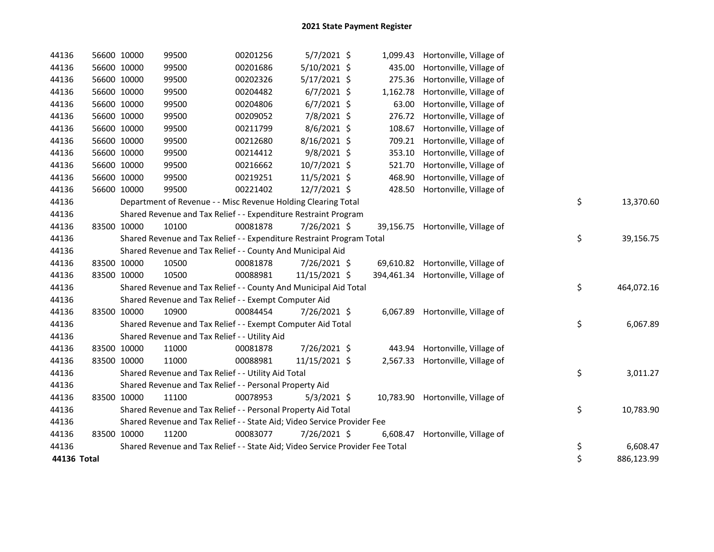| 44136       |             | 56600 10000 | 99500                                                                         | 00201256 | $5/7/2021$ \$  | 1,099.43 | Hortonville, Village of            |    |            |
|-------------|-------------|-------------|-------------------------------------------------------------------------------|----------|----------------|----------|------------------------------------|----|------------|
| 44136       |             | 56600 10000 | 99500                                                                         | 00201686 | 5/10/2021 \$   | 435.00   | Hortonville, Village of            |    |            |
| 44136       |             | 56600 10000 | 99500                                                                         | 00202326 | $5/17/2021$ \$ | 275.36   | Hortonville, Village of            |    |            |
| 44136       |             | 56600 10000 | 99500                                                                         | 00204482 | $6/7/2021$ \$  | 1,162.78 | Hortonville, Village of            |    |            |
| 44136       | 56600 10000 |             | 99500                                                                         | 00204806 | $6/7/2021$ \$  | 63.00    | Hortonville, Village of            |    |            |
| 44136       |             | 56600 10000 | 99500                                                                         | 00209052 | 7/8/2021 \$    | 276.72   | Hortonville, Village of            |    |            |
| 44136       |             | 56600 10000 | 99500                                                                         | 00211799 | $8/6/2021$ \$  | 108.67   | Hortonville, Village of            |    |            |
| 44136       |             | 56600 10000 | 99500                                                                         | 00212680 | 8/16/2021 \$   | 709.21   | Hortonville, Village of            |    |            |
| 44136       |             | 56600 10000 | 99500                                                                         | 00214412 | 9/8/2021 \$    | 353.10   | Hortonville, Village of            |    |            |
| 44136       |             | 56600 10000 | 99500                                                                         | 00216662 | 10/7/2021 \$   | 521.70   | Hortonville, Village of            |    |            |
| 44136       |             | 56600 10000 | 99500                                                                         | 00219251 | 11/5/2021 \$   | 468.90   | Hortonville, Village of            |    |            |
| 44136       |             | 56600 10000 | 99500                                                                         | 00221402 | 12/7/2021 \$   | 428.50   | Hortonville, Village of            |    |            |
| 44136       |             |             | Department of Revenue - - Misc Revenue Holding Clearing Total                 |          |                |          |                                    | \$ | 13,370.60  |
| 44136       |             |             | Shared Revenue and Tax Relief - - Expenditure Restraint Program               |          |                |          |                                    |    |            |
| 44136       |             | 83500 10000 | 10100                                                                         | 00081878 | 7/26/2021 \$   |          | 39,156.75 Hortonville, Village of  |    |            |
| 44136       |             |             | Shared Revenue and Tax Relief - - Expenditure Restraint Program Total         |          |                |          |                                    | \$ | 39,156.75  |
| 44136       |             |             | Shared Revenue and Tax Relief - - County And Municipal Aid                    |          |                |          |                                    |    |            |
| 44136       |             | 83500 10000 | 10500                                                                         | 00081878 | 7/26/2021 \$   |          | 69,610.82 Hortonville, Village of  |    |            |
| 44136       |             | 83500 10000 | 10500                                                                         | 00088981 | 11/15/2021 \$  |          | 394,461.34 Hortonville, Village of |    |            |
| 44136       |             |             | Shared Revenue and Tax Relief - - County And Municipal Aid Total              |          |                |          |                                    | \$ | 464,072.16 |
| 44136       |             |             | Shared Revenue and Tax Relief - - Exempt Computer Aid                         |          |                |          |                                    |    |            |
| 44136       |             | 83500 10000 | 10900                                                                         | 00084454 | 7/26/2021 \$   | 6,067.89 | Hortonville, Village of            |    |            |
| 44136       |             |             | Shared Revenue and Tax Relief - - Exempt Computer Aid Total                   |          |                |          |                                    | \$ | 6,067.89   |
| 44136       |             |             | Shared Revenue and Tax Relief - - Utility Aid                                 |          |                |          |                                    |    |            |
| 44136       |             | 83500 10000 | 11000                                                                         | 00081878 | 7/26/2021 \$   | 443.94   | Hortonville, Village of            |    |            |
| 44136       |             | 83500 10000 | 11000                                                                         | 00088981 | 11/15/2021 \$  |          | 2,567.33 Hortonville, Village of   |    |            |
| 44136       |             |             | Shared Revenue and Tax Relief - - Utility Aid Total                           |          |                |          |                                    | \$ | 3,011.27   |
| 44136       |             |             | Shared Revenue and Tax Relief - - Personal Property Aid                       |          |                |          |                                    |    |            |
| 44136       |             | 83500 10000 | 11100                                                                         | 00078953 | $5/3/2021$ \$  |          | 10,783.90 Hortonville, Village of  |    |            |
| 44136       |             |             | Shared Revenue and Tax Relief - - Personal Property Aid Total                 |          |                |          |                                    | \$ | 10,783.90  |
| 44136       |             |             | Shared Revenue and Tax Relief - - State Aid; Video Service Provider Fee       |          |                |          |                                    |    |            |
| 44136       |             | 83500 10000 | 11200                                                                         | 00083077 | 7/26/2021 \$   | 6,608.47 | Hortonville, Village of            |    |            |
| 44136       |             |             | Shared Revenue and Tax Relief - - State Aid; Video Service Provider Fee Total |          |                |          |                                    | \$ | 6,608.47   |
| 44136 Total |             |             |                                                                               |          |                |          |                                    | \$ | 886,123.99 |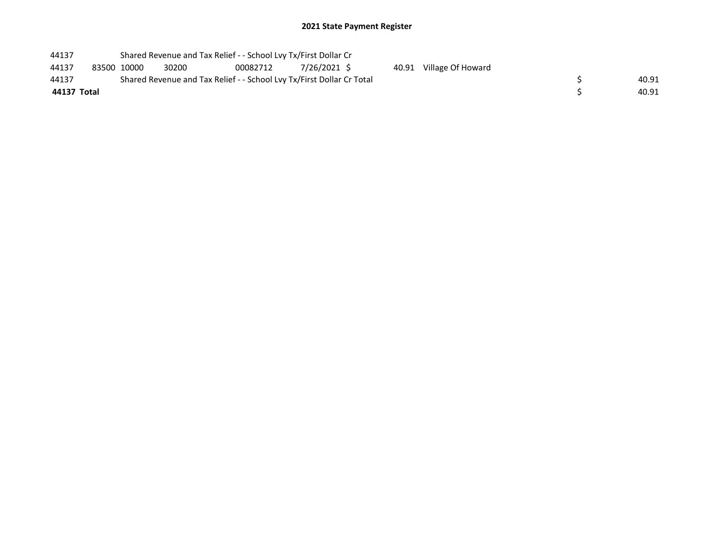| 44137       |             | Shared Revenue and Tax Relief - - School Lvy Tx/First Dollar Cr       |          |             |  |                         |  |       |
|-------------|-------------|-----------------------------------------------------------------------|----------|-------------|--|-------------------------|--|-------|
| 44137       | 83500 10000 | 30200                                                                 | 00082712 | 7/26/2021 S |  | 40.91 Village Of Howard |  |       |
| 44137       |             | Shared Revenue and Tax Relief - - School Lvy Tx/First Dollar Cr Total |          |             |  |                         |  | 40.91 |
| 44137 Total |             |                                                                       |          |             |  |                         |  | 40.91 |
|             |             |                                                                       |          |             |  |                         |  |       |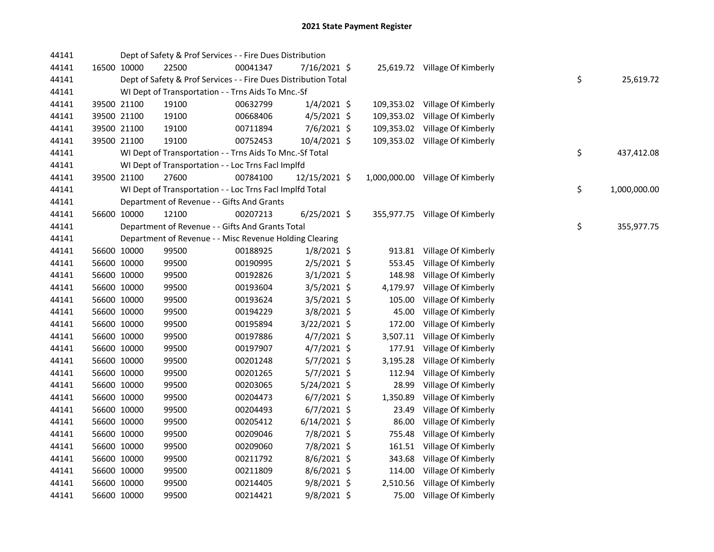| 44141 |             | Dept of Safety & Prof Services - - Fire Dues Distribution       |          |                |            |                                  |    |              |
|-------|-------------|-----------------------------------------------------------------|----------|----------------|------------|----------------------------------|----|--------------|
| 44141 | 16500 10000 | 22500                                                           | 00041347 | 7/16/2021 \$   |            | 25,619.72 Village Of Kimberly    |    |              |
| 44141 |             | Dept of Safety & Prof Services - - Fire Dues Distribution Total |          |                |            |                                  | \$ | 25,619.72    |
| 44141 |             | WI Dept of Transportation - - Trns Aids To Mnc.-Sf              |          |                |            |                                  |    |              |
| 44141 | 39500 21100 | 19100                                                           | 00632799 | $1/4/2021$ \$  |            | 109,353.02 Village Of Kimberly   |    |              |
| 44141 | 39500 21100 | 19100                                                           | 00668406 | $4/5/2021$ \$  | 109,353.02 | Village Of Kimberly              |    |              |
| 44141 | 39500 21100 | 19100                                                           | 00711894 | 7/6/2021 \$    | 109,353.02 | Village Of Kimberly              |    |              |
| 44141 | 39500 21100 | 19100                                                           | 00752453 | 10/4/2021 \$   |            | 109,353.02 Village Of Kimberly   |    |              |
| 44141 |             | WI Dept of Transportation - - Trns Aids To Mnc.-Sf Total        |          |                |            |                                  | \$ | 437,412.08   |
| 44141 |             | WI Dept of Transportation - - Loc Trns Facl Implfd              |          |                |            |                                  |    |              |
| 44141 | 39500 21100 | 27600                                                           | 00784100 | 12/15/2021 \$  |            | 1,000,000.00 Village Of Kimberly |    |              |
| 44141 |             | WI Dept of Transportation - - Loc Trns Facl Implfd Total        |          |                |            |                                  | \$ | 1,000,000.00 |
| 44141 |             | Department of Revenue - - Gifts And Grants                      |          |                |            |                                  |    |              |
| 44141 | 56600 10000 | 12100                                                           | 00207213 | $6/25/2021$ \$ |            | 355,977.75 Village Of Kimberly   |    |              |
| 44141 |             | Department of Revenue - - Gifts And Grants Total                |          |                |            |                                  | \$ | 355,977.75   |
| 44141 |             | Department of Revenue - - Misc Revenue Holding Clearing         |          |                |            |                                  |    |              |
| 44141 | 56600 10000 | 99500                                                           | 00188925 | $1/8/2021$ \$  |            | 913.81 Village Of Kimberly       |    |              |
| 44141 | 56600 10000 | 99500                                                           | 00190995 | 2/5/2021 \$    | 553.45     | Village Of Kimberly              |    |              |
| 44141 | 56600 10000 | 99500                                                           | 00192826 | $3/1/2021$ \$  | 148.98     | Village Of Kimberly              |    |              |
| 44141 | 56600 10000 | 99500                                                           | 00193604 | 3/5/2021 \$    |            | 4,179.97 Village Of Kimberly     |    |              |
| 44141 | 56600 10000 | 99500                                                           | 00193624 | $3/5/2021$ \$  | 105.00     | Village Of Kimberly              |    |              |
| 44141 | 56600 10000 | 99500                                                           | 00194229 | 3/8/2021 \$    | 45.00      | Village Of Kimberly              |    |              |
| 44141 | 56600 10000 | 99500                                                           | 00195894 | 3/22/2021 \$   | 172.00     | Village Of Kimberly              |    |              |
| 44141 | 56600 10000 | 99500                                                           | 00197886 | $4/7/2021$ \$  | 3,507.11   | Village Of Kimberly              |    |              |
| 44141 | 56600 10000 | 99500                                                           | 00197907 | $4/7/2021$ \$  |            | 177.91 Village Of Kimberly       |    |              |
| 44141 | 56600 10000 | 99500                                                           | 00201248 | 5/7/2021 \$    | 3,195.28   | Village Of Kimberly              |    |              |
| 44141 | 56600 10000 | 99500                                                           | 00201265 | $5/7/2021$ \$  | 112.94     | Village Of Kimberly              |    |              |
| 44141 | 56600 10000 | 99500                                                           | 00203065 | $5/24/2021$ \$ | 28.99      | Village Of Kimberly              |    |              |
| 44141 | 56600 10000 | 99500                                                           | 00204473 | $6/7/2021$ \$  | 1,350.89   | Village Of Kimberly              |    |              |
| 44141 | 56600 10000 | 99500                                                           | 00204493 | $6/7/2021$ \$  | 23.49      | Village Of Kimberly              |    |              |
| 44141 | 56600 10000 | 99500                                                           | 00205412 | $6/14/2021$ \$ | 86.00      | Village Of Kimberly              |    |              |
| 44141 | 56600 10000 | 99500                                                           | 00209046 | 7/8/2021 \$    | 755.48     | Village Of Kimberly              |    |              |
| 44141 | 56600 10000 | 99500                                                           | 00209060 | 7/8/2021 \$    |            | 161.51 Village Of Kimberly       |    |              |
| 44141 | 56600 10000 | 99500                                                           | 00211792 | 8/6/2021 \$    | 343.68     | Village Of Kimberly              |    |              |
| 44141 | 56600 10000 | 99500                                                           | 00211809 | $8/6/2021$ \$  | 114.00     | Village Of Kimberly              |    |              |
| 44141 | 56600 10000 | 99500                                                           | 00214405 | $9/8/2021$ \$  | 2,510.56   | Village Of Kimberly              |    |              |
| 44141 | 56600 10000 | 99500                                                           | 00214421 | 9/8/2021 \$    |            | 75.00 Village Of Kimberly        |    |              |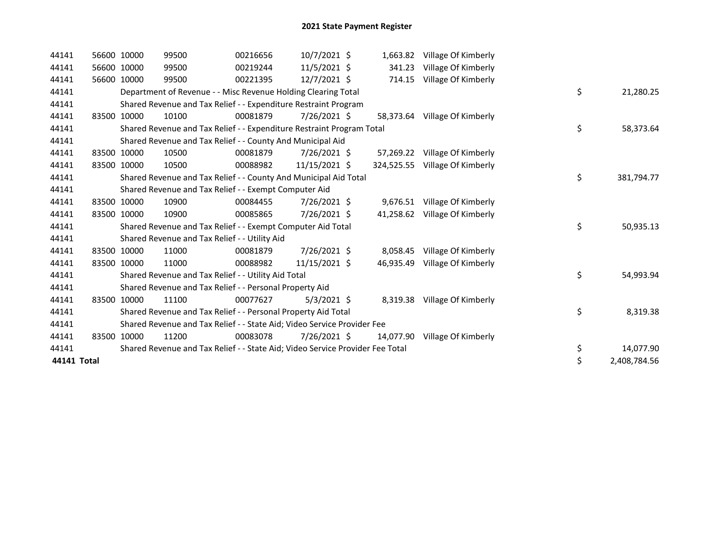| 44141       | 56600 10000 | 99500 | 00216656                                                                      | 10/7/2021 \$  |           | 1,663.82 Village Of Kimberly   |    |              |
|-------------|-------------|-------|-------------------------------------------------------------------------------|---------------|-----------|--------------------------------|----|--------------|
| 44141       | 56600 10000 | 99500 | 00219244                                                                      | 11/5/2021 \$  | 341.23    | Village Of Kimberly            |    |              |
| 44141       | 56600 10000 | 99500 | 00221395                                                                      | 12/7/2021 \$  | 714.15    | Village Of Kimberly            |    |              |
| 44141       |             |       | Department of Revenue - - Misc Revenue Holding Clearing Total                 |               |           |                                | \$ | 21,280.25    |
| 44141       |             |       | Shared Revenue and Tax Relief - - Expenditure Restraint Program               |               |           |                                |    |              |
| 44141       | 83500 10000 | 10100 | 00081879                                                                      | 7/26/2021 \$  |           | 58,373.64 Village Of Kimberly  |    |              |
| 44141       |             |       | Shared Revenue and Tax Relief - - Expenditure Restraint Program Total         |               |           |                                | \$ | 58,373.64    |
| 44141       |             |       | Shared Revenue and Tax Relief - - County And Municipal Aid                    |               |           |                                |    |              |
| 44141       | 83500 10000 | 10500 | 00081879                                                                      | 7/26/2021 \$  |           | 57,269.22 Village Of Kimberly  |    |              |
| 44141       | 83500 10000 | 10500 | 00088982                                                                      | 11/15/2021 \$ |           | 324,525.55 Village Of Kimberly |    |              |
| 44141       |             |       | Shared Revenue and Tax Relief - - County And Municipal Aid Total              |               |           |                                | \$ | 381,794.77   |
| 44141       |             |       | Shared Revenue and Tax Relief - - Exempt Computer Aid                         |               |           |                                |    |              |
| 44141       | 83500 10000 | 10900 | 00084455                                                                      | 7/26/2021 \$  |           | 9,676.51 Village Of Kimberly   |    |              |
| 44141       | 83500 10000 | 10900 | 00085865                                                                      | 7/26/2021 \$  |           | 41,258.62 Village Of Kimberly  |    |              |
| 44141       |             |       | Shared Revenue and Tax Relief - - Exempt Computer Aid Total                   |               |           |                                | \$ | 50,935.13    |
| 44141       |             |       | Shared Revenue and Tax Relief - - Utility Aid                                 |               |           |                                |    |              |
| 44141       | 83500 10000 | 11000 | 00081879                                                                      | 7/26/2021 \$  | 8,058.45  | Village Of Kimberly            |    |              |
| 44141       | 83500 10000 | 11000 | 00088982                                                                      | 11/15/2021 \$ | 46.935.49 | Village Of Kimberly            |    |              |
| 44141       |             |       | Shared Revenue and Tax Relief - - Utility Aid Total                           |               |           |                                | \$ | 54,993.94    |
| 44141       |             |       | Shared Revenue and Tax Relief - - Personal Property Aid                       |               |           |                                |    |              |
| 44141       | 83500 10000 | 11100 | 00077627                                                                      | $5/3/2021$ \$ | 8,319.38  | Village Of Kimberly            |    |              |
| 44141       |             |       | Shared Revenue and Tax Relief - - Personal Property Aid Total                 |               |           |                                | \$ | 8,319.38     |
| 44141       |             |       | Shared Revenue and Tax Relief - - State Aid; Video Service Provider Fee       |               |           |                                |    |              |
| 44141       | 83500 10000 | 11200 | 00083078                                                                      | 7/26/2021 \$  | 14.077.90 | Village Of Kimberly            |    |              |
| 44141       |             |       | Shared Revenue and Tax Relief - - State Aid; Video Service Provider Fee Total |               |           |                                | \$ | 14,077.90    |
| 44141 Total |             |       |                                                                               |               |           |                                | \$ | 2,408,784.56 |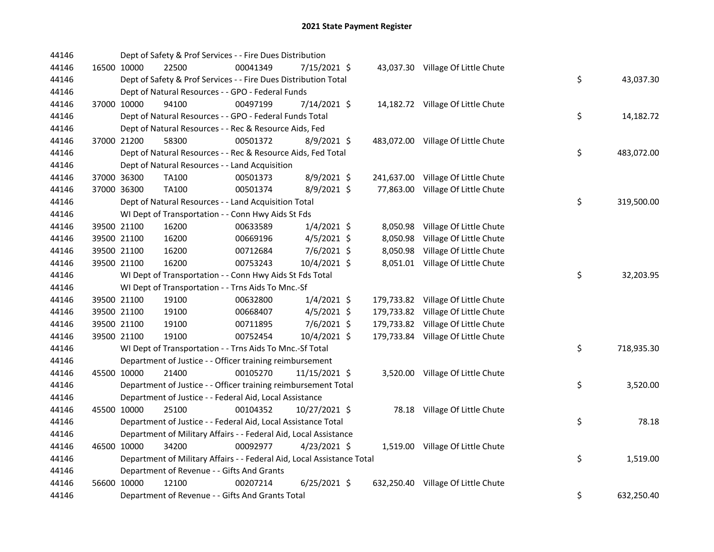| 44146 |             | Dept of Safety & Prof Services - - Fire Dues Distribution              |          |                |  |                                    |    |            |
|-------|-------------|------------------------------------------------------------------------|----------|----------------|--|------------------------------------|----|------------|
| 44146 | 16500 10000 | 22500                                                                  | 00041349 | 7/15/2021 \$   |  | 43,037.30 Village Of Little Chute  |    |            |
| 44146 |             | Dept of Safety & Prof Services - - Fire Dues Distribution Total        |          |                |  |                                    | \$ | 43,037.30  |
| 44146 |             | Dept of Natural Resources - - GPO - Federal Funds                      |          |                |  |                                    |    |            |
| 44146 | 37000 10000 | 94100                                                                  | 00497199 | 7/14/2021 \$   |  | 14,182.72 Village Of Little Chute  |    |            |
| 44146 |             | Dept of Natural Resources - - GPO - Federal Funds Total                |          |                |  |                                    | \$ | 14,182.72  |
| 44146 |             | Dept of Natural Resources - - Rec & Resource Aids, Fed                 |          |                |  |                                    |    |            |
| 44146 | 37000 21200 | 58300                                                                  | 00501372 | $8/9/2021$ \$  |  | 483,072.00 Village Of Little Chute |    |            |
| 44146 |             | Dept of Natural Resources - - Rec & Resource Aids, Fed Total           |          |                |  |                                    | \$ | 483,072.00 |
| 44146 |             | Dept of Natural Resources - - Land Acquisition                         |          |                |  |                                    |    |            |
| 44146 | 37000 36300 | TA100                                                                  | 00501373 | 8/9/2021 \$    |  | 241,637.00 Village Of Little Chute |    |            |
| 44146 | 37000 36300 | TA100                                                                  | 00501374 | 8/9/2021 \$    |  | 77,863.00 Village Of Little Chute  |    |            |
| 44146 |             | Dept of Natural Resources - - Land Acquisition Total                   |          |                |  |                                    | \$ | 319,500.00 |
| 44146 |             | WI Dept of Transportation - - Conn Hwy Aids St Fds                     |          |                |  |                                    |    |            |
| 44146 | 39500 21100 | 16200                                                                  | 00633589 | $1/4/2021$ \$  |  | 8,050.98 Village Of Little Chute   |    |            |
| 44146 | 39500 21100 | 16200                                                                  | 00669196 | 4/5/2021 \$    |  | 8,050.98 Village Of Little Chute   |    |            |
| 44146 | 39500 21100 | 16200                                                                  | 00712684 | 7/6/2021 \$    |  | 8,050.98 Village Of Little Chute   |    |            |
| 44146 | 39500 21100 | 16200                                                                  | 00753243 | 10/4/2021 \$   |  | 8,051.01 Village Of Little Chute   |    |            |
| 44146 |             | WI Dept of Transportation - - Conn Hwy Aids St Fds Total               |          |                |  |                                    | \$ | 32,203.95  |
| 44146 |             | WI Dept of Transportation - - Trns Aids To Mnc.-Sf                     |          |                |  |                                    |    |            |
| 44146 | 39500 21100 | 19100                                                                  | 00632800 | $1/4/2021$ \$  |  | 179,733.82 Village Of Little Chute |    |            |
| 44146 | 39500 21100 | 19100                                                                  | 00668407 | $4/5/2021$ \$  |  | 179,733.82 Village Of Little Chute |    |            |
| 44146 | 39500 21100 | 19100                                                                  | 00711895 | $7/6/2021$ \$  |  | 179,733.82 Village Of Little Chute |    |            |
| 44146 | 39500 21100 | 19100                                                                  | 00752454 | 10/4/2021 \$   |  | 179,733.84 Village Of Little Chute |    |            |
| 44146 |             | WI Dept of Transportation - - Trns Aids To Mnc.-Sf Total               |          |                |  |                                    | \$ | 718,935.30 |
| 44146 |             | Department of Justice - - Officer training reimbursement               |          |                |  |                                    |    |            |
| 44146 | 45500 10000 | 21400                                                                  | 00105270 | 11/15/2021 \$  |  | 3,520.00 Village Of Little Chute   |    |            |
| 44146 |             | Department of Justice - - Officer training reimbursement Total         |          |                |  |                                    | \$ | 3,520.00   |
| 44146 |             | Department of Justice - - Federal Aid, Local Assistance                |          |                |  |                                    |    |            |
| 44146 | 45500 10000 | 25100                                                                  | 00104352 | 10/27/2021 \$  |  | 78.18 Village Of Little Chute      |    |            |
| 44146 |             | Department of Justice - - Federal Aid, Local Assistance Total          |          |                |  |                                    | \$ | 78.18      |
| 44146 |             | Department of Military Affairs - - Federal Aid, Local Assistance       |          |                |  |                                    |    |            |
| 44146 | 46500 10000 | 34200                                                                  | 00092977 | $4/23/2021$ \$ |  | 1,519.00 Village Of Little Chute   |    |            |
| 44146 |             | Department of Military Affairs - - Federal Aid, Local Assistance Total |          |                |  |                                    | \$ | 1,519.00   |
| 44146 |             | Department of Revenue - - Gifts And Grants                             |          |                |  |                                    |    |            |
| 44146 | 56600 10000 | 12100                                                                  | 00207214 | $6/25/2021$ \$ |  | 632,250.40 Village Of Little Chute |    |            |
| 44146 |             | Department of Revenue - - Gifts And Grants Total                       |          |                |  |                                    | \$ | 632,250.40 |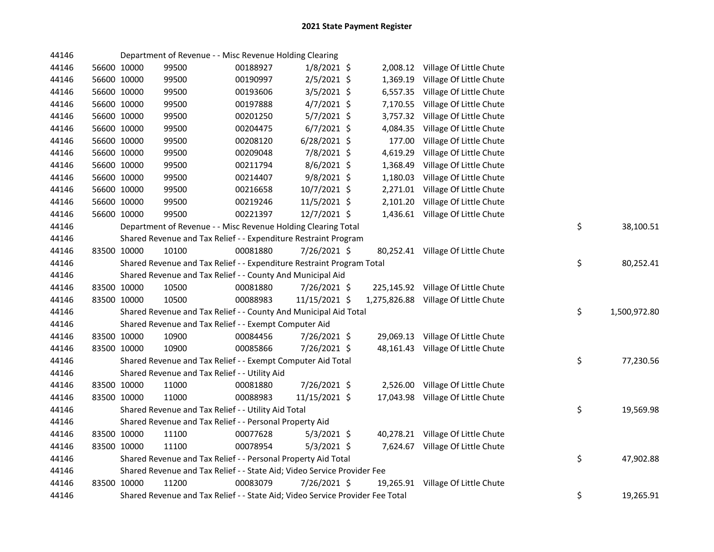| 44146 |             | Department of Revenue - - Misc Revenue Holding Clearing                       |          |               |          |                                      |                    |
|-------|-------------|-------------------------------------------------------------------------------|----------|---------------|----------|--------------------------------------|--------------------|
| 44146 | 56600 10000 | 99500                                                                         | 00188927 | $1/8/2021$ \$ |          | 2,008.12 Village Of Little Chute     |                    |
| 44146 | 56600 10000 | 99500                                                                         | 00190997 | 2/5/2021 \$   |          | 1,369.19 Village Of Little Chute     |                    |
| 44146 | 56600 10000 | 99500                                                                         | 00193606 | $3/5/2021$ \$ |          | 6,557.35 Village Of Little Chute     |                    |
| 44146 | 56600 10000 | 99500                                                                         | 00197888 | 4/7/2021 \$   |          | 7,170.55 Village Of Little Chute     |                    |
| 44146 | 56600 10000 | 99500                                                                         | 00201250 | $5/7/2021$ \$ |          | 3,757.32 Village Of Little Chute     |                    |
| 44146 | 56600 10000 | 99500                                                                         | 00204475 | $6/7/2021$ \$ | 4,084.35 | Village Of Little Chute              |                    |
| 44146 | 56600 10000 | 99500                                                                         | 00208120 | 6/28/2021 \$  | 177.00   | Village Of Little Chute              |                    |
| 44146 | 56600 10000 | 99500                                                                         | 00209048 | 7/8/2021 \$   | 4,619.29 | Village Of Little Chute              |                    |
| 44146 | 56600 10000 | 99500                                                                         | 00211794 | $8/6/2021$ \$ | 1,368.49 | Village Of Little Chute              |                    |
| 44146 | 56600 10000 | 99500                                                                         | 00214407 | 9/8/2021 \$   | 1,180.03 | Village Of Little Chute              |                    |
| 44146 | 56600 10000 | 99500                                                                         | 00216658 | 10/7/2021 \$  |          | 2,271.01 Village Of Little Chute     |                    |
| 44146 | 56600 10000 | 99500                                                                         | 00219246 | 11/5/2021 \$  |          | 2,101.20 Village Of Little Chute     |                    |
| 44146 | 56600 10000 | 99500                                                                         | 00221397 | 12/7/2021 \$  |          | 1,436.61 Village Of Little Chute     |                    |
| 44146 |             | Department of Revenue - - Misc Revenue Holding Clearing Total                 |          |               |          |                                      | \$<br>38,100.51    |
| 44146 |             | Shared Revenue and Tax Relief - - Expenditure Restraint Program               |          |               |          |                                      |                    |
| 44146 | 83500 10000 | 10100                                                                         | 00081880 | 7/26/2021 \$  |          | 80,252.41 Village Of Little Chute    |                    |
| 44146 |             | Shared Revenue and Tax Relief - - Expenditure Restraint Program Total         |          |               |          |                                      | \$<br>80,252.41    |
| 44146 |             | Shared Revenue and Tax Relief - - County And Municipal Aid                    |          |               |          |                                      |                    |
| 44146 | 83500 10000 | 10500                                                                         | 00081880 | 7/26/2021 \$  |          | 225,145.92 Village Of Little Chute   |                    |
| 44146 | 83500 10000 | 10500                                                                         | 00088983 | 11/15/2021 \$ |          | 1,275,826.88 Village Of Little Chute |                    |
| 44146 |             | Shared Revenue and Tax Relief - - County And Municipal Aid Total              |          |               |          |                                      | \$<br>1,500,972.80 |
| 44146 |             | Shared Revenue and Tax Relief - - Exempt Computer Aid                         |          |               |          |                                      |                    |
| 44146 | 83500 10000 | 10900                                                                         | 00084456 | 7/26/2021 \$  |          | 29,069.13 Village Of Little Chute    |                    |
| 44146 | 83500 10000 | 10900                                                                         | 00085866 | 7/26/2021 \$  |          | 48,161.43 Village Of Little Chute    |                    |
| 44146 |             | Shared Revenue and Tax Relief - - Exempt Computer Aid Total                   |          |               |          |                                      | \$<br>77,230.56    |
| 44146 |             | Shared Revenue and Tax Relief - - Utility Aid                                 |          |               |          |                                      |                    |
| 44146 | 83500 10000 | 11000                                                                         | 00081880 | 7/26/2021 \$  |          | 2,526.00 Village Of Little Chute     |                    |
| 44146 | 83500 10000 | 11000                                                                         | 00088983 | 11/15/2021 \$ |          | 17,043.98 Village Of Little Chute    |                    |
| 44146 |             | Shared Revenue and Tax Relief - - Utility Aid Total                           |          |               |          |                                      | \$<br>19,569.98    |
| 44146 |             | Shared Revenue and Tax Relief - - Personal Property Aid                       |          |               |          |                                      |                    |
| 44146 | 83500 10000 | 11100                                                                         | 00077628 | $5/3/2021$ \$ |          | 40,278.21 Village Of Little Chute    |                    |
| 44146 | 83500 10000 | 11100                                                                         | 00078954 | $5/3/2021$ \$ |          | 7,624.67 Village Of Little Chute     |                    |
| 44146 |             | Shared Revenue and Tax Relief - - Personal Property Aid Total                 |          |               |          |                                      | \$<br>47,902.88    |
| 44146 |             | Shared Revenue and Tax Relief - - State Aid; Video Service Provider Fee       |          |               |          |                                      |                    |
| 44146 | 83500 10000 | 11200                                                                         | 00083079 | 7/26/2021 \$  |          | 19,265.91 Village Of Little Chute    |                    |
| 44146 |             | Shared Revenue and Tax Relief - - State Aid; Video Service Provider Fee Total |          |               |          |                                      | \$<br>19,265.91    |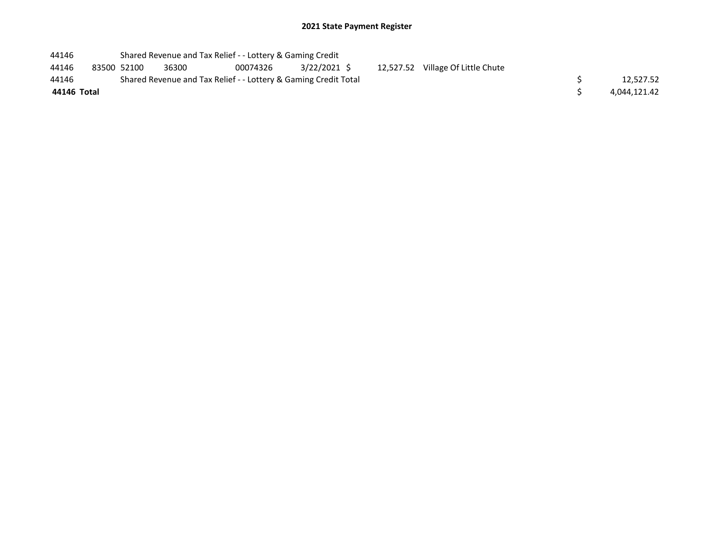| 44146       |             | Shared Revenue and Tax Relief - - Lottery & Gaming Credit       |          |             |  |                                   |              |
|-------------|-------------|-----------------------------------------------------------------|----------|-------------|--|-----------------------------------|--------------|
| 44146       | 83500 52100 | 36300                                                           | 00074326 | 3/22/2021 S |  | 12,527.52 Village Of Little Chute |              |
| 44146       |             | Shared Revenue and Tax Relief - - Lottery & Gaming Credit Total |          |             |  |                                   | 12,527.52    |
| 44146 Total |             |                                                                 |          |             |  |                                   | 4,044,121.42 |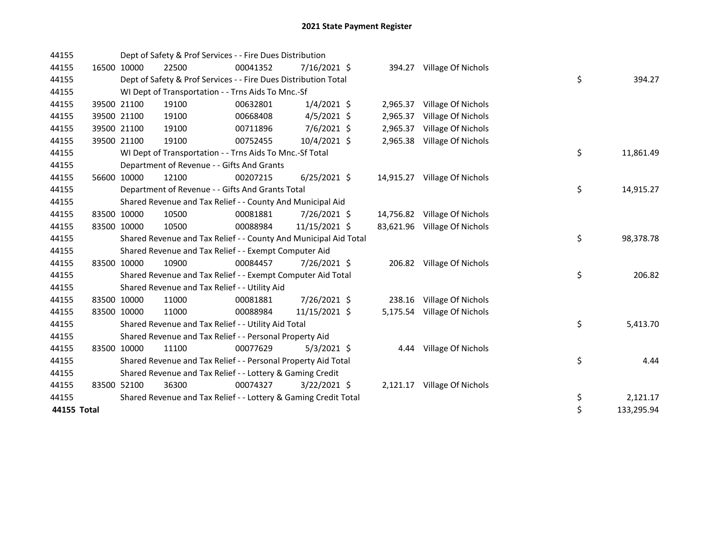| 44155 |             | Dept of Safety & Prof Services - - Fire Dues Distribution        |          |                |          |                              |          |           |
|-------|-------------|------------------------------------------------------------------|----------|----------------|----------|------------------------------|----------|-----------|
| 44155 | 16500 10000 | 22500                                                            | 00041352 | $7/16/2021$ \$ |          | 394.27 Village Of Nichols    |          |           |
| 44155 |             | Dept of Safety & Prof Services - - Fire Dues Distribution Total  |          |                |          |                              | \$       | 394.27    |
| 44155 |             | WI Dept of Transportation - - Trns Aids To Mnc.-Sf               |          |                |          |                              |          |           |
| 44155 | 39500 21100 | 19100                                                            | 00632801 | $1/4/2021$ \$  |          | 2,965.37 Village Of Nichols  |          |           |
| 44155 | 39500 21100 | 19100                                                            | 00668408 | $4/5/2021$ \$  | 2,965.37 | Village Of Nichols           |          |           |
| 44155 | 39500 21100 | 19100                                                            | 00711896 | 7/6/2021 \$    | 2,965.37 | Village Of Nichols           |          |           |
| 44155 | 39500 21100 | 19100                                                            | 00752455 | 10/4/2021 \$   |          | 2,965.38 Village Of Nichols  |          |           |
| 44155 |             | WI Dept of Transportation - - Trns Aids To Mnc.-Sf Total         |          |                |          |                              | \$       | 11,861.49 |
| 44155 |             | Department of Revenue - - Gifts And Grants                       |          |                |          |                              |          |           |
| 44155 | 56600 10000 | 12100                                                            | 00207215 | $6/25/2021$ \$ |          | 14,915.27 Village Of Nichols |          |           |
| 44155 |             | Department of Revenue - - Gifts And Grants Total                 |          |                |          |                              | \$       | 14,915.27 |
| 44155 |             | Shared Revenue and Tax Relief - - County And Municipal Aid       |          |                |          |                              |          |           |
| 44155 | 83500 10000 | 10500                                                            | 00081881 | 7/26/2021 \$   |          | 14,756.82 Village Of Nichols |          |           |
| 44155 | 83500 10000 | 10500                                                            | 00088984 | 11/15/2021 \$  |          | 83,621.96 Village Of Nichols |          |           |
| 44155 |             | Shared Revenue and Tax Relief - - County And Municipal Aid Total |          |                |          |                              | \$       | 98,378.78 |
| 44155 |             | Shared Revenue and Tax Relief - - Exempt Computer Aid            |          |                |          |                              |          |           |
| 44155 | 83500 10000 | 10900                                                            | 00084457 | 7/26/2021 \$   |          | 206.82 Village Of Nichols    |          |           |
| 44155 |             | Shared Revenue and Tax Relief - - Exempt Computer Aid Total      |          |                |          |                              | \$       | 206.82    |
| 44155 |             | Shared Revenue and Tax Relief - - Utility Aid                    |          |                |          |                              |          |           |
| 44155 | 83500 10000 | 11000                                                            | 00081881 | 7/26/2021 \$   |          | 238.16 Village Of Nichols    |          |           |
| 44155 | 83500 10000 | 11000                                                            | 00088984 | 11/15/2021 \$  |          | 5,175.54 Village Of Nichols  |          |           |
| 44155 |             | Shared Revenue and Tax Relief - - Utility Aid Total              |          |                |          |                              | \$       | 5,413.70  |
| 44155 |             | Shared Revenue and Tax Relief - - Personal Property Aid          |          |                |          |                              |          |           |
| 44155 | 83500 10000 | 11100                                                            | 00077629 | $5/3/2021$ \$  |          | 4.44 Village Of Nichols      |          |           |
| 44155 |             | Shared Revenue and Tax Relief - - Personal Property Aid Total    |          |                |          |                              | \$       | 4.44      |
| 44155 |             | Shared Revenue and Tax Relief - - Lottery & Gaming Credit        |          |                |          |                              |          |           |
| 44155 | 83500 52100 | 36300                                                            | 00074327 | $3/22/2021$ \$ |          | 2,121.17 Village Of Nichols  |          |           |
|       |             |                                                                  |          |                |          |                              |          |           |
| 44155 |             | Shared Revenue and Tax Relief - - Lottery & Gaming Credit Total  |          |                |          |                              | \$<br>\$ | 2,121.17  |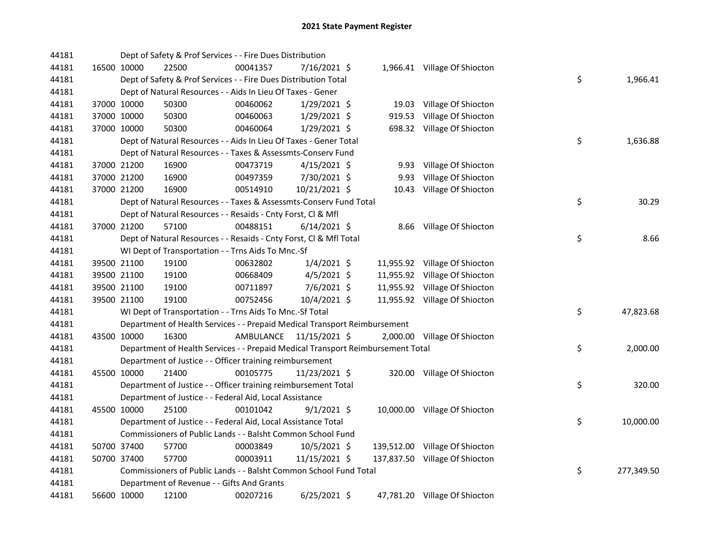| 44181 |             | Dept of Safety & Prof Services - - Fire Dues Distribution                       |           |                |      |                                |    |            |
|-------|-------------|---------------------------------------------------------------------------------|-----------|----------------|------|--------------------------------|----|------------|
| 44181 | 16500 10000 | 22500                                                                           | 00041357  | 7/16/2021 \$   |      | 1,966.41 Village Of Shiocton   |    |            |
| 44181 |             | Dept of Safety & Prof Services - - Fire Dues Distribution Total                 |           |                |      |                                | \$ | 1,966.41   |
| 44181 |             | Dept of Natural Resources - - Aids In Lieu Of Taxes - Gener                     |           |                |      |                                |    |            |
| 44181 | 37000 10000 | 50300                                                                           | 00460062  | $1/29/2021$ \$ |      | 19.03 Village Of Shiocton      |    |            |
| 44181 | 37000 10000 | 50300                                                                           | 00460063  | 1/29/2021 \$   |      | 919.53 Village Of Shiocton     |    |            |
| 44181 | 37000 10000 | 50300                                                                           | 00460064  | $1/29/2021$ \$ |      | 698.32 Village Of Shiocton     |    |            |
| 44181 |             | Dept of Natural Resources - - Aids In Lieu Of Taxes - Gener Total               |           |                |      |                                | \$ | 1,636.88   |
| 44181 |             | Dept of Natural Resources - - Taxes & Assessmts-Conserv Fund                    |           |                |      |                                |    |            |
| 44181 | 37000 21200 | 16900                                                                           | 00473719  | $4/15/2021$ \$ |      | 9.93 Village Of Shiocton       |    |            |
| 44181 | 37000 21200 | 16900                                                                           | 00497359  | 7/30/2021 \$   | 9.93 | Village Of Shiocton            |    |            |
| 44181 | 37000 21200 | 16900                                                                           | 00514910  | 10/21/2021 \$  |      | 10.43 Village Of Shiocton      |    |            |
| 44181 |             | Dept of Natural Resources - - Taxes & Assessmts-Conserv Fund Total              |           |                |      |                                | \$ | 30.29      |
| 44181 |             | Dept of Natural Resources - - Resaids - Cnty Forst, Cl & Mfl                    |           |                |      |                                |    |            |
| 44181 | 37000 21200 | 57100                                                                           | 00488151  | $6/14/2021$ \$ |      | 8.66 Village Of Shiocton       |    |            |
| 44181 |             | Dept of Natural Resources - - Resaids - Cnty Forst, Cl & Mfl Total              |           |                |      |                                | \$ | 8.66       |
| 44181 |             | WI Dept of Transportation - - Trns Aids To Mnc.-Sf                              |           |                |      |                                |    |            |
| 44181 | 39500 21100 | 19100                                                                           | 00632802  | $1/4/2021$ \$  |      | 11,955.92 Village Of Shiocton  |    |            |
| 44181 | 39500 21100 | 19100                                                                           | 00668409  | $4/5/2021$ \$  |      | 11,955.92 Village Of Shiocton  |    |            |
| 44181 | 39500 21100 | 19100                                                                           | 00711897  | 7/6/2021 \$    |      | 11,955.92 Village Of Shiocton  |    |            |
| 44181 | 39500 21100 | 19100                                                                           | 00752456  | 10/4/2021 \$   |      | 11,955.92 Village Of Shiocton  |    |            |
| 44181 |             | WI Dept of Transportation - - Trns Aids To Mnc.-Sf Total                        |           |                |      |                                | \$ | 47,823.68  |
| 44181 |             | Department of Health Services - - Prepaid Medical Transport Reimbursement       |           |                |      |                                |    |            |
| 44181 | 43500 10000 | 16300                                                                           | AMBULANCE | 11/15/2021 \$  |      | 2,000.00 Village Of Shiocton   |    |            |
| 44181 |             | Department of Health Services - - Prepaid Medical Transport Reimbursement Total |           |                |      |                                | \$ | 2,000.00   |
| 44181 |             | Department of Justice - - Officer training reimbursement                        |           |                |      |                                |    |            |
| 44181 | 45500 10000 | 21400                                                                           | 00105775  | 11/23/2021 \$  |      | 320.00 Village Of Shiocton     |    |            |
| 44181 |             | Department of Justice - - Officer training reimbursement Total                  |           |                |      |                                | \$ | 320.00     |
| 44181 |             | Department of Justice - - Federal Aid, Local Assistance                         |           |                |      |                                |    |            |
| 44181 | 45500 10000 | 25100                                                                           | 00101042  | $9/1/2021$ \$  |      | 10,000.00 Village Of Shiocton  |    |            |
| 44181 |             | Department of Justice - - Federal Aid, Local Assistance Total                   |           |                |      |                                | \$ | 10,000.00  |
| 44181 |             | Commissioners of Public Lands - - Balsht Common School Fund                     |           |                |      |                                |    |            |
| 44181 | 50700 37400 | 57700                                                                           | 00003849  | 10/5/2021 \$   |      | 139,512.00 Village Of Shiocton |    |            |
| 44181 | 50700 37400 | 57700                                                                           | 00003911  | 11/15/2021 \$  |      | 137,837.50 Village Of Shiocton |    |            |
| 44181 |             | Commissioners of Public Lands - - Balsht Common School Fund Total               |           |                |      |                                | \$ | 277,349.50 |
| 44181 |             | Department of Revenue - - Gifts And Grants                                      |           |                |      |                                |    |            |
| 44181 | 56600 10000 | 12100                                                                           | 00207216  | $6/25/2021$ \$ |      | 47,781.20 Village Of Shiocton  |    |            |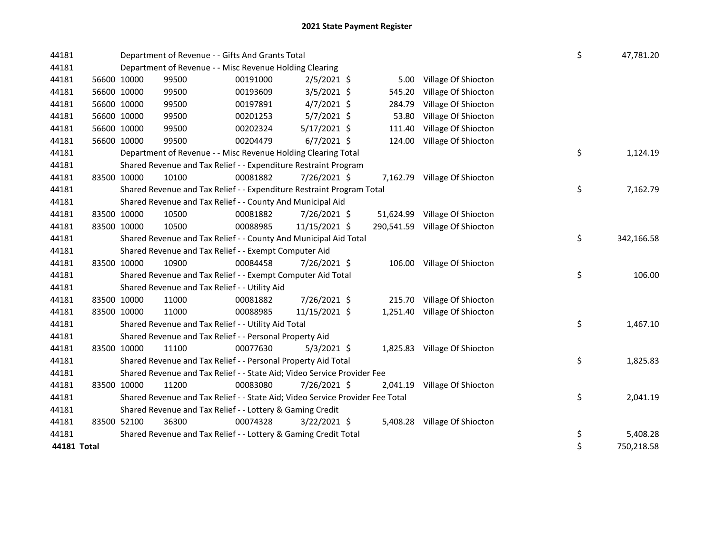| 44181       |             | Department of Revenue - - Gifts And Grants Total                              |          |                |  |          |                                |    |  | 47,781.20  |
|-------------|-------------|-------------------------------------------------------------------------------|----------|----------------|--|----------|--------------------------------|----|--|------------|
| 44181       |             | Department of Revenue - - Misc Revenue Holding Clearing                       |          |                |  |          |                                |    |  |            |
| 44181       | 56600 10000 | 99500                                                                         | 00191000 | $2/5/2021$ \$  |  | 5.00     | Village Of Shiocton            |    |  |            |
| 44181       | 56600 10000 | 99500                                                                         | 00193609 | 3/5/2021 \$    |  | 545.20   | Village Of Shiocton            |    |  |            |
| 44181       | 56600 10000 | 99500                                                                         | 00197891 | $4/7/2021$ \$  |  | 284.79   | Village Of Shiocton            |    |  |            |
| 44181       | 56600 10000 | 99500                                                                         | 00201253 | $5/7/2021$ \$  |  | 53.80    | Village Of Shiocton            |    |  |            |
| 44181       | 56600 10000 | 99500                                                                         | 00202324 | $5/17/2021$ \$ |  | 111.40   | Village Of Shiocton            |    |  |            |
| 44181       | 56600 10000 | 99500                                                                         | 00204479 | $6/7/2021$ \$  |  |          | 124.00 Village Of Shiocton     |    |  |            |
| 44181       |             | Department of Revenue - - Misc Revenue Holding Clearing Total                 |          |                |  |          |                                | \$ |  | 1,124.19   |
| 44181       |             | Shared Revenue and Tax Relief - - Expenditure Restraint Program               |          |                |  |          |                                |    |  |            |
| 44181       | 83500 10000 | 10100                                                                         | 00081882 | 7/26/2021 \$   |  |          | 7,162.79 Village Of Shiocton   |    |  |            |
| 44181       |             | Shared Revenue and Tax Relief - - Expenditure Restraint Program Total         |          |                |  |          |                                | \$ |  | 7,162.79   |
| 44181       |             | Shared Revenue and Tax Relief - - County And Municipal Aid                    |          |                |  |          |                                |    |  |            |
| 44181       | 83500 10000 | 10500                                                                         | 00081882 | 7/26/2021 \$   |  |          | 51,624.99 Village Of Shiocton  |    |  |            |
| 44181       | 83500 10000 | 10500                                                                         | 00088985 | 11/15/2021 \$  |  |          | 290,541.59 Village Of Shiocton |    |  |            |
| 44181       |             | Shared Revenue and Tax Relief - - County And Municipal Aid Total              |          |                |  |          |                                | \$ |  | 342,166.58 |
| 44181       |             | Shared Revenue and Tax Relief - - Exempt Computer Aid                         |          |                |  |          |                                |    |  |            |
| 44181       | 83500 10000 | 10900                                                                         | 00084458 | 7/26/2021 \$   |  |          | 106.00 Village Of Shiocton     |    |  |            |
| 44181       |             | Shared Revenue and Tax Relief - - Exempt Computer Aid Total                   |          |                |  |          |                                | \$ |  | 106.00     |
| 44181       |             | Shared Revenue and Tax Relief - - Utility Aid                                 |          |                |  |          |                                |    |  |            |
| 44181       | 83500 10000 | 11000                                                                         | 00081882 | 7/26/2021 \$   |  |          | 215.70 Village Of Shiocton     |    |  |            |
| 44181       | 83500 10000 | 11000                                                                         | 00088985 | 11/15/2021 \$  |  |          | 1,251.40 Village Of Shiocton   |    |  |            |
| 44181       |             | Shared Revenue and Tax Relief - - Utility Aid Total                           |          |                |  |          |                                | \$ |  | 1,467.10   |
| 44181       |             | Shared Revenue and Tax Relief - - Personal Property Aid                       |          |                |  |          |                                |    |  |            |
| 44181       | 83500 10000 | 11100                                                                         | 00077630 | $5/3/2021$ \$  |  |          | 1,825.83 Village Of Shiocton   |    |  |            |
| 44181       |             | Shared Revenue and Tax Relief - - Personal Property Aid Total                 |          |                |  |          |                                | \$ |  | 1,825.83   |
| 44181       |             | Shared Revenue and Tax Relief - - State Aid; Video Service Provider Fee       |          |                |  |          |                                |    |  |            |
| 44181       | 83500 10000 | 11200                                                                         | 00083080 | 7/26/2021 \$   |  | 2,041.19 | Village Of Shiocton            |    |  |            |
| 44181       |             | Shared Revenue and Tax Relief - - State Aid; Video Service Provider Fee Total |          |                |  |          |                                | \$ |  | 2,041.19   |
| 44181       |             | Shared Revenue and Tax Relief - - Lottery & Gaming Credit                     |          |                |  |          |                                |    |  |            |
| 44181       | 83500 52100 | 36300                                                                         | 00074328 | $3/22/2021$ \$ |  | 5,408.28 | Village Of Shiocton            |    |  |            |
| 44181       |             | Shared Revenue and Tax Relief - - Lottery & Gaming Credit Total               |          |                |  |          |                                | \$ |  | 5,408.28   |
| 44181 Total |             |                                                                               |          |                |  |          |                                | \$ |  | 750,218.58 |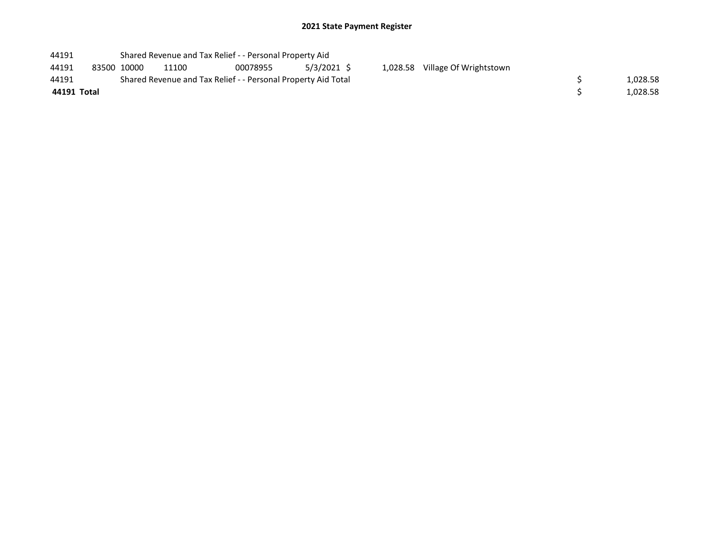## 2021 State Payment Register

| 44191 | Shared Revenue and Tax Relief - - Personal Property Aid |
|-------|---------------------------------------------------------|
|-------|---------------------------------------------------------|

| 44191 | 83500 10000 | 11100                                                         | 00078955 | $5/3/2021$ \$ |
|-------|-------------|---------------------------------------------------------------|----------|---------------|
| 44191 |             | Shared Revenue and Tax Relief - - Personal Property Aid Total |          |               |

44191 83500 10000 11100 00078955 5/3/2021 1,028.58 \$ Village Of Wrightstown

| 44191       | Shared Revenue and Tax Relief - - Personal Property Aid Total | 1,028.58 |
|-------------|---------------------------------------------------------------|----------|
| 44191 Total |                                                               | 1,028.58 |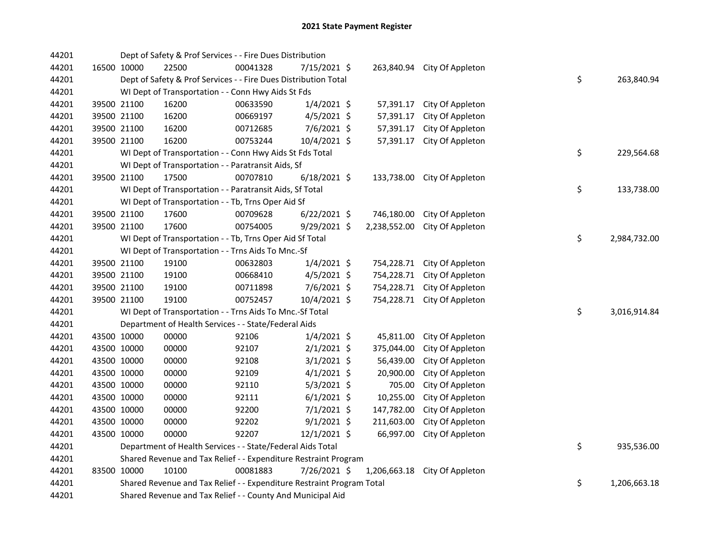| 44201 |                                                                 | Dept of Safety & Prof Services - - Fire Dues Distribution             |          |                |  |              |                             |  |                    |
|-------|-----------------------------------------------------------------|-----------------------------------------------------------------------|----------|----------------|--|--------------|-----------------------------|--|--------------------|
| 44201 | 16500 10000                                                     | 22500                                                                 | 00041328 | 7/15/2021 \$   |  | 263,840.94   | City Of Appleton            |  |                    |
| 44201 |                                                                 | Dept of Safety & Prof Services - - Fire Dues Distribution Total       |          |                |  |              |                             |  | \$<br>263,840.94   |
| 44201 |                                                                 | WI Dept of Transportation - - Conn Hwy Aids St Fds                    |          |                |  |              |                             |  |                    |
| 44201 | 39500 21100                                                     | 16200                                                                 | 00633590 | $1/4/2021$ \$  |  | 57,391.17    | City Of Appleton            |  |                    |
| 44201 | 39500 21100                                                     | 16200                                                                 | 00669197 | 4/5/2021 \$    |  | 57,391.17    | City Of Appleton            |  |                    |
| 44201 | 39500 21100                                                     | 16200                                                                 | 00712685 | 7/6/2021 \$    |  | 57,391.17    | City Of Appleton            |  |                    |
| 44201 | 39500 21100                                                     | 16200                                                                 | 00753244 | 10/4/2021 \$   |  | 57,391.17    | City Of Appleton            |  |                    |
| 44201 |                                                                 | WI Dept of Transportation - - Conn Hwy Aids St Fds Total              |          |                |  |              |                             |  | \$<br>229,564.68   |
| 44201 |                                                                 | WI Dept of Transportation - - Paratransit Aids, Sf                    |          |                |  |              |                             |  |                    |
| 44201 | 39500 21100                                                     | 17500                                                                 | 00707810 | $6/18/2021$ \$ |  |              | 133,738.00 City Of Appleton |  |                    |
| 44201 |                                                                 | WI Dept of Transportation - - Paratransit Aids, Sf Total              |          |                |  |              |                             |  | \$<br>133,738.00   |
| 44201 |                                                                 | WI Dept of Transportation - - Tb, Trns Oper Aid Sf                    |          |                |  |              |                             |  |                    |
| 44201 | 39500 21100                                                     | 17600                                                                 | 00709628 | $6/22/2021$ \$ |  | 746,180.00   | City Of Appleton            |  |                    |
| 44201 | 39500 21100                                                     | 17600                                                                 | 00754005 | 9/29/2021 \$   |  | 2,238,552.00 | City Of Appleton            |  |                    |
| 44201 |                                                                 | WI Dept of Transportation - - Tb, Trns Oper Aid Sf Total              |          |                |  |              |                             |  | \$<br>2,984,732.00 |
| 44201 |                                                                 | WI Dept of Transportation - - Trns Aids To Mnc.-Sf                    |          |                |  |              |                             |  |                    |
| 44201 | 39500 21100                                                     | 19100                                                                 | 00632803 | $1/4/2021$ \$  |  |              | 754,228.71 City Of Appleton |  |                    |
| 44201 | 39500 21100                                                     | 19100                                                                 | 00668410 | $4/5/2021$ \$  |  | 754,228.71   | City Of Appleton            |  |                    |
| 44201 | 39500 21100                                                     | 19100                                                                 | 00711898 | 7/6/2021 \$    |  | 754,228.71   | City Of Appleton            |  |                    |
| 44201 | 39500 21100                                                     | 19100                                                                 | 00752457 | 10/4/2021 \$   |  |              | 754,228.71 City Of Appleton |  |                    |
| 44201 |                                                                 | WI Dept of Transportation - - Trns Aids To Mnc.-Sf Total              |          |                |  |              |                             |  | \$<br>3,016,914.84 |
| 44201 |                                                                 | Department of Health Services - - State/Federal Aids                  |          |                |  |              |                             |  |                    |
| 44201 | 43500 10000                                                     | 00000                                                                 | 92106    | $1/4/2021$ \$  |  | 45,811.00    | City Of Appleton            |  |                    |
| 44201 | 43500 10000                                                     | 00000                                                                 | 92107    | $2/1/2021$ \$  |  | 375,044.00   | City Of Appleton            |  |                    |
| 44201 | 43500 10000                                                     | 00000                                                                 | 92108    | $3/1/2021$ \$  |  | 56,439.00    | City Of Appleton            |  |                    |
| 44201 | 43500 10000                                                     | 00000                                                                 | 92109    | $4/1/2021$ \$  |  | 20,900.00    | City Of Appleton            |  |                    |
| 44201 | 43500 10000                                                     | 00000                                                                 | 92110    | $5/3/2021$ \$  |  | 705.00       | City Of Appleton            |  |                    |
| 44201 | 43500 10000                                                     | 00000                                                                 | 92111    | $6/1/2021$ \$  |  | 10,255.00    | City Of Appleton            |  |                    |
| 44201 | 43500 10000                                                     | 00000                                                                 | 92200    | 7/1/2021 \$    |  | 147,782.00   | City Of Appleton            |  |                    |
| 44201 | 43500 10000                                                     | 00000                                                                 | 92202    | $9/1/2021$ \$  |  | 211,603.00   | City Of Appleton            |  |                    |
| 44201 | 43500 10000                                                     | 00000                                                                 | 92207    | $12/1/2021$ \$ |  | 66,997.00    | City Of Appleton            |  |                    |
| 44201 |                                                                 | Department of Health Services - - State/Federal Aids Total            |          |                |  |              |                             |  | \$<br>935,536.00   |
| 44201 | Shared Revenue and Tax Relief - - Expenditure Restraint Program |                                                                       |          |                |  |              |                             |  |                    |
| 44201 | 83500 10000                                                     | 10100                                                                 | 00081883 | 7/26/2021 \$   |  | 1,206,663.18 | City Of Appleton            |  |                    |
| 44201 |                                                                 | Shared Revenue and Tax Relief - - Expenditure Restraint Program Total |          |                |  |              |                             |  | \$<br>1,206,663.18 |
| 44201 |                                                                 | Shared Revenue and Tax Relief - - County And Municipal Aid            |          |                |  |              |                             |  |                    |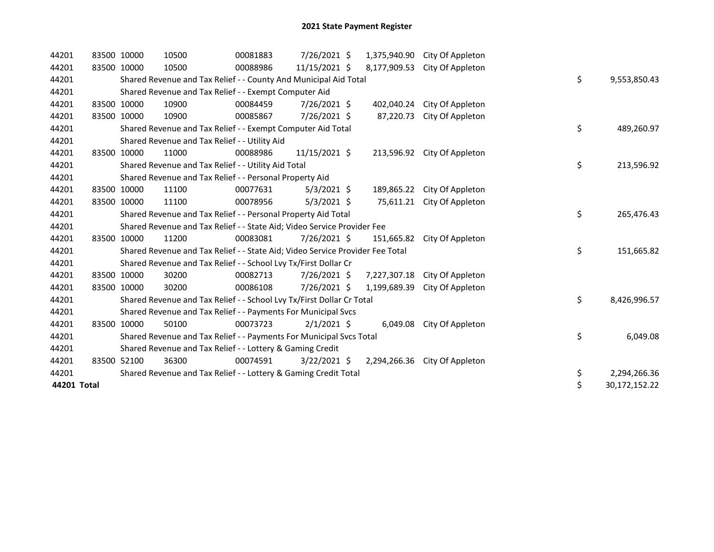| 44201       | 83500 10000 | 10500                                                                         | 00081883 | 7/26/2021 \$   | 1,375,940.90 | City Of Appleton |    |               |
|-------------|-------------|-------------------------------------------------------------------------------|----------|----------------|--------------|------------------|----|---------------|
| 44201       | 83500 10000 | 10500                                                                         | 00088986 | 11/15/2021 \$  | 8,177,909.53 | City Of Appleton |    |               |
| 44201       |             | Shared Revenue and Tax Relief - - County And Municipal Aid Total              |          |                |              |                  | \$ | 9,553,850.43  |
| 44201       |             | Shared Revenue and Tax Relief - - Exempt Computer Aid                         |          |                |              |                  |    |               |
| 44201       | 83500 10000 | 10900                                                                         | 00084459 | 7/26/2021 \$   | 402,040.24   | City Of Appleton |    |               |
| 44201       | 83500 10000 | 10900                                                                         | 00085867 | 7/26/2021 \$   | 87,220.73    | City Of Appleton |    |               |
| 44201       |             | Shared Revenue and Tax Relief - - Exempt Computer Aid Total                   |          |                |              |                  | \$ | 489,260.97    |
| 44201       |             | Shared Revenue and Tax Relief - - Utility Aid                                 |          |                |              |                  |    |               |
| 44201       | 83500 10000 | 11000                                                                         | 00088986 | 11/15/2021 \$  | 213,596.92   | City Of Appleton |    |               |
| 44201       |             | Shared Revenue and Tax Relief - - Utility Aid Total                           |          |                |              |                  | \$ | 213,596.92    |
| 44201       |             | Shared Revenue and Tax Relief - - Personal Property Aid                       |          |                |              |                  |    |               |
| 44201       | 83500 10000 | 11100                                                                         | 00077631 | $5/3/2021$ \$  | 189,865.22   | City Of Appleton |    |               |
| 44201       | 83500 10000 | 11100                                                                         | 00078956 | $5/3/2021$ \$  | 75,611.21    | City Of Appleton |    |               |
| 44201       |             | Shared Revenue and Tax Relief - - Personal Property Aid Total                 |          |                |              |                  | \$ | 265,476.43    |
| 44201       |             | Shared Revenue and Tax Relief - - State Aid; Video Service Provider Fee       |          |                |              |                  |    |               |
| 44201       | 83500 10000 | 11200                                                                         | 00083081 | $7/26/2021$ \$ | 151,665.82   | City Of Appleton |    |               |
| 44201       |             | Shared Revenue and Tax Relief - - State Aid; Video Service Provider Fee Total |          |                |              |                  | \$ | 151,665.82    |
| 44201       |             | Shared Revenue and Tax Relief - - School Lvy Tx/First Dollar Cr               |          |                |              |                  |    |               |
| 44201       | 83500 10000 | 30200                                                                         | 00082713 | 7/26/2021 \$   | 7,227,307.18 | City Of Appleton |    |               |
| 44201       | 83500 10000 | 30200                                                                         | 00086108 | 7/26/2021 \$   | 1,199,689.39 | City Of Appleton |    |               |
| 44201       |             | Shared Revenue and Tax Relief - - School Lvy Tx/First Dollar Cr Total         |          |                |              |                  | \$ | 8,426,996.57  |
| 44201       |             | Shared Revenue and Tax Relief - - Payments For Municipal Svcs                 |          |                |              |                  |    |               |
| 44201       | 83500 10000 | 50100                                                                         | 00073723 | $2/1/2021$ \$  | 6,049.08     | City Of Appleton |    |               |
| 44201       |             | Shared Revenue and Tax Relief - - Payments For Municipal Svcs Total           |          |                |              |                  | \$ | 6,049.08      |
| 44201       |             | Shared Revenue and Tax Relief - - Lottery & Gaming Credit                     |          |                |              |                  |    |               |
| 44201       | 83500 52100 | 36300                                                                         | 00074591 | $3/22/2021$ \$ | 2,294,266.36 | City Of Appleton |    |               |
| 44201       |             | Shared Revenue and Tax Relief - - Lottery & Gaming Credit Total               |          |                |              |                  | \$ | 2,294,266.36  |
| 44201 Total |             |                                                                               |          |                |              |                  | \$ | 30,172,152.22 |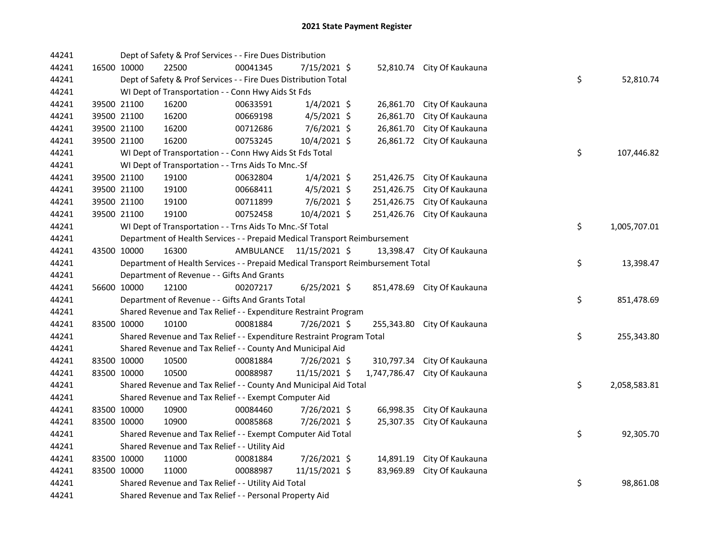| 44241 |             | Dept of Safety & Prof Services - - Fire Dues Distribution                       |           |                |              |                            |    |              |
|-------|-------------|---------------------------------------------------------------------------------|-----------|----------------|--------------|----------------------------|----|--------------|
| 44241 | 16500 10000 | 22500                                                                           | 00041345  | 7/15/2021 \$   |              | 52,810.74 City Of Kaukauna |    |              |
| 44241 |             | Dept of Safety & Prof Services - - Fire Dues Distribution Total                 |           |                |              |                            | \$ | 52,810.74    |
| 44241 |             | WI Dept of Transportation - - Conn Hwy Aids St Fds                              |           |                |              |                            |    |              |
| 44241 | 39500 21100 | 16200                                                                           | 00633591  | $1/4/2021$ \$  | 26,861.70    | City Of Kaukauna           |    |              |
| 44241 | 39500 21100 | 16200                                                                           | 00669198  | $4/5/2021$ \$  | 26,861.70    | City Of Kaukauna           |    |              |
| 44241 | 39500 21100 | 16200                                                                           | 00712686  | 7/6/2021 \$    | 26,861.70    | City Of Kaukauna           |    |              |
| 44241 | 39500 21100 | 16200                                                                           | 00753245  | 10/4/2021 \$   | 26,861.72    | City Of Kaukauna           |    |              |
| 44241 |             | WI Dept of Transportation - - Conn Hwy Aids St Fds Total                        |           |                |              |                            | \$ | 107,446.82   |
| 44241 |             | WI Dept of Transportation - - Trns Aids To Mnc.-Sf                              |           |                |              |                            |    |              |
| 44241 | 39500 21100 | 19100                                                                           | 00632804  | $1/4/2021$ \$  | 251,426.75   | City Of Kaukauna           |    |              |
| 44241 | 39500 21100 | 19100                                                                           | 00668411  | $4/5/2021$ \$  | 251,426.75   | City Of Kaukauna           |    |              |
| 44241 | 39500 21100 | 19100                                                                           | 00711899  | $7/6/2021$ \$  | 251,426.75   | City Of Kaukauna           |    |              |
| 44241 | 39500 21100 | 19100                                                                           | 00752458  | 10/4/2021 \$   | 251,426.76   | City Of Kaukauna           |    |              |
| 44241 |             | WI Dept of Transportation - - Trns Aids To Mnc.-Sf Total                        |           |                |              |                            | \$ | 1,005,707.01 |
| 44241 |             | Department of Health Services - - Prepaid Medical Transport Reimbursement       |           |                |              |                            |    |              |
| 44241 | 43500 10000 | 16300                                                                           | AMBULANCE | 11/15/2021 \$  | 13,398.47    | City Of Kaukauna           |    |              |
| 44241 |             | Department of Health Services - - Prepaid Medical Transport Reimbursement Total |           |                |              |                            | \$ | 13,398.47    |
| 44241 |             | Department of Revenue - - Gifts And Grants                                      |           |                |              |                            |    |              |
| 44241 | 56600 10000 | 12100                                                                           | 00207217  | $6/25/2021$ \$ | 851,478.69   | City Of Kaukauna           |    |              |
| 44241 |             | Department of Revenue - - Gifts And Grants Total                                |           |                |              |                            | \$ | 851,478.69   |
| 44241 |             | Shared Revenue and Tax Relief - - Expenditure Restraint Program                 |           |                |              |                            |    |              |
| 44241 | 83500 10000 | 10100                                                                           | 00081884  | 7/26/2021 \$   | 255,343.80   | City Of Kaukauna           |    |              |
| 44241 |             | Shared Revenue and Tax Relief - - Expenditure Restraint Program Total           |           |                |              |                            | \$ | 255,343.80   |
| 44241 |             | Shared Revenue and Tax Relief - - County And Municipal Aid                      |           |                |              |                            |    |              |
| 44241 | 83500 10000 | 10500                                                                           | 00081884  | 7/26/2021 \$   | 310,797.34   | City Of Kaukauna           |    |              |
| 44241 | 83500 10000 | 10500                                                                           | 00088987  | 11/15/2021 \$  | 1,747,786.47 | City Of Kaukauna           |    |              |
| 44241 |             | Shared Revenue and Tax Relief - - County And Municipal Aid Total                |           |                |              |                            | \$ | 2,058,583.81 |
| 44241 |             | Shared Revenue and Tax Relief - - Exempt Computer Aid                           |           |                |              |                            |    |              |
| 44241 | 83500 10000 | 10900                                                                           | 00084460  | 7/26/2021 \$   | 66,998.35    | City Of Kaukauna           |    |              |
| 44241 | 83500 10000 | 10900                                                                           | 00085868  | 7/26/2021 \$   | 25,307.35    | City Of Kaukauna           |    |              |
| 44241 |             | Shared Revenue and Tax Relief - - Exempt Computer Aid Total                     |           |                |              |                            | \$ | 92,305.70    |
| 44241 |             | Shared Revenue and Tax Relief - - Utility Aid                                   |           |                |              |                            |    |              |
| 44241 | 83500 10000 | 11000                                                                           | 00081884  | 7/26/2021 \$   | 14,891.19    | City Of Kaukauna           |    |              |
| 44241 | 83500 10000 | 11000                                                                           | 00088987  | 11/15/2021 \$  | 83,969.89    | City Of Kaukauna           |    |              |
| 44241 |             | Shared Revenue and Tax Relief - - Utility Aid Total                             |           |                |              |                            | \$ | 98,861.08    |
| 44241 |             | Shared Revenue and Tax Relief - - Personal Property Aid                         |           |                |              |                            |    |              |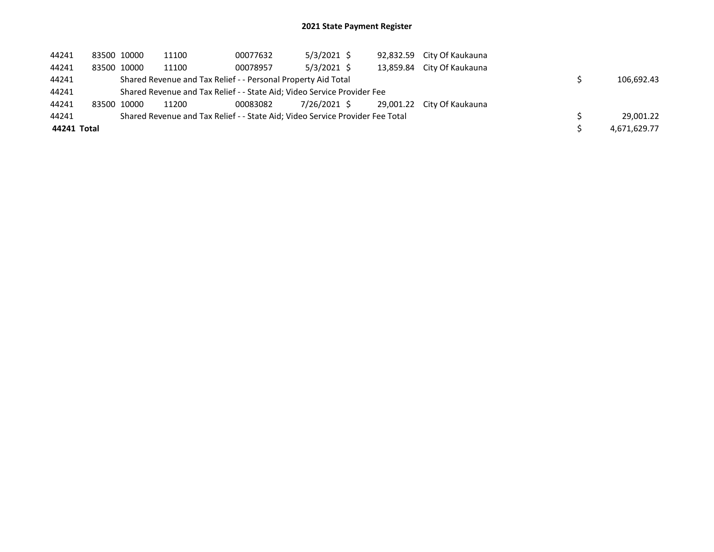## 2021 State Payment Register

| 44241       | 83500 10000 | 11100 | 00077632                                                                      | $5/3/2021$ \$ |  | 92,832.59 City Of Kaukauna |              |
|-------------|-------------|-------|-------------------------------------------------------------------------------|---------------|--|----------------------------|--------------|
| 44241       | 83500 10000 | 11100 | 00078957                                                                      | $5/3/2021$ \$ |  | 13,859.84 City Of Kaukauna |              |
| 44241       |             |       | Shared Revenue and Tax Relief - - Personal Property Aid Total                 |               |  |                            | 106.692.43   |
| 44241       |             |       | Shared Revenue and Tax Relief - - State Aid; Video Service Provider Fee       |               |  |                            |              |
| 44241       | 83500 10000 | 11200 | 00083082                                                                      | 7/26/2021 \$  |  | 29,001.22 City Of Kaukauna |              |
| 44241       |             |       | Shared Revenue and Tax Relief - - State Aid; Video Service Provider Fee Total |               |  |                            | 29.001.22    |
| 44241 Total |             |       |                                                                               |               |  |                            | 4,671,629.77 |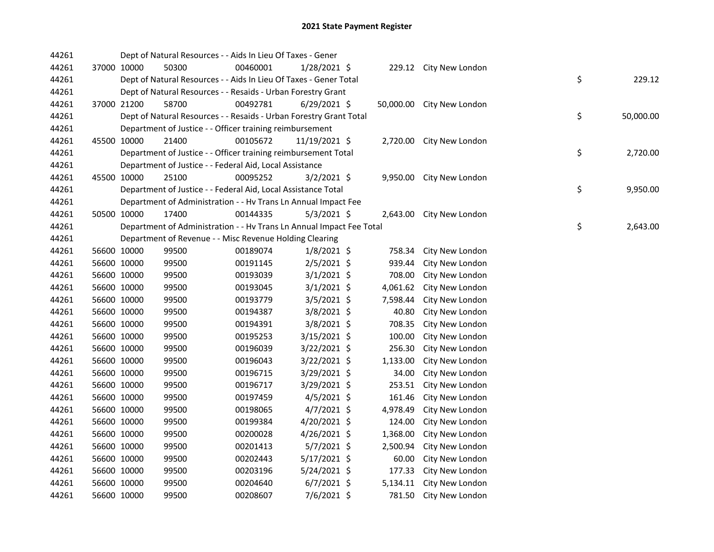| 44261 |             |             | Dept of Natural Resources - - Aids In Lieu Of Taxes - Gener          |          |                |          |                           |                 |
|-------|-------------|-------------|----------------------------------------------------------------------|----------|----------------|----------|---------------------------|-----------------|
| 44261 |             | 37000 10000 | 50300                                                                | 00460001 | 1/28/2021 \$   |          | 229.12 City New London    |                 |
| 44261 |             |             | Dept of Natural Resources - - Aids In Lieu Of Taxes - Gener Total    |          |                |          |                           | \$<br>229.12    |
| 44261 |             |             | Dept of Natural Resources - - Resaids - Urban Forestry Grant         |          |                |          |                           |                 |
| 44261 |             | 37000 21200 | 58700                                                                | 00492781 | $6/29/2021$ \$ |          | 50,000.00 City New London |                 |
| 44261 |             |             | Dept of Natural Resources - - Resaids - Urban Forestry Grant Total   |          |                |          |                           | \$<br>50,000.00 |
| 44261 |             |             | Department of Justice - - Officer training reimbursement             |          |                |          |                           |                 |
| 44261 |             | 45500 10000 | 21400                                                                | 00105672 | 11/19/2021 \$  |          | 2,720.00 City New London  |                 |
| 44261 |             |             | Department of Justice - - Officer training reimbursement Total       |          |                |          |                           | \$<br>2,720.00  |
| 44261 |             |             | Department of Justice - - Federal Aid, Local Assistance              |          |                |          |                           |                 |
| 44261 |             | 45500 10000 | 25100                                                                | 00095252 | $3/2/2021$ \$  |          | 9,950.00 City New London  |                 |
| 44261 |             |             | Department of Justice - - Federal Aid, Local Assistance Total        |          |                |          |                           | \$<br>9,950.00  |
| 44261 |             |             | Department of Administration - - Hv Trans Ln Annual Impact Fee       |          |                |          |                           |                 |
| 44261 |             | 50500 10000 | 17400                                                                | 00144335 | $5/3/2021$ \$  |          | 2,643.00 City New London  |                 |
| 44261 |             |             | Department of Administration - - Hv Trans Ln Annual Impact Fee Total |          |                |          |                           | \$<br>2,643.00  |
| 44261 |             |             | Department of Revenue - - Misc Revenue Holding Clearing              |          |                |          |                           |                 |
| 44261 |             | 56600 10000 | 99500                                                                | 00189074 | $1/8/2021$ \$  | 758.34   | City New London           |                 |
| 44261 |             | 56600 10000 | 99500                                                                | 00191145 | $2/5/2021$ \$  | 939.44   | City New London           |                 |
| 44261 |             | 56600 10000 | 99500                                                                | 00193039 | $3/1/2021$ \$  | 708.00   | City New London           |                 |
| 44261 |             | 56600 10000 | 99500                                                                | 00193045 | $3/1/2021$ \$  | 4,061.62 | City New London           |                 |
| 44261 |             | 56600 10000 | 99500                                                                | 00193779 | $3/5/2021$ \$  | 7,598.44 | City New London           |                 |
| 44261 |             | 56600 10000 | 99500                                                                | 00194387 | 3/8/2021 \$    | 40.80    | City New London           |                 |
| 44261 |             | 56600 10000 | 99500                                                                | 00194391 | 3/8/2021 \$    | 708.35   | City New London           |                 |
| 44261 |             | 56600 10000 | 99500                                                                | 00195253 | 3/15/2021 \$   | 100.00   | City New London           |                 |
| 44261 |             | 56600 10000 | 99500                                                                | 00196039 | 3/22/2021 \$   | 256.30   | City New London           |                 |
| 44261 |             | 56600 10000 | 99500                                                                | 00196043 | $3/22/2021$ \$ | 1,133.00 | City New London           |                 |
| 44261 |             | 56600 10000 | 99500                                                                | 00196715 | 3/29/2021 \$   | 34.00    | City New London           |                 |
| 44261 |             | 56600 10000 | 99500                                                                | 00196717 | 3/29/2021 \$   | 253.51   | City New London           |                 |
| 44261 |             | 56600 10000 | 99500                                                                | 00197459 | $4/5/2021$ \$  | 161.46   | City New London           |                 |
| 44261 |             | 56600 10000 | 99500                                                                | 00198065 | $4/7/2021$ \$  | 4,978.49 | City New London           |                 |
| 44261 |             | 56600 10000 | 99500                                                                | 00199384 | 4/20/2021 \$   | 124.00   | City New London           |                 |
| 44261 |             | 56600 10000 | 99500                                                                | 00200028 | $4/26/2021$ \$ | 1,368.00 | City New London           |                 |
| 44261 | 56600 10000 |             | 99500                                                                | 00201413 | $5/7/2021$ \$  | 2,500.94 | City New London           |                 |
| 44261 | 56600 10000 |             | 99500                                                                | 00202443 | $5/17/2021$ \$ | 60.00    | City New London           |                 |
| 44261 |             | 56600 10000 | 99500                                                                | 00203196 | 5/24/2021 \$   | 177.33   | City New London           |                 |
| 44261 |             | 56600 10000 | 99500                                                                | 00204640 | $6/7/2021$ \$  | 5,134.11 | City New London           |                 |
| 44261 |             | 56600 10000 | 99500                                                                | 00208607 | 7/6/2021 \$    |          | 781.50 City New London    |                 |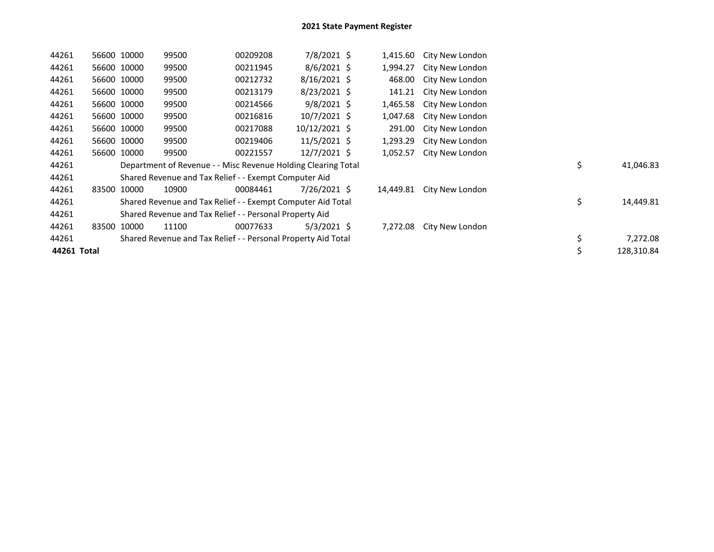| 44261       | 56600 10000 | 99500 | 00209208                                                      | 7/8/2021 \$    | 1,415.60  | City New London |    |            |
|-------------|-------------|-------|---------------------------------------------------------------|----------------|-----------|-----------------|----|------------|
| 44261       | 56600 10000 | 99500 | 00211945                                                      | $8/6/2021$ \$  | 1,994.27  | City New London |    |            |
| 44261       | 56600 10000 | 99500 | 00212732                                                      | $8/16/2021$ \$ | 468.00    | City New London |    |            |
| 44261       | 56600 10000 | 99500 | 00213179                                                      | $8/23/2021$ \$ | 141.21    | City New London |    |            |
| 44261       | 56600 10000 | 99500 | 00214566                                                      | $9/8/2021$ \$  | 1,465.58  | City New London |    |            |
| 44261       | 56600 10000 | 99500 | 00216816                                                      | $10/7/2021$ \$ | 1,047.68  | City New London |    |            |
| 44261       | 56600 10000 | 99500 | 00217088                                                      | 10/12/2021 \$  | 291.00    | City New London |    |            |
| 44261       | 56600 10000 | 99500 | 00219406                                                      | $11/5/2021$ \$ | 1,293.29  | City New London |    |            |
| 44261       | 56600 10000 | 99500 | 00221557                                                      | 12/7/2021 \$   | 1,052.57  | City New London |    |            |
| 44261       |             |       | Department of Revenue - - Misc Revenue Holding Clearing Total |                |           |                 | \$ | 41,046.83  |
| 44261       |             |       | Shared Revenue and Tax Relief - - Exempt Computer Aid         |                |           |                 |    |            |
| 44261       | 83500 10000 | 10900 | 00084461                                                      | $7/26/2021$ \$ | 14,449.81 | City New London |    |            |
| 44261       |             |       | Shared Revenue and Tax Relief - - Exempt Computer Aid Total   |                |           |                 | \$ | 14,449.81  |
| 44261       |             |       | Shared Revenue and Tax Relief - - Personal Property Aid       |                |           |                 |    |            |
| 44261       | 83500 10000 | 11100 | 00077633                                                      | 5/3/2021 \$    | 7,272.08  | City New London |    |            |
| 44261       |             |       | Shared Revenue and Tax Relief - - Personal Property Aid Total |                |           |                 | \$ | 7,272.08   |
| 44261 Total |             |       |                                                               |                |           |                 | \$ | 128,310.84 |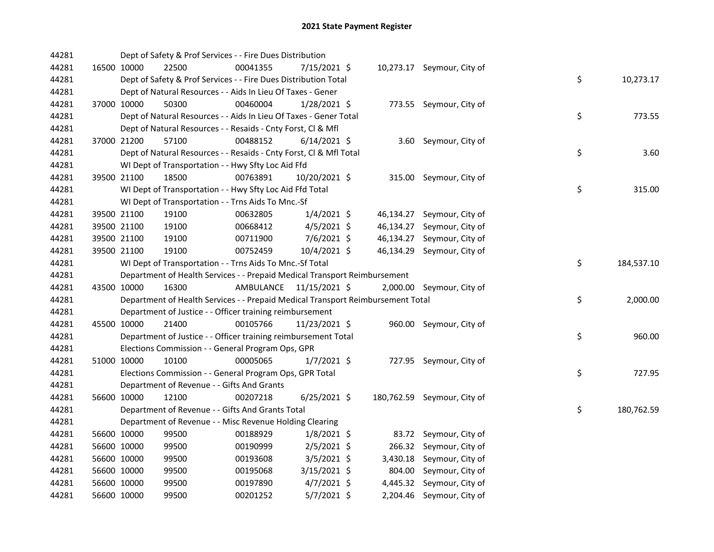| 44281 |             | Dept of Safety & Prof Services - - Fire Dues Distribution                       |           |                |           |                             |    |            |
|-------|-------------|---------------------------------------------------------------------------------|-----------|----------------|-----------|-----------------------------|----|------------|
| 44281 | 16500 10000 | 22500                                                                           | 00041355  | $7/15/2021$ \$ |           | 10,273.17 Seymour, City of  |    |            |
| 44281 |             | Dept of Safety & Prof Services - - Fire Dues Distribution Total                 |           |                |           |                             | \$ | 10,273.17  |
| 44281 |             | Dept of Natural Resources - - Aids In Lieu Of Taxes - Gener                     |           |                |           |                             |    |            |
| 44281 | 37000 10000 | 50300                                                                           | 00460004  | 1/28/2021 \$   |           | 773.55 Seymour, City of     |    |            |
| 44281 |             | Dept of Natural Resources - - Aids In Lieu Of Taxes - Gener Total               |           |                |           |                             | \$ | 773.55     |
| 44281 |             | Dept of Natural Resources - - Resaids - Cnty Forst, Cl & Mfl                    |           |                |           |                             |    |            |
| 44281 | 37000 21200 | 57100                                                                           | 00488152  | $6/14/2021$ \$ |           | 3.60 Seymour, City of       |    |            |
| 44281 |             | Dept of Natural Resources - - Resaids - Cnty Forst, Cl & Mfl Total              |           |                |           |                             | \$ | 3.60       |
| 44281 |             | WI Dept of Transportation - - Hwy Sfty Loc Aid Ffd                              |           |                |           |                             |    |            |
| 44281 | 39500 21100 | 18500                                                                           | 00763891  | 10/20/2021 \$  |           | 315.00 Seymour, City of     |    |            |
| 44281 |             | WI Dept of Transportation - - Hwy Sfty Loc Aid Ffd Total                        |           |                |           |                             | \$ | 315.00     |
| 44281 |             | WI Dept of Transportation - - Trns Aids To Mnc.-Sf                              |           |                |           |                             |    |            |
| 44281 | 39500 21100 | 19100                                                                           | 00632805  | $1/4/2021$ \$  |           | 46,134.27 Seymour, City of  |    |            |
| 44281 | 39500 21100 | 19100                                                                           | 00668412  | $4/5/2021$ \$  | 46,134.27 | Seymour, City of            |    |            |
| 44281 | 39500 21100 | 19100                                                                           | 00711900  | 7/6/2021 \$    | 46,134.27 | Seymour, City of            |    |            |
| 44281 | 39500 21100 | 19100                                                                           | 00752459  | 10/4/2021 \$   |           | 46,134.29 Seymour, City of  |    |            |
| 44281 |             | WI Dept of Transportation - - Trns Aids To Mnc.-Sf Total                        |           |                |           |                             | \$ | 184,537.10 |
| 44281 |             | Department of Health Services - - Prepaid Medical Transport Reimbursement       |           |                |           |                             |    |            |
| 44281 | 43500 10000 | 16300                                                                           | AMBULANCE | 11/15/2021 \$  |           | 2,000.00 Seymour, City of   |    |            |
| 44281 |             | Department of Health Services - - Prepaid Medical Transport Reimbursement Total |           |                |           |                             | \$ | 2,000.00   |
| 44281 |             | Department of Justice - - Officer training reimbursement                        |           |                |           |                             |    |            |
| 44281 | 45500 10000 | 21400                                                                           | 00105766  | 11/23/2021 \$  |           | 960.00 Seymour, City of     |    |            |
| 44281 |             | Department of Justice - - Officer training reimbursement Total                  |           |                |           |                             | \$ | 960.00     |
| 44281 |             | Elections Commission - - General Program Ops, GPR                               |           |                |           |                             |    |            |
| 44281 | 51000 10000 | 10100                                                                           | 00005065  | $1/7/2021$ \$  |           | 727.95 Seymour, City of     |    |            |
| 44281 |             | Elections Commission - - General Program Ops, GPR Total                         |           |                |           |                             | \$ | 727.95     |
| 44281 |             | Department of Revenue - - Gifts And Grants                                      |           |                |           |                             |    |            |
| 44281 | 56600 10000 | 12100                                                                           | 00207218  | $6/25/2021$ \$ |           | 180,762.59 Seymour, City of |    |            |
| 44281 |             | Department of Revenue - - Gifts And Grants Total                                |           |                |           |                             | \$ | 180,762.59 |
| 44281 |             | Department of Revenue - - Misc Revenue Holding Clearing                         |           |                |           |                             |    |            |
| 44281 | 56600 10000 | 99500                                                                           | 00188929  | $1/8/2021$ \$  |           | 83.72 Seymour, City of      |    |            |
| 44281 | 56600 10000 | 99500                                                                           | 00190999  | $2/5/2021$ \$  |           | 266.32 Seymour, City of     |    |            |
| 44281 | 56600 10000 | 99500                                                                           | 00193608  | $3/5/2021$ \$  |           | 3,430.18 Seymour, City of   |    |            |
| 44281 | 56600 10000 | 99500                                                                           | 00195068  | 3/15/2021 \$   | 804.00    | Seymour, City of            |    |            |
| 44281 | 56600 10000 | 99500                                                                           | 00197890  | $4/7/2021$ \$  |           | 4,445.32 Seymour, City of   |    |            |
| 44281 | 56600 10000 | 99500                                                                           | 00201252  | $5/7/2021$ \$  |           | 2,204.46 Seymour, City of   |    |            |